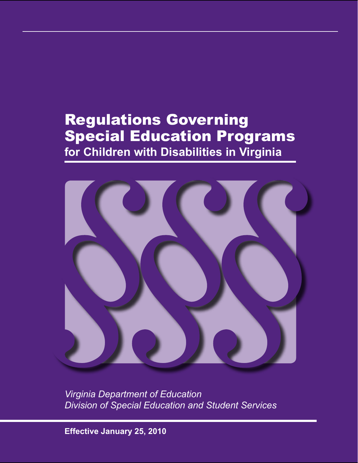# Regulations Governing Special Education Programs **for Children with Disabilities in Virginia**



*Virginia Department of Education Division of Special Education and Student Services*

**Effective January 25, 2010**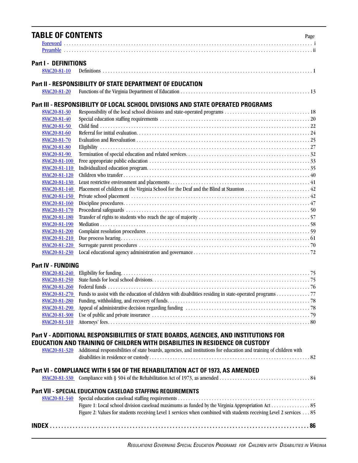| <b>TABLE OF CONTENTS</b>                     | Page                                                                                                                |
|----------------------------------------------|---------------------------------------------------------------------------------------------------------------------|
|                                              |                                                                                                                     |
|                                              |                                                                                                                     |
|                                              |                                                                                                                     |
| <b>Part I - DEFINITIONS</b>                  |                                                                                                                     |
| <b>8VAC20-81-10</b>                          |                                                                                                                     |
|                                              | <b>Part II - RESPONSIBILITY OF STATE DEPARTMENT OF EDUCATION</b>                                                    |
| 8VAC20-81-20                                 |                                                                                                                     |
|                                              |                                                                                                                     |
|                                              | Part III - RESPONSIBILITY OF LOCAL SCHOOL DIVISIONS AND STATE OPERATED PROGRAMS                                     |
| 8VAC20-81-30                                 |                                                                                                                     |
| 8VAC20-81-40                                 |                                                                                                                     |
| 8VAC20-81-50                                 |                                                                                                                     |
| 8VAC20-81-60                                 |                                                                                                                     |
| 8VAC20-81-70                                 |                                                                                                                     |
| 8VAC20-81-80                                 |                                                                                                                     |
| 8VAC20-81-90                                 |                                                                                                                     |
| 8VAC20-81-100                                |                                                                                                                     |
| 8VAC20-81-110                                |                                                                                                                     |
| 8VAC20-81-120                                |                                                                                                                     |
| 8VAC20-81-130                                |                                                                                                                     |
| 8VAC20-81-140                                |                                                                                                                     |
| 8VAC20-81-150                                |                                                                                                                     |
| 8VAC20-81-160                                |                                                                                                                     |
| 8VAC20-81-170                                |                                                                                                                     |
| 8VAC20-81-180                                |                                                                                                                     |
| 8VAC20-81-190                                |                                                                                                                     |
| 8VAC20-81-200                                |                                                                                                                     |
| <b>8VAC20-81-210</b><br><b>8VAC20-81-220</b> |                                                                                                                     |
| 8VAC20-81-230                                |                                                                                                                     |
|                                              |                                                                                                                     |
| <b>Part IV - FUNDING</b>                     |                                                                                                                     |
| <b>8VAC20-81-240</b>                         |                                                                                                                     |
| 8VAC20-81-250                                |                                                                                                                     |
| 8VAC20-81-260                                |                                                                                                                     |
| 8VAC20-81-270                                | Funds to assist with the education of children with disabilities residing in state-operated programs 77             |
| 8VAC20-81-280                                |                                                                                                                     |
| 8VAC20-81-290                                |                                                                                                                     |
| 8VAC20-81-300                                |                                                                                                                     |
| 8VAC20-81-310                                |                                                                                                                     |
|                                              |                                                                                                                     |
|                                              | Part V - ADDITIONAL RESPONSIBILITIES OF STATE BOARDS, AGENCIES, AND INSTITUTIONS FOR                                |
|                                              | EDUCATION AND TRAINING OF CHILDREN WITH DISABILITIES IN RESIDENCE OR CUSTODY                                        |
| <b>8VAC20-81-320</b>                         | Additional responsibilities of state boards, agencies, and institutions for education and training of children with |
|                                              |                                                                                                                     |
|                                              |                                                                                                                     |
|                                              | Part VI - COMPLIANCE WITH § 504 OF THE REHABILITATION ACT OF 1973, AS AMENDED                                       |
|                                              |                                                                                                                     |
|                                              | <b>Part VII - SPECIAL EDUCATION CASELOAD STAFFING REQUIREMENTS</b>                                                  |
| <b>8VAC20-81-340</b>                         |                                                                                                                     |
|                                              |                                                                                                                     |
|                                              | Figure 2: Values for students receiving Level 1 services when combined with students receiving Level 2 services 85  |
|                                              |                                                                                                                     |
|                                              |                                                                                                                     |
|                                              |                                                                                                                     |
|                                              |                                                                                                                     |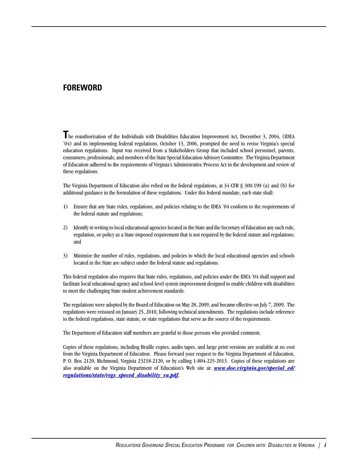## <span id="page-3-0"></span>**FOREWORD**

**T**he reauthorization of the Individuals with Disabilities Education Improvement Act, December 3, 2004, (IDEA '04) and its implementing federal regulations, October 13, 2006, prompted the need to revise Virginia's special education regulations. Input was received from a Stakeholders Group that included school personnel, parents, consumers, professionals, and members of the State Special Education Advisory Committee. The Virginia Department of Education adhered to the requirements of Virginia's Administrative Process Act in the development and review of these regulations.

The Virginia Department of Education also relied on the federal regulations, at 34 CFR § 300.199 (a) and (b) for additional guidance in the formulation of these regulations. Under this federal mandate, each state shall:

- 1) Ensure that any State rules, regulations, and policies relating to the IDEA '04 conform to the requirements of the federal statute and regulations;
- 2) Identify in writing to local educational agencies located in the State and the Secretary of Education any such rule, regulation, or policy as a State-imposed requirement that is not required by the federal statute and regulations; and
- 3) Minimize the number of rules, regulations, and policies to which the local educational agencies and schools located in the State are subject under the federal statute and regulations.

This federal regulation also requires that State rules, regulations, and policies under the IDEA '04 shall support and facilitate local educational agency and school-level system improvement designed to enable children with disabilities to meet the challenging State student achievement standards.

The regulations were adopted by the Board of Education on May 28, 2009, and became effective on July 7, 2009. The regulations were reissued on January 25, 2010, following technical amendments. The regulations include reference to the federal regulations, state statute, or state regulations that serve as the source of the requirements.

The Department of Education staff members are grateful to those persons who provided comment.

Copies of these regulations, including Braille copies, audio tapes, and large print versions are available at no cost from the Virginia Department of Education. Please forward your request to the Virginia Department of Education, P. O. Box 2120, Richmond, Virginia 23218-2120, or by calling 1-804-225-2013. Copies of these regulations are also available on the Virginia Department of Education's Web site at: *[www.doe.virginia.gov/special\\_ed/](www.doe.virginia.gov/special_ed/regulations/state/regs_speced_disability_va.pdf) [regulations/state/regs\\_speced\\_disability\\_va.pdf.](www.doe.virginia.gov/special_ed/regulations/state/regs_speced_disability_va.pdf)*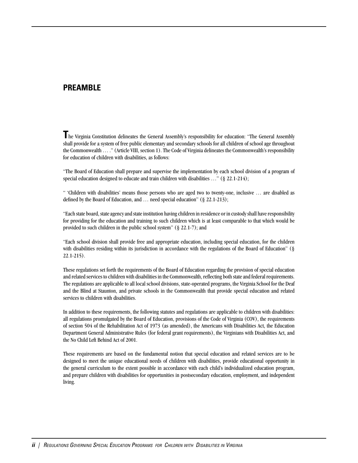## <span id="page-4-0"></span>**PREAMBLE**

**T**he Virginia Constitution delineates the General Assembly's responsibility for education: "The General Assembly shall provide for a system of free public elementary and secondary schools for all children of school age throughout the Commonwealth … ." (Article VIII, section 1). The Code of Virginia delineates the Commonwealth's responsibility for education of children with disabilities, as follows:

"The Board of Education shall prepare and supervise the implementation by each school division of a program of special education designed to educate and train children with disabilities ..." (§ 22.1-214);

" 'Children with disabilities' means those persons who are aged two to twenty-one, inclusive … are disabled as defined by the Board of Education, and ... need special education" (§ 22.1-213);

"Each state board, state agency and state institution having children in residence or in custody shall have responsibility for providing for the education and training to such children which is at least comparable to that which would be provided to such children in the public school system" (§ 22.1-7); and

"Each school division shall provide free and appropriate education, including special education, for the children with disabilities residing within its jurisdiction in accordance with the regulations of the Board of Education" (§ 22.1-215).

These regulations set forth the requirements of the Board of Education regarding the provision of special education and related services to children with disabilities in the Commonwealth, reflecting both state and federal requirements. The regulations are applicable to all local school divisions, state-operated programs, the Virginia School for the Deaf and the Blind at Staunton, and private schools in the Commonwealth that provide special education and related services to children with disabilities.

In addition to these requirements, the following statutes and regulations are applicable to children with disabilities: all regulations promulgated by the Board of Education, provisions of the Code of Virginia (COV), the requirements of section 504 of the Rehabilitation Act of 1973 (as amended), the Americans with Disabilities Act, the Education Department General Administrative Rules (for federal grant requirements), the Virginians with Disabilities Act, and the No Child Left Behind Act of 2001.

These requirements are based on the fundamental notion that special education and related services are to be designed to meet the unique educational needs of children with disabilities, provide educational opportunity in the general curriculum to the extent possible in accordance with each child's individualized education program, and prepare children with disabilities for opportunities in postsecondary education, employment, and independent living.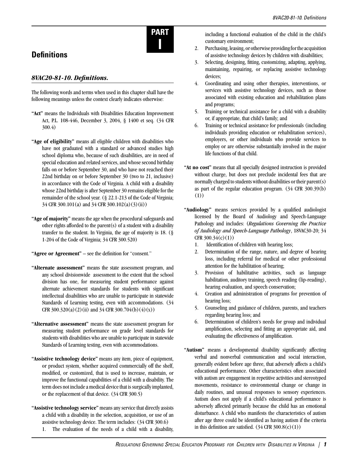

## **Definitions**

#### <span id="page-5-0"></span>*8VAC20-81-10. Definitions.*

The following words and terms when used in this chapter shall have the following meanings unless the context clearly indicates otherwise:

- **"Act"** means the Individuals with Disabilities Education Improvement Act, P.L. 108-446, December 3, 2004, § 1400 et seq. (34 CFR 300.4)
- **"Age of eligibility"** means all eligible children with disabilities who have not graduated with a standard or advanced studies high school diploma who, because of such disabilities, are in need of special education and related services, and whose second birthday falls on or before September 30, and who have not reached their 22nd birthday on or before September 30 (two to 21, inclusive) in accordance with the Code of Virginia. A child with a disability whose 22nd birthday is after September 30 remains eligible for the remainder of the school year. (§ 22.1-213 of the Code of Virginia; 34 CFR 300.101(a) and 34 CFR 300.102(a)(3)(ii))
- **"Age of majority"** means the age when the procedural safeguards and other rights afforded to the parent(s) of a student with a disability transfer to the student. In Virginia, the age of majority is 18. (§ 1-204 of the Code of Virginia; 34 CFR 300.520)

**"Agree or Agreement"** – see the definition for "consent."

- **"Alternate assessment"** means the state assessment program, and any school divisionwide assessment to the extent that the school division has one, for measuring student performance against alternate achievement standards for students with significant intellectual disabilities who are unable to participate in statewide Standards of Learning testing, even with accommodations. (34 CFR  $300.320(a)(2)$  (ii) and  $34$  CFR  $300.704(b)(4)(x)$ )
- **"Alternative assessment"** means the state assessment program for measuring student performance on grade level standards for students with disabilities who are unable to participate in statewide Standards of Learning testing, even with accommodations.
- **"Assistive technology device"** means any item, piece of equipment, or product system, whether acquired commercially off the shelf, modified, or customized, that is used to increase, maintain, or improve the functional capabilities of a child with a disability. The term does not include a medical device that is surgically implanted, or the replacement of that device. (34 CFR 300.5)
- **"Assistive technology service"** means any service that directly assists a child with a disability in the selection, acquisition, or use of an assistive technology device. The term includes: (34 CFR 300.6)
	- 1. The evaluation of the needs of a child with a disability,

including a functional evaluation of the child in the child's customary environment;

- 2. Purchasing, leasing, or otherwise providing for the acquisition of assistive technology devices by children with disabilities;
- 3. Selecting, designing, fitting, customizing, adapting, applying, maintaining, repairing, or replacing assistive technology devices;
- 4. Coordinating and using other therapies, interventions, or services with assistive technology devices, such as those associated with existing education and rehabilitation plans and programs;
- 5. Training or technical assistance for a child with a disability or, if appropriate, that child's family; and
- 6. Training or technical assistance for professionals (including individuals providing education or rehabilitation services), employers, or other individuals who provide services to employ or are otherwise substantially involved in the major life functions of that child.
- **"At no cost"** means that all specially designed instruction is provided without charge, but does not preclude incidental fees that are normally charged to students without disabilities or their parent(s) as part of the regular education program. (34 CFR 300.39(b) (1))
- **"Audiology"** means services provided by a qualified audiologist licensed by the Board of Audiology and Speech-Language Pathology and includes: (*Regulations Governing the Practice of Audiology and Speech-Language Pathology*, 18VAC30-20; 34 CFR  $300.34(c)(1)$ 
	- 1. Identification of children with hearing loss;
	- 2. Determination of the range, nature, and degree of hearing loss, including referral for medical or other professional attention for the habilitation of hearing;
	- 3. Provision of habilitative activities, such as language habilitation, auditory training, speech reading (lip-reading), hearing evaluation, and speech conservation;
	- 4. Creation and administration of programs for prevention of hearing loss;
	- 5. Counseling and guidance of children, parents, and teachers regarding hearing loss; and
	- 6. Determination of children's needs for group and individual amplification, selecting and fitting an appropriate aid, and evaluating the effectiveness of amplification.
- **"Autism"** means a developmental disability significantly affecting verbal and nonverbal communication and social interaction, generally evident before age three, that adversely affects a child's educational performance. Other characteristics often associated with autism are engagement in repetitive activities and stereotyped movements, resistance to environmental change or change in daily routines, and unusual responses to sensory experiences. Autism does not apply if a child's educational performance is adversely affected primarily because the child has an emotional disturbance. A child who manifests the characteristics of autism after age three could be identified as having autism if the criteria in this definition are satisfied.  $(34 \text{ CFR } 300.8(c)(1))$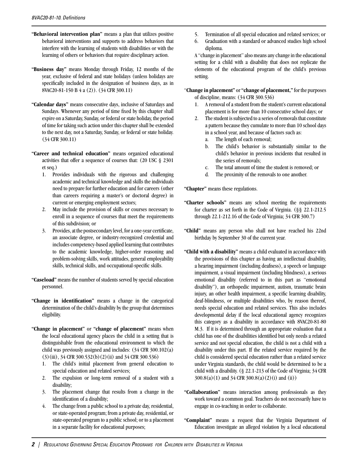- **"Behavioral intervention plan"** means a plan that utilizes positive behavioral interventions and supports to address behaviors that interfere with the learning of students with disabilities or with the learning of others or behaviors that require disciplinary action.
- **"Business day"** means Monday through Friday, 12 months of the year, exclusive of federal and state holidays (unless holidays are specifically included in the designation of business days, as in 8VAC20-81-150 B 4 a (2)). (34 CFR 300.11)
- **"Calendar days"** means consecutive days, inclusive of Saturdays and Sundays. Whenever any period of time fixed by this chapter shall expire on a Saturday, Sunday, or federal or state holiday, the period of time for taking such action under this chapter shall be extended to the next day, not a Saturday, Sunday, or federal or state holiday. (34 CFR 300.11)
- **"Career and technical education"** means organized educational activities that offer a sequence of courses that: (20 USC § 2301 et seq.)
	- 1. Provides individuals with the rigorous and challenging academic and technical knowledge and skills the individuals need to prepare for further education and for careers (other than careers requiring a master's or doctoral degree) in current or emerging employment sectors;
	- 2. May include the provision of skills or courses necessary to enroll in a sequence of courses that meet the requirements of this subdivision; or
	- 3. Provides, at the postsecondary level, for a one-year certificate, an associate degree, or industry-recognized credential and includes competency-based applied learning that contributes to the academic knowledge, higher-order reasoning and problem-solving skills, work attitudes, general employability skills, technical skills, and occupational-specific skills.
- **"Caseload"** means the number of students served by special education personnel.
- **"Change in identification"** means a change in the categorical determination of the child's disability by the group that determines eligibility.
- **"Change in placement"** or **"change of placement"** means when the local educational agency places the child in a setting that is distinguishable from the educational environment to which the child was previously assigned and includes: (34 CFR 300.102(a) (3)(iii), 34 CFR 300.532(b)(2)(ii) and 34 CFR 300.536)
	- 1. The child's initial placement from general education to special education and related services;
	- 2. The expulsion or long-term removal of a student with a disability;
	- 3. The placement change that results from a change in the identification of a disability;
	- 4. The change from a public school to a private day, residential, or state-operated program; from a private day, residential, or state-operated program to a public school; or to a placement in a separate facility for educational purposes;
- 5. Termination of all special education and related services; or
- 6. Graduation with a standard or advanced studies high school diploma.

A "change in placement" also means any change in the educational setting for a child with a disability that does not replicate the elements of the educational program of the child's previous setting.

"**Change in placement"** or **"change of placement,"** for the purposes of discipline, means: (34 CFR 300.536)

- 1. A removal of a student from the student's current educational placement is for more than 10 consecutive school days; or
- 2. The student is subjected to a series of removals that constitute a pattern because they cumulate to more than 10 school days in a school year, and because of factors such as:
	- a. The length of each removal;
	- b. The child's behavior is substantially similar to the child's behavior in previous incidents that resulted in the series of removals;
	- c. The total amount of time the student is removed; or
	- d. The proximity of the removals to one another.

**"Chapter"** means these regulations.

- **"Charter schools"** means any school meeting the requirements for charter as set forth in the Code of Virginia. (§§ 22.1-212.5 through 22.1-212.16 of the Code of Virginia; 34 CFR 300.7)
- **"Child"** means any person who shall not have reached his 22nd birthday by September 30 of the current year.
- **"Child with a disability"** means a child evaluated in accordance with the provisions of this chapter as having an intellectual disability, a hearing impairment (including deafness), a speech or language impairment, a visual impairment (including blindness), a serious emotional disability (referred to in this part as "emotional disability"), an orthopedic impairment, autism, traumatic brain injury, an other health impairment, a specific learning disability, deaf-blindness, or multiple disabilities who, by reason thereof, needs special education and related services. This also includes developmental delay if the local educational agency recognizes this category as a disability in accordance with 8VAC20-81-80 M.3. If it is determined through an appropriate evaluation that a child has one of the disabilities identified but only needs a related service and not special education, the child is not a child with a disability under this part. If the related service required by the child is considered special education rather than a related service under Virginia standards, the child would be determined to be a child with a disability. (§ 22.1-213 of the Code of Virginia; 34 CFR 300.8(a)(1) and 34 CFR 300.8(a)(2)(i) and (ii))
- **"Collaboration"** means interaction among professionals as they work toward a common goal. Teachers do not necessarily have to engage in co-teaching in order to collaborate.
- **"Complaint"** means a request that the Virginia Department of Education investigate an alleged violation by a local educational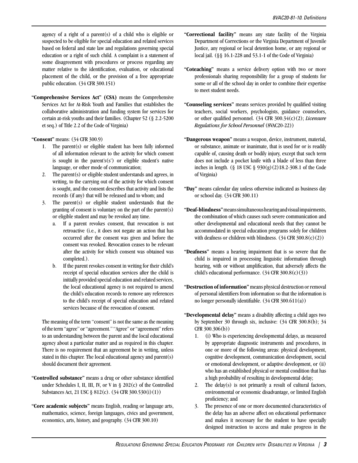agency of a right of a parent(s) of a child who is eligible or suspected to be eligible for special education and related services based on federal and state law and regulations governing special education or a right of such child. A complaint is a statement of some disagreement with procedures or process regarding any matter relative to the identification, evaluation, or educational placement of the child, or the provision of a free appropriate public education. (34 CFR 300.151)

**"Comprehensive Services Act" (CSA)** means the Comprehensive Services Act for At-Risk Youth and Families that establishes the collaborative administration and funding system for services for certain at-risk youths and their families. (Chapter 52 (§ 2.2-5200 et seq.) of Title 2.2 of the Code of Virginia)

**"Consent"** means: (34 CFR 300.9)

- 1. The parent(s) or eligible student has been fully informed of all information relevant to the activity for which consent is sought in the parent's $(s')$  or eligible student's native language, or other mode of communication;
- 2. The parent(s) or eligible student understands and agrees, in writing, to the carrying out of the activity for which consent is sought, and the consent describes that activity and lists the records (if any) that will be released and to whom; and
- 3. The parent(s) or eligible student understands that the granting of consent is voluntary on the part of the parent(s) or eligible student and may be revoked any time.
	- a. If a parent revokes consent, that revocation is not retroactive (i.e., it does not negate an action that has occurred after the consent was given and before the consent was revoked. Revocation ceases to be relevant after the activity for which consent was obtained was completed.).
	- b. If the parent revokes consent in writing for their child's receipt of special education services after the child is initially provided special education and related services, the local educational agency is not required to amend the child's education records to remove any references to the child's receipt of special education and related services because of the revocation of consent.

The meaning of the term "consent" is not the same as the meaning of the term "agree" or "agreement." "Agree" or "agreement" refers to an understanding between the parent and the local educational agency about a particular matter and as required in this chapter. There is no requirement that an agreement be in writing, unless stated in this chapter. The local educational agency and parent(s) should document their agreement.

- **"Controlled substance"** means a drug or other substance identified under Schedules I, II, III, IV, or V in § 202(c) of the Controlled Substances Act, 21 USC § 812(c). (34 CFR 300.530(i)(1))
- **"Core academic subjects"** means English, reading or language arts, mathematics, science, foreign languages, civics and government, economics, arts, history, and geography. (34 CFR 300.10)
- **"Correctional facility"** means any state facility of the Virginia Department of Corrections or the Virginia Department of Juvenile Justice, any regional or local detention home, or any regional or local jail. (§§ 16.1-228 and 53.1-1 of the Code of Virginia)
- **"Coteaching"** means a service delivery option with two or more professionals sharing responsibility for a group of students for some or all of the school day in order to combine their expertise to meet student needs.
- **"Counseling services"** means services provided by qualified visiting teachers, social workers, psychologists, guidance counselors, or other qualified personnel. (34 CFR 300.34(c)(2); *Licensure Regulations for School Personnel* (8VAC20-22))
- **"Dangerous weapon"** means a weapon, device, instrument, material, or substance, animate or inanimate, that is used for or is readily capable of, causing death or bodily injury, except that such term does not include a pocket knife with a blade of less than three inches in length. (§ 18 USC § 930(g)(2)18.2-308.1 of the Code of Virginia)
- **"Day"** means calendar day unless otherwise indicated as business day or school day. (34 CFR 300.11)
- **"Deaf-blindness"** means simultaneous hearing and visual impairments, the combination of which causes such severe communication and other developmental and educational needs that they cannot be accommodated in special education programs solely for children with deafness or children with blindness.  $(34 \text{ CFR } 300.8 \text{ (c)}(2))$
- **"Deafness"** means a hearing impairment that is so severe that the child is impaired in processing linguistic information through hearing, with or without amplification, that adversely affects the child's educational performance. (34 CFR 300.8(c)(3))
- **"Destruction of information"** means physical destruction or removal of personal identifiers from information so that the information is no longer personally identifiable. (34 CFR 300.611(a))
- **"Developmental delay"** means a disability affecting a child ages two by September 30 through six, inclusive: (34 CFR 300.8(b); 34 CFR 300.306(b))
	- 1. (i) Who is experiencing developmental delays, as measured by appropriate diagnostic instruments and procedures, in one or more of the following areas: physical development, cognitive development, communication development, social or emotional development, or adaptive development, or (ii) who has an established physical or mental condition that has a high probability of resulting in developmental delay;
	- 2. The delay $(s)$  is not primarily a result of cultural factors, environmental or economic disadvantage, or limited English proficiency; and
	- 3. The presence of one or more documented characteristics of the delay has an adverse affect on educational performance and makes it necessary for the student to have specially designed instruction to access and make progress in the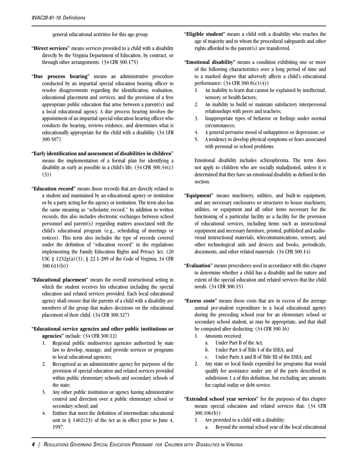general educational activities for this age group.

- **"Direct services"** means services provided to a child with a disability directly by the Virginia Department of Education, by contract, or through other arrangements. (34 CFR 300.175)
- **"Due process hearing"** means an administrative procedure conducted by an impartial special education hearing officer to resolve disagreements regarding the identification, evaluation, educational placement and services, and the provision of a free appropriate public education that arise between a parent(s) and a local educational agency. A due process hearing involves the appointment of an impartial special education hearing officer who conducts the hearing, reviews evidence, and determines what is educationally appropriate for the child with a disability. (34 CFR 300.507)
- **"Early identification and assessment of disabilities in children"**  means the implementation of a formal plan for identifying a disability as early as possible in a child's life. (34 CFR 300.34(c) (3))
- **"Education record"** means those records that are directly related to a student and maintained by an educational agency or institution or by a party acting for the agency or institution. The term also has the same meaning as "scholastic record." In addition to written records, this also includes electronic exchanges between school personnel and parent(s) regarding matters associated with the child's educational program (e.g., scheduling of meetings or notices). This term also includes the type of records covered under the definition of "education record" in the regulations implementing the Family Education Rights and Privacy Act. (20 USC § 1232g(a)(3); § 22.1-289 of the Code of Virginia; 34 CFR 300.611(b))
- **"Educational placement"** means the overall instructional setting in which the student receives his education including the special education and related services provided. Each local educational agency shall ensure that the parents of a child with a disability are members of the group that makes decisions on the educational placement of their child. (34 CFR 300.327)
- **"Educational service agencies and other public institutions or agencies"** include: (34 CFR 300.12)
	- 1. Regional public multiservice agencies authorized by state law to develop, manage, and provide services or programs to local educational agencies;
	- 2. Recognized as an administrative agency for purposes of the provision of special education and related services provided within public elementary schools and secondary schools of the state;
	- 3. Any other public institution or agency having administrative control and direction over a public elementary school or secondary school; and
	- 4. Entities that meet the definition of intermediate educational unit in  $\S$  1402(23) of the Act as in effect prior to June 4, 1997.
- **"Eligible student"** means a child with a disability who reaches the age of majority and to whom the procedural safeguards and other rights afforded to the parent(s) are transferred.
- **"Emotional disability"** means a condition exhibiting one or more of the following characteristics over a long period of time and to a marked degree that adversely affects a child's educational performance: (34 CFR 300.8(c)(4))
	- 1. An inability to learn that cannot be explained by intellectual, sensory, or health factors;
	- 2. An inability to build or maintain satisfactory interpersonal relationships with peers and teachers;
	- 3. Inappropriate types of behavior or feelings under normal circumstances;
	- 4. A general pervasive mood of unhappiness or depression; or
	- 5. A tendency to develop physical symptoms or fears associated with personal or school problems.

Emotional disability includes schizophrenia. The term does not apply to children who are socially maladjusted, unless it is determined that they have an emotional disability as defined in this section.

- **"Equipment"** means machinery, utilities, and built-in equipment, and any necessary enclosures or structures to house machinery, utilities, or equipment and all other items necessary for the functioning of a particular facility as a facility for the provision of educational services, including items such as instructional equipment and necessary furniture, printed, published and audiovisual instructional materials, telecommunications, sensory, and other technological aids and devices and books, periodicals, documents, and other related materials. (34 CFR 300.14)
- **"Evaluation"** means procedures used in accordance with this chapter to determine whether a child has a disability and the nature and extent of the special education and related services that the child needs. (34 CFR 300.15)
- **"Excess costs"** means those costs that are in excess of the average annual per-student expenditure in a local educational agency during the preceding school year for an elementary school or secondary school student, as may be appropriate, and that shall be computed after deducting: (34 CFR 300.16)
	- 1. Amounts received:
		- a. Under Part B of the Act;
		- b. Under Part A of Title I of the ESEA; and
		- c. Under Parts A and B of Title III of the ESEA; and
	- 2. Any state or local funds expended for programs that would qualify for assistance under any of the parts described in subdivision 1 a of this definition, but excluding any amounts for capital outlay or debt service.
- **"Extended school year services"** for the purposes of this chapter means special education and related services that: (34 CFR 300.106(b))
	- 1. Are provided to a child with a disability:
		- a. Beyond the normal school year of the local educational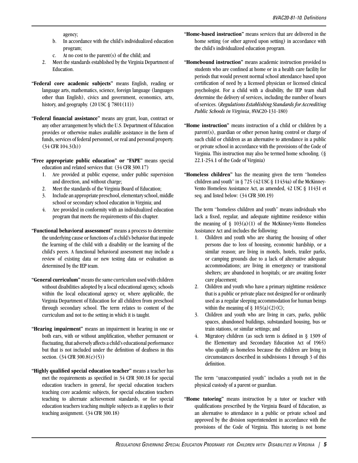agency;

- b. In accordance with the child's individualized education program;
- c. At no cost to the parent(s) of the child; and
- 2. Meet the standards established by the Virginia Department of Education.
- **"Federal core academic subjects"** means English, reading or language arts, mathematics, science, foreign language (languages other than English), civics and government, economics, arts, history, and geography.  $(20 \text{ USC} \& 7801(11))$
- **"Federal financial assistance"** means any grant, loan, contract or any other arrangement by which the U.S. Department of Education provides or otherwise makes available assistance in the form of funds, services of federal personnel, or real and personal property. (34 CFR 104.3(h))
- **"Free appropriate public education" or "FAPE"** means special education and related services that: (34 CFR 300.17)
	- 1. Are provided at public expense, under public supervision and direction, and without charge;
	- 2. Meet the standards of the Virginia Board of Education;
	- 3. Include an appropriate preschool, elementary school, middle school or secondary school education in Virginia; and
	- 4. Are provided in conformity with an individualized education program that meets the requirements of this chapter.
- **"Functional behavioral assessment"** means a process to determine the underlying cause or functions of a child's behavior that impede the learning of the child with a disability or the learning of the child's peers. A functional behavioral assessment may include a review of existing data or new testing data or evaluation as determined by the IEP team.
- **"General curriculum"** means the same curriculum used with children without disabilities adopted by a local educational agency, schools within the local educational agency or, where applicable, the Virginia Department of Education for all children from preschool through secondary school. The term relates to content of the curriculum and not to the setting in which it is taught.
- **"Hearing impairment"** means an impairment in hearing in one or both ears, with or without amplification, whether permanent or fluctuating, that adversely affects a child's educational performance but that is not included under the definition of deafness in this section. (34 CFR 300.8(c)(5))
- **"Highly qualified special education teacher"** means a teacher has met the requirements as specified in 34 CFR 300.18 for special education teachers in general, for special education teachers teaching core academic subjects, for special education teachers teaching to alternate achievement standards, or for special education teachers teaching multiple subjects as it applies to their teaching assignment. (34 CFR 300.18)
- **"Home-based instruction"** means services that are delivered in the home setting (or other agreed upon setting) in accordance with the child's individualized education program.
- **"Homebound instruction"** means academic instruction provided to students who are confined at home or in a health care facility for periods that would prevent normal school attendance based upon certification of need by a licensed physician or licensed clinical psychologist. For a child with a disability, the IEP team shall determine the delivery of services, including the number of hours of services. (*Regulations Establishing Standards for Accrediting Public Schools in Virginia*, 8VAC20-131-180)
- **"Home instruction"** means instruction of a child or children by a parent(s), guardian or other person having control or charge of such child or children as an alternative to attendance in a public or private school in accordance with the provisions of the Code of Virginia. This instruction may also be termed home schooling. (§ 22.1-254.1 of the Code of Virginia)
- **"Homeless children"** has the meaning given the term "homeless children and youth" in § 725 (42 USC § 11434a) of the McKinney-Vento Homeless Assistance Act, as amended, 42 USC § 11431 et seq. and listed below: (34 CFR 300.19)

The term "homeless children and youth" means individuals who lack a fixed, regular, and adequate nighttime residence within the meaning of  $\S$  103(a)(1) of the McKinney-Vento Homeless Assistance Act and includes the following:

- 1. Children and youth who are sharing the housing of other persons due to loss of housing, economic hardship, or a similar reason; are living in motels, hotels, trailer parks, or camping grounds due to a lack of alternative adequate accommodations; are living in emergency or transitional shelters; are abandoned in hospitals; or are awaiting foster care placement;
- 2. Children and youth who have a primary nighttime residence that is a public or private place not designed for or ordinarily used as a regular sleeping accommodation for human beings within the meaning of  $\S 103(a)(2)(C)$ ;
- 3. Children and youth who are living in cars, parks, public spaces, abandoned buildings, substandard housing, bus or train stations, or similar settings; and
- 4. Migratory children (as such term is defined in § 1309 of the Elementary and Secondary Education Act of 1965) who qualify as homeless because the children are living in circumstances described in subdivisions 1 through 3 of this definition.

The term "unaccompanied youth" includes a youth not in the physical custody of a parent or guardian.

**"Home tutoring"** means instruction by a tutor or teacher with qualifications prescribed by the Virginia Board of Education, as an alternative to attendance in a public or private school and approved by the division superintendent in accordance with the provisions of the Code of Virginia. This tutoring is not home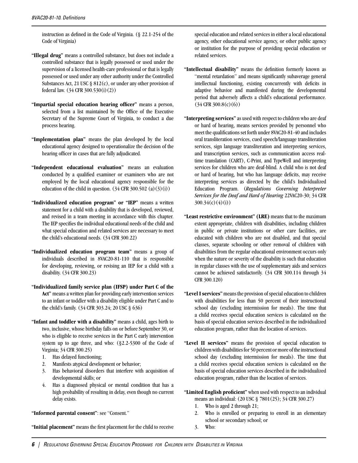instruction as defined in the Code of Virginia. (§ 22.1-254 of the Code of Virginia)

- **"Illegal drug"** means a controlled substance, but does not include a controlled substance that is legally possessed or used under the supervision of a licensed health-care professional or that is legally possessed or used under any other authority under the Controlled Substances Act, 21 USC  $\S 812(c)$ , or under any other provision of federal law. (34 CFR 300.530(i)(2))
- **"Impartial special education hearing officer"** means a person, selected from a list maintained by the Office of the Executive Secretary of the Supreme Court of Virginia, to conduct a due process hearing.
- **"Implementation plan"** means the plan developed by the local educational agency designed to operationalize the decision of the hearing officer in cases that are fully adjudicated.
- **"Independent educational evaluation"** means an evaluation conducted by a qualified examiner or examiners who are not employed by the local educational agency responsible for the education of the child in question.  $(34 \text{ CFR } 300.502 \text{ (a)}(3)(i))$
- **"Individualized education program" or "IEP"** means a written statement for a child with a disability that is developed, reviewed, and revised in a team meeting in accordance with this chapter. The IEP specifies the individual educational needs of the child and what special education and related services are necessary to meet the child's educational needs. (34 CFR 300.22)
- **"Individualized education program team"** means a group of individuals described in 8VAC20-81-110 that is responsible for developing, reviewing, or revising an IEP for a child with a disability. (34 CFR 300.23)
- **"Individualized family service plan (IFSP) under Part C of the Act"** means a written plan for providing early intervention services to an infant or toddler with a disability eligible under Part C and to the child's family. (34 CFR 303.24; 20 USC § 636)
- **"Infant and toddler with a disability"** means a child, ages birth to two, inclusive, whose birthday falls on or before September 30, or who is eligible to receive services in the Part C early intervention system up to age three, and who: (§2.2-5300 of the Code of Virginia; 34 CFR 300.25)
	- 1. Has delayed functioning;
	- 2. Manifests atypical development or behavior;
	- 3. Has behavioral disorders that interfere with acquisition of developmental skills; or
	- 4. Has a diagnosed physical or mental condition that has a high probability of resulting in delay, even though no current delay exists.

**"Informed parental consent"**: see "Consent."

**"Initial placement"** means the first placement for the child to receive

special education and related services in either a local educational agency, other educational service agency, or other public agency or institution for the purpose of providing special education or related services.

- **"Intellectual disability"** means the definition formerly known as "mental retardation" and means significantly subaverage general intellectual functioning, existing concurrently with deficits in adaptive behavior and manifested during the developmental period that adversely affects a child's educational performance.  $(34 \text{ CFR } 300.8 \text{ (c)}(6))$
- **"Interpreting services"** as used with respect to children who are deaf or hard of hearing, means services provided by personnel who meet the qualifications set forth under 8VAC20-81-40 and includes oral transliteration services, cued speech/language transliteration services, sign language transliteration and interpreting services, and transcription services, such as communication access realtime translation (CART), C-Print, and TypeWell and interpreting services for children who are deaf-blind. A child who is not deaf or hard of hearing, but who has language deficits, may receive interpreting services as directed by the child's Individualized Education Program. (*Regulations Governing Interpreter Services for the Deaf and Hard of Hearing* 22VAC20-30; 34 CFR  $300.34(c)(4)(i)$
- **"Least restrictive environment" (LRE)** means that to the maximum extent appropriate, children with disabilities, including children in public or private institutions or other care facilities, are educated with children who are not disabled, and that special classes, separate schooling or other removal of children with disabilities from the regular educational environment occurs only when the nature or severity of the disability is such that education in regular classes with the use of supplementary aids and services cannot be achieved satisfactorily. (34 CFR 300.114 through 34 CFR 300.120)
- **"Level I services"** means the provision of special education to children with disabilities for less than 50 percent of their instructional school day (excluding intermission for meals). The time that a child receives special education services is calculated on the basis of special education services described in the individualized education program, rather than the location of services.
- **"Level II services"** means the provision of special education to children with disabilities for 50 percent or more of the instructional school day (excluding intermission for meals). The time that a child receives special education services is calculated on the basis of special education services described in the individualized education program, rather than the location of services.

**"Limited English proficient"** when used with respect to an individual means an individual: (20 USC § 7801(25); 34 CFR 300.27)

- 1. Who is aged 2 through 21;
- 2. Who is enrolled or preparing to enroll in an elementary school or secondary school; or
- 3. Who: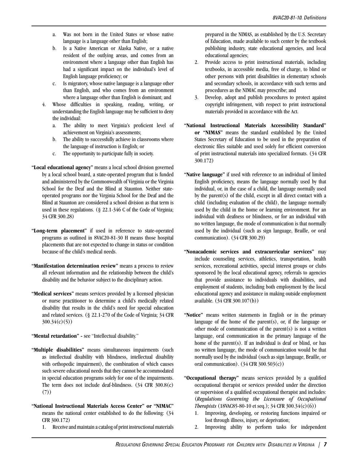- a. Was not born in the United States or whose native language is a language other than English;
- b. Is a Native American or Alaska Native, or a native resident of the outlying areas, and comes from an environment where a language other than English has had a significant impact on the individual's level of English language proficiency; or
- c. Is migratory, whose native language is a language other than English, and who comes from an environment where a language other than English is dominant; and
- 4. Whose difficulties in speaking, reading, writing, or understanding the English language may be sufficient to deny the individual:
	- a. The ability to meet Virginia's proficient level of achievement on Virginia's assessments;
	- b. The ability to successfully achieve in classrooms where the language of instruction is English; or
	- c. The opportunity to participate fully in society.
- **"Local educational agency"** means a local school division governed by a local school board, a state-operated program that is funded and administered by the Commonwealth of Virginia or the Virginia School for the Deaf and the Blind at Staunton. Neither stateoperated programs nor the Virginia School for the Deaf and the Blind at Staunton are considered a school division as that term is used in these regulations. (§ 22.1-346 C of the Code of Virginia; 34 CFR 300.28)
- **"Long-term placement"** if used in reference to state-operated programs as outlined in 8VAC20-81-30 H means those hospital placements that are not expected to change in status or condition because of the child's medical needs.
- **"Manifestation determination review"** means a process to review all relevant information and the relationship between the child's disability and the behavior subject to the disciplinary action.
- **"Medical services"** means services provided by a licensed physician or nurse practitioner to determine a child's medically related disability that results in the child's need for special education and related services. (§ 22.1-270 of the Code of Virginia; 34 CFR 300.34(c)(5))

**"Mental retardation" -** see "Intellectual disability."

- **"Multiple disabilities"** means simultaneous impairments (such as intellectual disability with blindness, intellectual disability with orthopedic impairment), the combination of which causes such severe educational needs that they cannot be accommodated in special education programs solely for one of the impairments. The term does not include deaf-blindness. (34 CFR 300.8(c) (7))
- **"National Instructional Materials Access Center" or "NIMAC"** means the national center established to do the following: (34 CFR 300.172)
	- 1. Receive and maintain a catalog of print instructional materials

prepared in the NIMAS, as established by the U.S. Secretary of Education, made available to such center by the textbook publishing industry, state educational agencies, and local educational agencies;

- 2. Provide access to print instructional materials, including textbooks, in accessible media, free of charge, to blind or other persons with print disabilities in elementary schools and secondary schools, in accordance with such terms and procedures as the NIMAC may prescribe; and
- 3. Develop, adopt and publish procedures to protect against copyright infringement, with respect to print instructional materials provided in accordance with the Act.
- **"National Instructional Materials Accessibility Standard" or "NIMAS"** means the standard established by the United States Secretary of Education to be used in the preparation of electronic files suitable and used solely for efficient conversion of print instructional materials into specialized formats. (34 CFR 300.172)
- **"Native language"** if used with reference to an individual of limited English proficiency, means the language normally used by that individual, or, in the case of a child, the language normally used by the parent(s) of the child, except in all direct contact with a child (including evaluation of the child), the language normally used by the child in the home or learning environment. For an individual with deafness or blindness, or for an individual with no written language, the mode of communication is that normally used by the individual (such as sign language, Braille, or oral communication). (34 CFR 300.29)
- **"Nonacademic services and extracurricular services"** may include counseling services, athletics, transportation, health services, recreational activities, special interest groups or clubs sponsored by the local educational agency, referrals to agencies that provide assistance to individuals with disabilities, and employment of students, including both employment by the local educational agency and assistance in making outside employment available. (34 CFR 300.107(b))
- **"Notice"** means written statements in English or in the primary language of the home of the parent $(s)$ , or, if the language or other mode of communication of the parent(s) is not a written language, oral communication in the primary language of the home of the parent(s). If an individual is deaf or blind, or has no written language, the mode of communication would be that normally used by the individual (such as sign language, Braille, or oral communication).  $(34 \text{ CFR } 300.503(c))$
- **"Occupational therapy"** means services provided by a qualified occupational therapist or services provided under the direction or supervision of a qualified occupational therapist and includes: (*Regulations Governing the Licensure of Occupational Therapists* (18VAC85-80-10 et seq.); 34 CFR 300.34(c)(6))
	- 1. Improving, developing, or restoring functions impaired or lost through illness, injury, or deprivation;
	- 2. Improving ability to perform tasks for independent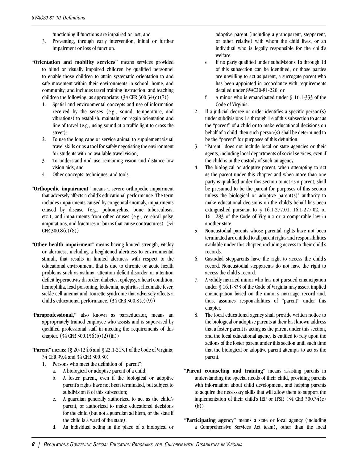functioning if functions are impaired or lost; and

- 3. Preventing, through early intervention, initial or further impairment or loss of function.
- **"Orientation and mobility services"** means services provided to blind or visually impaired children by qualified personnel to enable those children to attain systematic orientation to and safe movement within their environments in school, home, and community; and includes travel training instruction, and teaching children the following, as appropriate:  $(34 \text{ CFR } 300.34(c)(7))$ 
	- 1. Spatial and environmental concepts and use of information received by the senses (e.g., sound, temperature, and vibrations) to establish, maintain, or regain orientation and line of travel (e.g., using sound at a traffic light to cross the street);
	- 2. To use the long cane or service animal to supplement visual travel skills or as a tool for safely negotiating the environment for students with no available travel vision;
	- 3. To understand and use remaining vision and distance low vision aids; and
	- 4. Other concepts, techniques, and tools.
- **"Orthopedic impairment"** means a severe orthopedic impairment that adversely affects a child's educational performance. The term includes impairments caused by congenital anomaly, impairments caused by disease (e.g., poliomyelitis, bone tuberculosis, etc.), and impairments from other causes (e.g., cerebral palsy, amputations, and fractures or burns that cause contractures). (34  $CFR$  300.8(c)(8))
- **"Other health impairment"** means having limited strength, vitality or alertness, including a heightened alertness to environmental stimuli, that results in limited alertness with respect to the educational environment, that is due to chronic or acute health problems such as asthma, attention deficit disorder or attention deficit hyperactivity disorder, diabetes, epilepsy, a heart condition, hemophilia, lead poisoning, leukemia, nephritis, rheumatic fever, sickle cell anemia and Tourette syndrome that adversely affects a child's educational performance. (34 CFR 300.8(c)(9))
- **"Paraprofessional,"** also known as paraeducator, means an appropriately trained employee who assists and is supervised by qualified professional staff in meeting the requirements of this chapter. (34 CFR 300.156(b)(2)(iii))
- **"Parent"** means: (§ 20-124.6 and § 22.1-213.1 of the Code of Virginia; 34 CFR 99.4 and 34 CFR 300.30)
	- 1. Persons who meet the definition of "parent":
		- a. A biological or adoptive parent of a child;
		- b. A foster parent, even if the biological or adoptive parent's rights have not been terminated, but subject to subdivision 8 of this subsection;
		- c. A guardian generally authorized to act as the child's parent, or authorized to make educational decisions for the child (but not a guardian ad litem, or the state if the child is a ward of the state);
		- d. An individual acting in the place of a biological or

adoptive parent (including a grandparent, stepparent, or other relative) with whom the child lives, or an individual who is legally responsible for the child's welfare;

- e. If no party qualified under subdivisions 1a through 1d of this subsection can be identified, or those parties are unwilling to act as parent, a surrogate parent who has been appointed in accordance with requirements detailed under 8VAC20-81-220; or
- f. A minor who is emancipated under § 16.1-333 of the Code of Virginia.
- 2. If a judicial decree or order identifies a specific person(s) under subdivisions 1 a through 1 e of this subsection to act as the "parent" of a child or to make educational decisions on behalf of a child, then such person(s) shall be determined to be the "parent" for purposes of this definition.
- 3. "Parent" does not include local or state agencies or their agents, including local departments of social services, even if the child is in the custody of such an agency.
- 4. The biological or adoptive parent, when attempting to act as the parent under this chapter and when more than one party is qualified under this section to act as a parent, shall be presumed to be the parent for purposes of this section unless the biological or adoptive parent(s)' authority to make educational decisions on the child's behalf has been extinguished pursuant to § 16.1-277.01, 16.1-277.02, or 16.1-283 of the Code of Virginia or a comparable law in another state.
- 5. Noncustodial parents whose parental rights have not been terminated are entitled to all parent rights and responsibilities available under this chapter, including access to their child's records.
- 6. Custodial stepparents have the right to access the child's record. Noncustodial stepparents do not have the right to access the child's record.
- 7. A validly married minor who has not pursued emancipation under § 16.1-333 of the Code of Virginia may assert implied emancipation based on the minor's marriage record and, thus, assumes responsibilities of "parent" under this chapter.
- 8. The local educational agency shall provide written notice to the biological or adoptive parents at their last known address that a foster parent is acting as the parent under this section, and the local educational agency is entitled to rely upon the actions of the foster parent under this section until such time that the biological or adoptive parent attempts to act as the parent.
- **"Parent counseling and training"** means assisting parents in understanding the special needs of their child, providing parents with information about child development, and helping parents to acquire the necessary skills that will allow them to support the implementation of their child's IEP or IFSP. (34 CFR 300.34(c) (8))
- **"Participating agency"** means a state or local agency (including a Comprehensive Services Act team), other than the local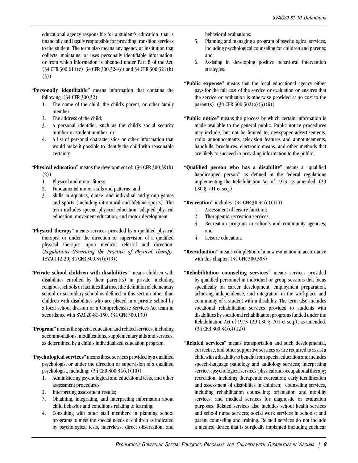educational agency responsible for a student's education, that is financially and legally responsible for providing transition services to the student. The term also means any agency or institution that collects, maintains, or uses personally identifiable information, or from which information is obtained under Part B of the Act. (34 CFR 300.611(c), 34 CFR 300.324(c) and 34 CFR 300.321(b) (3))

- **"Personally identifiable"** means information that contains the following: (34 CFR 300.32)
	- 1. The name of the child, the child's parent, or other family member;
	- 2. The address of the child;
	- 3. A personal identifier, such as the child's social security number or student number; or
	- 4. A list of personal characteristics or other information that would make it possible to identify the child with reasonable certainty.
- **"Physical education"** means the development of: (34 CFR 300.39(b) (2))
	- 1. Physical and motor fitness;
	- 2. Fundamental motor skills and patterns; and
	- 3. Skills in aquatics, dance, and individual and group games and sports (including intramural and lifetime sports). The term includes special physical education, adapted physical education, movement education, and motor development.
- **"Physical therapy"** means services provided by a qualified physical therapist or under the direction or supervision of a qualified physical therapist upon medical referral and direction. (*Regulations Governing the Practice of Physical Therapy*, 18VAC112-20; 34 CFR 300.34(c)(9))
- **"Private school children with disabilities"** means children with disabilities enrolled by their parent(s) in private, including religious, schools or facilities that meet the definition of elementary school or secondary school as defined in this section other than children with disabilities who are placed in a private school by a local school division or a Comprehensive Services Act team in accordance with 8VAC20-81-150. (34 CFR 300.130)
- **"Program"** means the special education and related services, including accommodations, modifications, supplementary aids and services, as determined by a child's individualized education program.
- **"Psychological services"** means those services provided by a qualified psychologist or under the direction or supervision of a qualified psychologist, including: (34 CFR 300.34(c)(10))
	- 1. Administering psychological and educational tests, and other assessment procedures;
	- 2. Interpreting assessment results;
	- 3. Obtaining, integrating, and interpreting information about child behavior and conditions relating to learning;
	- 4. Consulting with other staff members in planning school programs to meet the special needs of children as indicated by psychological tests, interviews, direct observation, and

behavioral evaluations;

- 5. Planning and managing a program of psychological services, including psychological counseling for children and parents; and
- 6. Assisting in developing positive behavioral intervention strategies.
- **"Public expense"** means that the local educational agency either pays for the full cost of the service or evaluation or ensures that the service or evaluation is otherwise provided at no cost to the parent(s).  $(34 \text{ CFR } 300.502(a)(3)(ii))$
- **"Public notice"** means the process by which certain information is made available to the general public. Public notice procedures may include, but not be limited to, newspaper advertisements, radio announcements, television features and announcements, handbills, brochures, electronic means, and other methods that are likely to succeed in providing information to the public.
- **"Qualified person who has a disability"** means a "qualified handicapped person" as defined in the federal regulations implementing the Rehabilitation Act of 1973, as amended. (29 USC § 701 et seq.)
- **"Recreation"** includes: (34 CFR 30.34(c)(11))
	- 1. Assessment of leisure function;
	- 2. Therapeutic recreation services;
	- 3. Recreation program in schools and community agencies; and
	- 4. Leisure education.
- **"Reevaluation"** means completion of a new evaluation in accordance with this chapter. (34 CFR 300.303)
- **"Rehabilitation counseling services"** means services provided by qualified personnel in individual or group sessions that focus specifically on career development, employment preparation, achieving independence, and integration in the workplace and community of a student with a disability. The term also includes vocational rehabilitation services provided to students with disabilities by vocational rehabilitation programs funded under the Rehabilitation Act of 1973 (29 USC § 701 et seq.), as amended. (34 CFR 300.34(c)(12))
- **"Related services"** means transportation and such developmental, corrective, and other supportive services as are required to assist a child with a disability to benefit from special education and includes speech-language pathology and audiology services; interpreting services; psychological services; physical and occupational therapy; recreation, including therapeutic recreation; early identification and assessment of disabilities in children; counseling services, including rehabilitation counseling; orientation and mobility services; and medical services for diagnostic or evaluation purposes. Related services also includes school health services and school nurse services; social work services in schools; and parent counseling and training. Related services do not include a medical device that is surgically implanted including cochlear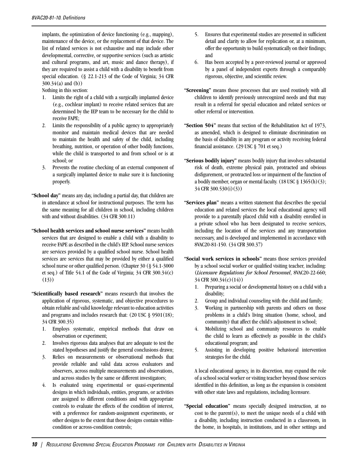implants, the optimization of device functioning (e.g., mapping), maintenance of the device, or the replacement of that device. The list of related services is not exhaustive and may include other developmental, corrective, or supportive services (such as artistic and cultural programs, and art, music and dance therapy), if they are required to assist a child with a disability to benefit from special education. (§ 22.1-213 of the Code of Virginia; 34 CFR 300.34(a) and (b))

Nothing in this section:

- 1. Limits the right of a child with a surgically implanted device (e.g., cochlear implant) to receive related services that are determined by the IEP team to be necessary for the child to receive FAPE;
- 2. Limits the responsibility of a public agency to appropriately monitor and maintain medical devices that are needed to maintain the health and safety of the child, including breathing, nutrition, or operation of other bodily functions, while the child is transported to and from school or is at school; or
- 3. Prevents the routine checking of an external component of a surgically implanted device to make sure it is functioning properly.
- **"School day"** means any day, including a partial day, that children are in attendance at school for instructional purposes. The term has the same meaning for all children in school, including children with and without disabilities. (34 CFR 300.11)
- **"School health services and school nurse services"** means health services that are designed to enable a child with a disability to receive FAPE as described in the child's IEP. School nurse services are services provided by a qualified school nurse. School health services are services that may be provided by either a qualified school nurse or other qualified person. (Chapter 30 (§ 54.1-3000 et seq.) of Title 54.1 of the Code of Virginia;  $34$  CFR  $300.34(c)$  $(13)$
- **"Scientifically based research"** means research that involves the application of rigorous, systematic, and objective procedures to obtain reliable and valid knowledge relevant to education activities and programs and includes research that: (20 USC § 9501(18); 34 CFR 300.35)
	- 1. Employs systematic, empirical methods that draw on observation or experiment;
	- 2. Involves rigorous data analyses that are adequate to test the stated hypotheses and justify the general conclusions drawn;
	- 3. Relies on measurements or observational methods that provide reliable and valid data across evaluators and observers, across multiple measurements and observations, and across studies by the same or different investigators;
	- 4. Is evaluated using experimental or quasi-experimental designs in which individuals, entities, programs, or activities are assigned to different conditions and with appropriate controls to evaluate the effects of the condition of interest, with a preference for random-assignment experiments, or other designs to the extent that those designs contain withincondition or across-condition controls;
- 5. Ensures that experimental studies are presented in sufficient detail and clarity to allow for replication or, at a minimum, offer the opportunity to build systematically on their findings; and
- 6. Has been accepted by a peer-reviewed journal or approved by a panel of independent experts through a comparably rigorous, objective, and scientific review.
- **"Screening"** means those processes that are used routinely with all children to identify previously unrecognized needs and that may result in a referral for special education and related services or other referral or intervention.
- **"Section 504"** means that section of the Rehabilitation Act of 1973, as amended, which is designed to eliminate discrimination on the basis of disability in any program or activity receiving federal financial assistance. (29 USC § 701 et seq.)
- **"Serious bodily injury"** means bodily injury that involves substantial risk of death, extreme physical pain, protracted and obvious disfigurement, or protracted loss or impairment of the function of a bodily member, organ or mental faculty.  $(18$  USC  $\frac{8}{3}$  1365(h)(3); 34 CFR 300.530(i)(3))
- **"Services plan"** means a written statement that describes the special education and related services the local educational agency will provide to a parentally placed child with a disability enrolled in a private school who has been designated to receive services, including the location of the services and any transportation necessary, and is developed and implemented in accordance with 8VAC20-81-150. (34 CFR 300.37)
- **"Social work services in schools"** means those services provided by a school social worker or qualified visiting teacher, including: (*Licensure Regulations for School Personnel*, 8VAC20-22-660; 34 CFR 300.34(c)(14))
	- 1. Preparing a social or developmental history on a child with a disability;
	- 2. Group and individual counseling with the child and family;
	- 3. Working in partnership with parents and others on those problems in a child's living situation (home, school, and community) that affect the child's adjustment in school;
	- 4. Mobilizing school and community resources to enable the child to learn as effectively as possible in the child's educational program; and
	- 5. Assisting in developing positive behavioral intervention strategies for the child.

A local educational agency, in its discretion, may expand the role of a school social worker or visiting teacher beyond those services identified in this definition, as long as the expansion is consistent with other state laws and regulations, including licensure.

**"Special education"** means specially designed instruction, at no  $cost$  to the parent(s), to meet the unique needs of a child with a disability, including instruction conducted in a classroom, in the home, in hospitals, in institutions, and in other settings and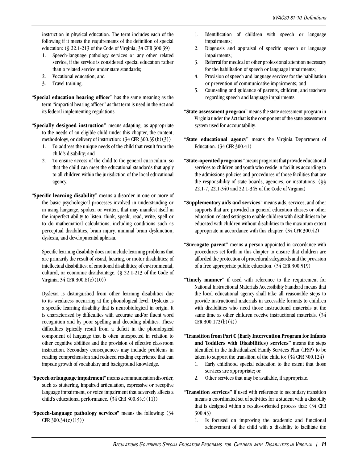instruction in physical education. The term includes each of the following if it meets the requirements of the definition of special education: (§ 22.1-213 of the Code of Virginia; 34 CFR 300.39)

- 1. Speech-language pathology services or any other related service, if the service is considered special education rather than a related service under state standards;
- 2. Vocational education; and
- 3. Travel training.
- **"Special education hearing officer"** has the same meaning as the term "impartial hearing officer" as that term is used in the Act and its federal implementing regulations.
- **"Specially designed instruction"** means adapting, as appropriate to the needs of an eligible child under this chapter, the content, methodology, or delivery of instruction: (34 CFR 300.39(b)(3))
	- 1. To address the unique needs of the child that result from the child's disability; and
	- 2. To ensure access of the child to the general curriculum, so that the child can meet the educational standards that apply to all children within the jurisdiction of the local educational agency.
- **"Specific learning disability"** means a disorder in one or more of the basic psychological processes involved in understanding or in using language, spoken or written, that may manifest itself in the imperfect ability to listen, think, speak, read, write, spell or to do mathematical calculations, including conditions such as perceptual disabilities, brain injury, minimal brain dysfunction, dyslexia, and developmental aphasia.

Specific learning disability does not include learning problems that are primarily the result of visual, hearing, or motor disabilities; of intellectual disabilities; of emotional disabilities; of environmental, cultural, or economic disadvantage. (§ 22.1-213 of the Code of Virginia; 34 CFR 300.8(c)(10))

Dyslexia is distinguished from other learning disabilities due to its weakness occurring at the phonological level. Dyslexia is a specific learning disability that is neurobiological in origin. It is characterized by difficulties with accurate and/or fluent word recognition and by poor spelling and decoding abilities. These difficulties typically result from a deficit in the phonological component of language that is often unexpected in relation to other cognitive abilities and the provision of effective classroom instruction. Secondary consequences may include problems in reading comprehension and reduced reading experience that can impede growth of vocabulary and background knowledge.

- **"Speech or language impairment"** means a communication disorder, such as stuttering, impaired articulation, expressive or receptive language impairment, or voice impairment that adversely affects a child's educational performance. (34 CFR 300.8(c)(11))
- **"Speech-language pathology services"** means the following: (34 CFR 300.34(c)(15))
- 1. Identification of children with speech or language impairments;
- 2. Diagnosis and appraisal of specific speech or language impairments;
- 3. Referral for medical or other professional attention necessary for the habilitation of speech or language impairments;
- 4. Provision of speech and language services for the habilitation or prevention of communicative impairments; and
- 5. Counseling and guidance of parents, children, and teachers regarding speech and language impairments.
- **"State assessment program"** means the state assessment program in Virginia under the Act that is the component of the state assessment system used for accountability.
- **"State educational agency"** means the Virginia Department of Education. (34 CFR 300.41)
- **"State-operated programs"** means programs that provide educational services to children and youth who reside in facilities according to the admissions policies and procedures of those facilities that are the responsibility of state boards, agencies, or institutions. (§§ 22.1-7, 22.1-340 and 22.1-345 of the Code of Virginia)
- **"Supplementary aids and services"** means aids, services, and other supports that are provided in general education classes or other education-related settings to enable children with disabilities to be educated with children without disabilities to the maximum extent appropriate in accordance with this chapter. (34 CFR 300.42)
- **"Surrogate parent"** means a person appointed in accordance with procedures set forth in this chapter to ensure that children are afforded the protection of procedural safeguards and the provision of a free appropriate public education. (34 CFR 300.519)
- **"Timely manner"** if used with reference to the requirement for National Instructional Materials Accessibility Standard means that the local educational agency shall take all reasonable steps to provide instructional materials in accessible formats to children with disabilities who need those instructional materials at the same time as other children receive instructional materials. (34 CFR 300.172(b)(4))
- **"Transition from Part C (Early Intervention Program for Infants and Toddlers with Disabilities) services"** means the steps identified in the Individualized Family Services Plan (IFSP) to be taken to support the transition of the child to: (34 CFR 300.124)
	- 1. Early childhood special education to the extent that those services are appropriate; or
	- 2. Other services that may be available, if appropriate.
- **"Transition services"** if used with reference to secondary transition means a coordinated set of activities for a student with a disability that is designed within a results-oriented process that: (34 CFR 300.43)
	- 1. Is focused on improving the academic and functional achievement of the child with a disability to facilitate the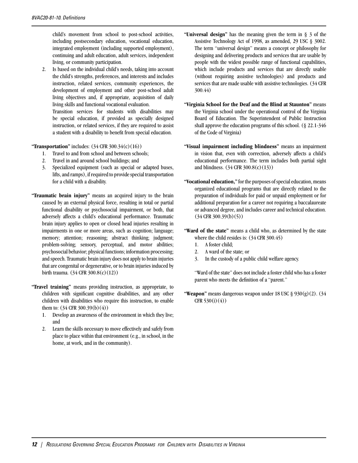child's movement from school to post-school activities, including postsecondary education, vocational education, integrated employment (including supported employment), continuing and adult education, adult services, independent living, or community participation.

2. Is based on the individual child's needs, taking into account the child's strengths, preferences, and interests and includes instruction, related services, community experiences, the development of employment and other post-school adult living objectives and, if appropriate, acquisition of daily living skills and functional vocational evaluation. Transition services for students with disabilities may be special education, if provided as specially designed instruction, or related services, if they are required to assist a student with a disability to benefit from special education.

**"Transportation"** includes: (34 CFR 300.34(c)(16))

- 1. Travel to and from school and between schools;
- 2. Travel in and around school buildings; and
- 3. Specialized equipment (such as special or adapted buses, lifts, and ramps), if required to provide special transportation for a child with a disability.
- **"Traumatic brain injury"** means an acquired injury to the brain caused by an external physical force, resulting in total or partial functional disability or psychosocial impairment, or both, that adversely affects a child's educational performance. Traumatic brain injury applies to open or closed head injuries resulting in impairments in one or more areas, such as cognition; language; memory; attention; reasoning; abstract thinking; judgment; problem-solving; sensory, perceptual, and motor abilities; psychosocial behavior; physical functions; information processing; and speech. Traumatic brain injury does not apply to brain injuries that are congenital or degenerative, or to brain injuries induced by birth trauma. (34 CFR 300.8(c)(12))
- **"Travel training"** means providing instruction, as appropriate, to children with significant cognitive disabilities, and any other children with disabilities who require this instruction, to enable them to: (34 CFR 300.39(b)(4))
	- 1. Develop an awareness of the environment in which they live; and
	- 2. Learn the skills necessary to move effectively and safely from place to place within that environment (e.g., in school, in the home, at work, and in the community).
- **"Universal design"** has the meaning given the term in § 3 of the Assistive Technology Act of 1998, as amended, 29 USC § 3002. The term "universal design" means a concept or philosophy for designing and delivering products and services that are usable by people with the widest possible range of functional capabilities, which include products and services that are directly usable (without requiring assistive technologies) and products and services that are made usable with assistive technologies. (34 CFR 300.44)
- **"Virginia School for the Deaf and the Blind at Staunton"** means the Virginia school under the operational control of the Virginia Board of Education. The Superintendent of Public Instruction shall approve the education programs of this school. (§ 22.1-346 of the Code of Virginia)
- **"Visual impairment including blindness"** means an impairment in vision that, even with correction, adversely affects a child's educational performance. The term includes both partial sight and blindness. (34 CFR 300.8(c)(13))
- **"Vocational education,"** for the purposes of special education, means organized educational programs that are directly related to the preparation of individuals for paid or unpaid employment or for additional preparation for a career not requiring a baccalaureate or advanced degree, and includes career and technical education.  $(34$  CFR 300.39(b)(5))
- **"Ward of the state"** means a child who, as determined by the state where the child resides is: (34 CFR 300.45)
	- 1. A foster child;
	- 2. A ward of the state; or
	- 3. In the custody of a public child welfare agency.

"Ward of the state" does not include a foster child who has a foster parent who meets the definition of a "parent."

**"Weapon"** means dangerous weapon under 18 USC § 930(g)(2). (34)  $CFR 530(i)(4)$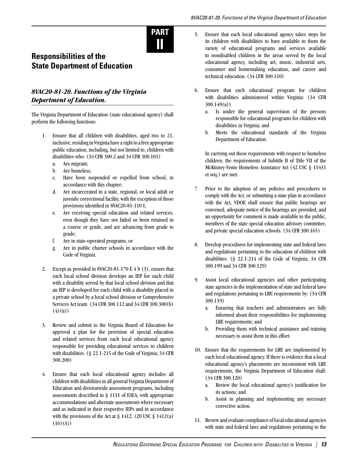

# **Responsibilities of the State Department of Education**

## <span id="page-17-0"></span>*8VAC20-81-20. Functions of the Virginia Department of Education.*

The Virginia Department of Education (state educational agency) shall perform the following functions:

- 1. Ensure that all children with disabilities, aged two to 21, inclusive, residing in Virginia have a right to a free appropriate public education, including, but not limited to, children with disabilities who: (34 CFR 300.2 and 34 CFR 300.101)
	- a. Are migrant;
	- b. Are homeless;
	- c. Have been suspended or expelled from school, in accordance with this chapter;
	- d. Are incarcerated in a state, regional, or local adult or juvenile correctional facility, with the exception of those provisions identified in 8VAC20-81-110 I;
	- e. Are receiving special education and related services, even though they have not failed or been retained in a course or grade, and are advancing from grade to grade;
	- f. Are in state-operated programs; or
	- g. Are in public charter schools in accordance with the Code of Virginia.
- 2. Except as provided in 8VAC20-81-170 E 4 b (3), ensure that each local school division develops an IEP for each child with a disability served by that local school division and that an IEP is developed for each child with a disability placed in a private school by a local school division or Comprehensive Services Act team. (34 CFR 300.112 and 34 CFR 300.300(b)  $(4)(ii)$
- 3. Review and submit to the Virginia Board of Education for approval a plan for the provision of special education and related services from each local educational agency responsible for providing educational services to children with disabilities. (§ 22.1-215 of the Code of Virginia; 34 CFR 300.200)
- 4. Ensure that each local educational agency includes all children with disabilities in all general Virginia Department of Education and divisionwide assessment programs, including assessments described in § 1111 of ESEA, with appropriate accommodations and alternate assessments where necessary and as indicated in their respective IEPs and in accordance with the provisions of the Act at  $\S 1412$ . (20 USC  $\S 1412(a)$ )  $(16)(A))$
- 5. Ensure that each local educational agency takes steps for its children with disabilities to have available to them the variety of educational programs and services available to nondisabled children in the areas served by the local educational agency, including art, music, industrial arts, consumer and homemaking education, and career and technical education. (34 CFR 300.110)
- 6. Ensure that each educational program for children with disabilities administered within Virginia: (34 CFR 300.149(a))
	- a. Is under the general supervision of the persons responsible for educational programs for children with disabilities in Virginia; and
	- b. Meets the educational standards of the Virginia Department of Education.

In carrying out these requirements with respect to homeless children, the requirements of Subtitle B of Title VII of the McKinney-Vento Homeless Assistance Act (42 USC § 11431 et seq.) are met.

- 7. Prior to the adoption of any policies and procedures to comply with the Act, or submitting a state plan in accordance with the Act, VDOE shall ensure that public hearings are convened, adequate notice of the hearings are provided, and an opportunity for comment is made available to the public, members of the state special education advisory committee, and private special education schools. (34 CFR 300.165)
- 8. Develop procedures for implementing state and federal laws and regulations pertaining to the education of children with disabilities. (§ 22.1-214 of the Code of Virginia; 34 CFR 300.199 and 34 CFR 300.129)
- 9. Assist local educational agencies and other participating state agencies in the implementation of state and federal laws and regulations pertaining to LRE requirements by: (34 CFR 300.119)
	- a. Ensuring that teachers and administrators are fully informed about their responsibilities for implementing LRE requirements; and
	- b. Providing them with technical assistance and training necessary to assist them in this effort.
- 10. Ensure that the requirements for LRE are implemented by each local educational agency. If there is evidence that a local educational agency's placements are inconsistent with LRE requirements, the Virginia Department of Education shall: (34 CFR 300.120)
	- a. Review the local educational agency's justification for its actions; and
	- b. Assist in planning and implementing any necessary corrective action.
- 11. Review and evaluate compliance of local educational agencies with state and federal laws and regulations pertaining to the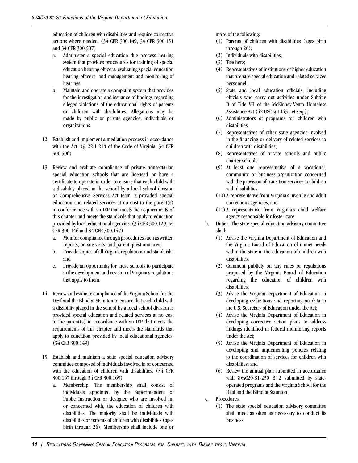education of children with disabilities and require corrective actions where needed. (34 CFR 300.149, 34 CFR 300.151 and 34 CFR 300.507)

- a. Administer a special education due process hearing system that provides procedures for training of special education hearing officers, evaluating special education hearing officers, and management and monitoring of hearings.
- b. Maintain and operate a complaint system that provides for the investigation and issuance of findings regarding alleged violations of the educational rights of parents or children with disabilities. Allegations may be made by public or private agencies, individuals or organizations.
- 12. Establish and implement a mediation process in accordance with the Act. (§ 22.1-214 of the Code of Virginia; 34 CFR 300.506)
- 13. Review and evaluate compliance of private nonsectarian special education schools that are licensed or have a certificate to operate in order to ensure that each child with a disability placed in the school by a local school division or Comprehensive Services Act team is provided special education and related services at no cost to the parent(s) in conformance with an IEP that meets the requirements of this chapter and meets the standards that apply to education provided by local educational agencies. (34 CFR 300.129, 34 CFR 300.146 and 34 CFR 300.147)
	- a. Monitor compliance through procedures such as written reports, on-site visits, and parent questionnaires;
	- b. Provide copies of all Virginia regulations and standards; and
	- c. Provide an opportunity for these schools to participate in the development and revision of Virginia's regulations that apply to them.
- 14. Review and evaluate compliance of the Virginia School for the Deaf and the Blind at Staunton to ensure that each child with a disability placed in the school by a local school division is provided special education and related services at no cost to the parent(s) in accordance with an IEP that meets the requirements of this chapter and meets the standards that apply to education provided by local educational agencies. (34 CFR 300.149)
- 15. Establish and maintain a state special education advisory committee composed of individuals involved in or concerned with the education of children with disabilities. (34 CFR 300.167 through 34 CFR 300.169)
	- a. Membership. The membership shall consist of individuals appointed by the Superintendent of Public Instruction or designee who are involved in, or concerned with, the education of children with disabilities. The majority shall be individuals with disabilities or parents of children with disabilities (ages birth through 26). Membership shall include one or

more of the following:

- (1) Parents of children with disabilities (ages birth through 26);
- (2) Individuals with disabilities;
- (3) Teachers;
- (4) Representatives of institutions of higher education that prepare special education and related services personnel;
- (5) State and local education officials, including officials who carry out activities under Subtitle B of Title VII of the McKinney-Vento Homeless Assistance Act (42 USC § 11431 et seq.);
- (6) Administrators of programs for children with disabilities;
- (7) Representatives of other state agencies involved in the financing or delivery of related services to children with disabilities;
- (8) Representatives of private schools and public charter schools;
- (9) At least one representative of a vocational, community, or business organization concerned with the provision of transition services to children with disabilities;
- (10) A representative from Virginia's juvenile and adult corrections agencies; and
- (11) A representative from Virginia's child welfare agency responsible for foster care.
- b. Duties. The state special education advisory committee shall:
	- (1) Advise the Virginia Department of Education and the Virginia Board of Education of unmet needs within the state in the education of children with disabilities;
	- (2) Comment publicly on any rules or regulations proposed by the Virginia Board of Education regarding the education of children with disabilities;
	- (3) Advise the Virginia Department of Education in developing evaluations and reporting on data to the U.S. Secretary of Education under the Act;
	- (4) Advise the Virginia Department of Education in developing corrective action plans to address findings identified in federal monitoring reports under the Act;
	- (5) Advise the Virginia Department of Education in developing and implementing policies relating to the coordination of services for children with disabilities; and
	- (6) Review the annual plan submitted in accordance with 8VAC20-81-230 B 2 submitted by stateoperated programs and the Virginia School for the Deaf and the Blind at Staunton.
- c. Procedures.
	- (1) The state special education advisory committee shall meet as often as necessary to conduct its business.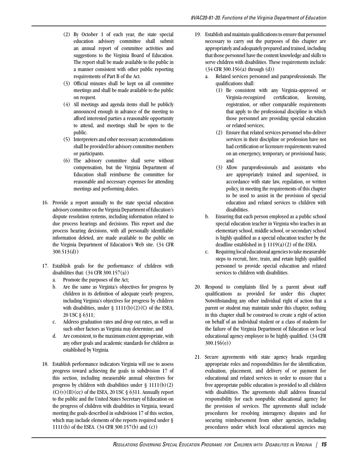- (2) By October 1 of each year, the state special education advisory committee shall submit an annual report of committee activities and suggestions to the Virginia Board of Education. The report shall be made available to the public in a manner consistent with other public reporting requirements of Part B of the Act.
- (3) Official minutes shall be kept on all committee meetings and shall be made available to the public on request.
- (4) All meetings and agenda items shall be publicly announced enough in advance of the meeting to afford interested parties a reasonable opportunity to attend, and meetings shall be open to the public.
- (5) Interpreters and other necessary accommodations shall be provided for advisory committee members or participants.
- (6) The advisory committee shall serve without compensation, but the Virginia Department of Education shall reimburse the committee for reasonable and necessary expenses for attending meetings and performing duties.
- 16. Provide a report annually to the state special education advisory committee on the Virginia Department of Education's dispute resolution systems, including information related to due process hearings and decisions. This report and due process hearing decisions, with all personally identifiable information deleted, are made available to the public on the Virginia Department of Education's Web site. (34 CFR 300.513(d))
- 17. Establish goals for the performance of children with disabilities that:  $(34 \text{ CFR } 300.157(a))$ 
	- a. Promote the purposes of the Act;
	- b. Are the same as Virginia's objectives for progress by children in its definition of adequate yearly progress, including Virginia's objectives for progress by children with disabilities, under  $\S$  1111(b)(2)(C) of the ESEA, 20 USC § 6311;
	- c. Address graduation rates and drop out rates, as well as such other factors as Virginia may determine; and
	- d. Are consistent, to the maximum extent appropriate, with any other goals and academic standards for children as established by Virginia.
- 18. Establish performance indicators Virginia will use to assess progress toward achieving the goals in subdivision 17 of this section, including measurable annual objectives for progress by children with disabilities under  $\S$  1111(b)(2)  $(C)(v)(II)(cc)$  of the ESEA, 20 USC § 6311. Annually report to the public and the United States Secretary of Education on the progress of children with disabilities in Virginia, toward meeting the goals described in subdivision 17 of this section, which may include elements of the reports required under § 1111(h) of the ESEA. (34 CFR 300.157(b) and (c))
- 19. Establish and maintain qualifications to ensure that personnel necessary to carry out the purposes of this chapter are appropriately and adequately prepared and trained, including that those personnel have the content knowledge and skills to serve children with disabilities. These requirements include: (34 CFR 300.156(a) through (d))
	- a. Related services personnel and paraprofessionals. The qualifications shall:
		- (1) Be consistent with any Virginia-approved or Virginia-recognized certification, licensing, registration, or other comparable requirements that apply to the professional discipline in which those personnel are providing special education or related services;
		- (2) Ensure that related services personnel who deliver services in their discipline or profession have not had certification or licensure requirements waived on an emergency, temporary, or provisional basis; and
		- (3) Allow paraprofessionals and assistants who are appropriately trained and supervised, in accordance with state law, regulation, or written policy, in meeting the requirements of this chapter to be used to assist in the provision of special education and related services to children with disabilities.
	- b. Ensuring that each person employed as a public school special education teacher in Virginia who teaches in an elementary school, middle school, or secondary school is highly qualified as a special education teacher by the deadline established in  $\S$  1119(a)(2) of the ESEA.
	- c. Requiring local educational agencies to take measurable steps to recruit, hire, train, and retain highly qualified personnel to provide special education and related services to children with disabilities.
- 20. Respond to complaints filed by a parent about staff qualifications as provided for under this chapter. Notwithstanding any other individual right of action that a parent or student may maintain under this chapter, nothing in this chapter shall be construed to create a right of action on behalf of an individual student or a class of students for the failure of the Virginia Department of Education or local educational agency employee to be highly qualified. (34 CFR 300.156(e))
- 21. Secure agreements with state agency heads regarding appropriate roles and responsibilities for the identification, evaluation, placement, and delivery of or payment for educational and related services in order to ensure that a free appropriate public education is provided to all children with disabilities. The agreements shall address financial responsibility for each nonpublic educational agency for the provision of services. The agreements shall include procedures for resolving interagency disputes and for securing reimbursement from other agencies, including procedures under which local educational agencies may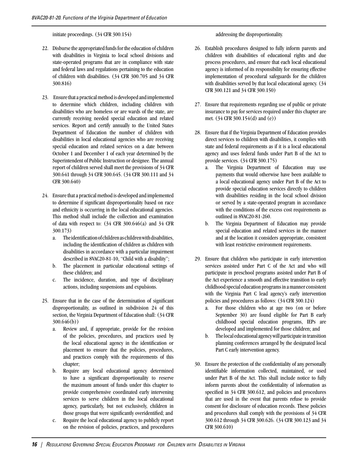initiate proceedings. (34 CFR 300.154)

- 22. Disburse the appropriated funds for the education of children with disabilities in Virginia to local school divisions and state-operated programs that are in compliance with state and federal laws and regulations pertaining to the education of children with disabilities. (34 CFR 300.705 and 34 CFR 300.816)
- 23. Ensure that a practical method is developed and implemented to determine which children, including children with disabilities who are homeless or are wards of the state, are currently receiving needed special education and related services. Report and certify annually to the United States Department of Education the number of children with disabilities in local educational agencies who are receiving special education and related services on a date between October 1 and December 1 of each year determined by the Superintendent of Public Instruction or designee. The annual report of children served shall meet the provisions of 34 CFR 300.641 through 34 CFR 300.645. (34 CFR 300.111 and 34 CFR 300.640)
- 24. Ensure that a practical method is developed and implemented to determine if significant disproportionality based on race and ethnicity is occurring in the local educational agencies. This method shall include the collection and examination of data with respect to:  $(34 \text{ CFR } 300.646(a)$  and  $34 \text{ CFR }$ 300.173)
	- a. The identification of children as children with disabilities, including the identification of children as children with disabilities in accordance with a particular impairment described in 8VAC20-81-10, "Child with a disability";
	- b. The placement in particular educational settings of these children; and
	- c. The incidence, duration, and type of disciplinary actions, including suspensions and expulsions.
- 25. Ensure that in the case of the determination of significant disproportionality, as outlined in subdivision 24 of this section, the Virginia Department of Education shall: (34 CFR 300.646(b))
	- a. Review and, if appropriate, provide for the revision of the policies, procedures, and practices used by the local educational agency in the identification or placement to ensure that the policies, procedures, and practices comply with the requirements of this chapter;
	- b. Require any local educational agency determined to have a significant disproportionality to reserve the maximum amount of funds under this chapter to provide comprehensive coordinated early intervening services to serve children in the local educational agency, particularly, but not exclusively, children in those groups that were significantly overidentified; and
	- c. Require the local educational agency to publicly report on the revision of policies, practices, and procedures

addressing the disproportionality.

- 26. Establish procedures designed to fully inform parents and children with disabilities of educational rights and due process procedures, and ensure that each local educational agency is informed of its responsibility for ensuring effective implementation of procedural safeguards for the children with disabilities served by that local educational agency. (34 CFR 300.121 and 34 CFR 300.150)
- 27. Ensure that requirements regarding use of public or private insurance to pay for services required under this chapter are met. (34 CFR 300.154(d) and (e))
- 28. Ensure that if the Virginia Department of Education provides direct services to children with disabilities, it complies with state and federal requirements as if it is a local educational agency and uses federal funds under Part B of the Act to provide services. (34 CFR 300.175)
	- a. The Virginia Department of Education may use payments that would otherwise have been available to a local educational agency under Part B of the Act to provide special education services directly to children with disabilities residing in the local school division or served by a state-operated program in accordance with the conditions of the excess cost requirements as outlined in 8VAC20-81-260.
	- b. The Virginia Department of Education may provide special education and related services in the manner and at the location it considers appropriate, consistent with least restrictive environment requirements.
- 29. Ensure that children who participate in early intervention services assisted under Part C of the Act and who will participate in preschool programs assisted under Part B of the Act experience a smooth and effective transition to early childhood special education programs in a manner consistent with the Virginia Part C lead agency's early intervention policies and procedures as follows: (34 CFR 300.124)
	- a. For those children who at age two (on or before September 30) are found eligible for Part B early childhood special education programs, IEPs are developed and implemented for those children; and
	- b. The local educational agency will participate in transition planning conferences arranged by the designated local Part C early intervention agency.
- 30. Ensure the protection of the confidentiality of any personally identifiable information collected, maintained, or used under Part B of the Act. This shall include notice to fully inform parents about the confidentiality of information as specified in 34 CFR 300.612, and policies and procedures that are used in the event that parents refuse to provide consent for disclosure of education records. These policies and procedures shall comply with the provisions of 34 CFR 300.612 through 34 CFR 300.626. (34 CFR 300.123 and 34 CFR 300.610)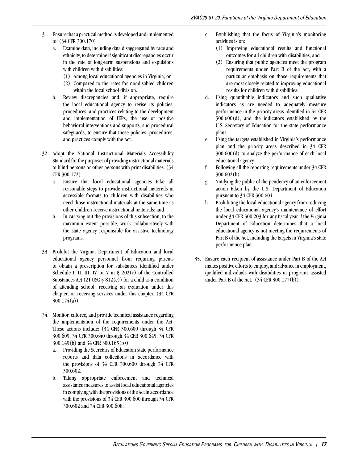- 31. Ensure that a practical method is developed and implemented to: (34 CFR 300.170)
	- a. Examine data, including data disaggregated by race and ethnicity, to determine if significant discrepancies occur in the rate of long-term suspensions and expulsions with children with disabilities:
		- (1) Among local educational agencies in Virginia; or
		- (2) Compared to the rates for nondisabled children within the local school division.
	- b. Review discrepancies and, if appropriate, require the local educational agency to revise its policies, procedures, and practices relating to the development and implementation of IEPs, the use of positive behavioral interventions and supports, and procedural safeguards, to ensure that these policies, procedures, and practices comply with the Act.
- 32. Adopt the National Instructional Materials Accessibility Standard for the purposes of providing instructional materials to blind persons or other persons with print disabilities. (34 CFR 300.172)
	- a. Ensure that local educational agencies take all reasonable steps to provide instructional materials in accessible formats to children with disabilities who need those instructional materials at the same time as other children receive instructional materials; and
	- b. In carrying out the provisions of this subsection, to the maximum extent possible, work collaboratively with the state agency responsible for assistive technology programs.
- 33. Prohibit the Virginia Department of Education and local educational agency personnel from requiring parents to obtain a prescription for substances identified under Schedule I, II, III, IV, or V in  $\S$  202(c) of the Controlled Substances Act (21 USC  $\S$  812(c)) for a child as a condition of attending school, receiving an evaluation under this chapter, or receiving services under this chapter. (34 CFR 300.174(a))
- 34. Monitor, enforce, and provide technical assistance regarding the implementation of the requirements under the Act. These actions include: (34 CFR 300.600 through 34 CFR 300.609; 34 CFR 300.640 through 34 CFR 300.645; 34 CFR 300.149(b) and 34 CFR 300.165(b))
	- a. Providing the Secretary of Education state performance reports and data collections in accordance with the provisions of 34 CFR 300.600 through 34 CFR 300.602.
	- b. Taking appropriate enforcement and technical assistance measures to assist local educational agencies in complying with the provisions of the Act in accordance with the provisions of 34 CFR 300.600 through 34 CFR 300.602 and 34 CFR 300.608.
- c. Establishing that the focus of Virginia's monitoring activities is on:
	- (1) Improving educational results and functional outcomes for all children with disabilities; and
	- (2) Ensuring that public agencies meet the program requirements under Part B of the Act, with a particular emphasis on those requirements that are most closely related to improving educational results for children with disabilities.
- d. Using quantifiable indicators and such qualitative indicators as are needed to adequately measure performance in the priority areas identified in 34 CFR 300.600(d), and the indicators established by the U.S. Secretary of Education for the state performance plans.
- e. Using the targets established in Virginia's performance plan and the priority areas described in 34 CFR 300.600(d) to analyze the performance of each local educational agency.
- f. Following all the reporting requirements under 34 CFR 300.602(b).
- g. Notifying the public of the pendency of an enforcement action taken by the U.S. Department of Education pursuant to 34 CFR 300.604.
- h. Prohibiting the local educational agency from reducing the local educational agency's maintenance of effort under 34 CFR 300.203 for any fiscal year if the Virginia Department of Education determines that a local educational agency is not meeting the requirements of Part B of the Act, including the targets in Virginia's state performance plan.
- 35. Ensure each recipient of assistance under Part B of the Act makes positive efforts to employ, and advance in employment, qualified individuals with disabilities in programs assisted under Part B of the Act. (34 CFR 300.177(b))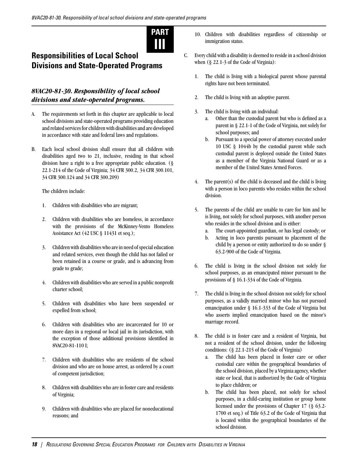

## **Responsibilities of Local School Divisions and State-Operated Programs**

### <span id="page-22-0"></span>*8VAC20-81-30. Responsibility of local school divisions and state-operated programs.*

- A. The requirements set forth in this chapter are applicable to local school divisions and state-operated programs providing education and related services for children with disabilities and are developed in accordance with state and federal laws and regulations.
- B. Each local school division shall ensure that all children with disabilities aged two to 21, inclusive, residing in that school division have a right to a free appropriate public education. (§ 22.1-214 of the Code of Virginia; 34 CFR 300.2, 34 CFR 300.101, 34 CFR 300.124 and 34 CFR 300.209)

The children include:

- 1. Children with disabilities who are migrant;
- 2. Children with disabilities who are homeless, in accordance with the provisions of the McKinney-Vento Homeless Assistance Act (42 USC § 11431 et seq.);
- 3. Children with disabilities who are in need of special education and related services, even though the child has not failed or been retained in a course or grade, and is advancing from grade to grade;
- 4. Children with disabilities who are served in a public nonprofit charter school;
- 5. Children with disabilities who have been suspended or expelled from school;
- 6. Children with disabilities who are incarcerated for 10 or more days in a regional or local jail in its jurisdiction, with the exception of those additional provisions identified in 8VAC20-81-110 I;
- 7. Children with disabilities who are residents of the school division and who are on house arrest, as ordered by a court of competent jurisdiction;
- 8. Children with disabilities who are in foster care and residents of Virginia;
- 9. Children with disabilities who are placed for noneducational reasons; and
- 10. Children with disabilities regardless of citizenship or immigration status.
- C. Every child with a disability is deemed to reside in a school division when (§ 22.1-3 of the Code of Virginia):
	- 1. The child is living with a biological parent whose parental rights have not been terminated.
	- 2. The child is living with an adoptive parent.
	- 3. The child is living with an individual:
		- a. Other than the custodial parent but who is defined as a parent in § 22.1-1 of the Code of Virginia, not solely for school purposes; and
		- b. Pursuant to a special power of attorney executed under 10 USC § 1044b by the custodial parent while such custodial parent is deployed outside the United States as a member of the Virginia National Guard or as a member of the United States Armed Forces.
	- 4. The parent(s) of the child is deceased and the child is living with a person in loco parentis who resides within the school division.
	- 5. The parents of the child are unable to care for him and he is living, not solely for school purposes, with another person who resides in the school division and is either:
		- a. The court-appointed guardian, or has legal custody; or
		- b. Acting in loco parentis pursuant to placement of the child by a person or entity authorized to do so under § 63.2-900 of the Code of Virginia.
	- 6. The child is living in the school division not solely for school purposes, as an emancipated minor pursuant to the provisions of § 16.1-334 of the Code of Virginia.
	- 7. The child is living in the school division not solely for school purposes, as a validly married minor who has not pursued emancipation under § 16.1-333 of the Code of Virginia but who asserts implied emancipation based on the minor's marriage record.
	- 8. The child is in foster care and a resident of Virginia, but not a resident of the school division, under the following conditions: (§ 22.1-215 of the Code of Virginia)
		- a. The child has been placed in foster care or other custodial care within the geographical boundaries of the school division, placed by a Virginia agency, whether state or local, that is authorized by the Code of Virginia to place children; or
		- b. The child has been placed, not solely for school purposes, in a child-caring institution or group home licensed under the provisions of Chapter 17 (§ 63.2- 1700 et seq.) of Title 63.2 of the Code of Virginia that is located within the geographical boundaries of the school division.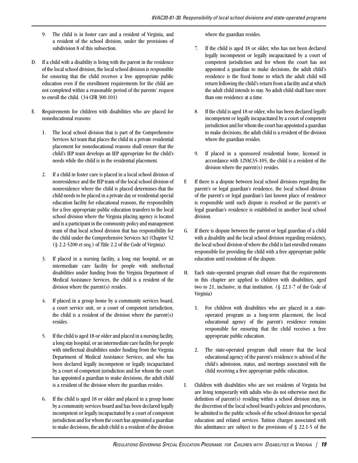- 9. The child is in foster care and a resident of Virginia, and a resident of the school division, under the provisions of subdivision 8 of this subsection.
- D. If a child with a disability is living with the parent in the residence of the local school division, the local school division is responsible for ensuring that the child receives a free appropriate public education even if the enrollment requirements for the child are not completed within a reasonable period of the parents' request to enroll the child. (34 CFR 300.101)
- E. Requirements for children with disabilities who are placed for noneducational reasons:
	- 1. The local school division that is part of the Comprehensive Services Act team that places the child in a private residential placement for noneducational reasons shall ensure that the child's IEP team develops an IEP appropriate for the child's needs while the child is in the residential placement.
	- 2. If a child in foster care is placed in a local school division of nonresidence and the IEP team of the local school division of nonresidence where the child is placed determines that the child needs to be placed in a private day or residential special education facility for educational reasons, the responsibility for a free appropriate public education transfers to the local school division where the Virginia placing agency is located and is a participant in the community policy and management team of that local school division that has responsibility for the child under the Comprehensive Services Act (Chapter 52 (§ 2.2-5200 et seq.) of Title 2.2 of the Code of Virginia).
	- 3. If placed in a nursing facility, a long stay hospital, or an intermediate care facility for people with intellectual disabilities under funding from the Virginia Department of Medical Assistance Services, the child is a resident of the division where the parent(s) resides.
	- 4. If placed in a group home by a community services board, a court service unit, or a court of competent jurisdiction, the child is a resident of the division where the parent(s) resides.
	- 5. If the child is aged 18 or older and placed in a nursing facility, a long stay hospital, or an intermediate care facility for people with intellectual disabilities under funding from the Virginia Department of Medical Assistance Services, and who has been declared legally incompetent or legally incapacitated by a court of competent jurisdiction and for whom the court has appointed a guardian to make decisions, the adult child is a resident of the division where the guardian resides.
	- 6. If the child is aged 18 or older and placed in a group home by a community services board and has been declared legally incompetent or legally incapacitated by a court of competent jurisdiction and for whom the court has appointed a guardian to make decisions, the adult child is a resident of the division

where the guardian resides.

- 7. If the child is aged 18 or older, who has not been declared legally incompetent or legally incapacitated by a court of competent jurisdiction and for whom the court has not appointed a guardian to make decisions, the adult child's residence is the fixed home to which the adult child will return following the child's return from a facility and at which the adult child intends to stay. No adult child shall have more than one residence at a time.
- 8. If the child is aged 18 or older, who has been declared legally incompetent or legally incapacitated by a court of competent jurisdiction and for whom the court has appointed a guardian to make decisions, the adult child is a resident of the division where the guardian resides.
- 9. If placed in a sponsored residential home, licensed in accordance with 12VAC35-105, the child is a resident of the division where the parent(s) resides.
- F. If there is a dispute between local school divisions regarding the parent's or legal guardian's residence, the local school division of the parent's or legal guardian's last known place of residence is responsible until such dispute is resolved or the parent's or legal guardian's residence is established in another local school division.
- G. If there is dispute between the parent or legal guardian of a child with a disability and the local school division regarding residency, the local school division of where the child is last enrolled remains responsible for providing the child with a free appropriate public education until resolution of the dispute.
- H. Each state-operated program shall ensure that the requirements in this chapter are applied to children with disabilities, aged two to 21, inclusive, in that institution. (§ 22.1-7 of the Code of Virginia)
	- 1. For children with disabilities who are placed in a stateoperated program as a long-term placement, the local educational agency of the parent's residence remains responsible for ensuring that the child receives a free appropriate public education.
	- 2. The state-operated program shall ensure that the local educational agency of the parent's residence is advised of the child's admission, status, and meetings associated with the child receiving a free appropriate public education.
- I. Children with disabilities who are not residents of Virginia but are living temporarily with adults who do not otherwise meet the definition of parent(s) residing within a school division may, in the discretion of the local school board's policies and procedures, be admitted to the public schools of the school division for special education and related services. Tuition charges associated with this admittance are subject to the provisions of § 22.1-5 of the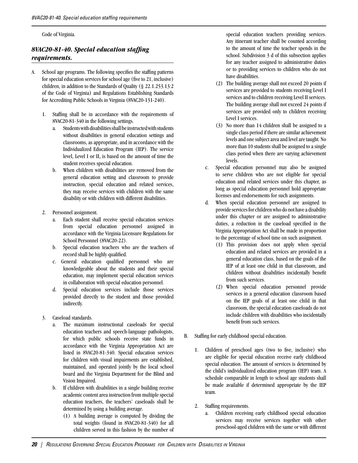Code of Virginia.

## <span id="page-24-0"></span>*8VAC20-81-40. Special education staffing requirements.*

- A. School age programs. The following specifies the staffing patterns for special education services for school age (five to 21, inclusive) children, in addition to the Standards of Quality (§ 22.1.253.13:2 of the Code of Virginia) and Regulations Establishing Standards for Accrediting Public Schools in Virginia (8VAC20-131-240).
	- 1. Staffing shall be in accordance with the requirements of 8VAC20-81-340 in the following settings.
		- a. Students with disabilities shall be instructed with students without disabilities in general education settings and classrooms, as appropriate, and in accordance with the Individualized Education Program (IEP). The service level, Level I or II, is based on the amount of time the student receives special education.
		- b. When children with disabilities are removed from the general education setting and classroom to provide instruction, special education and related services, they may receive services with children with the same disability or with children with different disabilities.
	- 2. Personnel assignment.
		- a. Each student shall receive special education services from special education personnel assigned in accordance with the Virginia Licensure Regulations for School Personnel (8VAC20-22).
		- b. Special education teachers who are the teachers of record shall be highly qualified.
		- c. General education qualified personnel who are knowledgeable about the students and their special education, may implement special education services in collaboration with special education personnel.
		- d. Special education services include those services provided directly to the student and those provided indirectly.
	- 3. Caseload standards.
		- a. The maximum instructional caseloads for special education teachers and speech-language pathologists, for which public schools receive state funds in accordance with the Virginia Appropriation Act are listed in 8VAC20-81-340. Special education services for children with visual impairments are established, maintained, and operated jointly by the local school board and the Virginia Department for the Blind and Vision Impaired.
		- b. If children with disabilities in a single building receive academic content area instruction from multiple special education teachers, the teachers' caseloads shall be determined by using a building average.
			- (1) A building average is computed by dividing the total weights (found in 8VAC20-81-340) for all children served in this fashion by the number of

special education teachers providing services. Any itinerant teacher shall be counted according to the amount of time the teacher spends in the school. Subdivision 3 d of this subsection applies for any teacher assigned to administrative duties or to providing services to children who do not have disabilities.

- (2) The building average shall not exceed 20 points if services are provided to students receiving Level I services and to children receiving Level II services. The building average shall not exceed 24 points if services are provided only to children receiving Level I services.
- (3) No more than 14 children shall be assigned to a single class period if there are similar achievement levels and one subject area and level are taught. No more than 10 students shall be assigned to a single class period when there are varying achievement levels.
- c. Special education personnel may also be assigned to serve children who are not eligible for special education and related services under this chapter, as long as special education personnel hold appropriate licenses and endorsements for such assignments.
- d. When special education personnel are assigned to provide services for children who do not have a disability under this chapter or are assigned to administrative duties, a reduction in the caseload specified in the Virginia Appropriation Act shall be made in proportion to the percentage of school time on such assignment.
	- (1) This provision does not apply when special education and related services are provided in a general education class, based on the goals of the IEP of at least one child in that classroom, and children without disabilities incidentally benefit from such services.
	- (2) When special education personnel provide services in a general education classroom based on the IEP goals of at least one child in that classroom, the special education caseloads do not include children with disabilities who incidentally benefit from such services.
- B. Staffing for early childhood special education.
	- 1. Children of preschool ages (two to five, inclusive) who are eligible for special education receive early childhood special education. The amount of services is determined by the child's individualized education program (IEP) team. A schedule comparable in length to school age students shall be made available if determined appropriate by the IEP team.
	- 2. Staffing requirements.
		- a. Children receiving early childhood special education services may receive services together with other preschool-aged children with the same or with different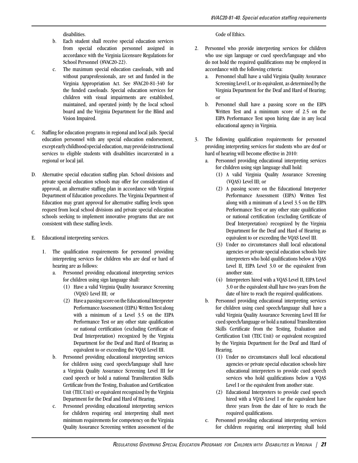disabilities.

- b. Each student shall receive special education services from special education personnel assigned in accordance with the Virginia Licensure Regulations for School Personnel (8VAC20-22).
- c. The maximum special education caseloads, with and without paraprofessionals, are set and funded in the Virginia Appropriation Act. See 8VAC20-81-340 for the funded caseloads. Special education services for children with visual impairments are established, maintained, and operated jointly by the local school board and the Virginia Department for the Blind and Vision Impaired.
- C. Staffing for education programs in regional and local jails. Special education personnel with any special education endorsement, except early childhood special education, may provide instructional services to eligible students with disabilities incarcerated in a regional or local jail.
- D. Alternative special education staffing plan. School divisions and private special education schools may offer for consideration of approval, an alternative staffing plan in accordance with Virginia Department of Education procedures. The Virginia Department of Education may grant approval for alternative staffing levels upon request from local school divisions and private special education schools seeking to implement innovative programs that are not consistent with these staffing levels.
- E. Educational interpreting services.
	- 1. The qualification requirements for personnel providing interpreting services for children who are deaf or hard of hearing are as follows:
		- a. Personnel providing educational interpreting services for children using sign language shall:
			- (1) Have a valid Virginia Quality Assurance Screening (VQAS) Level III; or
			- (2) Have a passing score on the Educational Interpreter Performance Assessment (EIPA) Written Testalong with a minimum of a Level 3.5 on the EIPA Performance Test or any other state qualification or national certification (excluding Certificate of Deaf Interpretation) recognized by the Virginia Department for the Deaf and Hard of Hearing as equivalent to or exceeding the VQAS Level III.
		- b. Personnel providing educational interpreting services for children using cued speech/language shall have a Virginia Quality Assurance Screening Level III for cued speech or hold a national Transliteration Skills Certificate from the Testing, Evaluation and Certification Unit (TEC Unit) or equivalent recognized by the Virginia Department for the Deaf and Hard of Hearing.
		- c. Personnel providing educational interpreting services for children requiring oral interpreting shall meet minimum requirements for competency on the Virginia Quality Assurance Screening written assessment of the

Code of Ethics.

- 2. Personnel who provide interpreting services for children who use sign language or cued speech/language and who do not hold the required qualifications may be employed in accordance with the following criteria:
	- a. Personnel shall have a valid Virginia Quality Assurance Screening Level I, or its equivalent, as determined by the Virginia Department for the Deaf and Hard of Hearing; or
	- b. Personnel shall have a passing score on the EIPA Written Test and a minimum score of 2.5 on the EIPA Performance Test upon hiring date in any local educational agency in Virginia.
- 3. The following qualification requirements for personnel providing interpreting services for students who are deaf or hard of hearing will become effective in 2010:
	- a. Personnel providing educational interpreting services for children using sign language shall hold:
		- (1) A valid Virginia Quality Assurance Screening (VQAS) Level III; or
		- (2) A passing score on the Educational Interpreter Performance Assessment (EIPA) Written Test along with a minimum of a Level 3.5 on the EIPA Performance Test or any other state qualification or national certification (excluding Certificate of Deaf Interpretation) recognized by the Virginia Department for the Deaf and Hard of Hearing as equivalent to or exceeding the VQAS Level III.
		- (3) Under no circumstances shall local educational agencies or private special education schools hire interpreters who hold qualifications below a VQAS Level II, EIPA Level 3.0 or the equivalent from another state.
		- (4) Interpreters hired with a VQAS Level II, EIPA Level 3.0 or the equivalent shall have two years from the date of hire to reach the required qualifications.
	- b. Personnel providing educational interpreting services for children using cued speech/language shall have a valid Virginia Quality Assurance Screening Level III for cued speech/language or hold a national Transliteration Skills Certificate from the Testing, Evaluation and Certification Unit (TEC Unit) or equivalent recognized by the Virginia Department for the Deaf and Hard of Hearing.
		- (1) Under no circumstances shall local educational agencies or private special education schools hire educational interpreters to provide cued speech services who hold qualifications below a VQAS Level I or the equivalent from another state.
		- (2) Educational Interpreters to provide cued speech hired with a VQAS Level I or the equivalent have three years from the date of hire to reach the required qualifications.
	- c. Personnel providing educational interpreting services for children requiring oral interpreting shall hold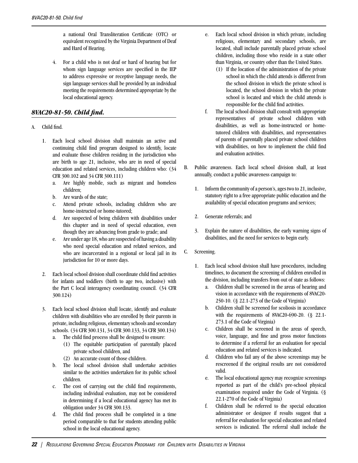a national Oral Transliteration Certificate (OTC) or equivalent recognized by the Virginia Department of Deaf and Hard of Hearing.

4. For a child who is not deaf or hard of hearing but for whom sign language services are specified in the IEP to address expressive or receptive language needs, the sign language services shall be provided by an individual meeting the requirements determined appropriate by the local educational agency.

#### <span id="page-26-0"></span>*8VAC20-81-50. Child find.*

#### A. Child find.

- 1. Each local school division shall maintain an active and continuing child find program designed to identify, locate and evaluate those children residing in the jurisdiction who are birth to age 21, inclusive, who are in need of special education and related services, including children who: (34 CFR 300.102 and 34 CFR 300.111)
	- a. Are highly mobile, such as migrant and homeless children;
	- b. Are wards of the state;
	- c. Attend private schools, including children who are home-instructed or home-tutored;
	- d. Are suspected of being children with disabilities under this chapter and in need of special education, even though they are advancing from grade to grade; and
	- e. Are under age 18, who are suspected of having a disability who need special education and related services, and who are incarcerated in a regional or local jail in its jurisdiction for 10 or more days.
- 2. Each local school division shall coordinate child find activities for infants and toddlers (birth to age two, inclusive) with the Part C local interagency coordinating council. (34 CFR 300.124)

3. Each local school division shall locate, identify and evaluate children with disabilities who are enrolled by their parents in private, including religious, elementary schools and secondary schools. (34 CFR 300.131, 34 CFR 300.133, 34 CFR 300.134)

- a. The child find process shall be designed to ensure:
	- (1) The equitable participation of parentally placed private school children, and
		- (2) An accurate count of those children.
- b. The local school division shall undertake activities similar to the activities undertaken for its public school children.
- c. The cost of carrying out the child find requirements, including individual evaluation, may not be considered in determining if a local educational agency has met its obligation under 34 CFR 300.133.
- d. The child find process shall be completed in a time period comparable to that for students attending public school in the local educational agency.
- e. Each local school division in which private, including religious, elementary and secondary schools, are located, shall include parentally placed private school children, including those who reside in a state other than Virginia, or country other than the United States.
	- (1) If the location of the administration of the private school in which the child attends is different from the school division in which the private school is located, the school division in which the private school is located and which the child attends is responsible for the child find activities.
- f. The local school division shall consult with appropriate representatives of private school children with disabilities, as well as home-instructed or hometutored children with disabilities, and representatives of parents of parentally placed private school children with disabilities, on how to implement the child find and evaluation activities.
- B. Public awareness. Each local school division shall, at least annually, conduct a public awareness campaign to:
	- 1. Inform the community of a person's, ages two to 21, inclusive, statutory right to a free appropriate public education and the availability of special education programs and services;
	- 2. Generate referrals; and
	- 3. Explain the nature of disabilities, the early warning signs of disabilities, and the need for services to begin early.
- C. Screening.
	- 1. Each local school division shall have procedures, including timelines, to document the screening of children enrolled in the division, including transfers from out of state as follows:
		- a. Children shall be screened in the areas of hearing and vision in accordance with the requirements of 8VAC20- 250-10. (§ 22.1-273 of the Code of Virginia)
		- b. Children shall be screened for scoliosis in accordance with the requirements of 8VAC20-690-20. (§ 22.1- 273.1 of the Code of Virginia)
		- c. Children shall be screened in the areas of speech, voice, language, and fine and gross motor functions to determine if a referral for an evaluation for special education and related services is indicated.
		- d. Children who fail any of the above screenings may be rescreened if the original results are not considered valid.
		- e. The local educational agency may recognize screenings reported as part of the child's pre-school physical examination required under the Code of Virginia. (§ 22.1-270 of the Code of Virginia)
		- f. Children shall be referred to the special education administrator or designee if results suggest that a referral for evaluation for special education and related services is indicated. The referral shall include the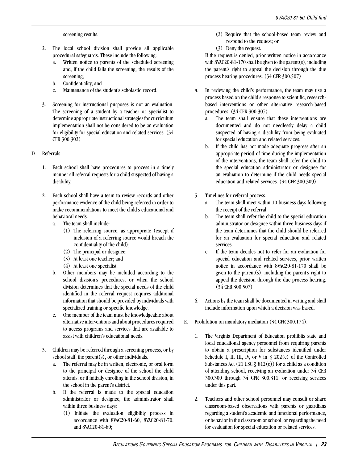screening results.

- 2. The local school division shall provide all applicable procedural safeguards. These include the following:
	- a. Written notice to parents of the scheduled screening and, if the child fails the screening, the results of the screening;
	- b. Confidentiality; and
	- c. Maintenance of the student's scholastic record.
- 3. Screening for instructional purposes is not an evaluation. The screening of a student by a teacher or specialist to determine appropriate instructional strategies for curriculum implementation shall not be considered to be an evaluation for eligibility for special education and related services. (34 CFR 300.302)

#### D. Referrals.

- 1. Each school shall have procedures to process in a timely manner all referral requests for a child suspected of having a disability.
- 2. Each school shall have a team to review records and other performance evidence of the child being referred in order to make recommendations to meet the child's educational and behavioral needs.
	- a. The team shall include:
		- (1) The referring source, as appropriate (except if inclusion of a referring source would breach the confidentiality of the child);
		- (2) The principal or designee;
		- (3) At least one teacher; and
		- (4) At least one specialist.
	- b. Other members may be included according to the school division's procedures, or when the school division determines that the special needs of the child identified in the referral request requires additional information that should be provided by individuals with specialized training or specific knowledge.
	- c. One member of the team must be knowledgeable about alternative interventions and about procedures required to access programs and services that are available to assist with children's educational needs.
- 3. Children may be referred through a screening process, or by school staff, the parent(s), or other individuals.
	- a. The referral may be in written, electronic, or oral form to the principal or designee of the school the child attends, or if initially enrolling in the school division, in the school in the parent's district.
	- b. If the referral is made to the special education administrator or designee, the administrator shall within three business days:
		- (1) Initiate the evaluation eligibility process in accordance with 8VAC20-81-60, 8VAC20-81-70, and 8VAC20-81-80;
- (2) Require that the school-based team review and respond to the request; or
- (3) Deny the request.

If the request is denied, prior written notice in accordance with 8VAC20-81-170 shall be given to the parent(s), including the parent's right to appeal the decision through the due process hearing procedures. (34 CFR 300.507)

- 4. In reviewing the child's performance, the team may use a process based on the child's response to scientific, researchbased interventions or other alternative research-based procedures. (34 CFR 300.307)
	- a. The team shall ensure that these interventions are documented and do not needlessly delay a child suspected of having a disability from being evaluated for special education and related services.
	- b. If the child has not made adequate progress after an appropriate period of time during the implementation of the interventions, the team shall refer the child to the special education administrator or designee for an evaluation to determine if the child needs special education and related services. (34 CFR 300.309)
- 5. Timelines for referral process.
	- a. The team shall meet within 10 business days following the receipt of the referral.
	- b. The team shall refer the child to the special education administrator or designee within three business days if the team determines that the child should be referred for an evaluation for special education and related services.
	- c. If the team decides not to refer for an evaluation for special education and related services, prior written notice in accordance with 8VAC20-81-170 shall be given to the parent $(s)$ , including the parent's right to appeal the decision through the due process hearing. (34 CFR 300.507)
- 6. Actions by the team shall be documented in writing and shall include information upon which a decision was based.
- E. Prohibition on mandatory mediation (34 CFR 300.174).
	- 1. The Virginia Department of Education prohibits state and local educational agency personnel from requiring parents to obtain a prescription for substances identified under Schedule I, II, III, IV, or V in  $\S$  202(c) of the Controlled Substances Act (21 USC  $\S$  812(c)) for a child as a condition of attending school, receiving an evaluation under 34 CFR 300.300 through 34 CFR 300.311, or receiving services under this part.
	- 2. Teachers and other school personnel may consult or share classroom-based observations with parents or guardians regarding a student's academic and functional performance, or behavior in the classroom or school, or regarding the need for evaluation for special education or related services.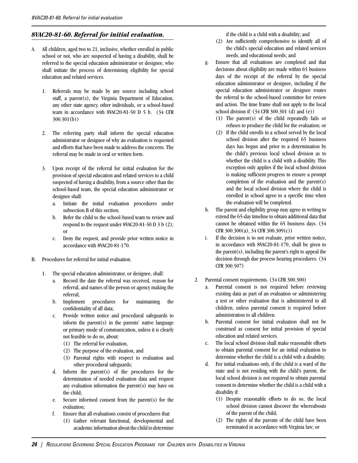#### <span id="page-28-0"></span>*8VAC20-81-60. Referral for initial evaluation.*

- A. All children, aged two to 21, inclusive, whether enrolled in public school or not, who are suspected of having a disability, shall be referred to the special education administrator or designee, who shall initiate the process of determining eligibility for special education and related services.
	- 1. Referrals may be made by any source including school staff, a parent(s), the Virginia Department of Education, any other state agency, other individuals, or a school-based team in accordance with 8VAC20-81-50 D 5 b. (34 CFR 300.301(b))
	- 2. The referring party shall inform the special education administrator or designee of why an evaluation is requested and efforts that have been made to address the concerns. The referral may be made in oral or written form.
	- 3. Upon receipt of the referral for initial evaluation for the provision of special education and related services to a child suspected of having a disability, from a source other than the school-based team, the special education administrator or designee shall:
		- a. Initiate the initial evaluation procedures under subsection B of this section;
		- b. Refer the child to the school-based team to review and respond to the request under 8VAC20-81-50 D 3 b (2); or
		- c. Deny the request, and provide prior written notice in accordance with 8VAC20-81-170.
- B. Procedures for referral for initial evaluation.
	- 1. The special education administrator, or designee, shall:
		- a. Record the date the referral was received, reason for referral, and names of the person or agency making the referral;
		- b. Implement procedures for maintaining the confidentiality of all data;
		- c. Provide written notice and procedural safeguards to inform the parent(s) in the parents' native language or primary mode of communication, unless it is clearly not feasible to do so, about:
			- (1) The referral for evaluation,
			- (2) The purpose of the evaluation, and
			- (3) Parental rights with respect to evaluation and other procedural safeguards;
		- d. Inform the parent(s) of the procedures for the determination of needed evaluation data and request any evaluation information the parent(s) may have on the child;
		- e. Secure informed consent from the parent(s) for the evaluation;
		- f. Ensure that all evaluations consist of procedures that:
			- (1) Gather relevant functional, developmental and academic information about the child to determine

if the child is a child with a disability; and

- (2) Are sufficiently comprehensive to identify all of the child's special education and related services needs, and educational needs; and
- g. Ensure that all evaluations are completed and that decisions about eligibility are made within 65 business days of the receipt of the referral by the special education administrator or designee, including if the special education administrator or designee routes the referral to the school-based committee for review and action. The time frame shall not apply to the local school division if: (34 CFR 300.301 (d) and (e))
	- (1) The parent(s) of the child repeatedly fails or refuses to produce the child for the evaluation; or
	- (2) If the child enrolls in a school served by the local school division after the required 65 business days has begun and prior to a determination by the child's previous local school division as to whether the child is a child with a disability. This exception only applies if the local school division is making sufficient progress to ensure a prompt completion of the evaluation and the parent(s) and the local school division where the child is enrolled in school agree to a specific time when the evaluation will be completed.
- h. The parent and eligibility group may agree in writing to extend the 65-day timeline to obtain additional data that cannot be obtained within the 65 business days. (34 CFR 300.300(a), 34 CFR 300.309(c))
- i. If the decision is to not evaluate, prior written notice, in accordance with 8VAC20-81-170, shall be given to the parent $(s)$ , including the parent's right to appeal the decision through due process hearing procedures. (34 CFR 300.507)
- 2. Parental consent requirements. (34 CFR 300.300)
	- a. Parental consent is not required before reviewing existing data as part of an evaluation or administering a test or other evaluation that is administered to all children, unless parental consent is required before administration to all children.
	- b. Parental consent for initial evaluation shall not be construed as consent for initial provision of special education and related services.
	- c. The local school division shall make reasonable efforts to obtain parental consent for an initial evaluation to determine whether the child is a child with a disability.
	- d. For initial evaluations only, if the child is a ward of the state and is not residing with the child's parent, the local school division is not required to obtain parental consent to determine whether the child is a child with a disability if:
		- (1) Despite reasonable efforts to do so, the local school division cannot discover the whereabouts of the parent of the child;
		- (2) The rights of the parents of the child have been terminated in accordance with Virginia law; or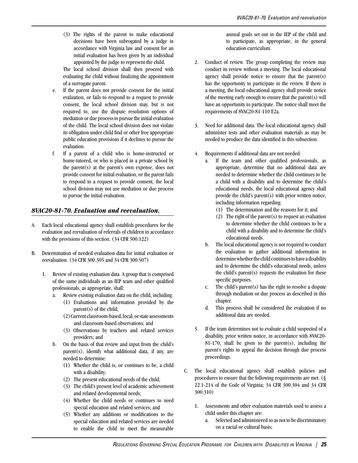(3) The rights of the parent to make educational decisions have been subrogated by a judge in accordance with Virginia law and consent for an initial evaluation has been given by an individual appointed by the judge to represent the child.

The local school division shall then proceed with evaluating the child without finalizing the appointment of a surrogate parent.

- e. If the parent does not provide consent for the initial evaluation, or fails to respond to a request to provide consent, the local school division may, but is not required to, use the dispute resolution options of mediation or due process to pursue the initial evaluation of the child. The local school division does not violate its obligation under child find or other free appropriate public education provisions if it declines to pursue the evaluation.
- f. If a parent of a child who is home-instructed or home-tutored, or who is placed in a private school by the parent(s) at the parent's own expense, does not provide consent for initial evaluation, or the parent fails to respond to a request to provide consent, the local school division may not use mediation or due process to pursue the initial evaluation.

#### <span id="page-29-0"></span>*8VAC20-81-70. Evaluation and reevaluation.*

- A. Each local educational agency shall establish procedures for the evaluation and reevaluation of referrals of children in accordance with the provisions of this section. (34 CFR 300.122)
- B. Determination of needed evaluation data for initial evaluation or reevaluation. (34 CFR 300.305 and 34 CFR 300.507)
	- 1. Review of existing evaluation data. A group that is comprised of the same individuals as an IEP team and other qualified professionals, as appropriate, shall:
		- a. Review existing evaluation data on the child, including:
			- (1) Evaluations and information provided by the parent(s) of the child;
			- (2) Current classroom-based, local, or state assessments and classroom-based observations; and
			- (3) Observations by teachers and related services providers; and
		- b. On the basis of that review and input from the child's parent(s), identify what additional data, if any, are needed to determine:
			- (1) Whether the child is, or continues to be, a child with a disability;
			- (2) The present educational needs of the child;
			- (3) The child's present level of academic achievement and related developmental needs;
			- (4) Whether the child needs or continues to need special education and related services; and
			- (5) Whether any additions or modifications to the special education and related services are needed to enable the child to meet the measurable

annual goals set out in the IEP of the child and to participate, as appropriate, in the general education curriculum.

- 2. Conduct of review. The group completing the review may conduct its review without a meeting. The local educational agency shall provide notice to ensure that the parent(s) has the opportunity to participate in the review. If there is a meeting, the local educational agency shall provide notice of the meeting early enough to ensure that the parent(s) will have an opportunity to participate. The notice shall meet the requirements of 8VAC20-81-110 E2a.
- 3. Need for additional data. The local educational agency shall administer tests and other evaluation materials as may be needed to produce the data identified in this subsection.
- 4. Requirements if additional data are not needed:
	- a. If the team and other qualified professionals, as appropriate, determine that no additional data are needed to determine whether the child continues to be a child with a disability and to determine the child's educational needs, the local educational agency shall provide the child's parent(s) with prior written notice, including information regarding:
		- (1) The determination and the reasons for it; and
		- (2) The right of the parent(s) to request an evaluation to determine whether the child continues to be a child with a disability and to determine the child's educational needs.
	- b. The local educational agency is not required to conduct the evaluation to gather additional information to determine whether the child continues to have a disability and to determine the child's educational needs, unless the child's parent(s) requests the evaluation for these specific purposes.
	- c. The child's parent(s) has the right to resolve a dispute through mediation or due process as described in this chapter.
	- d. This process shall be considered the evaluation if no additional data are needed.
- 5. If the team determines not to evaluate a child suspected of a disability, prior written notice, in accordance with 8VAC20- 81-170, shall be given to the parent(s), including the parent's rights to appeal the decision through due process proceedings.
- C. The local educational agency shall establish policies and procedures to ensure that the following requirements are met. (§ 22.1-214 of the Code of Virginia; 34 CFR 300.304 and 34 CFR 300.310)
	- 1. Assessments and other evaluation materials used to assess a child under this chapter are:
		- a. Selected and administered so as not to be discriminatory on a racial or cultural basis;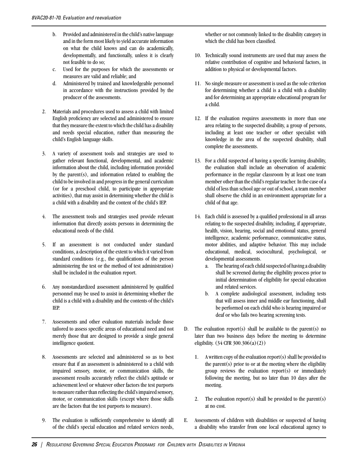- b. Provided and administered in the child's native language and in the form most likely to yield accurate information on what the child knows and can do academically, developmentally, and functionally, unless it is clearly not feasible to do so;
- c. Used for the purposes for which the assessments or measures are valid and reliable; and
- d. Administered by trained and knowledgeable personnel in accordance with the instructions provided by the producer of the assessments.
- 2. Materials and procedures used to assess a child with limited English proficiency are selected and administered to ensure that they measure the extent to which the child has a disability and needs special education, rather than measuring the child's English language skills.
- 3. A variety of assessment tools and strategies are used to gather relevant functional, developmental, and academic information about the child, including information provided by the parent $(s)$ , and information related to enabling the child to be involved in and progress in the general curriculum (or for a preschool child, to participate in appropriate activities), that may assist in determining whether the child is a child with a disability and the content of the child's IEP.
- 4. The assessment tools and strategies used provide relevant information that directly assists persons in determining the educational needs of the child.
- 5. If an assessment is not conducted under standard conditions, a description of the extent to which it varied from standard conditions (e.g., the qualifications of the person administering the test or the method of test administration) shall be included in the evaluation report.
- 6. Any nonstandardized assessment administered by qualified personnel may be used to assist in determining whether the child is a child with a disability and the contents of the child's IEP.
- 7. Assessments and other evaluation materials include those tailored to assess specific areas of educational need and not merely those that are designed to provide a single general intelligence quotient.
- 8. Assessments are selected and administered so as to best ensure that if an assessment is administered to a child with impaired sensory, motor, or communication skills, the assessment results accurately reflect the child's aptitude or achievement level or whatever other factors the test purports to measure rather than reflecting the child's impaired sensory, motor, or communication skills (except where those skills are the factors that the test purports to measure).
- 9. The evaluation is sufficiently comprehensive to identify all of the child's special education and related services needs,

whether or not commonly linked to the disability category in which the child has been classified.

- 10. Technically sound instruments are used that may assess the relative contribution of cognitive and behavioral factors, in addition to physical or developmental factors.
- 11. No single measure or assessment is used as the sole criterion for determining whether a child is a child with a disability and for determining an appropriate educational program for a child.
- 12. If the evaluation requires assessments in more than one area relating to the suspected disability, a group of persons, including at least one teacher or other specialist with knowledge in the area of the suspected disability, shall complete the assessments.
- 13. For a child suspected of having a specific learning disability, the evaluation shall include an observation of academic performance in the regular classroom by at least one team member other than the child's regular teacher. In the case of a child of less than school age or out of school, a team member shall observe the child in an environment appropriate for a child of that age.
- 14. Each child is assessed by a qualified professional in all areas relating to the suspected disability, including, if appropriate, health, vision, hearing, social and emotional status, general intelligence, academic performance, communicative status, motor abilities, and adaptive behavior. This may include educational, medical, sociocultural, psychological, or developmental assessments.
	- a. The hearing of each child suspected of having a disability shall be screened during the eligibility process prior to initial determination of eligibility for special education and related services.
	- b. A complete audiological assessment, including tests that will assess inner and middle ear functioning, shall be performed on each child who is hearing impaired or deaf or who fails two hearing screening tests.
- D. The evaluation report(s) shall be available to the parent(s) no later than two business days before the meeting to determine eligibility. (34 CFR 300.306(a)(2))
	- 1. A written copy of the evaluation report(s) shall be provided to the parent $(s)$  prior to or at the meeting where the eligibility group reviews the evaluation report(s) or immediately following the meeting, but no later than 10 days after the meeting.
	- 2. The evaluation report(s) shall be provided to the parent(s) at no cost.
- E. Assessments of children with disabilities or suspected of having a disability who transfer from one local educational agency to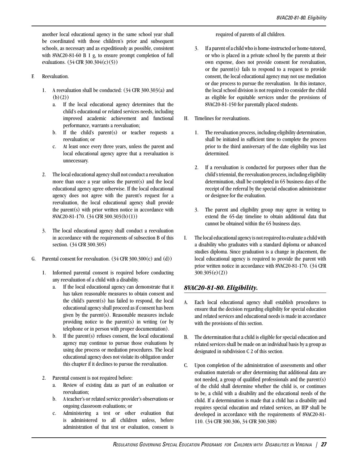another local educational agency in the same school year shall be coordinated with those children's prior and subsequent schools, as necessary and as expeditiously as possible, consistent with 8VAC20-81-60 B 1 g, to ensure prompt completion of full evaluations. (34 CFR 300.304(c)(5))

- F. Reevaluation.
	- 1. A reevaluation shall be conducted: (34 CFR 300.303(a) and  $(b)(2)$ 
		- a. If the local educational agency determines that the child's educational or related services needs, including improved academic achievement and functional performance, warrants a reevaluation;
		- b. If the child's parent(s) or teacher requests a reevaluation; or
		- c. At least once every three years, unless the parent and local educational agency agree that a reevaluation is unnecessary.
	- 2. The local educational agency shall not conduct a reevaluation more than once a year unless the parent(s) and the local educational agency agree otherwise. If the local educational agency does not agree with the parent's request for a reevaluation, the local educational agency shall provide the parent(s) with prior written notice in accordance with 8VAC20-81-170. (34 CFR 300.303(b)(1))
	- 3. The local educational agency shall conduct a reevaluation in accordance with the requirements of subsection B of this section. (34 CFR 300.305)
- G. Parental consent for reevaluation.  $(34 \text{ CFR } 300.300 \text{ (c) and (d)})$ 
	- 1. Informed parental consent is required before conducting any reevaluation of a child with a disability.
		- a. If the local educational agency can demonstrate that it has taken reasonable measures to obtain consent and the child's parent(s) has failed to respond, the local educational agency shall proceed as if consent has been given by the parent(s). Reasonable measures include providing notice to the parent(s) in writing (or by telephone or in person with proper documentation).
		- b. If the parent(s) refuses consent, the local educational agency may continue to pursue those evaluations by using due process or mediation procedures. The local educational agency does not violate its obligation under this chapter if it declines to pursue the reevaluation.
	- 2. Parental consent is not required before:
		- a. Review of existing data as part of an evaluation or reevaluation;
		- b. A teacher's or related service provider's observations or ongoing classroom evaluations; or
		- c. Administering a test or other evaluation that is administered to all children unless, before administration of that test or evaluation, consent is

required of parents of all children.

- 3. If a parent of a child who is home-instructed or home-tutored, or who is placed in a private school by the parents at their own expense, does not provide consent for reevaluation, or the parent(s) fails to respond to a request to provide consent, the local educational agency may not use mediation or due process to pursue the reevaluation. In this instance, the local school division is not required to consider the child as eligible for equitable services under the provisions of 8VAC20-81-150 for parentally placed students.
- H. Timelines for reevaluations.
	- 1. The reevaluation process, including eligibility determination, shall be initiated in sufficient time to complete the process prior to the third anniversary of the date eligibility was last determined.
	- 2. If a reevaluation is conducted for purposes other than the child's triennial, the reevaluation process, including eligibility determination, shall be completed in 65 business days of the receipt of the referral by the special education administrator or designee for the evaluation.
	- 3. The parent and eligibility group may agree in writing to extend the 65-day timeline to obtain additional data that cannot be obtained within the 65 business days.
- I. The local educational agencyis not required to evaluate a child with a disability who graduates with a standard diploma or advanced studies diploma. Since graduation is a change in placement, the local educational agency is required to provide the parent with prior written notice in accordance with 8VAC20-81-170. (34 CFR 300.305(e)(2))

#### <span id="page-31-0"></span>*8VAC20-81-80. Eligibility.*

- A. Each local educational agency shall establish procedures to ensure that the decision regarding eligibility for special education and related services and educational needs is made in accordance with the provisions of this section.
- B. The determination that a child is eligible for special education and related services shall be made on an individual basis by a group as designated in subdivision C 2 of this section.
- C. Upon completion of the administration of assessments and other evaluation materials or after determining that additional data are not needed, a group of qualified professionals and the parent(s) of the child shall determine whether the child is, or continues to be, a child with a disability and the educational needs of the child. If a determination is made that a child has a disability and requires special education and related services, an IEP shall be developed in accordance with the requirements of 8VAC20-81- 110. (34 CFR 300.306, 34 CFR 300.308)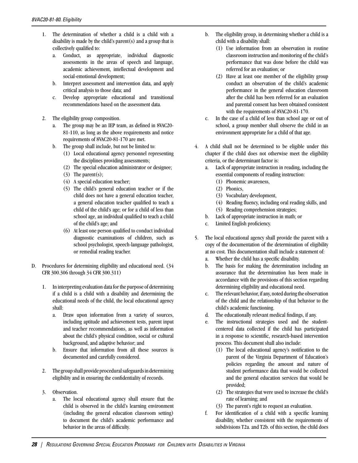- 1. The determination of whether a child is a child with a disability is made by the child's parent(s) and a group that is collectively qualified to:
	- a. Conduct, as appropriate, individual diagnostic assessments in the areas of speech and language, academic achievement, intellectual development and social-emotional development;
	- b. Interpret assessment and intervention data, and apply critical analysis to those data; and
	- c. Develop appropriate educational and transitional recommendations based on the assessment data.
- 2. The eligibility group composition.
	- a. The group may be an IEP team, as defined in 8VAC20- 81-110, as long as the above requirements and notice requirements of 8VAC20-81-170 are met.
	- b. The group shall include, but not be limited to:
		- (1) Local educational agency personnel representing the disciplines providing assessments;
		- (2) The special education administrator or designee;
		- (3) The parent(s);
		- (4) A special education teacher;
		- (5) The child's general education teacher or if the child does not have a general education teacher, a general education teacher qualified to teach a child of the child's age; or for a child of less than school age, an individual qualified to teach a child of the child's age; and
		- (6) At least one person qualified to conduct individual diagnostic examinations of children, such as school psychologist, speech-language pathologist, or remedial reading teacher.
- D. Procedures for determining eligibility and educational need. (34 CFR 300.306 through 34 CFR 300.311)
	- 1. In interpreting evaluation data for the purpose of determining if a child is a child with a disability and determining the educational needs of the child, the local educational agency shall:
		- a. Draw upon information from a variety of sources, including aptitude and achievement tests, parent input and teacher recommendations, as well as information about the child's physical condition, social or cultural background, and adaptive behavior; and
		- b. Ensure that information from all these sources is documented and carefully considered.
	- 2. The group shall provide procedural safeguards in determining eligibility and in ensuring the confidentiality of records.
	- 3. Observation.
		- a. The local educational agency shall ensure that the child is observed in the child's learning environment (including the general education classroom setting) to document the child's academic performance and behavior in the areas of difficulty.
- b. The eligibility group, in determining whether a child is a child with a disability shall:
	- (1) Use information from an observation in routine classroom instruction and monitoring of the child's performance that was done before the child was referred for an evaluation; or
	- (2) Have at least one member of the eligibility group conduct an observation of the child's academic performance in the general education classroom after the child has been referred for an evaluation and parental consent has been obtained consistent with the requirements of 8VAC20-81-170.
- c. In the case of a child of less than school age or out of school, a group member shall observe the child in an environment appropriate for a child of that age.
- 4. A child shall not be determined to be eligible under this chapter if the child does not otherwise meet the eligibility criteria, or the determinant factor is:
	- a. Lack of appropriate instruction in reading, including the essential components of reading instruction:
		- (1) Phonemic awareness,
		- (2) Phonics,
		- (3) Vocabulary development,
		- (4) Reading fluency, including oral reading skills, and
		- (5) Reading comprehension strategies;
	- b. Lack of appropriate instruction in math; or
	- c. Limited English proficiency.
- 5. The local educational agency shall provide the parent with a copy of the documentation of the determination of eligibility at no cost. This documentation shall include a statement of:
	- a. Whether the child has a specific disability.
	- b. The basis for making the determination including an assurance that the determination has been made in accordance with the provisions of this section regarding determining eligibility and educational need.
	- c. The relevant behavior, if any, noted during the observation of the child and the relationship of that behavior to the child's academic functioning.
	- d. The educationally relevant medical findings, if any.
	- e. The instructional strategies used and the studentcentered data collected if the child has participated in a response to scientific, research-based intervention process. This document shall also include:
		- (1) The local educational agency's notification to the parent of the Virginia Department of Education's policies regarding the amount and nature of student performance data that would be collected and the general education services that would be provided;
		- (2) The strategies that were used to increase the child's rate of learning; and
		- (3) The parent's right to request an evaluation.
	- f. For identification of a child with a specific learning disability, whether consistent with the requirements of subdivisions T2a. and T2b. of this section, the child does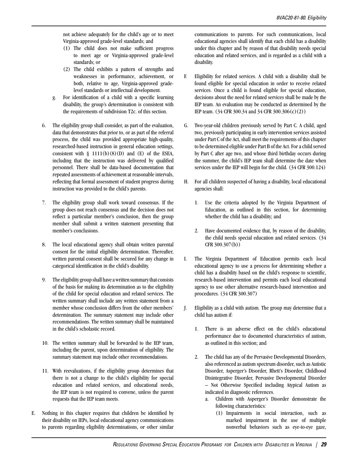not achieve adequately for the child's age or to meet Virginia-approved grade-level standards; and

- (1) The child does not make sufficient progress to meet age or Virginia-approved grade-level standards; or
- (2) The child exhibits a pattern of strengths and weaknesses in performance, achievement, or both, relative to age, Virginia-approved gradelevel standards or intellectual development.
- g. For identification of a child with a specific learning disability, the group's determination is consistent with the requirements of subdivision T2c. of this section.
- 6. The eligibility group shall consider, as part of the evaluation, data that demonstrates that prior to, or as part of the referral process, the child was provided appropriate high-quality, researched-based instruction in general education settings, consistent with  $\S$  1111(b)(8)(D) and (E) of the ESEA, including that the instruction was delivered by qualified personnel. There shall be data-based documentation that repeated assessments of achievement at reasonable intervals, reflecting that formal assessment of student progress during instruction was provided to the child's parents.
- 7. The eligibility group shall work toward consensus. If the group does not reach consensus and the decision does not reflect a particular member's conclusion, then the group member shall submit a written statement presenting that member's conclusions.
- 8. The local educational agency shall obtain written parental consent for the initial eligibility determination. Thereafter, written parental consent shall be secured for any change in categorical identification in the child's disability.
- 9. The eligibility group shall have a written summary that consists of the basis for making its determination as to the eligibility of the child for special education and related services. The written summary shall include any written statement from a member whose conclusion differs from the other members' determination. The summary statement may include other recommendations. The written summary shall be maintained in the child's scholastic record.
- 10. The written summary shall be forwarded to the IEP team, including the parent, upon determination of eligibility. The summary statement may include other recommendations.
- 11. With reevaluations, if the eligibility group determines that there is not a change to the child's eligibility for special education and related services, and educational needs, the IEP team is not required to convene, unless the parent requests that the IEP team meets.
- E. Nothing in this chapter requires that children be identified by their disability on IEPs, local educational agency communications to parents regarding eligibility determinations, or other similar

communications to parents. For such communications, local educational agencies shall identify that each child has a disability under this chapter and by reason of that disability needs special education and related services, and is regarded as a child with a disability.

- F. Eligibility for related services. A child with a disability shall be found eligible for special education in order to receive related services. Once a child is found eligible for special education, decisions about the need for related services shall be made by the IEP team. An evaluation may be conducted as determined by the IEP team. (34 CFR 300.34 and 34 CFR 300.306(c)(2))
- G. Two-year-old children previously served by Part C. A child, aged two, previously participating in early intervention services assisted under Part C of the Act, shall meet the requirements of this chapter to be determined eligible under Part B of the Act. For a child served by Part C after age two, and whose third birthday occurs during the summer, the child's IEP team shall determine the date when services under the IEP will begin for the child. (34 CFR 300.124)
- H. For all children suspected of having a disability, local educational agencies shall:
	- 1. Use the criteria adopted by the Virginia Department of Education, as outlined in this section, for determining whether the child has a disability; and
	- 2. Have documented evidence that, by reason of the disability, the child needs special education and related services. (34 CFR 300.307(b))
- I. The Virginia Department of Education permits each local educational agency to use a process for determining whether a child has a disability based on the child's response to scientific, research-based intervention and permits each local educational agency to use other alternative research-based intervention and procedures. (34 CFR 300.307)
- J. Eligibility as a child with autism. The group may determine that a child has autism if:
	- 1. There is an adverse effect on the child's educational performance due to documented characteristics of autism, as outlined in this section; and
	- 2. The child has any of the Pervasive Developmental Disorders, also referenced as autism spectrum disorder, such as Autistic Disorder, Asperger's Disorder, Rhett's Disorder, Childhood Disintegrative Disorder, Pervasive Developmental Disorder – Not Otherwise Specified including Atypical Autism as indicated in diagnostic references.
		- a. Children with Asperger's Disorder demonstrate the following characteristics:
			- (1) Impairments in social interaction, such as marked impairment in the use of multiple nonverbal behaviors such as eye-to-eye gaze,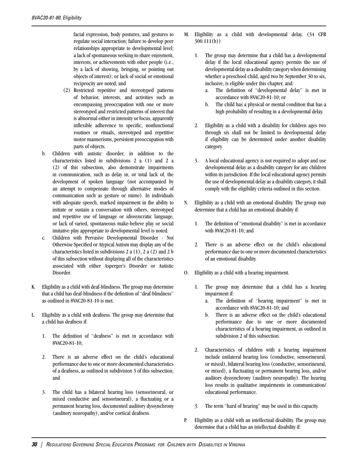facial expression, body postures, and gestures to regulate social interaction; failure to develop peer relationships appropriate to developmental level; a lack of spontaneous seeking to share enjoyment, interests, or achievements with other people (i.e., by a lack of showing, bringing, or pointing out objects of interest); or lack of social or emotional reciprocity are noted; and

- (2) Restricted repetitive and stereotyped patterns of behavior, interests, and activities such as encompassing preoccupation with one or more stereotyped and restricted patterns of interest that is abnormal either in intensity or focus, apparently inflexible adherence to specific, nonfunctional routines or rituals, stereotyped and repetitive motor mannerisms, persistent preoccupation with parts of objects.
- b. Children with autistic disorder, in addition to the characteristics listed in subdivisions 2 a (1) and 2 a (2) of this subsection, also demonstrate impairments in communication, such as delay in, or total lack of, the development of spoken language (not accompanied by an attempt to compensate through alternative modes of communication such as gesture or mime). In individuals with adequate speech, marked impairment in the ability to initiate or sustain a conversation with others, stereotyped and repetitive use of language or idiosyncratic language, or lack of varied, spontaneous make-believe play or social imitative play appropriate to developmental level is noted.
- c. Children with Pervasive Developmental Disorder Not Otherwise Specified or Atypical Autism may display any of the characteristics listed in subdivisions 2 a (1), 2 a (2) and 2 b of this subsection without displaying all of the characteristics associated with either Asperger's Disorder or Autistic Disorder.
- K. Eligibility as a child with deaf-blindness. The group may determine that a child has deaf-blindness if the definition of "deaf-blindness" as outlined in 8VAC20-81-10 is met.
- L. Eligibility as a child with deafness. The group may determine that a child has deafness if:
	- 1. The definition of "deafness" is met in accordance with 8VAC20-81-10;
	- 2. There is an adverse effect on the child's educational performance due to one or more documented characteristics of a deafness, as outlined in subdivision 3 of this subsection; and
	- 3. The child has a bilateral hearing loss (sensorineural, or mixed conductive and sensorineural), a fluctuating or a permanent hearing loss, documented auditory dyssynchrony (auditory neuropathy), and/or cortical deafness.
- M. Eligibility as a child with developmental delay. (34 CFR 300.111(b))
	- 1. The group may determine that a child has a developmental delay if the local educational agency permits the use of developmental delay as a disability category when determining whether a preschool child, aged two by September 30 to six, inclusive, is eligible under this chapter, and:
		- a. The definition of "developmental delay" is met in accordance with 8VAC20-81-10; or
		- b. The child has a physical or mental condition that has a high probability of resulting in a developmental delay.
	- 2. Eligibility as a child with a disability for children ages two through six shall not be limited to developmental delay if eligibility can be determined under another disability category.
	- 3. A local educational agency is not required to adopt and use developmental delay as a disability category for any children within its jurisdiction. If the local educational agency permits the use of developmental delay as a disability category, it shall comply with the eligibility criteria outlined in this section.
- N. Eligibility as a child with an emotional disability. The group may determine that a child has an emotional disability if:
	- 1. The definition of "emotional disability" is met in accordance with 8VAC20-81-10; and
	- 2. There is an adverse effect on the child's educational performance due to one or more documented characteristics of an emotional disability.
- O. Eligibility as a child with a hearing impairment.
	- 1. The group may determine that a child has a hearing impairment if:
		- a. The definition of "hearing impairment" is met in accordance with 8VAC20-81-10; and
		- b. There is an adverse effect on the child's educational performance due to one or more documented characteristics of a hearing impairment, as outlined in subdivision 2 of this subsection.
	- 2. Characteristics of children with a hearing impairment include unilateral hearing loss (conductive, sensorineural, or mixed), bilateral hearing loss (conductive, sensorineural, or mixed), a fluctuating or permanent hearing loss, and/or auditory dyssynchrony (auditory neuropathy). The hearing loss results in qualitative impairments in communication/ educational performance.
	- 3. The term "hard of hearing" may be used in this capacity.
- P. Eligibility as a child with an intellectual disability. The group may determine that a child has an intellectual disability if: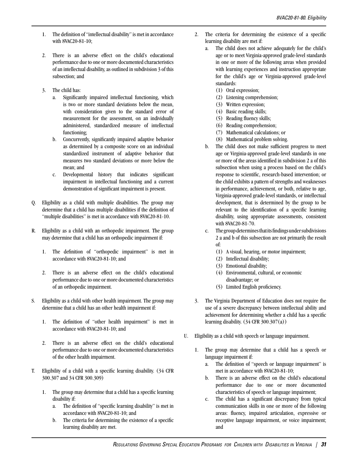- 1. The definition of "intellectual disability" is met in accordance with 8VAC20-81-10;
- 2. There is an adverse effect on the child's educational performance due to one or more documented characteristics of an intellectual disability, as outlined in subdivision 3 of this subsection; and
- 3. The child has:
	- a. Significantly impaired intellectual functioning, which is two or more standard deviations below the mean, with consideration given to the standard error of measurement for the assessment, on an individually administered, standardized measure of intellectual functioning;
	- b. Concurrently, significantly impaired adaptive behavior as determined by a composite score on an individual standardized instrument of adaptive behavior that measures two standard deviations or more below the mean; and
	- c. Developmental history that indicates significant impairment in intellectual functioning and a current demonstration of significant impairment is present.
- Q. Eligibility as a child with multiple disabilities. The group may determine that a child has multiple disabilities if the definition of "multiple disabilities" is met in accordance with 8VAC20-81-10.
- R. Eligibility as a child with an orthopedic impairment. The group may determine that a child has an orthopedic impairment if:
	- 1. The definition of "orthopedic impairment" is met in accordance with 8VAC20-81-10; and
	- 2. There is an adverse effect on the child's educational performance due to one or more documented characteristics of an orthopedic impairment.
- S. Eligibility as a child with other health impairment. The group may determine that a child has an other health impairment if:
	- 1. The definition of "other health impairment" is met in accordance with 8VAC20-81-10; and
	- 2. There is an adverse effect on the child's educational performance due to one or more documented characteristics of the other health impairment.
- T. Eligibility of a child with a specific learning disability. (34 CFR 300.307 and 34 CFR 300.309)
	- 1. The group may determine that a child has a specific learning disability if:
		- a. The definition of "specific learning disability" is met in accordance with 8VAC20-81-10; and
		- b. The criteria for determining the existence of a specific learning disability are met.
- 2. The criteria for determining the existence of a specific learning disability are met if:
	- a. The child does not achieve adequately for the child's age or to meet Virginia-approved grade-level standards in one or more of the following areas when provided with learning experiences and instruction appropriate for the child's age or Virginia-approved grade-level standards:
		- (1) Oral expression;
		- (2) Listening comprehension;
		- (3) Written expression;
		- (4) Basic reading skills;
		- (5) Reading fluency skills;
		- (6) Reading comprehension;
		- (7) Mathematical calculations; or
		- (8) Mathematical problem solving.
	- b. The child does not make sufficient progress to meet age or Virginia-approved grade-level standards in one or more of the areas identified in subdivision 2 a of this subsection when using a process based on the child's response to scientific, research-based intervention; or the child exhibits a pattern of strengths and weaknesses in performance, achievement, or both, relative to age, Virginia-approved grade-level standards, or intellectual development, that is determined by the group to be relevant to the identification of a specific learning disability, using appropriate assessments, consistent with 8VAC20-81-70.
	- c. The group determines that its findings under subdivisions 2 a and b of this subsection are not primarily the result of:
		- (1) A visual, hearing, or motor impairment;
		- (2) Intellectual disability;
		- (3) Emotional disability;
		- (4) Environmental, cultural, or economic disadvantage; or
		- (5) Limited English proficiency.
- 3. The Virginia Department of Education does not require the use of a severe discrepancy between intellectual ability and achievement for determining whether a child has a specific learning disability.  $(34 \text{ CFR } 300.307(a))$
- U. Eligibility as a child with speech or language impairment.
	- 1. The group may determine that a child has a speech or language impairment if:
		- a. The definition of "speech or language impairment" is met in accordance with 8VAC20-81-10;
		- b. There is an adverse effect on the child's educational performance due to one or more documented characteristics of speech or language impairment;
		- c. The child has a significant discrepancy from typical communication skills in one or more of the following areas: fluency, impaired articulation, expressive or receptive language impairment, or voice impairment; and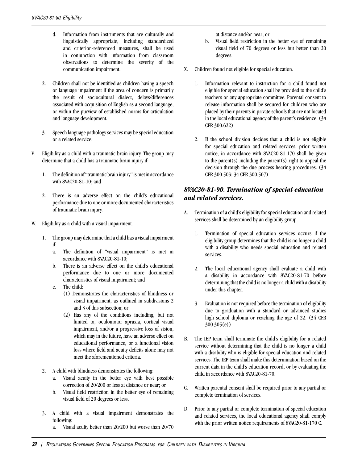- d. Information from instruments that are culturally and linguistically appropriate, including standardized and criterion-referenced measures, shall be used in conjunction with information from classroom observations to determine the severity of the communication impairment.
- 2. Children shall not be identified as children having a speech or language impairment if the area of concern is primarily the result of sociocultural dialect, delays/differences associated with acquisition of English as a second language, or within the purview of established norms for articulation and language development.
- 3. Speech language pathology services may be special education or a related service.
- V. Eligibility as a child with a traumatic brain injury. The group may determine that a child has a traumatic brain injury if:
	- 1. The definition of "traumatic brain injury" is met in accordance with 8VAC20-81-10; and
	- 2. There is an adverse effect on the child's educational performance due to one or more documented characteristics of traumatic brain injury.
- Eligibility as a child with a visual impairment.
	- 1. The group may determine that a child has a visual impairment if:
		- a. The definition of "visual impairment" is met in accordance with 8VAC20-81-10;
		- b. There is an adverse effect on the child's educational performance due to one or more documented characteristics of visual impairment; and
		- c. The child:
			- (1) Demonstrates the characteristics of blindness or visual impairment, as outlined in subdivisions 2 and 3 of this subsection; or
			- (2) Has any of the conditions including, but not limited to, oculomotor apraxia, cortical visual impairment, and/or a progressive loss of vision, which may in the future, have an adverse effect on educational performance, or a functional vision loss where field and acuity deficits alone may not meet the aforementioned criteria.
	- 2. A child with blindness demonstrates the following:
		- a. Visual acuity in the better eye with best possible correction of 20/200 or less at distance or near; or
		- b. Visual field restriction in the better eye of remaining visual field of 20 degrees or less.
	- 3. A child with a visual impairment demonstrates the following:
		- a. Visual acuity better than 20/200 but worse than 20/70

at distance and/or near; or

- b. Visual field restriction in the better eye of remaining visual field of 70 degrees or less but better than 20 degrees.
- X. Children found not eligible for special education.
	- 1. Information relevant to instruction for a child found not eligible for special education shall be provided to the child's teachers or any appropriate committee. Parental consent to release information shall be secured for children who are placed by their parents in private schools that are not located in the local educational agency of the parent's residence. (34 CFR 300.622)
	- 2. If the school division decides that a child is not eligible for special education and related services, prior written notice, in accordance with 8VAC20-81-170 shall be given to the parent(s) including the parent(s) right to appeal the decision through the due process hearing procedures. (34 CFR 300.503; 34 CFR 300.507)

## *8VAC20-81-90. Termination of special education and related services.*

- A. Termination of a child's eligibility for special education and related services shall be determined by an eligibility group.
	- 1. Termination of special education services occurs if the eligibility group determines that the child is no longer a child with a disability who needs special education and related services.
	- 2. The local educational agency shall evaluate a child with a disability in accordance with 8VAC20-81-70 before determining that the child is no longer a child with a disability under this chapter.
	- 3. Evaluation is not required before the termination of eligibility due to graduation with a standard or advanced studies high school diploma or reaching the age of 22. (34 CFR 300.305(e))
- B. The IEP team shall terminate the child's eligibility for a related service without determining that the child is no longer a child with a disability who is eligible for special education and related services. The IEP team shall make this determination based on the current data in the child's education record, or by evaluating the child in accordance with 8VAC20-81-70.
- C. Written parental consent shall be required prior to any partial or complete termination of services.
- D. Prior to any partial or complete termination of special education and related services, the local educational agency shall comply with the prior written notice requirements of 8VAC20-81-170 C.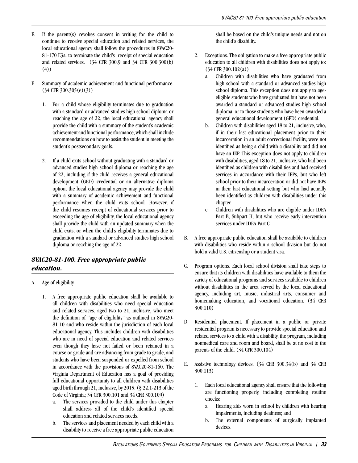- E. If the parent(s) revokes consent in writing for the child to continue to receive special education and related services, the local educational agency shall follow the procedures in 8VAC20- 81-170 E3a. to terminate the child's receipt of special education and related services. (34 CFR 300.9 and 34 CFR 300.300(b) (4))
- F. Summary of academic achievement and functional performance. (34 CFR 300.305(e)(3))
	- 1. For a child whose eligibility terminates due to graduation with a standard or advanced studies high school diploma or reaching the age of 22, the local educational agency shall provide the child with a summary of the student's academic achievement and functional performance, which shall include recommendations on how to assist the student in meeting the student's postsecondary goals.
	- 2. If a child exits school without graduating with a standard or advanced studies high school diploma or reaching the age of 22, including if the child receives a general educational development (GED) credential or an alternative diploma option, the local educational agency may provide the child with a summary of academic achievement and functional performance when the child exits school. However, if the child resumes receipt of educational services prior to exceeding the age of eligibility, the local educational agency shall provide the child with an updated summary when the child exits, or when the child's eligibility terminates due to graduation with a standard or advanced studies high school diploma or reaching the age of 22.

## *8VAC20-81-100. Free appropriate public education.*

- A. Age of eligibility.
	- 1. A free appropriate public education shall be available to all children with disabilities who need special education and related services, aged two to 21, inclusive, who meet the definition of "age of eligibility" as outlined in 8VAC20- 81-10 and who reside within the jurisdiction of each local educational agency. This includes children with disabilities who are in need of special education and related services even though they have not failed or been retained in a course or grade and are advancing from grade to grade, and students who have been suspended or expelled from school in accordance with the provisions of 8VAC20-81-160. The Virginia Department of Education has a goal of providing full educational opportunity to all children with disabilities aged birth through 21, inclusive, by 2015. (§ 22.1-213 of the Code of Virginia; 34 CFR 300.101 and 34 CFR 300.109)
		- a. The services provided to the child under this chapter shall address all of the child's identified special education and related services needs.
		- b. The services and placement needed by each child with a disability to receive a free appropriate public education

shall be based on the child's unique needs and not on the child's disability.

- 2. Exceptions. The obligation to make a free appropriate public education to all children with disabilities does not apply to: (34 CFR 300.102(a))
	- a. Children with disabilities who have graduated from high school with a standard or advanced studies high school diploma. This exception does not apply to ageeligible students who have graduated but have not been awarded a standard or advanced studies high school diploma, or to those students who have been awarded a general educational development (GED) credential.
	- b. Children with disabilities aged 18 to 21, inclusive, who, if in their last educational placement prior to their incarceration in an adult correctional facility, were not identified as being a child with a disability and did not have an IEP. This exception does not apply to children with disabilities, aged 18 to 21, inclusive, who had been identified as children with disabilities and had received services in accordance with their IEPs, but who left school prior to their incarceration or did not have IEPs in their last educational setting but who had actually been identified as children with disabilities under this chapter.
	- c. Children with disabilities who are eligible under IDEA Part B, Subpart H, but who receive early intervention services under IDEA Part C.
- B. A free appropriate public education shall be available to children with disabilities who reside within a school division but do not hold a valid U.S. citizenship or a student visa.
- C. Program options. Each local school division shall take steps to ensure that its children with disabilities have available to them the variety of educational programs and services available to children without disabilities in the area served by the local educational agency, including art, music, industrial arts, consumer and homemaking education, and vocational education. (34 CFR 300.110)
- D. Residential placement. If placement in a public or private residential program is necessary to provide special education and related services to a child with a disability, the program, including nonmedical care and room and board, shall be at no cost to the parents of the child. (34 CFR 300.104)
- E. Assistive technology devices. (34 CFR 300.34(b) and 34 CFR 300.113)
	- 1. Each local educational agency shall ensure that the following are functioning properly, including completing routine checks:
		- a. Hearing aids worn in school by children with hearing impairments, including deafness; and
		- b. The external components of surgically implanted devices.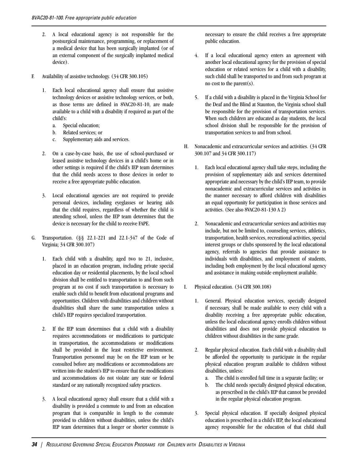- 2. A local educational agency is not responsible for the postsurgical maintenance, programming, or replacement of a medical device that has been surgically implanted (or of an external component of the surgically implanted medical device).
- F. Availability of assistive technology. (34 CFR 300.105)
	- 1. Each local educational agency shall ensure that assistive technology devices or assistive technology services, or both, as those terms are defined in 8VAC20-81-10, are made available to a child with a disability if required as part of the child's:
		- a. Special education;
		- b. Related services; or
		- c. Supplementary aids and services.
	- 2. On a case-by-case basis, the use of school-purchased or leased assistive technology devices in a child's home or in other settings is required if the child's IEP team determines that the child needs access to those devices in order to receive a free appropriate public education.
	- 3. Local educational agencies are not required to provide personal devices, including eyeglasses or hearing aids that the child requires, regardless of whether the child is attending school, unless the IEP team determines that the device is necessary for the child to receive FAPE.
- G. Transportation. (§§ 22.1-221 and 22.1-347 of the Code of Virginia; 34 CFR 300.107)
	- 1. Each child with a disability, aged two to 21, inclusive, placed in an education program, including private special education day or residential placements, by the local school division shall be entitled to transportation to and from such program at no cost if such transportation is necessary to enable such child to benefit from educational programs and opportunities. Children with disabilities and children without disabilities shall share the same transportation unless a child's IEP requires specialized transportation.
	- 2. If the IEP team determines that a child with a disability requires accommodations or modifications to participate in transportation, the accommodations or modifications shall be provided in the least restrictive environment. Transportation personnel may be on the IEP team or be consulted before any modifications or accommodations are written into the student's IEP to ensure that the modifications and accommodations do not violate any state or federal standard or any nationally recognized safety practices.
	- 3. A local educational agency shall ensure that a child with a disability is provided a commute to and from an education program that is comparable in length to the commute provided to children without disabilities, unless the child's IEP team determines that a longer or shorter commute is

necessary to ensure the child receives a free appropriate public education.

- 4. If a local educational agency enters an agreement with another local educational agency for the provision of special education or related services for a child with a disability, such child shall be transported to and from such program at no cost to the parent(s).
- 5. If a child with a disability is placed in the Virginia School for the Deaf and the Blind at Staunton, the Virginia school shall be responsible for the provision of transportation services. When such children are educated as day students, the local school division shall be responsible for the provision of transportation services to and from school.
- H. Nonacademic and extracurricular services and activities. (34 CFR 300.107 and 34 CFR 300.117)
	- 1. Each local educational agency shall take steps, including the provision of supplementary aids and services determined appropriate and necessary by the child's IEP team, to provide nonacademic and extracurricular services and activities in the manner necessary to afford children with disabilities an equal opportunity for participation in those services and activities. (See also 8VAC20-81-130 A 2)
	- 2. Nonacademic and extracurricular services and activities may include, but not be limited to, counseling services, athletics, transportation, health services, recreational activities, special interest groups or clubs sponsored by the local educational agency, referrals to agencies that provide assistance to individuals with disabilities, and employment of students, including both employment by the local educational agency and assistance in making outside employment available.
- I. Physical education. (34 CFR 300.108)
	- 1. General. Physical education services, specially designed if necessary, shall be made available to every child with a disability receiving a free appropriate public education, unless the local educational agency enrolls children without disabilities and does not provide physical education to children without disabilities in the same grade.
	- 2. Regular physical education. Each child with a disability shall be afforded the opportunity to participate in the regular physical education program available to children without disabilities, unless:
		- a. The child is enrolled full time in a separate facility; or
		- b. The child needs specially designed physical education, as prescribed in the child's IEP that cannot be provided in the regular physical education program.
	- 3. Special physical education. If specially designed physical education is prescribed in a child's IEP, the local educational agency responsible for the education of that child shall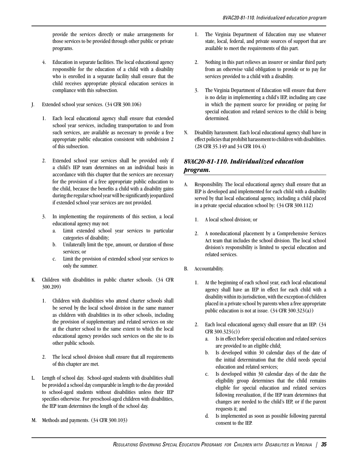provide the services directly or make arrangements for those services to be provided through other public or private programs.

- 4. Education in separate facilities. The local educational agency responsible for the education of a child with a disability who is enrolled in a separate facility shall ensure that the child receives appropriate physical education services in compliance with this subsection.
- J. Extended school year services. (34 CFR 300.106)
	- 1. Each local educational agency shall ensure that extended school year services, including transportation to and from such services, are available as necessary to provide a free appropriate public education consistent with subdivision 2 of this subsection.
	- 2. Extended school year services shall be provided only if a child's IEP team determines on an individual basis in accordance with this chapter that the services are necessary for the provision of a free appropriate public education to the child, because the benefits a child with a disability gains during the regular school year will be significantly jeopardized if extended school year services are not provided.
	- 3. In implementing the requirements of this section, a local educational agency may not:
		- a. Limit extended school year services to particular categories of disability;
		- b. Unilaterally limit the type, amount, or duration of those services; or
		- c. Limit the provision of extended school year services to only the summer.
- K. Children with disabilities in public charter schools. (34 CFR 300.209)
	- 1. Children with disabilities who attend charter schools shall be served by the local school division in the same manner as children with disabilities in its other schools, including the provision of supplementary and related services on site at the charter school to the same extent to which the local educational agency provides such services on the site to its other public schools.
	- 2. The local school division shall ensure that all requirements of this chapter are met.
- L. Length of school day. School-aged students with disabilities shall be provided a school day comparable in length to the day provided to school-aged students without disabilities unless their IEP specifies otherwise. For preschool-aged children with disabilities, the IEP team determines the length of the school day.
- M. Methods and payments. (34 CFR 300.103)
- 1. The Virginia Department of Education may use whatever state, local, federal, and private sources of support that are available to meet the requirements of this part.
- 2. Nothing in this part relieves an insurer or similar third party from an otherwise valid obligation to provide or to pay for services provided to a child with a disability.
- 3. The Virginia Department of Education will ensure that there is no delay in implementing a child's IEP, including any case in which the payment source for providing or paying for special education and related services to the child is being determined.
- N. Disability harassment. Each local educational agency shall have in effect policies that prohibit harassment to children with disabilities. (28 CFR 35.149 and 34 CFR 104.4)

# *8VAC20-81-110. Individualized education program.*

- A. Responsibility. The local educational agency shall ensure that an IEP is developed and implemented for each child with a disability served by that local educational agency, including a child placed in a private special education school by: (34 CFR 300.112)
	- 1. A local school division; or
	- 2. A noneducational placement by a Comprehensive Services Act team that includes the school division. The local school division's responsibility is limited to special education and related services.
- B. Accountability.
	- 1. At the beginning of each school year, each local educational agency shall have an IEP in effect for each child with a disability within its jurisdiction, with the exception of children placed in a private school by parents when a free appropriate public education is not at issue. (34 CFR 300.323(a))
	- 2. Each local educational agency shall ensure that an IEP: (34 CFR 300.323(c))
		- a. Is in effect before special education and related services are provided to an eligible child;
		- b. Is developed within 30 calendar days of the date of the initial determination that the child needs special education and related services;
		- c. Is developed within 30 calendar days of the date the eligibility group determines that the child remains eligible for special education and related services following reevaluation, if the IEP team determines that changes are needed to the child's IEP, or if the parent requests it; and
		- d. Is implemented as soon as possible following parental consent to the IEP.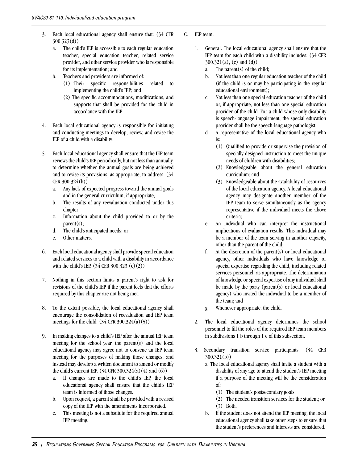- 3. Each local educational agency shall ensure that: (34 CFR 300.323(d))
	- a. The child's IEP is accessible to each regular education teacher, special education teacher, related service provider, and other service provider who is responsible for its implementation; and
	- b. Teachers and providers are informed of:
		- (1) Their specific responsibilities related to implementing the child's IEP; and
		- (2) The specific accommodations, modifications, and supports that shall be provided for the child in accordance with the IEP.
- 4. Each local educational agency is responsible for initiating and conducting meetings to develop, review, and revise the IEP of a child with a disability.
- 5. Each local educational agency shall ensure that the IEP team reviews the child's IEP periodically, but not less than annually, to determine whether the annual goals are being achieved and to revise its provisions, as appropriate, to address: (34 CFR 300.324(b))
	- a. Any lack of expected progress toward the annual goals and in the general curriculum, if appropriate;
	- b. The results of any reevaluation conducted under this chapter;
	- c. Information about the child provided to or by the parent(s);
	- d. The child's anticipated needs; or
	- e. Other matters.
- 6. Each local educational agency shall provide special education and related services to a child with a disability in accordance with the child's IEP. (34 CFR 300.323 (c)(2))
- 7. Nothing in this section limits a parent's right to ask for revisions of the child's IEP if the parent feels that the efforts required by this chapter are not being met.
- 8. To the extent possible, the local educational agency shall encourage the consolidation of reevaluation and IEP team meetings for the child. (34 CFR 300.324(a)(5))
- 9. In making changes to a child's IEP after the annual IEP team meeting for the school year, the parent(s) and the local educational agency may agree not to convene an IEP team meeting for the purposes of making those changes, and instead may develop a written document to amend or modify the child's current IEP.  $(34 \text{ CFR } 300.324(a)(4) \text{ and } (6))$ 
	- a. If changes are made to the child's IEP, the local educational agency shall ensure that the child's IEP team is informed of those changes.
	- b. Upon request, a parent shall be provided with a revised copy of the IEP with the amendments incorporated.
	- c. This meeting is not a substitute for the required annual IEP meeting.
- C. IEP team.
	- 1. General. The local educational agency shall ensure that the IEP team for each child with a disability includes: (34 CFR 300.321(a), (c) and (d))
		- a. The parent(s) of the child;
		- b. Not less than one regular education teacher of the child (if the child is or may be participating in the regular educational environment);
		- c. Not less than one special education teacher of the child or, if appropriate, not less than one special education provider of the child. For a child whose only disability is speech-language impairment, the special education provider shall be the speech-language pathologist;
		- d. A representative of the local educational agency who is:
			- (1) Qualified to provide or supervise the provision of specially designed instruction to meet the unique needs of children with disabilities;
			- (2) Knowledgeable about the general education curriculum; and
			- (3) Knowledgeable about the availability of resources of the local education agency. A local educational agency may designate another member of the IEP team to serve simultaneously as the agency representative if the individual meets the above criteria;
		- e. An individual who can interpret the instructional implications of evaluation results. This individual may be a member of the team serving in another capacity, other than the parent of the child;
		- f. At the discretion of the parent(s) or local educational agency, other individuals who have knowledge or special expertise regarding the child, including related services personnel, as appropriate. The determination of knowledge or special expertise of any individual shall be made by the party (parent(s) or local educational agency) who invited the individual to be a member of the team; and
		- g. Whenever appropriate, the child.
	- 2. The local educational agency determines the school personnel to fill the roles of the required IEP team members in subdivisions 1 b through 1 e of this subsection.
	- 3. Secondary transition service participants. (34 CFR 300.321(b))
		- a. The local educational agency shall invite a student with a disability of any age to attend the student's IEP meeting if a purpose of the meeting will be the consideration of:
			- (1) The student's postsecondary goals;
			- (2) The needed transition services for the student; or (3) Both.
		- b. If the student does not attend the IEP meeting, the local educational agency shall take other steps to ensure that the student's preferences and interests are considered.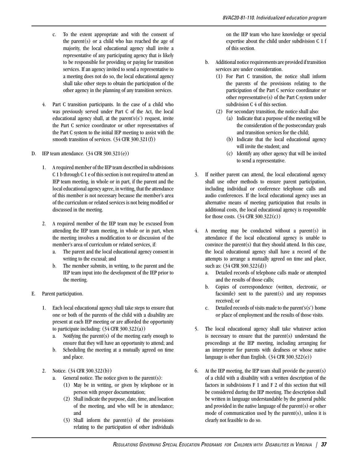- c. To the extent appropriate and with the consent of the parent(s) or a child who has reached the age of majority, the local educational agency shall invite a representative of any participating agency that is likely to be responsible for providing or paying for transition services. If an agency invited to send a representative to a meeting does not do so, the local educational agency shall take other steps to obtain the participation of the other agency in the planning of any transition services.
- 4. Part C transition participants. In the case of a child who was previously served under Part C of the Act, the local educational agency shall, at the parent's $(s')$  request, invite the Part C service coordinator or other representatives of the Part C system to the initial IEP meeting to assist with the smooth transition of services. (34 CFR 300.321(f))
- D. IEP team attendance. (34 CFR 300.321(e))
	- 1. A required member of the IEP team described in subdivisions C 1 b through C 1 e of this section is not required to attend an IEP team meeting, in whole or in part, if the parent and the local educational agency agree, in writing, that the attendance of this member is not necessary because the member's area of the curriculum or related services is not being modified or discussed in the meeting.
	- 2. A required member of the IEP team may be excused from attending the IEP team meeting, in whole or in part, when the meeting involves a modification to or discussion of the member's area of curriculum or related services, if:
		- a. The parent and the local educational agency consent in writing to the excusal; and
		- b. The member submits, in writing, to the parent and the IEP team input into the development of the IEP prior to the meeting.
- E. Parent participation.
	- 1. Each local educational agency shall take steps to ensure that one or both of the parents of the child with a disability are present at each IEP meeting or are afforded the opportunity to participate including:  $(34 \text{ CFR } 300.322(a))$ 
		- a. Notifying the parent(s) of the meeting early enough to ensure that they will have an opportunity to attend; and
		- b. Scheduling the meeting at a mutually agreed on time and place.
	- 2. Notice. (34 CFR 300.322(b))
		- a. General notice. The notice given to the parent(s):
			- (1) May be in writing, or given by telephone or in person with proper documentation;
			- (2) Shall indicate the purpose, date, time, and location of the meeting, and who will be in attendance; and
			- (3) Shall inform the parent(s) of the provisions relating to the participation of other individuals

on the IEP team who have knowledge or special expertise about the child under subdivision C 1 f of this section.

- b. Additional notice requirements are provided if transition services are under consideration.
	- (1) For Part C transition, the notice shall inform the parents of the provisions relating to the participation of the Part C service coordinator or other representative(s) of the Part C system under subdivision C 4 of this section.
	- (2) For secondary transition, the notice shall also:
		- (a) Indicate that a purpose of the meeting will be the consideration of the postsecondary goals and transition services for the child;
		- (b) Indicate that the local educational agency will invite the student; and
		- (c) Identify any other agency that will be invited to send a representative.
- 3. If neither parent can attend, the local educational agency shall use other methods to ensure parent participation, including individual or conference telephone calls and audio conferences. If the local educational agency uses an alternative means of meeting participation that results in additional costs, the local educational agency is responsible for those costs. (34 CFR 300.322(c))
- 4. A meeting may be conducted without a parent(s) in attendance if the local educational agency is unable to convince the parent(s) that they should attend. In this case, the local educational agency shall have a record of the attempts to arrange a mutually agreed on time and place, such as: (34 CFR 300.322(d))
	- a. Detailed records of telephone calls made or attempted and the results of those calls;
	- b. Copies of correspondence (written, electronic, or facsimile) sent to the parent(s) and any responses received; or
	- c. Detailed records of visits made to the parent's(s') home or place of employment and the results of those visits.
- 5. The local educational agency shall take whatever action is necessary to ensure that the parent $(s)$  understand the proceedings at the IEP meeting, including arranging for an interpreter for parents with deafness or whose native language is other than English.  $(34 \text{ CFR } 300.322(e))$
- 6. At the IEP meeting, the IEP team shall provide the parent(s) of a child with a disability with a written description of the factors in subdivisions F 1 and F 2 of this section that will be considered during the IEP meeting. The description shall be written in language understandable by the general public and provided in the native language of the parent(s) or other mode of communication used by the parent $(s)$ , unless it is clearly not feasible to do so.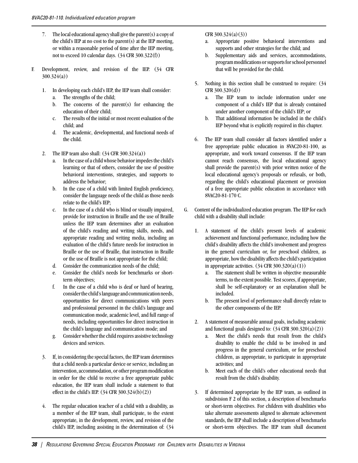- 7. The local educational agency shall give the parent(s) a copy of the child's IEP at no cost to the parent(s) at the IEP meeting, or within a reasonable period of time after the IEP meeting, not to exceed 10 calendar days. (34 CFR 300.322(f))
- F. Development, review, and revision of the IEP. (34 CFR 300.324(a))
	- 1. In developing each child's IEP, the IEP team shall consider:
		- a. The strengths of the child;
		- b. The concerns of the parent $(s)$  for enhancing the education of their child;
		- c. The results of the initial or most recent evaluation of the child; and
		- d. The academic, developmental, and functional needs of the child.
	- 2. The IEP team also shall:  $(34 \text{ CFR } 300.324(a))$ 
		- a. In the case of a child whose behavior impedes the child's learning or that of others, consider the use of positive behavioral interventions, strategies, and supports to address the behavior;
		- b. In the case of a child with limited English proficiency, consider the language needs of the child as those needs relate to the child's IEP;
		- c. In the case of a child who is blind or visually impaired, provide for instruction in Braille and the use of Braille unless the IEP team determines after an evaluation of the child's reading and writing skills, needs, and appropriate reading and writing media, including an evaluation of the child's future needs for instruction in Braille or the use of Braille, that instruction in Braille or the use of Braille is not appropriate for the child;
		- d. Consider the communication needs of the child;
		- e. Consider the child's needs for benchmarks or shortterm objectives:
		- f. In the case of a child who is deaf or hard of hearing, consider the child's language and communication needs, opportunities for direct communications with peers and professional personnel in the child's language and communication mode, academic level, and full range of needs, including opportunities for direct instruction in the child's language and communication mode; and
		- g. Consider whether the child requires assistive technology devices and services.
	- 3. If, in considering the special factors, the IEP team determines that a child needs a particular device or service, including an intervention, accommodation, or other program modification in order for the child to receive a free appropriate public education, the IEP team shall include a statement to that effect in the child's IEP. (34 CFR 300.324(b)(2))
	- 4. The regular education teacher of a child with a disability, as a member of the IEP team, shall participate, to the extent appropriate, in the development, review, and revision of the child's IEP, including assisting in the determination of: (34

### CFR 300.324(a)(3))

- a. Appropriate positive behavioral interventions and supports and other strategies for the child; and
- b. Supplementary aids and services, accommodations, program modifications or supports for school personnel that will be provided for the child.
- 5. Nothing in this section shall be construed to require: (34 CFR 300.320(d))
	- a. The IEP team to include information under one component of a child's IEP that is already contained under another component of the child's IEP; or
	- b. That additional information be included in the child's IEP beyond what is explicitly required in this chapter.
- 6. The IEP team shall consider all factors identified under a free appropriate public education in 8VAC20-81-100, as appropriate, and work toward consensus. If the IEP team cannot reach consensus, the local educational agency shall provide the parent(s) with prior written notice of the local educational agency's proposals or refusals, or both, regarding the child's educational placement or provision of a free appropriate public education in accordance with 8VAC20-81-170 C.
- G. Content of the individualized education program. The IEP for each child with a disability shall include:
	- 1. A statement of the child's present levels of academic achievement and functional performance, including how the child's disability affects the child's involvement and progress in the general curriculum or, for preschool children, as appropriate, how the disability affects the child's participation in appropriate activities.  $(34 \text{ CFR } 300.320(a)(1))$ 
		- a. The statement shall be written in objective measurable terms, to the extent possible. Test scores, if appropriate, shall be self-explanatory or an explanation shall be included.
		- b. The present level of performance shall directly relate to the other components of the IEP.
	- 2. A statement of measurable annual goals, including academic and functional goals designed to:  $(34 \text{ CFR } 300.320(a)(2))$ 
		- a. Meet the child's needs that result from the child's disability to enable the child to be involved in and progress in the general curriculum, or for preschool children, as appropriate, to participate in appropriate activities; and
		- b. Meet each of the child's other educational needs that result from the child's disability.
	- 3. If determined appropriate by the IEP team, as outlined in subdivision F 2 of this section, a description of benchmarks or short-term objectives. For children with disabilities who take alternate assessments aligned to alternate achievement standards, the IEP shall include a description of benchmarks or short-term objectives. The IEP team shall document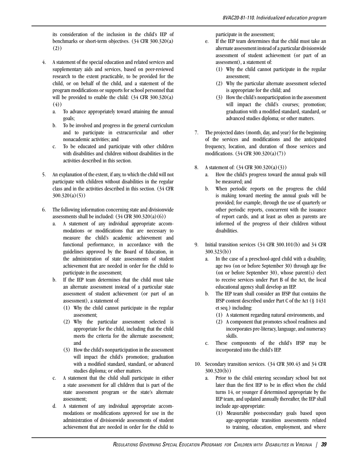its consideration of the inclusion in the child's IEP of benchmarks or short-term objectives. (34 CFR 300.320(a) (2))

- 4. A statement of the special education and related services and supplementary aids and services, based on peer-reviewed research to the extent practicable, to be provided for the child, or on behalf of the child, and a statement of the program modifications or supports for school personnel that will be provided to enable the child:  $(34 \text{ CFR } 300.320(a))$ (4))
	- a. To advance appropriately toward attaining the annual goals;
	- b. To be involved and progress in the general curriculum and to participate in extracurricular and other nonacademic activities; and
	- c. To be educated and participate with other children with disabilities and children without disabilities in the activities described in this section.
- 5. An explanation of the extent, if any, to which the child will not participate with children without disabilities in the regular class and in the activities described in this section. (34 CFR  $300.320(a)(5)$
- 6. The following information concerning state and divisionwide assessments shall be included:  $(34 \text{ CFR } 300.320(a)(6))$ 
	- a. A statement of any individual appropriate accommodations or modifications that are necessary to measure the child's academic achievement and functional performance, in accordance with the guidelines approved by the Board of Education, in the administration of state assessments of student achievement that are needed in order for the child to participate in the assessment;
	- b. If the IEP team determines that the child must take an alternate assessment instead of a particular state assessment of student achievement (or part of an assessment), a statement of:
		- (1) Why the child cannot participate in the regular assessment;
		- (2) Why the particular assessment selected is appropriate for the child, including that the child meets the criteria for the alternate assessment; and
		- (3) How the child's nonparticipation in the assessment will impact the child's promotion; graduation with a modified standard, standard, or advanced studies diploma; or other matters.
	- c. A statement that the child shall participate in either a state assessment for all children that is part of the state assessment program or the state's alternate assessment;
	- d. A statement of any individual appropriate accommodations or modifications approved for use in the administration of divisionwide assessments of student achievement that are needed in order for the child to

participate in the assessment;

- e. If the IEP team determines that the child must take an alternate assessment instead of a particular divisionwide assessment of student achievement (or part of an assessment), a statement of:
	- (1) Why the child cannot participate in the regular assessment;
	- (2) Why the particular alternate assessment selected is appropriate for the child; and
	- (3) How the child's nonparticipation in the assessment will impact the child's courses; promotion; graduation with a modified standard, standard, or advanced studies diploma; or other matters.
- 7. The projected dates (month, day, and year) for the beginning of the services and modifications and the anticipated frequency, location, and duration of those services and modifications. (34 CFR 300.320(a)(7))
- 8. A statement of: (34 CFR 300.320(a)(3))
	- a. How the child's progress toward the annual goals will be measured; and
	- b. When periodic reports on the progress the child is making toward meeting the annual goals will be provided; for example, through the use of quarterly or other periodic reports, concurrent with the issuance of report cards, and at least as often as parents are informed of the progress of their children without disabilities.
- 9. Initial transition services (34 CFR 300.101(b) and 34 CFR 300.323(b))
	- a. In the case of a preschool-aged child with a disability, age two (on or before September 30) through age five (on or before September 30), whose parent(s) elect to receive services under Part B of the Act, the local educational agency shall develop an IEP.
	- b. The IEP team shall consider an IFSP that contains the IFSP content described under Part C of the Act (§ 1431 et seq.) including:
		- (1) A statement regarding natural environments, and
		- (2) A component that promotes school readiness and incorporates pre-literacy, language, and numeracy skills.
	- c. These components of the child's IFSP may be incorporated into the child's IEP.
- 10. Secondary transition services. (34 CFR 300.43 and 34 CFR 300.320(b))
	- a. Prior to the child entering secondary school but not later than the first IEP to be in effect when the child turns 14, or younger if determined appropriate by the IEP team, and updated annually thereafter, the IEP shall include age-appropriate:
		- (1) Measurable postsecondary goals based upon age-appropriate transition assessments related to training, education, employment, and where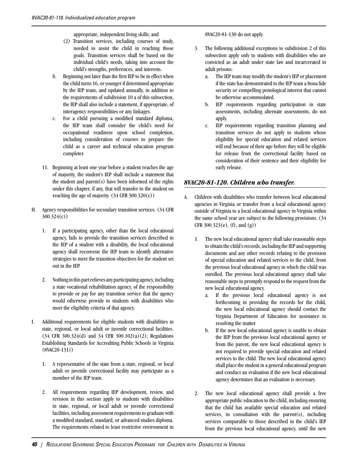appropriate, independent living skills; and

- (2) Transition services, including courses of study, needed to assist the child in reaching those goals. Transition services shall be based on the individual child's needs, taking into account the child's strengths, preferences, and interests.
- b. Beginning not later than the first IEP to be in effect when the child turns 16, or younger if determined appropriate by the IEP team, and updated annually, in addition to the requirements of subdivision 10 a of this subsection, the IEP shall also include a statement, if appropriate, of interagency responsibilities or any linkages.
- c. For a child pursuing a modified standard diploma, the IEP team shall consider the child's need for occupational readiness upon school completion, including consideration of courses to prepare the child as a career and technical education program completer.
- 11. Beginning at least one year before a student reaches the age of majority, the student's IEP shall include a statement that the student and parent $(s)$  have been informed of the rights under this chapter, if any, that will transfer to the student on reaching the age of majority.  $(34 \text{ CFR } 300.320(c))$
- H. Agency responsibilities for secondary transition services. (34 CFR 300.324(c))
	- 1. If a participating agency, other than the local educational agency, fails to provide the transition services described in the IEP of a student with a disability, the local educational agency shall reconvene the IEP team to identify alternative strategies to meet the transition objectives for the student set out in the IEP.
	- 2. Nothing in this part relieves any participating agency, including a state vocational rehabilitation agency, of the responsibility to provide or pay for any transition service that the agency would otherwise provide to students with disabilities who meet the eligibility criteria of that agency.
- I. Additional requirements for eligible students with disabilities in state, regional, or local adult or juvenile correctional facilities. (34 CFR 300.324(d) and 34 CFR 300.102(a)(2); Regulations Establishing Standards for Accrediting Public Schools in Virginia (8VAC20-131))
	- 1. A representative of the state from a state, regional, or local adult or juvenile correctional facility may participate as a member of the IEP team.
	- 2. All requirements regarding IEP development, review, and revision in this section apply to students with disabilities in state, regional, or local adult or juvenile correctional facilities, including assessment requirements to graduate with a modified standard, standard, or advanced studies diploma. The requirements related to least restrictive environment in

### 8VAC20-81-130 do not apply.

- 3. The following additional exceptions to subdivision 2 of this subsection apply only to students with disabilities who are convicted as an adult under state law and incarcerated in adult prisons:
	- a. The IEP team may modify the student's IEP or placement if the state has demonstrated to the IEP team a bona fide security or compelling penological interest that cannot be otherwise accommodated.
	- b. IEP requirements regarding participation in state assessments, including alternate assessments, do not apply.
	- c. IEP requirements regarding transition planning and transition services do not apply to students whose eligibility for special education and related services will end because of their age before they will be eligible for release from the correctional facility based on consideration of their sentence and their eligibility for early release.

## *8VAC20-81-120. Children who transfer.*

- A. Children with disabilities who transfer between local educational agencies in Virginia or transfer from a local educational agency outside of Virginia to a local educational agency in Virginia within the same school year are subject to the following provisions. (34 CFR 300.323(e), (f), and (g))
	- 1. The new local educational agency shall take reasonable steps to obtain the child's records, including the IEP and supporting documents and any other records relating to the provision of special education and related services to the child, from the previous local educational agency in which the child was enrolled. The previous local educational agency shall take reasonable steps to promptly respond to the request from the new local educational agency.
		- a. If the previous local educational agency is not forthcoming in providing the records for the child, the new local educational agency should contact the Virginia Department of Education for assistance in resolving the matter.
		- b. If the new local educational agency is unable to obtain the IEP from the previous local educational agency or from the parent, the new local educational agency is not required to provide special education and related services to the child. The new local educational agency shall place the student in a general educational program and conduct an evaluation if the new local educational agency determines that an evaluation is necessary.
	- 2. The new local educational agency shall provide a free appropriate public education to the child, including ensuring that the child has available special education and related services, in consultation with the parent(s), including services comparable to those described in the child's IEP from the previous local educational agency, until the new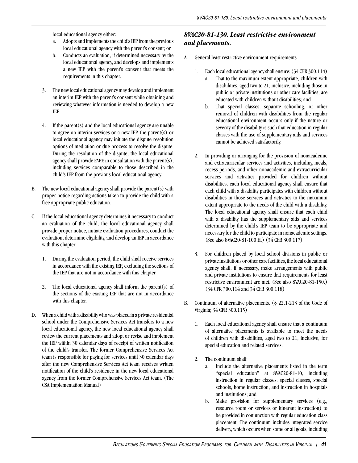local educational agency either:

- a. Adopts and implements the child's IEP from the previous local educational agency with the parent's consent; or
- b. Conducts an evaluation, if determined necessary by the local educational agency, and develops and implements a new IEP with the parent's consent that meets the requirements in this chapter.
- 3. The new local educational agency may develop and implement an interim IEP with the parent's consent while obtaining and reviewing whatever information is needed to develop a new IEP.
- 4. If the parent(s) and the local educational agency are unable to agree on interim services or a new IEP, the parent(s) or local educational agency may initiate the dispute resolution options of mediation or due process to resolve the dispute. During the resolution of the dispute, the local educational agency shall provide FAPE in consultation with the parent(s), including services comparable to those described in the child's IEP from the previous local educational agency.
- B. The new local educational agency shall provide the parent(s) with proper notice regarding actions taken to provide the child with a free appropriate public education.
- C. If the local educational agency determines it necessary to conduct an evaluation of the child, the local educational agency shall provide proper notice, initiate evaluation procedures, conduct the evaluation, determine eligibility, and develop an IEP in accordance with this chapter.
	- 1. During the evaluation period, the child shall receive services in accordance with the existing IEP, excluding the sections of the IEP that are not in accordance with this chapter.
	- 2. The local educational agency shall inform the parent(s) of the sections of the existing IEP that are not in accordance with this chapter.
- D. When a child with a disability who was placed in a private residential school under the Comprehensive Services Act transfers to a new local educational agency, the new local educational agency shall review the current placements and adopt or revise and implement the IEP within 30 calendar days of receipt of written notification of the child's transfer. The former Comprehensive Services Act team is responsible for paying for services until 30 calendar days after the new Comprehensive Services Act team receives written notification of the child's residence in the new local educational agency from the former Comprehensive Services Act team. (The CSA Implementation Manual)

# *8VAC20-81-130. Least restrictive environment and placements.*

- A. General least restrictive environment requirements.
	- 1. Each local educational agency shall ensure: (34 CFR 300.114)
		- That to the maximum extent appropriate, children with disabilities, aged two to 21, inclusive, including those in public or private institutions or other care facilities, are educated with children without disabilities; and
		- b. That special classes, separate schooling, or other removal of children with disabilities from the regular educational environment occurs only if the nature or severity of the disability is such that education in regular classes with the use of supplementary aids and services cannot be achieved satisfactorily.
	- 2. In providing or arranging for the provision of nonacademic and extracurricular services and activities, including meals, recess periods, and other nonacademic and extracurricular services and activities provided for children without disabilities, each local educational agency shall ensure that each child with a disability participates with children without disabilities in those services and activities to the maximum extent appropriate to the needs of the child with a disability. The local educational agency shall ensure that each child with a disability has the supplementary aids and services determined by the child's IEP team to be appropriate and necessary for the child to participate in nonacademic settings. (See also 8VAC20-81-100 H.) (34 CFR 300.117)
	- 3. For children placed by local school divisions in public or private institutions or other care facilities, the local educational agency shall, if necessary, make arrangements with public and private institutions to ensure that requirements for least restrictive environment are met. (See also 8VAC20-81-150.) (34 CFR 300.114 and 34 CFR 300.118)
- B. Continuum of alternative placements. (§ 22.1-213 of the Code of Virginia; 34 CFR 300.115)
	- 1. Each local educational agency shall ensure that a continuum of alternative placements is available to meet the needs of children with disabilities, aged two to 21, inclusive, for special education and related services.
	- 2. The continuum shall:
		- a. Include the alternative placements listed in the term "special education" at 8VAC20-81-10, including instruction in regular classes, special classes, special schools, home instruction, and instruction in hospitals and institutions; and
		- b. Make provision for supplementary services (e.g., resource room or services or itinerant instruction) to be provided in conjunction with regular education class placement. The continuum includes integrated service delivery, which occurs when some or all goals, including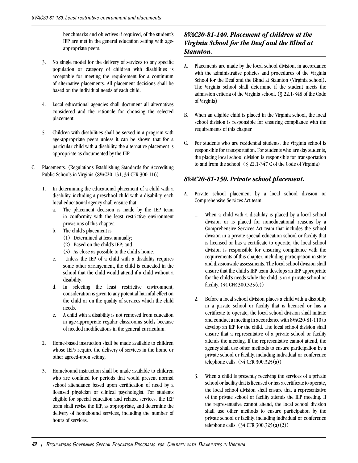benchmarks and objectives if required, of the student's IEP are met in the general education setting with ageappropriate peers.

- 3. No single model for the delivery of services to any specific population or category of children with disabilities is acceptable for meeting the requirement for a continuum of alternative placements. All placement decisions shall be based on the individual needs of each child.
- 4. Local educational agencies shall document all alternatives considered and the rationale for choosing the selected placement.
- 5. Children with disabilities shall be served in a program with age-appropriate peers unless it can be shown that for a particular child with a disability, the alternative placement is appropriate as documented by the IEP.
- C. Placements. (Regulations Establishing Standards for Accrediting Public Schools in Virginia (8VAC20-131; 34 CFR 300.116)
	- 1. In determining the educational placement of a child with a disability, including a preschool child with a disability, each local educational agency shall ensure that:
		- a. The placement decision is made by the IEP team in conformity with the least restrictive environment provisions of this chapter.
		- b. The child's placement is:
			- (1) Determined at least annually;
			- (2) Based on the child's IEP; and
			- (3) As close as possible to the child's home.
		- c. Unless the IEP of a child with a disability requires some other arrangement, the child is educated in the school that the child would attend if a child without a disability.
		- d. In selecting the least restrictive environment, consideration is given to any potential harmful effect on the child or on the quality of services which the child needs.
		- e. A child with a disability is not removed from education in age-appropriate regular classrooms solely because of needed modifications in the general curriculum.
	- 2. Home-based instruction shall be made available to children whose IEPs require the delivery of services in the home or other agreed-upon setting.
	- 3. Homebound instruction shall be made available to children who are confined for periods that would prevent normal school attendance based upon certification of need by a licensed physician or clinical psychologist. For students eligible for special education and related services, the IEP team shall revise the IEP, as appropriate, and determine the delivery of homebound services, including the number of hours of services.

# *8VAC20-81-140. Placement of children at the Virginia School for the Deaf and the Blind at Staunton.*

- A. Placements are made by the local school division, in accordance with the administrative policies and procedures of the Virginia School for the Deaf and the Blind at Staunton (Virginia school). The Virginia school shall determine if the student meets the admission criteria of the Virginia school. (§ 22.1-348 of the Code of Virginia)
- B. When an eligible child is placed in the Virginia school, the local school division is responsible for ensuring compliance with the requirements of this chapter.
- C. For students who are residential students, the Virginia school is responsible for transportation. For students who are day students, the placing local school division is responsible for transportation to and from the school. (§ 22.1-347 C of the Code of Virginia)

## *8VAC20-81-150. Private school placement.*

- A. Private school placement by a local school division or Comprehensive Services Act team.
	- 1. When a child with a disability is placed by a local school division or is placed for noneducational reasons by a Comprehensive Services Act team that includes the school division in a private special education school or facility that is licensed or has a certificate to operate, the local school division is responsible for ensuring compliance with the requirements of this chapter, including participation in state and divisionwide assessments. The local school division shall ensure that the child's IEP team develops an IEP appropriate for the child's needs while the child is in a private school or facility. (34 CFR 300.325(c))
	- 2. Before a local school division places a child with a disability in a private school or facility that is licensed or has a certificate to operate, the local school division shall initiate and conduct a meeting in accordance with 8VAC20-81-110 to develop an IEP for the child. The local school division shall ensure that a representative of a private school or facility attends the meeting. If the representative cannot attend, the agency shall use other methods to ensure participation by a private school or facility, including individual or conference telephone calls. (34 CFR 300.325(a))
	- 3. When a child is presently receiving the services of a private school or facility that is licensed or has a certificate to operate, the local school division shall ensure that a representative of the private school or facility attends the IEP meeting. If the representative cannot attend, the local school division shall use other methods to ensure participation by the private school or facility, including individual or conference telephone calls. (34 CFR 300.325(a)(2))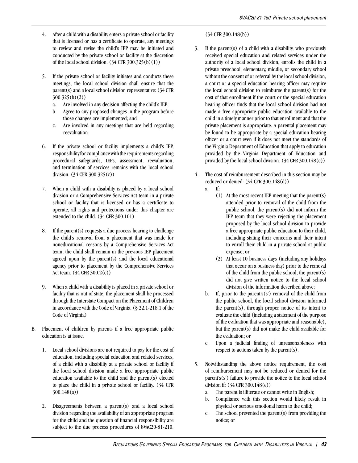- 4. After a child with a disability enters a private school or facility that is licensed or has a certificate to operate, any meetings to review and revise the child's IEP may be initiated and conducted by the private school or facility at the discretion of the local school division.  $(34 \text{ CFR } 300.325(b)(1))$
- 5. If the private school or facility initiates and conducts these meetings, the local school division shall ensure that the parent(s) and a local school division representative: (34 CFR 300.325(b)(2))
	- a. Are involved in any decision affecting the child's IEP;
	- b. Agree to any proposed changes in the program before those changes are implemented; and
	- c. Are involved in any meetings that are held regarding reevaluation.
- 6. If the private school or facility implements a child's IEP, responsibility for compliance with the requirements regarding procedural safeguards, IEPs, assessment, reevaluation, and termination of services remains with the local school division. (34 CFR 300.325(c))
- 7. When a child with a disability is placed by a local school division or a Comprehensive Services Act team in a private school or facility that is licensed or has a certificate to operate, all rights and protections under this chapter are extended to the child. (34 CFR 300.101)
- 8. If the parent(s) requests a due process hearing to challenge the child's removal from a placement that was made for noneducational reasons by a Comprehensive Services Act team, the child shall remain in the previous IEP placement agreed upon by the parent(s) and the local educational agency prior to placement by the Comprehensive Services Act team. (34 CFR 300.2(c))
- 9. When a child with a disability is placed in a private school or facility that is out of state, the placement shall be processed through the Interstate Compact on the Placement of Children in accordance with the Code of Virginia. (§ 22.1-218.1 of the Code of Virginia)
- B. Placement of children by parents if a free appropriate public education is at issue.
	- 1. Local school divisions are not required to pay for the cost of education, including special education and related services, of a child with a disability at a private school or facility if the local school division made a free appropriate public education available to the child and the parent(s) elected to place the child in a private school or facility. (34 CFR 300.148(a))
	- 2. Disagreements between a parent(s) and a local school division regarding the availability of an appropriate program for the child and the question of financial responsibility are subject to the due process procedures of 8VAC20-81-210.

#### (34 CFR 300.148(b))

- 3. If the parent(s) of a child with a disability, who previously received special education and related services under the authority of a local school division, enrolls the child in a private preschool, elementary, middle, or secondary school without the consent of or referral by the local school division, a court or a special education hearing officer may require the local school division to reimburse the parent(s) for the cost of that enrollment if the court or the special education hearing officer finds that the local school division had not made a free appropriate public education available to the child in a timely manner prior to that enrollment and that the private placement is appropriate. A parental placement may be found to be appropriate by a special education hearing officer or a court even if it does not meet the standards of the Virginia Department of Education that apply to education provided by the Virginia Department of Education and provided by the local school division. (34 CFR 300.148(c))
- The cost of reimbursement described in this section may be reduced or denied: (34 CFR 300.148(d)) a. If:
	- (1) At the most recent IEP meeting that the parent(s) attended prior to removal of the child from the public school, the parent(s) did not inform the IEP team that they were rejecting the placement proposed by the local school division to provide a free appropriate public education to their child, including stating their concerns and their intent to enroll their child in a private school at public expense; or
	- (2) At least 10 business days (including any holidays that occur on a business day) prior to the removal of the child from the public school, the parent(s) did not give written notice to the local school division of the information described above;
	- b. If, prior to the parent's(s') removal of the child from the public school, the local school division informed the parent(s), through proper notice of its intent to evaluate the child (including a statement of the purpose of the evaluation that was appropriate and reasonable), but the parent(s) did not make the child available for the evaluation; or
	- c. Upon a judicial finding of unreasonableness with respect to actions taken by the parent(s).
- 5. Notwithstanding the above notice requirement, the cost of reimbursement may not be reduced or denied for the  $\text{parent's}(s')$  failure to provide the notice to the local school division if: (34 CFR 300.148(e))
	- a. The parent is illiterate or cannot write in English;
	- b. Compliance with this section would likely result in physical or serious emotional harm to the child;
	- c. The school prevented the parent(s) from providing the notice; or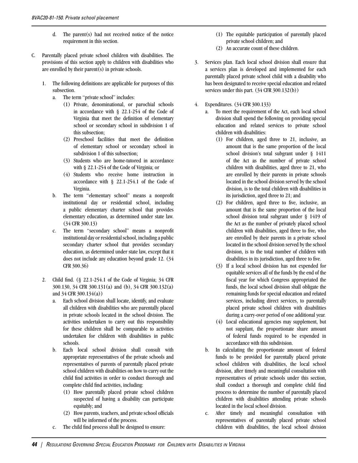- d. The parent(s) had not received notice of the notice requirement in this section.
- C. Parentally placed private school children with disabilities. The provisions of this section apply to children with disabilities who are enrolled by their parent(s) in private schools.
	- 1. The following definitions are applicable for purposes of this subsection.
		- a. The term "private school" includes:
			- (1) Private, denominational, or parochial schools in accordance with § 22.1-254 of the Code of Virginia that meet the definition of elementary school or secondary school in subdivision 1 of this subsection;
			- (2) Preschool facilities that meet the definition of elementary school or secondary school in subdivision 1 of this subsection;
			- (3) Students who are home-tutored in accordance with § 22.1-254 of the Code of Virginia; or
			- (4) Students who receive home instruction in accordance with § 22.1-254.1 of the Code of Virginia.
		- b. The term "elementary school" means a nonprofit institutional day or residential school, including a public elementary charter school that provides elementary education, as determined under state law. (34 CFR 300.13)
		- c. The term "secondary school" means a nonprofit institutional day or residential school, including a public secondary charter school that provides secondary education, as determined under state law, except that it does not include any education beyond grade 12. (34 CFR 300.36)
	- 2. Child find. (§ 22.1-254.1 of the Code of Virginia; 34 CFR 300.130, 34 CFR 300.131(a) and (b), 34 CFR 300.132(a) and 34 CFR 300.134(a))
		- a. Each school division shall locate, identify, and evaluate all children with disabilities who are parentally placed in private schools located in the school division. The activities undertaken to carry out this responsibility for these children shall be comparable to activities undertaken for children with disabilities in public schools.
		- b. Each local school division shall consult with appropriate representatives of the private schools and representatives of parents of parentally placed private school children with disabilities on how to carry out the child find activities in order to conduct thorough and complete child find activities, including:
			- (1) How parentally placed private school children suspected of having a disability can participate equitably; and
			- (2) How parents, teachers, and private school officials will be informed of the process.
		- c. The child find process shall be designed to ensure:
- (1) The equitable participation of parentally placed private school children; and
- (2) An accurate count of these children.
- 3. Services plan. Each local school division shall ensure that a services plan is developed and implemented for each parentally placed private school child with a disability who has been designated to receive special education and related services under this part. (34 CFR 300.132(b))
- 4. Expenditures. (34 CFR 300.133)
	- a. To meet the requirement of the Act, each local school division shall spend the following on providing special education and related services to private school children with disabilities:
		- (1) For children, aged three to 21, inclusive, an amount that is the same proportion of the local school division's total subgrant under § 1411 of the Act as the number of private school children with disabilities, aged three to 21, who are enrolled by their parents in private schools located in the school division served by the school division, is to the total children with disabilities in its jurisdiction, aged three to 21; and
		- (2) For children, aged three to five, inclusive, an amount that is the same proportion of the local school division total subgrant under § 1419 of the Act as the number of privately placed school children with disabilities, aged three to five, who are enrolled by their parents in a private school located in the school division served by the school division, is to the total number of children with disabilities in its jurisdiction, aged three to five.
		- (3) If a local school division has not expended for equitable services all of the funds by the end of the fiscal year for which Congress appropriated the funds, the local school division shall obligate the remaining funds for special education and related services, including direct services, to parentally placed private school children with disabilities during a carry-over period of one additional year.
		- (4) Local educational agencies may supplement, but not supplant, the proportionate share amount of federal funds required to be expended in accordance with this subdivision.
	- b. In calculating the proportionate amount of federal funds to be provided for parentally placed private school children with disabilities, the local school division, after timely and meaningful consultation with representatives of private schools under this section, shall conduct a thorough and complete child find process to determine the number of parentally placed children with disabilities attending private schools located in the local school division.
	- c. After timely and meaningful consultation with representatives of parentally placed private school children with disabilities, the local school division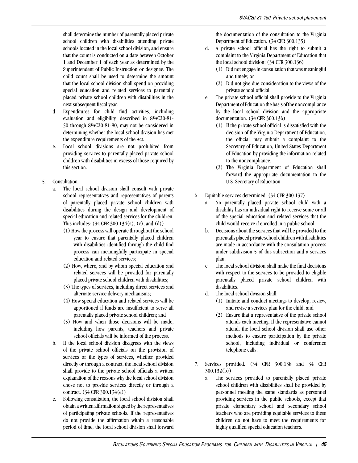shall determine the number of parentally placed private school children with disabilities attending private schools located in the local school division, and ensure that the count is conducted on a date between October 1 and December 1 of each year as determined by the Superintendent of Public Instruction or designee. The child count shall be used to determine the amount that the local school division shall spend on providing special education and related services to parentally placed private school children with disabilities in the next subsequent fiscal year.

- d. Expenditures for child find activities, including evaluation and eligibility, described in 8VAC20-81- 50 through 8VAC20-81-80, may not be considered in determining whether the local school division has met the expenditure requirements of the Act.
- e. Local school divisions are not prohibited from providing services to parentally placed private school children with disabilities in excess of those required by this section.
- 5. Consultation.
	- a. The local school division shall consult with private school representatives and representatives of parents of parentally placed private school children with disabilities during the design and development of special education and related services for the children. This includes:  $(34 \text{ CFR } 300.134(a), (c), \text{ and } (d))$ 
		- (1) How the process will operate throughout the school year to ensure that parentally placed children with disabilities identified through the child find process can meaningfully participate in special education and related services;
		- (2) How, where, and by whom special education and related services will be provided for parentally placed private school children with disabilities;
		- (3) The types of services, including direct services and alternate service delivery mechanisms;
		- (4) How special education and related services will be apportioned if funds are insufficient to serve all parentally placed private school children; and
		- (5) How and when those decisions will be made, including how parents, teachers and private school officials will be informed of the process.
	- b. If the local school division disagrees with the views of the private school officials on the provision of services or the types of services, whether provided directly or through a contract, the local school division shall provide to the private school officials a written explanation of the reasons why the local school division chose not to provide services directly or through a contract. (34 CFR 300.134(e))
	- c. Following consultation, the local school division shall obtain a written affirmation signed by the representatives of participating private schools. If the representatives do not provide the affirmation within a reasonable period of time, the local school division shall forward

the documentation of the consultation to the Virginia Department of Education. (34 CFR 300.135)

- d. A private school official has the right to submit a complaint to the Virginia Department of Education that the local school division: (34 CFR 300.136)
	- (1) Did not engage in consultation that was meaningful and timely; or
	- (2) Did not give due consideration to the views of the private school official.
- e. The private school official shall provide to the Virginia Department of Education the basis of the noncompliance by the local school division and the appropriate documentation. (34 CFR 300.136)
	- (1) If the private school official is dissatisfied with the decision of the Virginia Department of Education, the official may submit a complaint to the Secretary of Education, United States Department of Education by providing the information related to the noncompliance.
	- (2) The Virginia Department of Education shall forward the appropriate documentation to the U.S. Secretary of Education.
- 6. Equitable services determined. (34 CFR 300.137)
	- a. No parentally placed private school child with a disability has an individual right to receive some or all of the special education and related services that the child would receive if enrolled in a public school.
	- b. Decisions about the services that will be provided to the parentally placed private school children with disabilities are made in accordance with the consultation process under subdivision 5 of this subsection and a services plan.
	- c. The local school division shall make the final decisions with respect to the services to be provided to eligible parentally placed private school children with disabilities.
	- d. The local school division shall:
		- (1) Initiate and conduct meetings to develop, review, and revise a services plan for the child; and
		- (2) Ensure that a representative of the private school attends each meeting. If the representative cannot attend, the local school division shall use other methods to ensure participation by the private school, including individual or conference telephone calls.
- 7. Services provided. (34 CFR 300.138 and 34 CFR 300.132(b))
	- a. The services provided to parentally placed private school children with disabilities shall be provided by personnel meeting the same standards as personnel providing services in the public schools, except that private elementary school and secondary school teachers who are providing equitable services to these children do not have to meet the requirements for highly qualified special education teachers.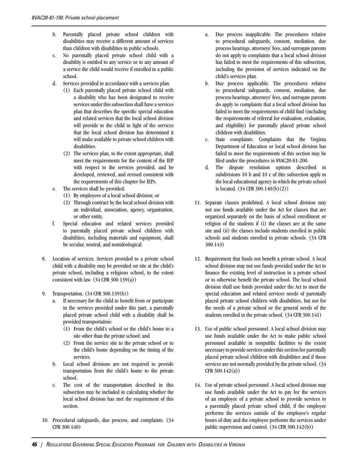- b. Parentally placed private school children with disabilities may receive a different amount of services than children with disabilities in public schools.
- c. No parentally placed private school child with a disability is entitled to any service or to any amount of a service the child would receive if enrolled in a public school.
- d. Services provided in accordance with a services plan.
	- (1) Each parentally placed private school child with a disability who has been designated to receive services under this subsection shall have a services plan that describes the specific special education and related services that the local school division will provide to the child in light of the services that the local school division has determined it will make available to private school children with disabilities.
	- (2) The services plan, to the extent appropriate, shall meet the requirements for the content of the IEP with respect to the services provided, and be developed, reviewed, and revised consistent with the requirements of this chapter for IEPs.
- e. The services shall be provided:
	- (1) By employees of a local school division; or
	- (2) Through contract by the local school division with an individual, association, agency, organization, or other entity.
- f. Special education and related services provided to parentally placed private school children with disabilities, including materials and equipment, shall be secular, neutral, and nonideological.
- 8. Location of services. Services provided to a private school child with a disability may be provided on site at the child's private school, including a religious school, to the extent consistent with law.  $(34 \text{ CFR } 300.139(a))$
- 9. Transportation. (34 CFR 300.139(b))
	- a. If necessary for the child to benefit from or participate in the services provided under this part, a parentally placed private school child with a disability shall be provided transportation:
		- (1) From the child's school or the child's home to a site other than the private school; and
		- (2) From the service site to the private school or to the child's home depending on the timing of the services.
	- b. Local school divisions are not required to provide transportation from the child's home to the private school.
	- c. The cost of the transportation described in this subsection may be included in calculating whether the local school division has met the requirement of this section.
- 10. Procedural safeguards, due process, and complaints. (34 CFR 300.140)
- a. Due process inapplicable. The procedures relative to procedural safeguards, consent, mediation, due process hearings, attorneys' fees, and surrogate parents do not apply to complaints that a local school division has failed to meet the requirements of this subsection, including the provision of services indicated on the child's services plan.
- b. Due process applicable. The procedures relative to procedural safeguards, consent, mediation, due process hearings, attorneys' fees, and surrogate parents do apply to complaints that a local school division has failed to meet the requirements of child find (including the requirements of referral for evaluation, evaluation, and eligibility) for parentally placed private school children with disabilities.
- c. State complaints. Complaints that the Virginia Department of Education or local school division has failed to meet the requirements of this section may be filed under the procedures in 8VAC20-81-200.
- d. The dispute resolution options described in subdivisions 10 b and 10 c of this subsection apply to the local educational agency in which the private school is located. (34 CFR 300.140(b)(2))
- 11. Separate classes prohibited. A local school division may not use funds available under the Act for classes that are organized separately on the basis of school enrollment or religion of the students if (i) the classes are at the same site and (ii) the classes include students enrolled in public schools and students enrolled in private schools. (34 CFR 300.143)
- 12. Requirement that funds not benefit a private school. A local school division may not use funds provided under the Act to finance the existing level of instruction in a private school or to otherwise benefit the private school. The local school division shall use funds provided under the Act to meet the special education and related services needs of parentally placed private school children with disabilities, but not for the needs of a private school or the general needs of the students enrolled in the private school. (34 CFR 300.141)
- 13. Use of public school personnel. A local school division may use funds available under the Act to make public school personnel available in nonpublic facilities to the extent necessary to provide services under this section for parentally placed private school children with disabilities and if those services are not normally provided by the private school. (34  $CFR$  300.142(a))
- 14. Use of private school personnel. A local school division may use funds available under the Act to pay for the services of an employee of a private school to provide services to a parentally placed private school child, if the employee performs the services outside of the employee's regular hours of duty and the employee performs the services under public supervision and control. (34 CFR 300.142(b))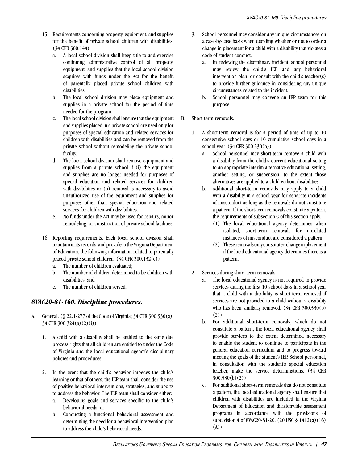- 15. Requirements concerning property, equipment, and supplies for the benefit of private school children with disabilities. (34 CFR 300.144)
	- a. A local school division shall keep title to and exercise continuing administrative control of all property, equipment, and supplies that the local school division acquires with funds under the Act for the benefit of parentally placed private school children with disabilities.
	- b. The local school division may place equipment and supplies in a private school for the period of time needed for the program.
	- c. The local school division shall ensure that the equipment and supplies placed in a private school are used only for purposes of special education and related services for children with disabilities and can be removed from the private school without remodeling the private school facility.
	- d. The local school division shall remove equipment and supplies from a private school if (i) the equipment and supplies are no longer needed for purposes of special education and related services for children with disabilities or (ii) removal is necessary to avoid unauthorized use of the equipment and supplies for purposes other than special education and related services for children with disabilities.
	- e. No funds under the Act may be used for repairs, minor remodeling, or construction of private school facilities.
- 16. Reporting requirements. Each local school division shall maintain in its records, and provide to the Virginia Department of Education, the following information related to parentally placed private school children: (34 CFR 300.132(c))
	- a. The number of children evaluated;
	- b. The number of children determined to be children with disabilities; and
	- c. The number of children served.

## *8VAC20-81-160. Discipline procedures.*

- A. General. (§ 22.1-277 of the Code of Virginia; 34 CFR 300.530(a); 34 CFR 300.324(a)(2)(i))
	- 1. A child with a disability shall be entitled to the same due process rights that all children are entitled to under the Code of Virginia and the local educational agency's disciplinary policies and procedures.
	- 2. In the event that the child's behavior impedes the child's learning or that of others, the IEP team shall consider the use of positive behavioral interventions, strategies, and supports to address the behavior. The IEP team shall consider either:
		- a. Developing goals and services specific to the child's behavioral needs; or
		- b. Conducting a functional behavioral assessment and determining the need for a behavioral intervention plan to address the child's behavioral needs.
- 3. School personnel may consider any unique circumstances on a case-by-case basis when deciding whether or not to order a change in placement for a child with a disability that violates a code of student conduct.
	- a. In reviewing the disciplinary incident, school personnel may review the child's IEP and any behavioral intervention plan, or consult with the child's teacher(s) to provide further guidance in considering any unique circumstances related to the incident.
	- b. School personnel may convene an IEP team for this purpose.
- B. Short-term removals.
	- 1. A short-term removal is for a period of time of up to 10 consecutive school days or 10 cumulative school days in a school year. (34 CFR 300.530(b))
		- a. School personnel may short-term remove a child with a disability from the child's current educational setting to an appropriate interim alternative educational setting, another setting, or suspension, to the extent those alternatives are applied to a child without disabilities.
		- b. Additional short-term removals may apply to a child with a disability in a school year for separate incidents of misconduct as long as the removals do not constitute a pattern. If the short-term removals constitute a pattern, the requirements of subsection C of this section apply.
			- (1) The local educational agency determines when isolated, short-term removals for unrelated instances of misconduct are considered a pattern.
			- (2) These removals only constitute a change in placement if the local educational agency determines there is a pattern.
	- 2. Services during short-term removals.
		- a. The local educational agency is not required to provide services during the first 10 school days in a school year that a child with a disability is short-term removed if services are not provided to a child without a disability who has been similarly removed. (34 CFR 300.530(b) (2))
		- b. For additional short-term removals, which do not constitute a pattern, the local educational agency shall provide services to the extent determined necessary to enable the student to continue to participate in the general education curriculum and to progress toward meeting the goals of the student's IEP. School personnel, in consultation with the student's special education teacher, make the service determinations. (34 CFR 300.530(b)(2))
		- c. For additional short-term removals that do not constitute a pattern, the local educational agency shall ensure that children with disabilities are included in the Virginia Department of Education and divisionwide assessment programs in accordance with the provisions of subdivision 4 of 8VAC20-81-20. (20 USC § 1412(a)(16) (A))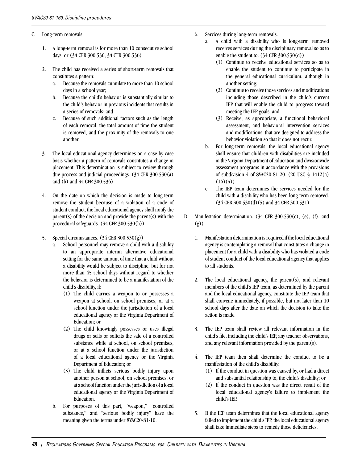- C. Long-term removals.
	- 1. A long-term removal is for more than 10 consecutive school days; or (34 CFR 300.530; 34 CFR 300.536)
	- 2. The child has received a series of short-term removals that constitutes a pattern:
		- a. Because the removals cumulate to more than 10 school days in a school year;
		- b. Because the child's behavior is substantially similar to the child's behavior in previous incidents that results in a series of removals; and
		- c. Because of such additional factors such as the length of each removal, the total amount of time the student is removed, and the proximity of the removals to one another.
	- 3. The local educational agency determines on a case-by-case basis whether a pattern of removals constitutes a change in placement. This determination is subject to review through due process and judicial proceedings. (34 CFR 300.530(a) and (b) and 34 CFR 300.536)
	- 4. On the date on which the decision is made to long-term remove the student because of a violation of a code of student conduct, the local educational agency shall notify the  $parent(s)$  of the decision and provide the parent(s) with the procedural safeguards. (34 CFR 300.530(h))
	- 5. Special circumstances. (34 CFR 300.530(g))
		- a. School personnel may remove a child with a disability to an appropriate interim alternative educational setting for the same amount of time that a child without a disability would be subject to discipline, but for not more than 45 school days without regard to whether the behavior is determined to be a manifestation of the child's disability, if:
			- (1) The child carries a weapon to or possesses a weapon at school, on school premises, or at a school function under the jurisdiction of a local educational agency or the Virginia Department of Education; or
			- (2) The child knowingly possesses or uses illegal drugs or sells or solicits the sale of a controlled substance while at school, on school premises, or at a school function under the jurisdiction of a local educational agency or the Virginia Department of Education; or
			- (3) The child inflicts serious bodily injury upon another person at school, on school premises, or at a school function under the jurisdiction of a local educational agency or the Virginia Department of Education.
		- b. For purposes of this part, "weapon," "controlled substance," and "serious bodily injury" have the meaning given the terms under 8VAC20-81-10.
- 6. Services during long-term removals.
	- a. A child with a disability who is long-term removed receives services during the disciplinary removal so as to enable the student to: (34 CFR 300.530(d))
		- (1) Continue to receive educational services so as to enable the student to continue to participate in the general educational curriculum, although in another setting;
		- (2) Continue to receive those services and modifications including those described in the child's current IEP that will enable the child to progress toward meeting the IEP goals; and
		- (3) Receive, as appropriate, a functional behavioral assessment, and behavioral intervention services and modifications, that are designed to address the behavior violation so that it does not recur.
	- b. For long-term removals, the local educational agency shall ensure that children with disabilities are included in the Virginia Department of Education and divisionwide assessment programs in accordance with the provisions of subdivision 4 of 8VAC20-81-20. (20 USC § 1412(a)  $(16)(A))$
	- c. The IEP team determines the services needed for the child with a disability who has been long-term removed. (34 CFR 300.530(d)(5) and 34 CFR 300.531)
- D. Manifestation determination.  $(34 \text{ CFR } 300.530 \text{ (c)}$ ,  $(e)$ ,  $(f)$ , and (g))
	- 1. Manifestation determination is required if the local educational agency is contemplating a removal that constitutes a change in placement for a child with a disability who has violated a code of student conduct of the local educational agency that applies to all students.
	- 2. The local educational agency, the parent(s), and relevant members of the child's IEP team, as determined by the parent and the local educational agency, constitute the IEP team that shall convene immediately, if possible, but not later than 10 school days after the date on which the decision to take the action is made.
	- 3. The IEP team shall review all relevant information in the child's file, including the child's IEP, any teacher observations, and any relevant information provided by the parent(s).
	- 4. The IEP team then shall determine the conduct to be a manifestation of the child's disability:
		- (1) If the conduct in question was caused by, or had a direct and substantial relationship to, the child's disability; or
		- (2) If the conduct in question was the direct result of the local educational agency's failure to implement the child's IEP.
	- 5. If the IEP team determines that the local educational agency failed to implement the child's IEP, the local educational agency shall take immediate steps to remedy those deficiencies.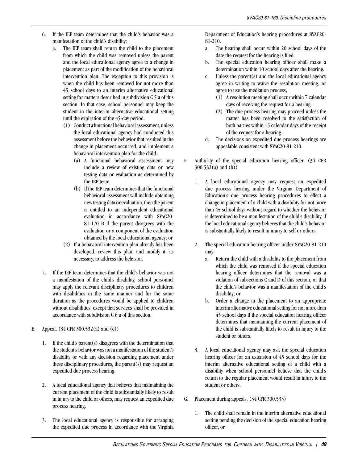- 6. If the IEP team determines that the child's behavior was a manifestation of the child's disability:
	- a. The IEP team shall return the child to the placement from which the child was removed unless the parent and the local educational agency agree to a change in placement as part of the modification of the behavioral intervention plan. The exception to this provision is when the child has been removed for not more than 45 school days to an interim alternative educational setting for matters described in subdivision C 5 a of this section. In that case, school personnel may keep the student in the interim alternative educational setting until the expiration of the 45-day period.
		- (1) Conduct a functional behavioral assessment, unless the local educational agency had conducted this assessment before the behavior that resulted in the change in placement occurred, and implement a behavioral intervention plan for the child.
			- (a) A functional behavioral assessment may include a review of existing data or new testing data or evaluation as determined by the IEP team.
			- (b) If the IEP team determines that the functional behavioral assessment will include obtaining new testing data or evaluation, then the parent is entitled to an independent educational evaluation in accordance with 8VAC20- 81-170 B if the parent disagrees with the evaluation or a component of the evaluation obtained by the local educational agency; or
		- (2) If a behavioral intervention plan already has been developed, review this plan, and modify it, as necessary, to address the behavior.
- 7. If the IEP team determines that the child's behavior was not a manifestation of the child's disability, school personnel may apply the relevant disciplinary procedures to children with disabilities in the same manner and for the same duration as the procedures would be applied to children without disabilities, except that services shall be provided in accordance with subdivision C 6 a of this section.
- E. Appeal.  $(34 \text{ CFR } 300.532(a) \text{ and } (c))$ 
	- 1. If the child's parent(s) disagrees with the determination that the student's behavior was not a manifestation of the student's disability or with any decision regarding placement under these disciplinary procedures, the parent(s) may request an expedited due process hearing.
	- 2. A local educational agency that believes that maintaining the current placement of the child is substantially likely to result in injury to the child or others, may request an expedited due process hearing.
	- 3. The local educational agency is responsible for arranging the expedited due process in accordance with the Virginia

Department of Education's hearing procedures at 8VAC20- 81-210.

- a. The hearing shall occur within 20 school days of the date the request for the hearing is filed.
- b. The special education hearing officer shall make a determination within 10 school days after the hearing.
- c. Unless the parent(s) and the local educational agency agree in writing to waive the resolution meeting, or agree to use the mediation process,
	- (1) A resolution meeting shall occur within 7 calendar days of receiving the request for a hearing.
	- (2) The due process hearing may proceed unless the matter has been resolved to the satisfaction of both parties within 15 calendar days of the receipt of the request for a hearing.
- d. The decisions on expedited due process hearings are appealable consistent with 8VAC20-81-210.
- F. Authority of the special education hearing officer. (34 CFR 300.532(a) and (b))
	- 1. A local educational agency may request an expedited due process hearing under the Virginia Department of Education's due process hearing procedures to effect a change in placement of a child with a disability for not more than 45 school days without regard to whether the behavior is determined to be a manifestation of the child's disability, if the local educational agency believes that the child's behavior is substantially likely to result in injury to self or others.
	- 2. The special education hearing officer under 8VAC20-81-210 may:
		- a. Return the child with a disability to the placement from which the child was removed if the special education hearing officer determines that the removal was a violation of subsections C and D of this section, or that the child's behavior was a manifestation of the child's disability; or
		- b. Order a change in the placement to an appropriate interim alternative educational setting for not more than 45 school days if the special education hearing officer determines that maintaining the current placement of the child is substantially likely to result in injury to the student or others.
	- 3. A local educational agency may ask the special education hearing officer for an extension of 45 school days for the interim alternative educational setting of a child with a disability when school personnel believe that the child's return to the regular placement would result in injury to the student or others.
- G. Placement during appeals. (34 CFR 300.533)
	- 1. The child shall remain in the interim alternative educational setting pending the decision of the special education hearing officer, or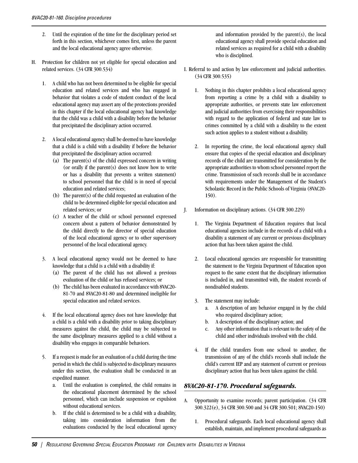- 2. Until the expiration of the time for the disciplinary period set forth in this section, whichever comes first, unless the parent and the local educational agency agree otherwise.
- H. Protection for children not yet eligible for special education and related services. (34 CFR 300.534)
	- 1. A child who has not been determined to be eligible for special education and related services and who has engaged in behavior that violates a code of student conduct of the local educational agency may assert any of the protections provided in this chapter if the local educational agency had knowledge that the child was a child with a disability before the behavior that precipitated the disciplinary action occurred.
	- 2. A local educational agency shall be deemed to have knowledge that a child is a child with a disability if before the behavior that precipitated the disciplinary action occurred:
		- (a) The parent(s) of the child expressed concern in writing (or orally if the parent(s) does not know how to write or has a disability that prevents a written statement) to school personnel that the child is in need of special education and related services;
		- (b) The parent(s) of the child requested an evaluation of the child to be determined eligible for special education and related services; or
		- (c) A teacher of the child or school personnel expressed concern about a pattern of behavior demonstrated by the child directly to the director of special education of the local educational agency or to other supervisory personnel of the local educational agency.
	- 3. A local educational agency would not be deemed to have knowledge that a child is a child with a disability if:
		- (a) The parent of the child has not allowed a previous evaluation of the child or has refused services; or
		- (b) The child has been evaluated in accordance with 8VAC20- 81-70 and 8VAC20-81-80 and determined ineligible for special education and related services.
	- 4. If the local educational agency does not have knowledge that a child is a child with a disability prior to taking disciplinary measures against the child, the child may be subjected to the same disciplinary measures applied to a child without a disability who engages in comparable behaviors.
	- 5. If a request is made for an evaluation of a child during the time period in which the child is subjected to disciplinary measures under this section, the evaluation shall be conducted in an expedited manner.
		- a. Until the evaluation is completed, the child remains in the educational placement determined by the school personnel, which can include suspension or expulsion without educational services.
		- b. If the child is determined to be a child with a disability, taking into consideration information from the evaluations conducted by the local educational agency

and information provided by the parent(s), the local educational agency shall provide special education and related services as required for a child with a disability who is disciplined.

- I. Referral to and action by law enforcement and judicial authorities. (34 CFR 300.535)
	- 1. Nothing in this chapter prohibits a local educational agency from reporting a crime by a child with a disability to appropriate authorities, or prevents state law enforcement and judicial authorities from exercising their responsibilities with regard to the application of federal and state law to crimes committed by a child with a disability to the extent such action applies to a student without a disability.
	- 2. In reporting the crime, the local educational agency shall ensure that copies of the special education and disciplinary records of the child are transmitted for consideration by the appropriate authorities to whom school personnel report the crime. Transmission of such records shall be in accordance with requirements under the Management of the Student's Scholastic Record in the Public Schools of Virginia (8VAC20- 150).
- J. Information on disciplinary actions. (34 CFR 300.229)
	- 1. The Virginia Department of Education requires that local educational agencies include in the records of a child with a disability a statement of any current or previous disciplinary action that has been taken against the child.
	- 2. Local educational agencies are responsible for transmitting the statement to the Virginia Department of Education upon request to the same extent that the disciplinary information is included in, and transmitted with, the student records of nondisabled students.
	- 3. The statement may include:
		- a. A description of any behavior engaged in by the child who required disciplinary action;
		- b. A description of the disciplinary action; and
		- c. Any other information that is relevant to the safety of the child and other individuals involved with the child.
	- 4. If the child transfers from one school to another, the transmission of any of the child's records shall include the child's current IEP and any statement of current or previous disciplinary action that has been taken against the child.

## *8VAC20-81-170. Procedural safeguards.*

- A. Opportunity to examine records; parent participation. (34 CFR 300.322(e), 34 CFR 300.500 and 34 CFR 300.501; 8VAC20-150)
	- 1. Procedural safeguards. Each local educational agency shall establish, maintain, and implement procedural safeguards as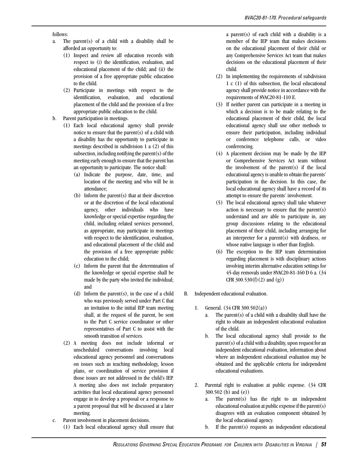#### follows:

- a. The parent(s) of a child with a disability shall be afforded an opportunity to:
	- (1) Inspect and review all education records with respect to (i) the identification, evaluation, and educational placement of the child; and (ii) the provision of a free appropriate public education to the child.
	- (2) Participate in meetings with respect to the identification, evaluation, and educational placement of the child and the provision of a free appropriate public education to the child.
- b. Parent participation in meetings.
	- (1) Each local educational agency shall provide notice to ensure that the parent(s) of a child with a disability has the opportunity to participate in meetings described in subdivision 1 a (2) of this subsection, including notifying the parent(s) of the meeting early enough to ensure that the parent has an opportunity to participate. The notice shall:
		- (a) Indicate the purpose, date, time, and location of the meeting and who will be in attendance;
		- (b) Inform the parent(s) that at their discretion or at the discretion of the local educational agency, other individuals who have knowledge or special expertise regarding the child, including related services personnel, as appropriate, may participate in meetings with respect to the identification, evaluation, and educational placement of the child and the provision of a free appropriate public education to the child;
		- (c) Inform the parent that the determination of the knowledge or special expertise shall be made by the party who invited the individual; and
		- (d) Inform the parent(s), in the case of a child who was previously served under Part C that an invitation to the initial IEP team meeting shall, at the request of the parent, be sent to the Part C service coordinator or other representatives of Part C to assist with the smooth transition of services.
	- (2) A meeting does not include informal or unscheduled conversations involving local educational agency personnel and conversations on issues such as teaching methodology, lesson plans, or coordination of service provision if those issues are not addressed in the child's IEP. A meeting also does not include preparatory activities that local educational agency personnel engage in to develop a proposal or a response to a parent proposal that will be discussed at a later meeting.
- c. Parent involvement in placement decisions.
	- (1) Each local educational agency shall ensure that

a parent(s) of each child with a disability is a member of the IEP team that makes decisions on the educational placement of their child or any Comprehensive Services Act team that makes decisions on the educational placement of their child.

- (2) In implementing the requirements of subdivision 1 c (1) of this subsection, the local educational agency shall provide notice in accordance with the requirements of 8VAC20-81-110 E.
- (3) If neither parent can participate in a meeting in which a decision is to be made relating to the educational placement of their child, the local educational agency shall use other methods to ensure their participation, including individual or conference telephone calls, or video conferencing.
- (4) A placement decision may be made by the IEP or Comprehensive Services Act team without the involvement of the parent(s) if the local educational agency is unable to obtain the parents' participation in the decision. In this case, the local educational agency shall have a record of its attempt to ensure the parents' involvement.
- (5) The local educational agency shall take whatever action is necessary to ensure that the parent(s) understand and are able to participate in, any group discussions relating to the educational placement of their child, including arranging for an interpreter for a parent(s) with deafness, or whose native language is other than English.
- (6) The exception to the IEP team determination regarding placement is with disciplinary actions involving interim alternative education settings for 45-day removals under 8VAC20-81-160 D 6 a. (34 CFR  $300.530(f)(2)$  and  $(g)$ )
- B. Independent educational evaluation.
	- 1. General. (34 CFR 300.502(a))
		- a. The parent(s) of a child with a disability shall have the right to obtain an independent educational evaluation of the child.
		- b. The local educational agency shall provide to the parent(s) of a child with a disability, upon request for an independent educational evaluation, information about where an independent educational evaluation may be obtained and the applicable criteria for independent educational evaluations.
	- 2. Parental right to evaluation at public expense. (34 CFR 300.502 (b) and (e))
		- a. The parent(s) has the right to an independent educational evaluation at public expense if the parent(s) disagrees with an evaluation component obtained by the local educational agency.
		- b. If the parent(s) requests an independent educational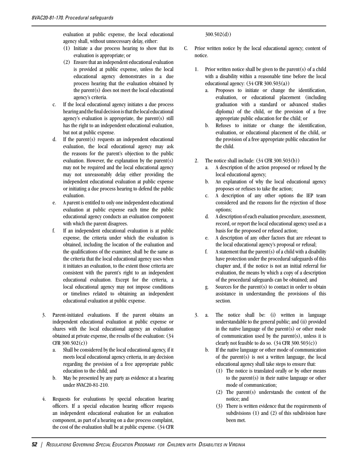evaluation at public expense, the local educational agency shall, without unnecessary delay, either:

- (1) Initiate a due process hearing to show that its evaluation is appropriate; or
- (2) Ensure that an independent educational evaluation is provided at public expense, unless the local educational agency demonstrates in a due process hearing that the evaluation obtained by the parent(s) does not meet the local educational agency's criteria.
- c. If the local educational agency initiates a due process hearing and the final decision is that the local educational agency's evaluation is appropriate, the parent(s) still has the right to an independent educational evaluation, but not at public expense.
- d. If the parent(s) requests an independent educational evaluation, the local educational agency may ask the reasons for the parent's objection to the public evaluation. However, the explanation by the parent(s) may not be required and the local educational agency may not unreasonably delay either providing the independent educational evaluation at public expense or initiating a due process hearing to defend the public evaluation.
- e. A parent is entitled to only one independent educational evaluation at public expense each time the public educational agency conducts an evaluation component with which the parent disagrees.
- f. If an independent educational evaluation is at public expense, the criteria under which the evaluation is obtained, including the location of the evaluation and the qualifications of the examiner, shall be the same as the criteria that the local educational agency uses when it initiates an evaluation, to the extent those criteria are consistent with the parent's right to an independent educational evaluation. Except for the criteria, a local educational agency may not impose conditions or timelines related to obtaining an independent educational evaluation at public expense.
- 3. Parent-initiated evaluations. If the parent obtains an independent educational evaluation at public expense or shares with the local educational agency an evaluation obtained at private expense, the results of the evaluation: (34 CFR 300.502(c))
	- a. Shall be considered by the local educational agency, if it meets local educational agency criteria, in any decision regarding the provision of a free appropriate public education to the child; and
	- b. May be presented by any party as evidence at a hearing under 8VAC20-81-210.
- 4. Requests for evaluations by special education hearing officers. If a special education hearing officer requests an independent educational evaluation for an evaluation component, as part of a hearing on a due process complaint, the cost of the evaluation shall be at public expense. (34 CFR

300.502(d))

- C. Prior written notice by the local educational agency; content of notice.
	- 1. Prior written notice shall be given to the parent(s) of a child with a disability within a reasonable time before the local educational agency:  $(34 \text{ CFR } 300.503(a))$ 
		- a. Proposes to initiate or change the identification, evaluation, or educational placement (including graduation with a standard or advanced studies diploma) of the child, or the provision of a free appropriate public education for the child; or
		- b. Refuses to initiate or change the identification, evaluation, or educational placement of the child, or the provision of a free appropriate public education for the child.
	- 2. The notice shall include:  $(34 \text{ CFR } 300.503(b))$ 
		- a. A description of the action proposed or refused by the local educational agency;
		- b. An explanation of why the local educational agency proposes or refuses to take the action;
		- c. A description of any other options the IEP team considered and the reasons for the rejection of those options;
		- d. A description of each evaluation procedure, assessment, record, or report the local educational agency used as a basis for the proposed or refused action;
		- e. A description of any other factors that are relevant to the local educational agency's proposal or refusal;
		- f. A statement that the parent(s) of a child with a disability have protection under the procedural safeguards of this chapter and, if the notice is not an initial referral for evaluation, the means by which a copy of a description of the procedural safeguards can be obtained; and
		- g. Sources for the parent(s) to contact in order to obtain assistance in understanding the provisions of this section.
	- 3. a. The notice shall be: (i) written in language understandable to the general public; and (ii) provided in the native language of the parent $(s)$  or other mode of communication used by the parent $(s)$ , unless it is clearly not feasible to do so.  $(34 \text{ CFR } 300.503(c))$ 
		- b. If the native language or other mode of communication of the parent(s) is not a written language, the local educational agency shall take steps to ensure that:
			- (1) The notice is translated orally or by other means to the parent(s) in their native language or other mode of communication;
			- (2) The parent(s) understands the content of the notice; and
			- (3) There is written evidence that the requirements of subdivisions (1) and (2) of this subdivision have been met.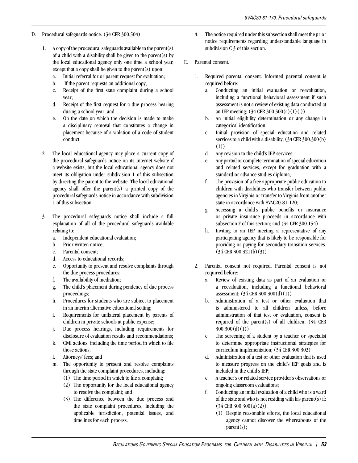- D. Procedural safeguards notice. (34 CFR 300.504)
	- 1. A copy of the procedural safeguards available to the parent(s) of a child with a disability shall be given to the parent(s) by the local educational agency only one time a school year, except that a copy shall be given to the parent(s) upon:
		- a. Initial referral for or parent request for evaluation;
		- b. If the parent requests an additional copy;
		- c. Receipt of the first state complaint during a school year;
		- d. Receipt of the first request for a due process hearing during a school year; and
		- e. On the date on which the decision is made to make a disciplinary removal that constitutes a change in placement because of a violation of a code of student conduct.
	- 2. The local educational agency may place a current copy of the procedural safeguards notice on its Internet website if a website exists, but the local educational agency does not meet its obligation under subdivision 1 of this subsection by directing the parent to the website. The local educational agency shall offer the parent(s) a printed copy of the procedural safeguards notice in accordance with subdivision 1 of this subsection.
	- 3. The procedural safeguards notice shall include a full explanation of all of the procedural safeguards available relating to:
		- a. Independent educational evaluation;
		- b. Prior written notice;
		- c. Parental consent;
		- d. Access to educational records;
		- e. Opportunity to present and resolve complaints through the due process procedures;
		- f. The availability of mediation;
		- g. The child's placement during pendency of due process proceedings;
		- h. Procedures for students who are subject to placement in an interim alternative educational setting;
		- i. Requirements for unilateral placement by parents of children in private schools at public expense;
		- j. Due process hearings, including requirements for disclosure of evaluation results and recommendations;
		- k. Civil actions, including the time period in which to file those actions;
		- l. Attorneys' fees; and
		- m. The opportunity to present and resolve complaints through the state complaint procedures, including:
			- (1) The time period in which to file a complaint;
			- (2) The opportunity for the local educational agency to resolve the complaint; and
			- (3) The difference between the due process and the state complaint procedures, including the applicable jurisdiction, potential issues, and timelines for each process.
- 4. The notice required under this subsection shall meet the prior notice requirements regarding understandable language in subdivision C 3 of this section.
- E. Parental consent.
	- 1. Required parental consent. Informed parental consent is required before:
		- a. Conducting an initial evaluation or reevaluation, including a functional behavioral assessment if such assessment is not a review of existing data conducted at an IEP meeting; (34 CFR 300.300(a)(1)(i))
		- b. An initial eligibility determination or any change in categorical identification;
		- c. Initial provision of special education and related services to a child with a disability;  $(34 \text{ CFR } 300.300 \text{ (b)})$ (1))
		- d. Any revision to the child's IEP services;
		- e. Any partial or complete termination of special education and related services, except for graduation with a standard or advance studies diploma;
		- f. The provision of a free appropriate public education to children with disabilities who transfer between public agencies in Virginia or transfer to Virginia from another state in accordance with 8VAC20-81-120;
		- g. Accessing a child's public benefits or insurance or private insurance proceeds in accordance with subsection F of this section; and (34 CFR 300.154)
		- h. Inviting to an IEP meeting a representative of any participating agency that is likely to be responsible for providing or paying for secondary transition services. (34 CFR 300.321(b)(3))
	- 2. Parental consent not required. Parental consent is not required before:
		- a. Review of existing data as part of an evaluation or a reevaluation, including a functional behavioral assessment; (34 CFR 300.300(d)(1))
		- b. Administration of a test or other evaluation that is administered to all children unless, before administration of that test or evaluation, consent is required of the parent(s) of all children; (34 CFR  $300.300(d)(1))$
		- c. The screening of a student by a teacher or specialist to determine appropriate instructional strategies for curriculum implementation; (34 CFR 300.302)
		- d. Administration of a test or other evaluation that is used to measure progress on the child's IEP goals and is included in the child's IEP;
		- e. A teacher's or related service provider's observations or ongoing classroom evaluations;
		- f. Conducting an initial evaluation of a child who is a ward of the state and who is not residing with his parent(s) if: (34 CFR 300.300(a)(2))
			- (1) Despite reasonable efforts, the local educational agency cannot discover the whereabouts of the parent(s);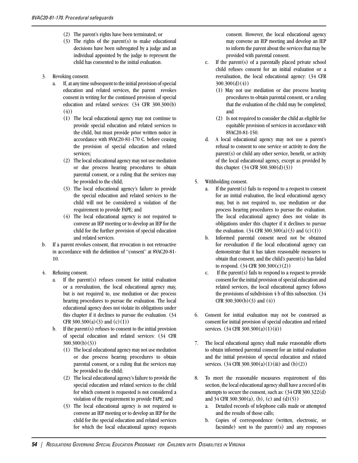- (2) The parent's rights have been terminated; or
- (3) The rights of the parent(s) to make educational decisions have been subrogated by a judge and an individual appointed by the judge to represent the child has consented to the initial evaluation.
- 3. Revoking consent.
	- a. If, at any time subsequent to the initial provision of special education and related services, the parent revokes consent in writing for the continued provision of special education and related services: (34 CFR 300.300(b) (4))
		- (1) The local educational agency may not continue to provide special education and related services to the child, but must provide prior written notice in accordance with 8VAC20-81-170 C. before ceasing the provision of special education and related services;
		- (2) The local educational agency may not use mediation or due process hearing procedures to obtain parental consent, or a ruling that the services may be provided to the child;
		- (3) The local educational agency's failure to provide the special education and related services to the child will not be considered a violation of the requirement to provide FAPE; and
		- (4) The local educational agency is not required to convene an IEP meeting or to develop an IEP for the child for the further provision of special education and related services.
- b. If a parent revokes consent, that revocation is not retroactive in accordance with the definition of "consent" at 8VAC20-81- 10.
- 4. Refusing consent.
	- a. If the parent(s) refuses consent for initial evaluation or a reevaluation, the local educational agency may, but is not required to, use mediation or due process hearing procedures to pursue the evaluation. The local educational agency does not violate its obligations under this chapter if it declines to pursue the evaluation. (34 CFR  $300.300(a)(3)$  and  $(c)(1))$
	- b. If the parent(s) refuses to consent to the initial provision of special education and related services: (34 CFR 300.300(b)(3))
		- (1) The local educational agency may not use mediation or due process hearing procedures to obtain parental consent, or a ruling that the services may be provided to the child;
		- (2) The local educational agency's failure to provide the special education and related services to the child for which consent is requested is not considered a violation of the requirement to provide FAPE; and
		- (3) The local educational agency is not required to convene an IEP meeting or to develop an IEP for the child for the special education and related services for which the local educational agency requests

consent. However, the local educational agency may convene an IEP meeting and develop an IEP to inform the parent about the services that may be provided with parental consent.

- c. If the parent(s) of a parentally placed private school child refuses consent for an initial evaluation or a reevaluation, the local educational agency: (34 CFR  $300.300(d)(4)$ 
	- (1) May not use mediation or due process hearing procedures to obtain parental consent, or a ruling that the evaluation of the child may be completed; and
	- (2) Is not required to consider the child as eligible for equitable provision of services in accordance with 8VAC20-81-150.
- d. A local educational agency may not use a parent's refusal to consent to one service or activity to deny the parent(s) or child any other service, benefit, or activity of the local educational agency, except as provided by this chapter. (34 CFR 300.300(d)(3))
- 5. Withholding consent.
	- a. If the parent(s) fails to respond to a request to consent for an initial evaluation, the local educational agency may, but is not required to, use mediation or due process hearing procedures to pursue the evaluation. The local educational agency does not violate its obligations under this chapter if it declines to pursue the evaluation.  $(34 \text{ CFR } 300.300(a)(3) \text{ and } (c)(1))$
	- b. Informed parental consent need not be obtained for reevaluation if the local educational agency can demonstrate that it has taken reasonable measures to obtain that consent, and the child's parent(s) has failed to respond. (34 CFR 300.300(c)(2))
	- c. If the parent(s) fails to respond to a request to provide consent for the initial provision of special education and related services, the local educational agency follows the provisions of subdivision 4 b of this subsection. (34 CFR 300.300(b)(3) and (4))
- 6. Consent for initial evaluation may not be construed as consent for initial provision of special education and related services. (34 CFR 300.300(a)(1)(ii))
- 7. The local educational agency shall make reasonable efforts to obtain informed parental consent for an initial evaluation and the initial provision of special education and related services.  $(34 \text{ CFR } 300.300(a)(1)(iii) \text{ and } (b)(2))$
- 8. To meet the reasonable measures requirement of this section, the local educational agency shall have a record of its attempts to secure the consent, such as: (34 CFR 300.322(d) and 34 CFR 300.300(a), (b), (c) and (d)(5))
	- a. Detailed records of telephone calls made or attempted and the results of those calls;
	- b. Copies of correspondence (written, electronic, or facsimile) sent to the parent(s) and any responses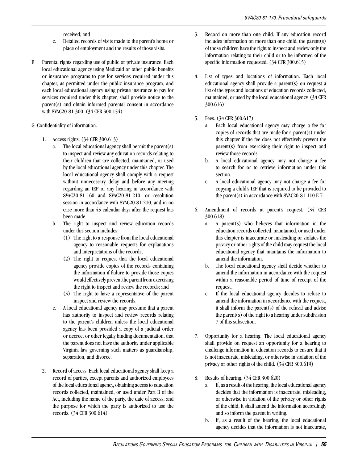received; and

- c. Detailed records of visits made to the parent's home or place of employment and the results of those visits.
- F. Parental rights regarding use of public or private insurance. Each local educational agency using Medicaid or other public benefits or insurance programs to pay for services required under this chapter, as permitted under the public insurance program, and each local educational agency using private insurance to pay for services required under this chapter, shall provide notice to the parent(s) and obtain informed parental consent in accordance with 8VAC20-81-300. (34 CFR 300.154)

#### G. Confidentiality of information.

- 1. Access rights. (34 CFR 300.613)
	- a. The local educational agency shall permit the parent(s) to inspect and review any education records relating to their children that are collected, maintained, or used by the local educational agency under this chapter. The local educational agency shall comply with a request without unnecessary delay and before any meeting regarding an IEP or any hearing in accordance with 8VAC20-81-160 and 8VAC20-81-210, or resolution session in accordance with 8VAC20-81-210, and in no case more than 45 calendar days after the request has been made.
	- b. The right to inspect and review education records under this section includes:
		- (1) The right to a response from the local educational agency to reasonable requests for explanations and interpretations of the records;
		- (2) The right to request that the local educational agency provide copies of the records containing the information if failure to provide those copies would effectively prevent the parent from exercising the right to inspect and review the records; and
		- (3) The right to have a representative of the parent inspect and review the records.
	- c. A local educational agency may presume that a parent has authority to inspect and review records relating to the parent's children unless the local educational agency has been provided a copy of a judicial order or decree, or other legally binding documentation, that the parent does not have the authority under applicable Virginia law governing such matters as guardianship, separation, and divorce.
- 2. Record of access. Each local educational agency shall keep a record of parties, except parents and authorized employees of the local educational agency, obtaining access to education records collected, maintained, or used under Part B of the Act, including the name of the party, the date of access, and the purpose for which the party is authorized to use the records. (34 CFR 300.614)
- 3. Record on more than one child. If any education record includes information on more than one child, the parent(s) of those children have the right to inspect and review only the information relating to their child or to be informed of the specific information requested. (34 CFR 300.615)
- 4. List of types and locations of information. Each local educational agency shall provide a parent(s) on request a list of the types and locations of education records collected, maintained, or used by the local educational agency. (34 CFR 300.616)
- 5. Fees. (34 CFR 300.617)
	- a. Each local educational agency may charge a fee for copies of records that are made for a parent(s) under this chapter if the fee does not effectively prevent the parent(s) from exercising their right to inspect and review those records.
	- b. A local educational agency may not charge a fee to search for or to retrieve information under this section.
	- c. A local educational agency may not charge a fee for copying a child's IEP that is required to be provided to the parent(s) in accordance with 8VAC20-81-110 E 7.
- 6. Amendment of records at parent's request. (34 CFR 300.618)
	- a. A parent(s) who believes that information in the education records collected, maintained, or used under this chapter is inaccurate or misleading or violates the privacy or other rights of the child may request the local educational agency that maintains the information to amend the information.
	- b. The local educational agency shall decide whether to amend the information in accordance with the request within a reasonable period of time of receipt of the request.
	- c. If the local educational agency decides to refuse to amend the information in accordance with the request, it shall inform the parent(s) of the refusal and advise the parent $(s)$  of the right to a hearing under subdivision 7 of this subsection.
- 7. Opportunity for a hearing. The local educational agency shall provide on request an opportunity for a hearing to challenge information in education records to ensure that it is not inaccurate, misleading, or otherwise in violation of the privacy or other rights of the child. (34 CFR 300.619)
- 8. Results of hearing. (34 CFR 300.620)
	- a. If, as a result of the hearing, the local educational agency decides that the information is inaccurate, misleading, or otherwise in violation of the privacy or other rights of the child, it shall amend the information accordingly and so inform the parent in writing.
	- b. If, as a result of the hearing, the local educational agency decides that the information is not inaccurate,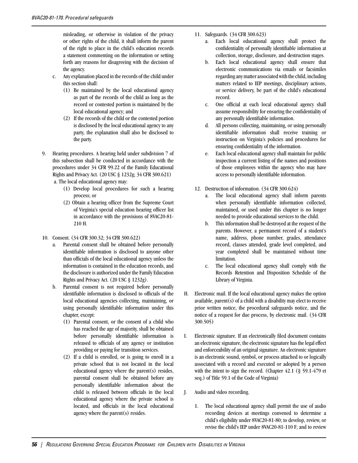misleading, or otherwise in violation of the privacy or other rights of the child, it shall inform the parent of the right to place in the child's education records a statement commenting on the information or setting forth any reasons for disagreeing with the decision of the agency.

- c. Any explanation placed in the records of the child under this section shall:
	- (1) Be maintained by the local educational agency as part of the records of the child as long as the record or contested portion is maintained by the local educational agency; and
	- (2) If the records of the child or the contested portion is disclosed by the local educational agency to any party, the explanation shall also be disclosed to the party.
- 9. Hearing procedures. A hearing held under subdivision 7 of this subsection shall be conducted in accordance with the procedures under 34 CFR 99.22 of the Family Educational Rights and Privacy Act. (20 USC § 1232g; 34 CFR 300.621) a. The local educational agency may:
	- (1) Develop local procedures for such a hearing process; or
	- (2) Obtain a hearing officer from the Supreme Court of Virginia's special education hearing officer list in accordance with the provisions of 8VAC20-81- 210 H.
- 10. Consent. (34 CFR 300.32; 34 CFR 300.622)
	- a. Parental consent shall be obtained before personally identifiable information is disclosed to anyone other than officials of the local educational agency unless the information is contained in the education records, and the disclosure is authorized under the Family Education Rights and Privacy Act. (20 USC § 1232g).
	- b. Parental consent is not required before personally identifiable information is disclosed to officials of the local educational agencies collecting, maintaining, or using personally identifiable information under this chapter, except:
		- (1) Parental consent, or the consent of a child who has reached the age of majority, shall be obtained before personally identifiable information is released to officials of any agency or institution providing or paying for transition services.
		- (2) If a child is enrolled, or is going to enroll in a private school that is not located in the local educational agency where the parent(s) resides, parental consent shall be obtained before any personally identifiable information about the child is released between officials in the local educational agency where the private school is located, and officials in the local educational agency where the parent(s) resides.
- 11. Safeguards. (34 CFR 300.623)
	- a. Each local educational agency shall protect the confidentiality of personally identifiable information at collection, storage, disclosure, and destruction stages.
	- b. Each local educational agency shall ensure that electronic communications via emails or facsimiles regarding any matter associated with the child, including matters related to IEP meetings, disciplinary actions, or service delivery, be part of the child's educational record.
	- c. One official at each local educational agency shall assume responsibility for ensuring the confidentiality of any personally identifiable information.
	- d. All persons collecting, maintaining, or using personally identifiable information shall receive training or instruction on Virginia's policies and procedures for ensuring confidentiality of the information.
	- e. Each local educational agency shall maintain for public inspection a current listing of the names and positions of those employees within the agency who may have access to personally identifiable information.
- 12. Destruction of information. (34 CFR 300.624)
	- a. The local educational agency shall inform parents when personally identifiable information collected, maintained, or used under this chapter is no longer needed to provide educational services to the child.
	- b. This information shall be destroyed at the request of the parents. However, a permanent record of a student's name, address, phone number, grades, attendance record, classes attended, grade level completed, and year completed shall be maintained without time limitation.
	- c. The local educational agency shall comply with the Records Retention and Disposition Schedule of the Library of Virginia.
- H. Electronic mail. If the local educational agency makes the option available, parent(s) of a child with a disability may elect to receive prior written notice, the procedural safeguards notice, and the notice of a request for due process, by electronic mail. (34 CFR 300.505)
- I. Electronic signature. If an electronically filed document contains an electronic signature, the electronic signature has the legal effect and enforceability of an original signature. An electronic signature is an electronic sound, symbol, or process attached to or logically associated with a record and executed or adopted by a person with the intent to sign the record. (Chapter 42.1 (§ 59.1-479 et seq.) of Title 59.1 of the Code of Virginia)
- J. Audio and video recording.
	- 1. The local educational agency shall permit the use of audio recording devices at meetings convened to determine a child's eligibility under 8VAC20-81-80; to develop, review, or revise the child's IEP under 8VAC20-81-110 F; and to review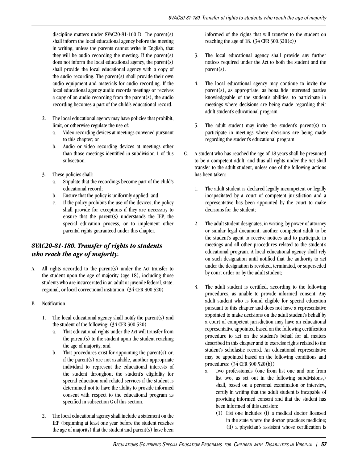discipline matters under 8VAC20-81-160 D. The parent(s) shall inform the local educational agency before the meeting in writing, unless the parents cannot write in English, that they will be audio recording the meeting. If the parent(s) does not inform the local educational agency, the parent(s) shall provide the local educational agency with a copy of the audio recording. The parent(s) shall provide their own audio equipment and materials for audio recording. If the local educational agency audio records meetings or receives a copy of an audio recording from the parent(s), the audio recording becomes a part of the child's educational record.

- 2. The local educational agency may have policies that prohibit, limit, or otherwise regulate the use of:
	- a. Video recording devices at meetings convened pursuant to this chapter; or
	- b. Audio or video recording devices at meetings other than those meetings identified in subdivision 1 of this subsection.
- 3. These policies shall:
	- a. Stipulate that the recordings become part of the child's educational record;
	- b. Ensure that the policy is uniformly applied; and
	- c. If the policy prohibits the use of the devices, the policy shall provide for exceptions if they are necessary to ensure that the parent(s) understands the IEP, the special education process, or to implement other parental rights guaranteed under this chapter.

## *8VAC20-81-180. Transfer of rights to students who reach the age of majority.*

- A. All rights accorded to the parent(s) under the Act transfer to the student upon the age of majority (age 18), including those students who are incarcerated in an adult or juvenile federal, state, regional, or local correctional institution. (34 CFR 300.520)
- B. Notification.
	- 1. The local educational agency shall notify the parent(s) and the student of the following: (34 CFR 300.520)
		- a. That educational rights under the Act will transfer from the parent $(s)$  to the student upon the student reaching the age of majority; and
		- b. That procedures exist for appointing the parent(s) or, if the parent(s) are not available, another appropriate individual to represent the educational interests of the student throughout the student's eligibility for special education and related services if the student is determined not to have the ability to provide informed consent with respect to the educational program as specified in subsection C of this section.
	- 2. The local educational agency shall include a statement on the IEP (beginning at least one year before the student reaches the age of majority) that the student and parent $(s)$  have been

informed of the rights that will transfer to the student on reaching the age of 18. (34 CFR 300.320(c))

- 3. The local educational agency shall provide any further notices required under the Act to both the student and the parent(s).
- 4. The local educational agency may continue to invite the parent(s), as appropriate, as bona fide interested parties knowledgeable of the student's abilities, to participate in meetings where decisions are being made regarding their adult student's educational program.
- 5. The adult student may invite the student's parent(s) to participate in meetings where decisions are being made regarding the student's educational program.
- C. A student who has reached the age of 18 years shall be presumed to be a competent adult, and thus all rights under the Act shall transfer to the adult student, unless one of the following actions has been taken:
	- 1. The adult student is declared legally incompetent or legally incapacitated by a court of competent jurisdiction and a representative has been appointed by the court to make decisions for the student;
	- 2. The adult student designates, in writing, by power of attorney or similar legal document, another competent adult to be the student's agent to receive notices and to participate in meetings and all other procedures related to the student's educational program. A local educational agency shall rely on such designation until notified that the authority to act under the designation is revoked, terminated, or superseded by court order or by the adult student;
	- 3. The adult student is certified, according to the following procedures, as unable to provide informed consent. Any adult student who is found eligible for special education pursuant to this chapter and does not have a representative appointed to make decisions on the adult student's behalf by a court of competent jurisdiction may have an educational representative appointed based on the following certification procedure to act on the student's behalf for all matters described in this chapter and to exercise rights related to the student's scholastic record. An educational representative may be appointed based on the following conditions and procedures: (34 CFR 300.520(b))
		- a. Two professionals (one from list one and one from list two, as set out in the following subdivisions,) shall, based on a personal examination or interview, certify in writing that the adult student is incapable of providing informed consent and that the student has been informed of this decision:
			- (1) List one includes (i) a medical doctor licensed in the state where the doctor practices medicine; (ii) a physician's assistant whose certification is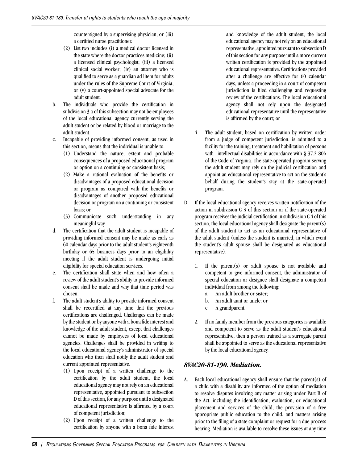countersigned by a supervising physician; or (iii) a certified nurse practitioner.

- (2) List two includes (i) a medical doctor licensed in the state where the doctor practices medicine; (ii) a licensed clinical psychologist; (iii) a licensed clinical social worker; (iv) an attorney who is qualified to serve as a guardian ad litem for adults under the rules of the Supreme Court of Virginia; or (v) a court-appointed special advocate for the adult student.
- b. The individuals who provide the certification in subdivision 3 a of this subsection may not be employees of the local educational agency currently serving the adult student or be related by blood or marriage to the adult student.
- c. Incapable of providing informed consent, as used in this section, means that the individual is unable to:
	- (1) Understand the nature, extent and probable consequences of a proposed educational program or option on a continuing or consistent basis;
	- (2) Make a rational evaluation of the benefits or disadvantages of a proposed educational decision or program as compared with the benefits or disadvantages of another proposed educational decision or program on a continuing or consistent basis; or
	- (3) Communicate such understanding in any meaningful way.
- d. The certification that the adult student is incapable of providing informed consent may be made as early as 60 calendar days prior to the adult student's eighteenth birthday or 65 business days prior to an eligibility meeting if the adult student is undergoing initial eligibility for special education services.
- e. The certification shall state when and how often a review of the adult student's ability to provide informed consent shall be made and why that time period was chosen.
- f. The adult student's ability to provide informed consent shall be recertified at any time that the previous certifications are challenged. Challenges can be made by the student or by anyone with a bona fide interest and knowledge of the adult student, except that challenges cannot be made by employees of local educational agencies. Challenges shall be provided in writing to the local educational agency's administrator of special education who then shall notify the adult student and current appointed representative.
	- (1) Upon receipt of a written challenge to the certification by the adult student, the local educational agency may not rely on an educational representative, appointed pursuant to subsection D of this section, for any purpose until a designated educational representative is affirmed by a court of competent jurisdiction;
	- (2) Upon receipt of a written challenge to the certification by anyone with a bona fide interest

and knowledge of the adult student, the local educational agency may not rely on an educational representative, appointed pursuant to subsection D of this section for any purpose until a more current written certification is provided by the appointed educational representative. Certifications provided after a challenge are effective for 60 calendar days, unless a proceeding in a court of competent jurisdiction is filed challenging and requesting review of the certifications. The local educational agency shall not rely upon the designated educational representative until the representative is affirmed by the court; or

- 4. The adult student, based on certification by written order from a judge of competent jurisdiction, is admitted to a facility for the training, treatment and habilitation of persons with intellectual disabilities in accordance with § 37.2-806 of the Code of Virginia. The state-operated program serving the adult student may rely on the judicial certification and appoint an educational representative to act on the student's behalf during the student's stay at the state-operated program.
- D. If the local educational agency receives written notification of the action in subdivision C 3 of this section or if the state-operated program receives the judicial certification in subdivision C 4 of this section, the local educational agency shall designate the parent(s) of the adult student to act as an educational representative of the adult student (unless the student is married, in which event the student's adult spouse shall be designated as educational representative).
	- 1. If the parent(s) or adult spouse is not available and competent to give informed consent, the administrator of special education or designee shall designate a competent individual from among the following:
		- a. An adult brother or sister;
		- b. An adult aunt or uncle; or
		- c. A grandparent.
	- 2. If no family member from the previous categories is available and competent to serve as the adult student's educational representative, then a person trained as a surrogate parent shall be appointed to serve as the educational representative by the local educational agency.

### *8VAC20-81-190. Mediation.*

A. Each local educational agency shall ensure that the parent(s) of a child with a disability are informed of the option of mediation to resolve disputes involving any matter arising under Part B of the Act, including the identification, evaluation, or educational placement and services of the child, the provision of a free appropriate public education to the child, and matters arising prior to the filing of a state complaint or request for a due process hearing. Mediation is available to resolve these issues at any time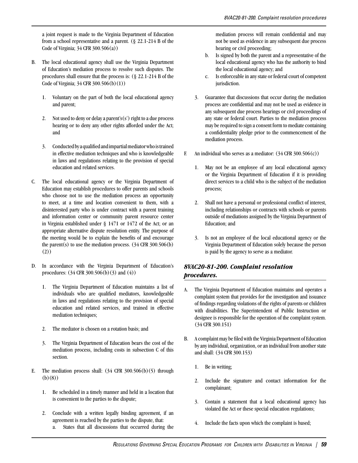a joint request is made to the Virginia Department of Education from a school representative and a parent. (§ 22.1-214 B of the Code of Virginia; 34 CFR 300.506(a))

- B. The local educational agency shall use the Virginia Department of Education's mediation process to resolve such disputes. The procedures shall ensure that the process is: (§ 22.1-214 B of the Code of Virginia; 34 CFR 300.506(b)(1))
	- 1. Voluntary on the part of both the local educational agency and parent;
	- 2. Not used to deny or delay a parent's $(s')$  right to a due process hearing or to deny any other rights afforded under the Act; and
	- 3. Conducted by a qualified and impartial mediator who is trained in effective mediation techniques and who is knowledgeable in laws and regulations relating to the provision of special education and related services.
- C. The local educational agency or the Virginia Department of Education may establish procedures to offer parents and schools who choose not to use the mediation process an opportunity to meet, at a time and location convenient to them, with a disinterested party who is under contract with a parent training and information center or community parent resource center in Virginia established under § 1471 or 1472 of the Act; or an appropriate alternative dispute resolution entity. The purpose of the meeting would be to explain the benefits of and encourage the parent(s) to use the mediation process.  $(34 \text{ CFR } 300.506(b))$ (2))
- D. In accordance with the Virginia Department of Education's procedures: (34 CFR 300.506(b)(3) and (4))
	- 1. The Virginia Department of Education maintains a list of individuals who are qualified mediators, knowledgeable in laws and regulations relating to the provision of special education and related services, and trained in effective mediation techniques;
	- 2. The mediator is chosen on a rotation basis; and
	- 3. The Virginia Department of Education bears the cost of the mediation process, including costs in subsection C of this section.
- E. The mediation process shall:  $(34 \text{ CFR } 300.506(b)(5)$  through (b)(8))
	- 1. Be scheduled in a timely manner and held in a location that is convenient to the parties to the dispute;
	- 2. Conclude with a written legally binding agreement, if an agreement is reached by the parties to the dispute, that:
		- a. States that all discussions that occurred during the

mediation process will remain confidential and may not be used as evidence in any subsequent due process hearing or civil proceeding;

- b. Is signed by both the parent and a representative of the local educational agency who has the authority to bind the local educational agency; and
- c. Is enforceable in any state or federal court of competent jurisdiction.
- 3. Guarantee that discussions that occur during the mediation process are confidential and may not be used as evidence in any subsequent due process hearings or civil proceedings of any state or federal court. Parties to the mediation process may be required to sign a consent form to mediate containing a confidentiality pledge prior to the commencement of the mediation process.
- F. An individual who serves as a mediator:  $(34 \text{ CFR } 300.506(c))$ 
	- 1. May not be an employee of any local educational agency or the Virginia Department of Education if it is providing direct services to a child who is the subject of the mediation process;
	- 2. Shall not have a personal or professional conflict of interest, including relationships or contracts with schools or parents outside of mediations assigned by the Virginia Department of Education; and
	- 3. Is not an employee of the local educational agency or the Virginia Department of Education solely because the person is paid by the agency to serve as a mediator.

# *8VAC20-81-200. Complaint resolution procedures.*

- A. The Virginia Department of Education maintains and operates a complaint system that provides for the investigation and issuance of findings regarding violations of the rights of parents or children with disabilities. The Superintendent of Public Instruction or designee is responsible for the operation of the complaint system. (34 CFR 300.151)
- B. A complaint may be filed with the Virginia Department of Education by any individual, organization, or an individual from another state and shall: (34 CFR 300.153)
	- 1. Be in writing;
	- 2. Include the signature and contact information for the complainant;
	- 3. Contain a statement that a local educational agency has violated the Act or these special education regulations;
	- 4. Include the facts upon which the complaint is based;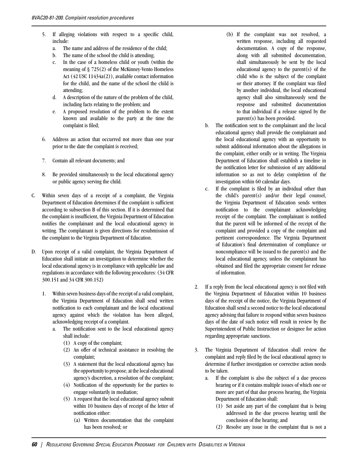- 5. If alleging violations with respect to a specific child, include:
	- a. The name and address of the residence of the child;
	- b. The name of the school the child is attending;
	- c. In the case of a homeless child or youth (within the meaning of § 725(2) of the McKinney-Vento Homeless Act (42 USC 11434a(2)), available contact information for the child, and the name of the school the child is attending;
	- d. A description of the nature of the problem of the child, including facts relating to the problem; and
	- e. A proposed resolution of the problem to the extent known and available to the party at the time the complaint is filed;
- 6. Address an action that occurred not more than one year prior to the date the complaint is received;
- 7. Contain all relevant documents; and
- 8. Be provided simultaneously to the local educational agency or public agency serving the child.
- C. Within seven days of a receipt of a complaint, the Virginia Department of Education determines if the complaint is sufficient according to subsection B of this section. If it is determined that the complaint is insufficient, the Virginia Department of Education notifies the complainant and the local educational agency in writing. The complainant is given directions for resubmission of the complaint to the Virginia Department of Education.
- D. Upon receipt of a valid complaint, the Virginia Department of Education shall initiate an investigation to determine whether the local educational agency is in compliance with applicable law and regulations in accordance with the following procedures: (34 CFR 300.151 and 34 CFR 300.152)
	- 1. Within seven business days of the receipt of a valid complaint, the Virginia Department of Education shall send written notification to each complainant and the local educational agency against which the violation has been alleged, acknowledging receipt of a complaint.
		- a. The notification sent to the local educational agency shall include:
			- (1) A copy of the complaint;
			- (2) An offer of technical assistance in resolving the complaint;
			- (3) A statement that the local educational agency has the opportunity to propose, at the local educational agency's discretion, a resolution of the complaint;
			- (4) Notification of the opportunity for the parties to engage voluntarily in mediation;
			- (5) A request that the local educational agency submit within 10 business days of receipt of the letter of notification either:
				- (a) Written documentation that the complaint has been resolved; or
- (b) If the complaint was not resolved, a written response, including all requested documentation. A copy of the response, along with all submitted documentation, shall simultaneously be sent by the local educational agency to the parent(s) of the child who is the subject of the complaint or their attorney. If the complaint was filed by another individual, the local educational agency shall also simultaneously send the response and submitted documentation to that individual if a release signed by the parent(s) has been provided.
- b. The notification sent to the complainant and the local educational agency shall provide the complainant and the local educational agency with an opportunity to submit additional information about the allegations in the complaint, either orally or in writing. The Virginia Department of Education shall establish a timeline in the notification letter for submission of any additional information so as not to delay completion of the investigation within 60 calendar days.
- c. If the complaint is filed by an individual other than the child's parent(s) and/or their legal counsel, the Virginia Department of Education sends written notification to the complainant acknowledging receipt of the complaint. The complainant is notified that the parent will be informed of the receipt of the complaint and provided a copy of the complaint and pertinent correspondence. The Virginia Department of Education's final determination of compliance or noncompliance will be issued to the parent(s) and the local educational agency, unless the complainant has obtained and filed the appropriate consent for release of information.
- 2. If a reply from the local educational agency is not filed with the Virginia Department of Education within 10 business days of the receipt of the notice, the Virginia Department of Education shall send a second notice to the local educational agency advising that failure to respond within seven business days of the date of such notice will result in review by the Superintendent of Public Instruction or designee for action regarding appropriate sanctions.
- 3. The Virginia Department of Education shall review the complaint and reply filed by the local educational agency to determine if further investigation or corrective action needs to be taken.
	- a. If the complaint is also the subject of a due process hearing or if it contains multiple issues of which one or more are part of that due process hearing, the Virginia Department of Education shall:
		- (1) Set aside any part of the complaint that is being addressed in the due process hearing until the conclusion of the hearing; and
		- (2) Resolve any issue in the complaint that is not a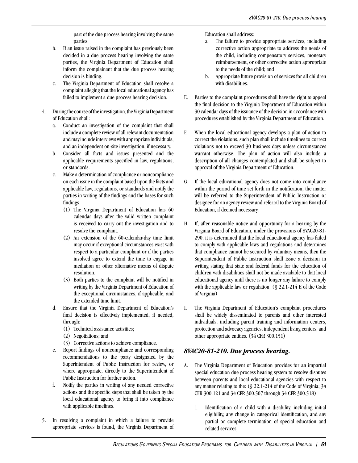part of the due process hearing involving the same parties.

- b. If an issue raised in the complaint has previously been decided in a due process hearing involving the same parties, the Virginia Department of Education shall inform the complainant that the due process hearing decision is binding.
- c. The Virginia Department of Education shall resolve a complaint alleging that the local educational agency has failed to implement a due process hearing decision.
- 4. During the course of the investigation, the Virginia Department of Education shall:
	- a. Conduct an investigation of the complaint that shall include a complete review of all relevant documentation and may include interviews with appropriate individuals, and an independent on-site investigation, if necessary.
	- b. Consider all facts and issues presented and the applicable requirements specified in law, regulations, or standards.
	- c. Make a determination of compliance or noncompliance on each issue in the complaint based upon the facts and applicable law, regulations, or standards and notify the parties in writing of the findings and the bases for such findings.
		- (1) The Virginia Department of Education has 60 calendar days after the valid written complaint is received to carry out the investigation and to resolve the complaint.
		- (2) An extension of the 60-calendar-day time limit may occur if exceptional circumstances exist with respect to a particular complaint or if the parties involved agree to extend the time to engage in mediation or other alternative means of dispute resolution.
		- (3) Both parties to the complaint will be notified in writing by the Virginia Department of Education of the exceptional circumstances, if applicable, and the extended time limit.
	- d. Ensure that the Virginia Department of Education's final decision is effectively implemented, if needed, through:
		- (1) Technical assistance activities;
		- (2) Negotiations; and
		- (3) Corrective actions to achieve compliance.
	- e. Report findings of noncompliance and corresponding recommendations to the party designated by the Superintendent of Public Instruction for review, or where appropriate, directly to the Superintendent of Public Instruction for further action.
	- f. Notify the parties in writing of any needed corrective actions and the specific steps that shall be taken by the local educational agency to bring it into compliance with applicable timelines.
- 5. In resolving a complaint in which a failure to provide appropriate services is found, the Virginia Department of

Education shall address:

- a. The failure to provide appropriate services, including corrective action appropriate to address the needs of the child, including compensatory services, monetary reimbursement, or other corrective action appropriate to the needs of the child; and
- b. Appropriate future provision of services for all children with disabilities.
- E. Parties to the complaint procedures shall have the right to appeal the final decision to the Virginia Department of Education within 30 calendar days of the issuance of the decision in accordance with procedures established by the Virginia Department of Education.
- F. When the local educational agency develops a plan of action to correct the violations, such plan shall include timelines to correct violations not to exceed 30 business days unless circumstances warrant otherwise. The plan of action will also include a description of all changes contemplated and shall be subject to approval of the Virginia Department of Education.
- G. If the local educational agency does not come into compliance within the period of time set forth in the notification, the matter will be referred to the Superintendent of Public Instruction or designee for an agency review and referral to the Virginia Board of Education, if deemed necessary.
- H. If, after reasonable notice and opportunity for a hearing by the Virginia Board of Education, under the provisions of 8VAC20-81- 290, it is determined that the local educational agency has failed to comply with applicable laws and regulations and determines that compliance cannot be secured by voluntary means, then the Superintendent of Public Instruction shall issue a decision in writing stating that state and federal funds for the education of children with disabilities shall not be made available to that local educational agency until there is no longer any failure to comply with the applicable law or regulation. (§ 22.1-214 E of the Code of Virginia)
- I. The Virginia Department of Education's complaint procedures shall be widely disseminated to parents and other interested individuals, including parent training and information centers, protection and advocacy agencies, independent living centers, and other appropriate entities. (34 CFR 300.151)

## *8VAC20-81-210. Due process hearing.*

- A. The Virginia Department of Education provides for an impartial special education due process hearing system to resolve disputes between parents and local educational agencies with respect to any matter relating to the: (§ 22.1-214 of the Code of Virginia; 34 CFR 300.121 and 34 CFR 300.507 through 34 CFR 300.518)
	- 1. Identification of a child with a disability, including initial eligibility, any change in categorical identification, and any partial or complete termination of special education and related services;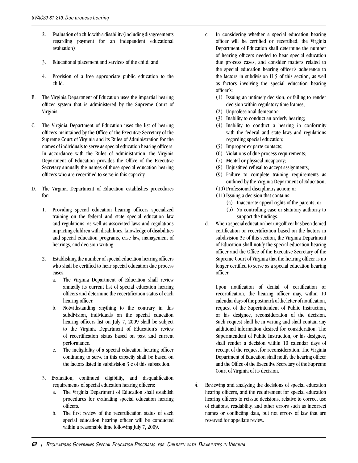- 2. Evaluation of a child with a disability (including disagreements regarding payment for an independent educational evaluation);
- 3. Educational placement and services of the child; and
- 4. Provision of a free appropriate public education to the child.
- B. The Virginia Department of Education uses the impartial hearing officer system that is administered by the Supreme Court of Virginia.
- C. The Virginia Department of Education uses the list of hearing officers maintained by the Office of the Executive Secretary of the Supreme Court of Virginia and its Rules of Administration for the names of individuals to serve as special education hearing officers. In accordance with the Rules of Administration, the Virginia Department of Education provides the Office of the Executive Secretary annually the names of those special education hearing officers who are recertified to serve in this capacity.
- D. The Virginia Department of Education establishes procedures for:
	- 1. Providing special education hearing officers specialized training on the federal and state special education law and regulations, as well as associated laws and regulations impacting children with disabilities, knowledge of disabilities and special education programs, case law, management of hearings, and decision writing.
	- 2. Establishing the number of special education hearing officers who shall be certified to hear special education due process cases.
		- a. The Virginia Department of Education shall review annually its current list of special education hearing officers and determine the recertification status of each hearing officer.
		- b. Notwithstanding anything to the contrary in this subdivision, individuals on the special education hearing officers list on July 7, 2009 shall be subject to the Virginia Department of Education's review of recertification status based on past and current performance.
		- c. The ineligibility of a special education hearing officer continuing to serve in this capacity shall be based on the factors listed in subdivision 3 c of this subsection.
	- 3. Evaluation, continued eligibility, and disqualification requirements of special education hearing officers:
		- a. The Virginia Department of Education shall establish procedures for evaluating special education hearing officers.
		- b. The first review of the recertification status of each special education hearing officer will be conducted within a reasonable time following July 7, 2009.
- c. In considering whether a special education hearing officer will be certified or recertified, the Virginia Department of Education shall determine the number of hearing officers needed to hear special education due process cases, and consider matters related to the special education hearing officer's adherence to the factors in subdivision H 5 of this section, as well as factors involving the special education hearing officer's:
	- (1) Issuing an untimely decision, or failing to render decision within regulatory time frames;
	- (2) Unprofessional demeanor;
	- (3) Inability to conduct an orderly hearing;
	- (4) Inability to conduct a hearing in conformity with the federal and state laws and regulations regarding special education;
	- (5) Improper ex parte contacts;
	- (6) Violations of due process requirements;
	- (7) Mental or physical incapacity;
	- (8) Unjustified refusal to accept assignments;
	- (9) Failure to complete training requirements as outlined by the Virginia Department of Education;
	- (10) Professional disciplinary action; or
	- $(11)$  Issuing a decision that contains:
		- (a) Inaccurate appeal rights of the parents; or
		- (b) No controlling case or statutory authority to support the findings.
- d. When a special education hearing officer has been denied certification or recertification based on the factors in subdivision 3c of this section, the Virginia Department of Education shall notify the special education hearing officer and the Office of the Executive Secretary of the Supreme Court of Virginia that the hearing officer is no longer certified to serve as a special education hearing officer.

Upon notification of denial of certification or recertification, the hearing officer may, within 10 calendar days of the postmark of the letter of notification, request of the Superintendent of Public Instruction, or his designee, reconsideration of the decision. Such request shall be in writing and shall contain any additional information desired for consideration. The Superintendent of Public Instruction, or his designee, shall render a decision within 10 calendar days of receipt of the request for reconsideration. The Virginia Department of Education shall notify the hearing officer and the Office of the Executive Secretary of the Supreme Court of Virginia of its decision.

4. Reviewing and analyzing the decisions of special education hearing officers, and the requirement for special education hearing officers to reissue decisions, relative to correct use of citations, readability, and other errors such as incorrect names or conflicting data, but not errors of law that are reserved for appellate review.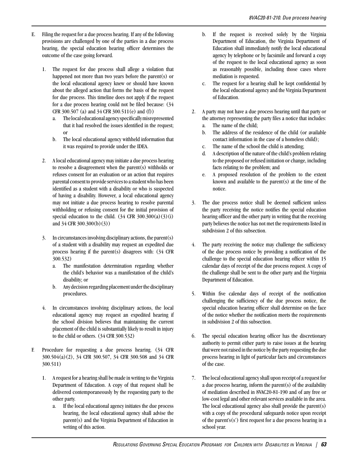- E. Filing the request for a due process hearing. If any of the following provisions are challenged by one of the parties in a due process hearing, the special education hearing officer determines the outcome of the case going forward.
	- 1. The request for due process shall allege a violation that happened not more than two years before the parent(s) or the local educational agency knew or should have known about the alleged action that forms the basis of the request for due process. This timeline does not apply if the request for a due process hearing could not be filed because: (34 CFR 300.507 (a) and 34 CFR 300.511(e) and (f))
		- a. The local educational agency specifically misrepresented that it had resolved the issues identified in the request; or
		- b. The local educational agency withheld information that it was required to provide under the IDEA.
	- 2. A local educational agency may initiate a due process hearing to resolve a disagreement when the parent(s) withholds or refuses consent for an evaluation or an action that requires parental consent to provide services to a student who has been identified as a student with a disability or who is suspected of having a disability. However, a local educational agency may not initiate a due process hearing to resolve parental withholding or refusing consent for the initial provision of special education to the child.  $(34 \text{ CFR } 300.300(a)(3)(i))$ and 34 CFR 300.300(b)(3))
	- 3. In circumstances involving disciplinary actions, the parent(s) of a student with a disability may request an expedited due process hearing if the parent(s) disagrees with: (34 CFR 300.532)
		- a. The manifestation determination regarding whether the child's behavior was a manifestation of the child's disability; or
		- b. Any decision regarding placement under the disciplinary procedures.
	- 4. In circumstances involving disciplinary actions, the local educational agency may request an expedited hearing if the school division believes that maintaining the current placement of the child is substantially likely to result in injury to the child or others. (34 CFR 300.532)
- F. Procedure for requesting a due process hearing. (34 CFR 300.504(a)(2), 34 CFR 300.507, 34 CFR 300.508 and 34 CFR 300.511)
	- 1. A request for a hearing shall be made in writing to the Virginia Department of Education. A copy of that request shall be delivered contemporaneously by the requesting party to the other party.
		- a. If the local educational agency initiates the due process hearing, the local educational agency shall advise the parent(s) and the Virginia Department of Education in writing of this action.
- b. If the request is received solely by the Virginia Department of Education, the Virginia Department of Education shall immediately notify the local educational agency by telephone or by facsimile and forward a copy of the request to the local educational agency as soon as reasonably possible, including those cases where mediation is requested.
- c. The request for a hearing shall be kept confidential by the local educational agency and the Virginia Department of Education.
- 2. A party may not have a due process hearing until that party or the attorney representing the party files a notice that includes:
	- a. The name of the child;
	- b. The address of the residence of the child (or available contact information in the case of a homeless child);
	- c. The name of the school the child is attending;
	- d. A description of the nature of the child's problem relating to the proposed or refused initiation or change, including facts relating to the problem; and
	- e. A proposed resolution of the problem to the extent known and available to the parent(s) at the time of the notice.
- 3. The due process notice shall be deemed sufficient unless the party receiving the notice notifies the special education hearing officer and the other party in writing that the receiving party believes the notice has not met the requirements listed in subdivision 2 of this subsection.
- 4. The party receiving the notice may challenge the sufficiency of the due process notice by providing a notification of the challenge to the special education hearing officer within 15 calendar days of receipt of the due process request. A copy of the challenge shall be sent to the other party and the Virginia Department of Education.
- 5. Within five calendar days of receipt of the notification challenging the sufficiency of the due process notice, the special education hearing officer shall determine on the face of the notice whether the notification meets the requirements in subdivision 2 of this subsection.
- 6. The special education hearing officer has the discretionary authority to permit either party to raise issues at the hearing that were not raised in the notice by the party requesting the due process hearing in light of particular facts and circumstances of the case.
- 7. The local educational agency shall upon receipt of a request for a due process hearing, inform the parent(s) of the availability of mediation described in 8VAC20-81-190 and of any free or low-cost legal and other relevant services available in the area. The local educational agency also shall provide the parent(s) with a copy of the procedural safeguards notice upon receipt of the parent's(s') first request for a due process hearing in a school year.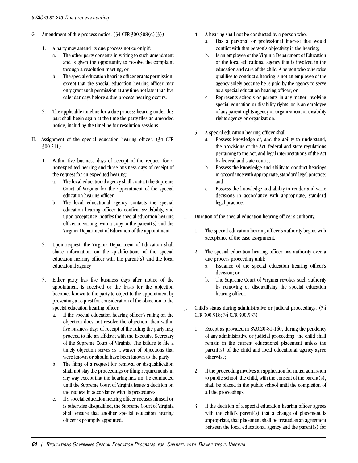- G. Amendment of due process notice.  $(34 \text{ CFR } 300.508 \text{ (d)}(3))$ 
	- 1. A party may amend its due process notice only if:
		- a. The other party consents in writing to such amendment and is given the opportunity to resolve the complaint through a resolution meeting; or
		- b. The special education hearing officer grants permission, except that the special education hearing officer may only grant such permission at any time not later than five calendar days before a due process hearing occurs.
	- 2. The applicable timeline for a due process hearing under this part shall begin again at the time the party files an amended notice, including the timeline for resolution sessions.
- H. Assignment of the special education hearing officer. (34 CFR 300.511)
	- 1. Within five business days of receipt of the request for a nonexpedited hearing and three business days of receipt of the request for an expedited hearing:
		- a. The local educational agency shall contact the Supreme Court of Virginia for the appointment of the special education hearing officer.
		- b. The local educational agency contacts the special education hearing officer to confirm availability, and upon acceptance, notifies the special education hearing officer in writing, with a copy to the parent(s) and the Virginia Department of Education of the appointment.
	- 2. Upon request, the Virginia Department of Education shall share information on the qualifications of the special education hearing officer with the parent(s) and the local educational agency.
	- 3. Either party has five business days after notice of the appointment is received or the basis for the objection becomes known to the party to object to the appointment by presenting a request for consideration of the objection to the special education hearing officer.
		- a. If the special education hearing officer's ruling on the objection does not resolve the objection, then within five business days of receipt of the ruling the party may proceed to file an affidavit with the Executive Secretary of the Supreme Court of Virginia. The failure to file a timely objection serves as a waiver of objections that were known or should have been known to the party.
		- b. The filing of a request for removal or disqualification shall not stay the proceedings or filing requirements in any way except that the hearing may not be conducted until the Supreme Court of Virginia issues a decision on the request in accordance with its procedures.
		- c. If a special education hearing officer recuses himself or is otherwise disqualified, the Supreme Court of Virginia shall ensure that another special education hearing officer is promptly appointed.
- 4. A hearing shall not be conducted by a person who:
	- a. Has a personal or professional interest that would conflict with that person's objectivity in the hearing;
	- b. Is an employee of the Virginia Department of Education or the local educational agency that is involved in the education and care of the child. A person who otherwise qualifies to conduct a hearing is not an employee of the agency solely because he is paid by the agency to serve as a special education hearing officer; or
	- c. Represents schools or parents in any matter involving special education or disability rights, or is an employee of any parent rights agency or organization, or disability rights agency or organization.
- 5. A special education hearing officer shall:
	- a. Possess knowledge of, and the ability to understand, the provisions of the Act, federal and state regulations pertaining to the Act, and legal interpretations of the Act by federal and state courts;
	- b. Possess the knowledge and ability to conduct hearings in accordance with appropriate, standard legal practice; and
	- c. Possess the knowledge and ability to render and write decisions in accordance with appropriate, standard legal practice.
- I. Duration of the special education hearing officer's authority.
	- 1. The special education hearing officer's authority begins with acceptance of the case assignment.
	- 2. The special education hearing officer has authority over a due process proceeding until:
		- a. Issuance of the special education hearing officer's decision; or
		- b. The Supreme Court of Virginia revokes such authority by removing or disqualifying the special education hearing officer.
- J. Child's status during administrative or judicial proceedings. (34 CFR 300.518; 34 CFR 300.533)
	- 1. Except as provided in 8VAC20-81-160, during the pendency of any administrative or judicial proceeding, the child shall remain in the current educational placement unless the parent(s) of the child and local educational agency agree otherwise;
	- 2. If the proceeding involves an application for initial admission to public school, the child, with the consent of the parent(s), shall be placed in the public school until the completion of all the proceedings;
	- 3. If the decision of a special education hearing officer agrees with the child's parent(s) that a change of placement is appropriate, that placement shall be treated as an agreement between the local educational agency and the parent(s) for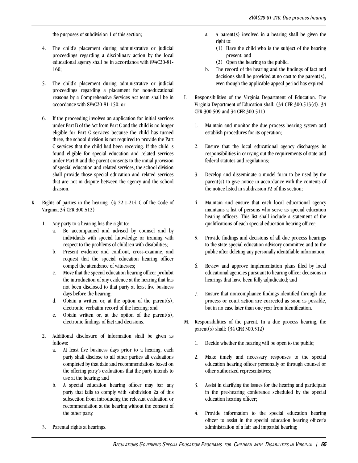the purposes of subdivision 1 of this section;

- 4. The child's placement during administrative or judicial proceedings regarding a disciplinary action by the local educational agency shall be in accordance with 8VAC20-81- 160;
- 5. The child's placement during administrative or judicial proceedings regarding a placement for noneducational reasons by a Comprehensive Services Act team shall be in accordance with 8VAC20-81-150; or
- 6. If the proceeding involves an application for initial services under Part B of the Act from Part C and the child is no longer eligible for Part C services because the child has turned three, the school division is not required to provide the Part C services that the child had been receiving. If the child is found eligible for special education and related services under Part B and the parent consents to the initial provision of special education and related services, the school division shall provide those special education and related services that are not in dispute between the agency and the school division.
- K. Rights of parties in the hearing. (§ 22.1-214 C of the Code of Virginia; 34 CFR 300.512)
	- 1. Any party to a hearing has the right to:
		- a. Be accompanied and advised by counsel and by individuals with special knowledge or training with respect to the problems of children with disabilities;
		- b. Present evidence and confront, cross-examine, and request that the special education hearing officer compel the attendance of witnesses;
		- c. Move that the special education hearing officer prohibit the introduction of any evidence at the hearing that has not been disclosed to that party at least five business days before the hearing;
		- d. Obtain a written or, at the option of the parent(s), electronic, verbatim record of the hearing; and
		- e. Obtain written or, at the option of the parent(s), electronic findings of fact and decisions.
	- 2. Additional disclosure of information shall be given as follows:
		- a. At least five business days prior to a hearing, each party shall disclose to all other parties all evaluations completed by that date and recommendations based on the offering party's evaluations that the party intends to use at the hearing; and
		- b. A special education hearing officer may bar any party that fails to comply with subdivision 2a of this subsection from introducing the relevant evaluation or recommendation at the hearing without the consent of the other party.
	- 3. Parental rights at hearings.
- a. A parent(s) involved in a hearing shall be given the right to:
	- (1) Have the child who is the subject of the hearing present; and
	- (2) Open the hearing to the public.
- b. The record of the hearing and the findings of fact and decisions shall be provided at no cost to the parent(s), even though the applicable appeal period has expired.
- L. Responsibilities of the Virginia Department of Education. The Virginia Department of Education shall: (34 CFR 300.513(d), 34 CFR 300.509 and 34 CFR 300.511)
	- 1. Maintain and monitor the due process hearing system and establish procedures for its operation;
	- 2. Ensure that the local educational agency discharges its responsibilities in carrying out the requirements of state and federal statutes and regulations;
	- 3. Develop and disseminate a model form to be used by the parent(s) to give notice in accordance with the contents of the notice listed in subdivision F2 of this section;
	- 4. Maintain and ensure that each local educational agency maintains a list of persons who serve as special education hearing officers. This list shall include a statement of the qualifications of each special education hearing officer;
	- 5. Provide findings and decisions of all due process hearings to the state special education advisory committee and to the public after deleting any personally identifiable information;
	- 6. Review and approve implementation plans filed by local educational agencies pursuant to hearing officer decisions in hearings that have been fully adjudicated; and
	- 7. Ensure that noncompliance findings identified through due process or court action are corrected as soon as possible, but in no case later than one year from identification.
- M. Responsibilities of the parent. In a due process hearing, the parent(s) shall: (34 CFR 300.512)
	- 1. Decide whether the hearing will be open to the public;
	- 2. Make timely and necessary responses to the special education hearing officer personally or through counsel or other authorized representatives;
	- 3. Assist in clarifying the issues for the hearing and participate in the pre-hearing conference scheduled by the special education hearing officer;
	- 4. Provide information to the special education hearing officer to assist in the special education hearing officer's administration of a fair and impartial hearing;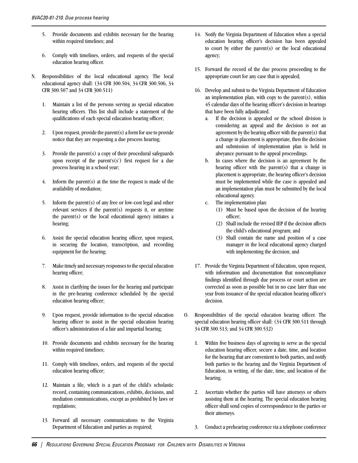- 5. Provide documents and exhibits necessary for the hearing within required timelines; and
- 6. Comply with timelines, orders, and requests of the special education hearing officer.
- N. Responsibilities of the local educational agency. The local educational agency shall: (34 CFR 300.504, 34 CFR 300.506, 34 CFR 300.507 and 34 CFR 300.511)
	- 1. Maintain a list of the persons serving as special education hearing officers. This list shall include a statement of the qualifications of each special education hearing officer;
	- 2. Upon request, provide the parent(s) a form for use to provide notice that they are requesting a due process hearing;
	- 3. Provide the parent(s) a copy of their procedural safeguards upon receipt of the parent's(s') first request for a due process hearing in a school year;
	- 4. Inform the parent(s) at the time the request is made of the availability of mediation;
	- 5. Inform the parent(s) of any free or low-cost legal and other relevant services if the parent(s) requests it, or anytime the parent(s) or the local educational agency initiates a hearing;
	- 6. Assist the special education hearing officer, upon request, in securing the location, transcription, and recording equipment for the hearing;
	- 7. Make timely and necessary responses to the special education hearing officer;
	- 8. Assist in clarifying the issues for the hearing and participate in the pre-hearing conference scheduled by the special education hearing officer;
	- 9. Upon request, provide information to the special education hearing officer to assist in the special education hearing officer's administration of a fair and impartial hearing;
	- 10. Provide documents and exhibits necessary for the hearing within required timelines;
	- 11. Comply with timelines, orders, and requests of the special education hearing officer;
	- 12. Maintain a file, which is a part of the child's scholastic record, containing communications, exhibits, decisions, and mediation communications, except as prohibited by laws or regulations;
	- 13. Forward all necessary communications to the Virginia Department of Education and parties as required;
- 14. Notify the Virginia Department of Education when a special education hearing officer's decision has been appealed to court by either the parent(s) or the local educational agency;
- 15. Forward the record of the due process proceeding to the appropriate court for any case that is appealed;
- 16. Develop and submit to the Virginia Department of Education an implementation plan, with copy to the parent(s), within 45 calendar days of the hearing officer's decision in hearings that have been fully adjudicated.
	- a. If the decision is appealed or the school division is considering an appeal and the decision is not an agreement by the hearing officer with the parent(s) that a change in placement is appropriate, then the decision and submission of implementation plan is held in abeyance pursuant to the appeal proceedings.
	- b. In cases where the decision is an agreement by the hearing officer with the parent(s) that a change in placement is appropriate, the hearing officer's decision must be implemented while the case is appealed and an implementation plan must be submitted by the local educational agency.
	- c. The implementation plan:
		- (1) Must be based upon the decision of the hearing officer;
		- (2) Shall include the revised IEP if the decision affects the child's educational program; and
		- (3) Shall contain the name and position of a case manager in the local educational agency charged with implementing the decision; and
- 17. Provide the Virginia Department of Education, upon request, with information and documentation that noncompliance findings identified through due process or court action are corrected as soon as possible but in no case later than one year from issuance of the special education hearing officer's decision.
- O. Responsibilities of the special education hearing officer. The special education hearing officer shall: (34 CFR 300.511 through 34 CFR 300.513; and 34 CFR 300.532)
	- 1. Within five business days of agreeing to serve as the special education hearing officer, secure a date, time, and location for the hearing that are convenient to both parties, and notify both parties to the hearing and the Virginia Department of Education, in writing, of the date, time, and location of the hearing.
	- 2. Ascertain whether the parties will have attorneys or others assisting them at the hearing. The special education hearing officer shall send copies of correspondence to the parties or their attorneys.
	- 3. Conduct a prehearing conference via a telephone conference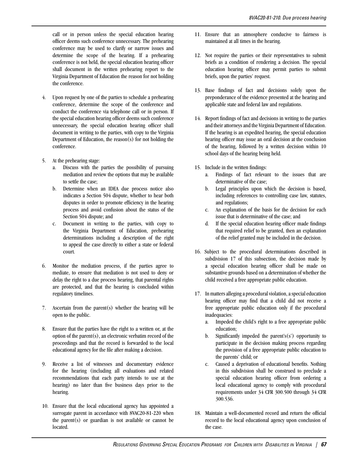call or in person unless the special education hearing officer deems such conference unnecessary. The prehearing conference may be used to clarify or narrow issues and determine the scope of the hearing. If a prehearing conference is not held, the special education hearing officer shall document in the written prehearing report to the Virginia Department of Education the reason for not holding the conference.

- 4. Upon request by one of the parties to schedule a prehearing conference, determine the scope of the conference and conduct the conference via telephone call or in person. If the special education hearing officer deems such conference unnecessary, the special education hearing officer shall document in writing to the parties, with copy to the Virginia Department of Education, the reason(s) for not holding the conference.
- 5. At the prehearing stage:
	- a. Discuss with the parties the possibility of pursuing mediation and review the options that may be available to settle the case;
	- b. Determine when an IDEA due process notice also indicates a Section 504 dispute, whether to hear both disputes in order to promote efficiency in the hearing process and avoid confusion about the status of the Section 504 dispute; and
	- c. Document in writing to the parties, with copy to the Virginia Department of Education, prehearing determinations including a description of the right to appeal the case directly to either a state or federal court.
- 6. Monitor the mediation process, if the parties agree to mediate, to ensure that mediation is not used to deny or delay the right to a due process hearing, that parental rights are protected, and that the hearing is concluded within regulatory timelines.
- 7. Ascertain from the parent(s) whether the hearing will be open to the public.
- 8. Ensure that the parties have the right to a written or, at the option of the parent(s), an electronic verbatim record of the proceedings and that the record is forwarded to the local educational agency for the file after making a decision.
- 9. Receive a list of witnesses and documentary evidence for the hearing (including all evaluations and related recommendations that each party intends to use at the hearing) no later than five business days prior to the hearing.
- 10. Ensure that the local educational agency has appointed a surrogate parent in accordance with 8VAC20-81-220 when the parent(s) or guardian is not available or cannot be located.
- 11. Ensure that an atmosphere conducive to fairness is maintained at all times in the hearing.
- 12. Not require the parties or their representatives to submit briefs as a condition of rendering a decision. The special education hearing officer may permit parties to submit briefs, upon the parties' request.
- 13. Base findings of fact and decisions solely upon the preponderance of the evidence presented at the hearing and applicable state and federal law and regulations.
- 14. Report findings of fact and decisions in writing to the parties and their attorneys and the Virginia Department of Education. If the hearing is an expedited hearing, the special education hearing officer may issue an oral decision at the conclusion of the hearing, followed by a written decision within 10 school days of the hearing being held.
- 15. Include in the written findings:
	- a. Findings of fact relevant to the issues that are determinative of the case;
	- b. Legal principles upon which the decision is based, including references to controlling case law, statutes, and regulations;
	- c. An explanation of the basis for the decision for each issue that is determinative of the case; and
	- d. If the special education hearing officer made findings that required relief to be granted, then an explanation of the relief granted may be included in the decision.
- 16. Subject to the procedural determinations described in subdivision 17 of this subsection, the decision made by a special education hearing officer shall be made on substantive grounds based on a determination of whether the child received a free appropriate public education.
- 17. In matters alleging a procedural violation, a special education hearing officer may find that a child did not receive a free appropriate public education only if the procedural inadequacies:
	- a. Impeded the child's right to a free appropriate public education;
	- b. Significantly impeded the parent's $(s')$  opportunity to participate in the decision making process regarding the provision of a free appropriate public education to the parents' child; or
	- c. Caused a deprivation of educational benefits. Nothing in this subdivision shall be construed to preclude a special education hearing officer from ordering a local educational agency to comply with procedural requirements under 34 CFR 300.500 through 34 CFR 300.536.
- 18. Maintain a well-documented record and return the official record to the local educational agency upon conclusion of the case.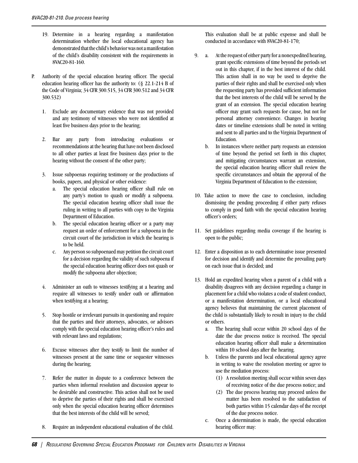- 19. Determine in a hearing regarding a manifestation determination whether the local educational agency has demonstrated that the child's behavior was not a manifestation of the child's disability consistent with the requirements in 8VAC20-81-160.
- P. Authority of the special education hearing officer. The special education hearing officer has the authority to: (§ 22.1-214 B of the Code of Virginia; 34 CFR 300.515, 34 CFR 300.512 and 34 CFR 300.532)
	- 1. Exclude any documentary evidence that was not provided and any testimony of witnesses who were not identified at least five business days prior to the hearing;
	- 2. Bar any party from introducing evaluations or recommendations at the hearing that have not been disclosed to all other parties at least five business days prior to the hearing without the consent of the other party;
	- 3. Issue subpoenas requiring testimony or the productions of books, papers, and physical or other evidence:
		- a. The special education hearing officer shall rule on any party's motion to quash or modify a subpoena. The special education hearing officer shall issue the ruling in writing to all parties with copy to the Virginia Department of Education.
		- b. The special education hearing officer or a party may request an order of enforcement for a subpoena in the circuit court of the jurisdiction in which the hearing is to be held.
		- c. Any person so subpoenaed may petition the circuit court for a decision regarding the validity of such subpoena if the special education hearing officer does not quash or modify the subpoena after objection;
	- 4. Administer an oath to witnesses testifying at a hearing and require all witnesses to testify under oath or affirmation when testifying at a hearing;
	- 5. Stop hostile or irrelevant pursuits in questioning and require that the parties and their attorneys, advocates, or advisors comply with the special education hearing officer's rules and with relevant laws and regulations;
	- 6. Excuse witnesses after they testify to limit the number of witnesses present at the same time or sequester witnesses during the hearing;
	- 7. Refer the matter in dispute to a conference between the parties when informal resolution and discussion appear to be desirable and constructive. This action shall not be used to deprive the parties of their rights and shall be exercised only when the special education hearing officer determines that the best interests of the child will be served;
	- 8. Require an independent educational evaluation of the child.

This evaluation shall be at public expense and shall be conducted in accordance with 8VAC20-81-170;

- 9. a. At the request of either party for a nonexpedited hearing, grant specific extensions of time beyond the periods set out in this chapter, if in the best interest of the child. This action shall in no way be used to deprive the parties of their rights and shall be exercised only when the requesting party has provided sufficient information that the best interests of the child will be served by the grant of an extension. The special education hearing officer may grant such requests for cause, but not for personal attorney convenience. Changes in hearing dates or timeline extensions shall be noted in writing and sent to all parties and to the Virginia Department of Education.
	- b. In instances where neither party requests an extension of time beyond the period set forth in this chapter, and mitigating circumstances warrant an extension, the special education hearing officer shall review the specific circumstances and obtain the approval of the Virginia Department of Education to the extension;
- 10. Take action to move the case to conclusion, including dismissing the pending proceeding if either party refuses to comply in good faith with the special education hearing officer's orders;
- 11. Set guidelines regarding media coverage if the hearing is open to the public;
- 12. Enter a disposition as to each determinative issue presented for decision and identify and determine the prevailing party on each issue that is decided; and
- 13. Hold an expedited hearing when a parent of a child with a disability disagrees with any decision regarding a change in placement for a child who violates a code of student conduct, or a manifestation determination, or a local educational agency believes that maintaining the current placement of the child is substantially likely to result in injury to the child or others.
	- a. The hearing shall occur within 20 school days of the date the due process notice is received. The special education hearing officer shall make a determination within 10 school days after the hearing.
	- b. Unless the parents and local educational agency agree in writing to waive the resolution meeting or agree to use the mediation process:
		- (1) A resolution meeting shall occur within seven days of receiving notice of the due process notice; and
		- (2) The due process hearing may proceed unless the matter has been resolved to the satisfaction of both parties within 15 calendar days of the receipt of the due process notice.
	- c. Once a determination is made, the special education hearing officer may: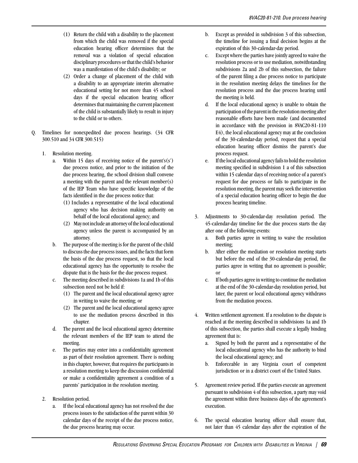- (1) Return the child with a disability to the placement from which the child was removed if the special education hearing officer determines that the removal was a violation of special education disciplinary procedures or that the child's behavior was a manifestation of the child's disability; or
- (2) Order a change of placement of the child with a disability to an appropriate interim alternative educational setting for not more than 45 school days if the special education hearing officer determines that maintaining the current placement of the child is substantially likely to result in injury to the child or to others.
- Q. Timelines for nonexpedited due process hearings. (34 CFR 300.510 and 34 CFR 300.515)
	- 1. Resolution meeting.
		- a. Within 15 days of receiving notice of the parent's(s') due process notice, and prior to the initiation of the due process hearing, the school division shall convene a meeting with the parent and the relevant member(s) of the IEP Team who have specific knowledge of the facts identified in the due process notice that:
			- (1) Includes a representative of the local educational agency who has decision making authority on behalf of the local educational agency; and
			- (2) May not include an attorney of the local educational agency unless the parent is accompanied by an attorney.
		- b. The purpose of the meeting is for the parent of the child to discuss the due process issues, and the facts that form the basis of the due process request, so that the local educational agency has the opportunity to resolve the dispute that is the basis for the due process request.
		- c. The meeting described in subdivisions 1a and 1b of this subsection need not be held if:
			- (1) The parent and the local educational agency agree in writing to waive the meeting; or
			- (2) The parent and the local educational agency agree to use the mediation process described in this chapter.
		- d. The parent and the local educational agency determine the relevant members of the IEP team to attend the meeting.
		- e. The parties may enter into a confidentiality agreement as part of their resolution agreement. There is nothing in this chapter, however, that requires the participants in a resolution meeting to keep the discussion confidential or make a confidentiality agreement a condition of a parents' participation in the resolution meeting.
	- 2. Resolution period.
		- a. If the local educational agency has not resolved the due process issues to the satisfaction of the parent within 30 calendar days of the receipt of the due process notice, the due process hearing may occur.
- b. Except as provided in subdivision 3 of this subsection, the timeline for issuing a final decision begins at the expiration of this 30-calendar-day period.
- c. Except where the parties have jointly agreed to waive the resolution process or to use mediation, notwithstanding subdivisions 2a and 2b of this subsection, the failure of the parent filing a due process notice to participate in the resolution meeting delays the timelines for the resolution process and the due process hearing until the meeting is held.
- d. If the local educational agency is unable to obtain the participation of the parent in the resolution meeting after reasonable efforts have been made (and documented in accordance with the provision in 8VAC20-81-110 E4), the local educational agency may at the conclusion of the 30-calendar-day period, request that a special education hearing officer dismiss the parent's due process request.
- e. If the local educational agency fails to hold the resolution meeting specified in subdivision 1 a of this subsection within 15 calendar days of receiving notice of a parent's request for due process or fails to participate in the resolution meeting, the parent may seek the intervention of a special education hearing officer to begin the due process hearing timeline.
- 3. Adjustments to 30-calendar-day resolution period. The 45-calendar-day timeline for the due process starts the day after one of the following events:
	- a. Both parties agree in writing to waive the resolution meeting;
	- b. After either the mediation or resolution meeting starts but before the end of the 30-calendar-day period, the parties agree in writing that no agreement is possible; or
	- c. If both parties agree in writing to continue the mediation at the end of the 30-calendar-day resolution period, but later, the parent or local educational agency withdraws from the mediation process.
- 4. Written settlement agreement. If a resolution to the dispute is reached at the meeting described in subdivisions 1a and 1b of this subsection, the parties shall execute a legally binding agreement that is:
	- a. Signed by both the parent and a representative of the local educational agency who has the authority to bind the local educational agency; and
	- b. Enforceable in any Virginia court of competent jurisdiction or in a district court of the United States.
- 5. Agreement review period. If the parties execute an agreement pursuant to subdivision 4 of this subsection, a party may void the agreement within three business days of the agreement's execution.
- 6. The special education hearing officer shall ensure that, not later than 45 calendar days after the expiration of the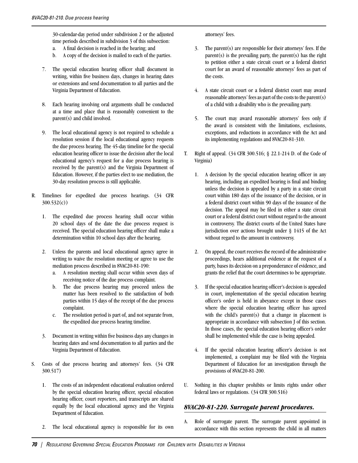30-calendar-day period under subdivision 2 or the adjusted time periods described in subdivision 3 of this subsection:

- a. A final decision is reached in the hearing; and
- b. A copy of the decision is mailed to each of the parties.
- 7. The special education hearing officer shall document in writing, within five business days, changes in hearing dates or extensions and send documentation to all parties and the Virginia Department of Education.
- 8. Each hearing involving oral arguments shall be conducted at a time and place that is reasonably convenient to the parent(s) and child involved.
- 9. The local educational agency is not required to schedule a resolution session if the local educational agency requests the due process hearing. The 45-day timeline for the special education hearing officer to issue the decision after the local educational agency's request for a due process hearing is received by the parent(s) and the Virginia Department of Education. However, if the parties elect to use mediation, the 30-day resolution process is still applicable.
- R. Timelines for expedited due process hearings. (34 CFR 300.532(c))
	- 1. The expedited due process hearing shall occur within 20 school days of the date the due process request is received. The special education hearing officer shall make a determination within 10 school days after the hearing.
	- 2. Unless the parents and local educational agency agree in writing to waive the resolution meeting or agree to use the mediation process described in 8VAC20-81-190:
		- a. A resolution meeting shall occur within seven days of receiving notice of the due process complaint.
		- b. The due process hearing may proceed unless the matter has been resolved to the satisfaction of both parties within 15 days of the receipt of the due process complaint.
		- c. The resolution period is part of, and not separate from, the expedited due process hearing timeline.
	- 3. Document in writing within five business days any changes in hearing dates and send documentation to all parties and the Virginia Department of Education.
- S. Costs of due process hearing and attorneys' fees. (34 CFR 300.517)
	- 1. The costs of an independent educational evaluation ordered by the special education hearing officer, special education hearing officer, court reporters, and transcripts are shared equally by the local educational agency and the Virginia Department of Education.
	- 2. The local educational agency is responsible for its own

attorneys' fees.

- 3. The parent(s) are responsible for their attorneys' fees. If the  $parent(s)$  is the prevailing party, the parent(s) has the right to petition either a state circuit court or a federal district court for an award of reasonable attorneys' fees as part of the costs.
- 4. A state circuit court or a federal district court may award reasonable attorneys' fees as part of the costs to the parent(s) of a child with a disability who is the prevailing party.
- 5. The court may award reasonable attorneys' fees only if the award is consistent with the limitations, exclusions, exceptions, and reductions in accordance with the Act and its implementing regulations and 8VAC20-81-310.
- T. Right of appeal. (34 CFR 300.516; § 22.1-214 D. of the Code of Virginia)
	- 1. A decision by the special education hearing officer in any hearing, including an expedited hearing is final and binding unless the decision is appealed by a party in a state circuit court within 180 days of the issuance of the decision, or in a federal district court within 90 days of the issuance of the decision. The appeal may be filed in either a state circuit court or a federal district court without regard to the amount in controversy. The district courts of the United States have jurisdiction over actions brought under § 1415 of the Act without regard to the amount in controversy.
	- 2. On appeal, the court receives the record of the administrative proceedings, hears additional evidence at the request of a party, bases its decision on a preponderance of evidence, and grants the relief that the court determines to be appropriate.
	- 3. If the special education hearing officer's decision is appealed in court, implementation of the special education hearing officer's order is held in abeyance except in those cases where the special education hearing officer has agreed with the child's parent(s) that a change in placement is appropriate in accordance with subsection J of this section. In those cases, the special education hearing officer's order shall be implemented while the case is being appealed.
	- 4. If the special education hearing officer's decision is not implemented, a complaint may be filed with the Virginia Department of Education for an investigation through the provisions of 8VAC20-81-200.
- U. Nothing in this chapter prohibits or limits rights under other federal laws or regulations. (34 CFR 300.516)

#### *8VAC20-81-220. Surrogate parent procedures.*

A. Role of surrogate parent. The surrogate parent appointed in accordance with this section represents the child in all matters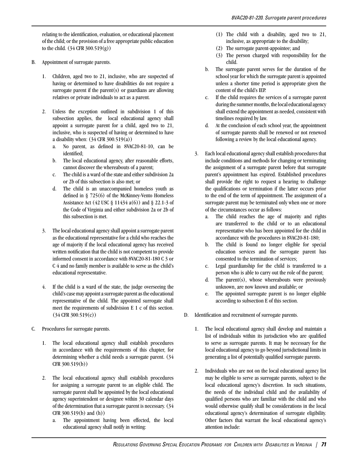relating to the identification, evaluation, or educational placement of the child; or the provision of a free appropriate public education to the child. (34 CFR 300.519(g))

- B. Appointment of surrogate parents.
	- 1. Children, aged two to 21, inclusive, who are suspected of having or determined to have disabilities do not require a surrogate parent if the parent(s) or guardians are allowing relatives or private individuals to act as a parent.
	- 2. Unless the exception outlined in subdivision 1 of this subsection applies, the local educational agency shall appoint a surrogate parent for a child, aged two to 21, inclusive, who is suspected of having or determined to have a disability when: (34 CFR 300.519(a))
		- a. No parent, as defined in 8VAC20-81-10, can be identified;
		- b. The local educational agency, after reasonable efforts, cannot discover the whereabouts of a parent;
		- c. The child is a ward of the state and either subdivision 2a or 2b of this subsection is also met; or
		- d. The child is an unaccompanied homeless youth as defined in § 725(6) of the McKinney-Vento Homeless Assistance Act (42 USC  $\S$  11434 a(6)) and  $\S$  22.1-3 of the Code of Virginia and either subdivision 2a or 2b of this subsection is met.
	- 3. The local educational agency shall appoint a surrogate parent as the educational representative for a child who reaches the age of majority if the local educational agency has received written notification that the child is not competent to provide informed consent in accordance with 8VAC20-81-180 C 3 or C 4 and no family member is available to serve as the child's educational representative.
	- 4. If the child is a ward of the state, the judge overseeing the child's case may appoint a surrogate parent as the educational representative of the child. The appointed surrogate shall meet the requirements of subdivision E 1 c of this section. (34 CFR 300.519(c))
- C. Procedures for surrogate parents.
	- 1. The local educational agency shall establish procedures in accordance with the requirements of this chapter, for determining whether a child needs a surrogate parent. (34 CFR 300.519(b))
	- 2. The local educational agency shall establish procedures for assigning a surrogate parent to an eligible child. The surrogate parent shall be appointed by the local educational agency superintendent or designee within 30 calendar days of the determination that a surrogate parent is necessary. (34 CFR 300.519(b) and (h))
		- a. The appointment having been effected, the local educational agency shall notify in writing:
- (1) The child with a disability, aged two to 21, inclusive, as appropriate to the disability;
- (2) The surrogate parent-appointee; and
- (3) The person charged with responsibility for the child.
- b. The surrogate parent serves for the duration of the school year for which the surrogate parent is appointed unless a shorter time period is appropriate given the content of the child's IEP.
- c. If the child requires the services of a surrogate parent during the summer months, the local educational agency shall extend the appointment as needed, consistent with timelines required by law.
- d. At the conclusion of each school year, the appointment of surrogate parents shall be renewed or not renewed following a review by the local educational agency.
- 3. Each local educational agency shall establish procedures that include conditions and methods for changing or terminating the assignment of a surrogate parent before that surrogate parent's appointment has expired. Established procedures shall provide the right to request a hearing to challenge the qualifications or termination if the latter occurs prior to the end of the term of appointment. The assignment of a surrogate parent may be terminated only when one or more of the circumstances occur as follows:
	- a. The child reaches the age of majority and rights are transferred to the child or to an educational representative who has been appointed for the child in accordance with the procedures in 8VAC20-81-180;
	- b. The child is found no longer eligible for special education services and the surrogate parent has consented to the termination of services;
	- c. Legal guardianship for the child is transferred to a person who is able to carry out the role of the parent;
	- d. The parent(s), whose whereabouts were previously unknown, are now known and available; or
	- e. The appointed surrogate parent is no longer eligible according to subsection E of this section.
- D. Identification and recruitment of surrogate parents.
	- 1. The local educational agency shall develop and maintain a list of individuals within its jurisdiction who are qualified to serve as surrogate parents. It may be necessary for the local educational agency to go beyond jurisdictional limits in generating a list of potentially qualified surrogate parents.
	- 2. Individuals who are not on the local educational agency list may be eligible to serve as surrogate parents, subject to the local educational agency's discretion. In such situations, the needs of the individual child and the availability of qualified persons who are familiar with the child and who would otherwise qualify shall be considerations in the local educational agency's determination of surrogate eligibility. Other factors that warrant the local educational agency's attention include: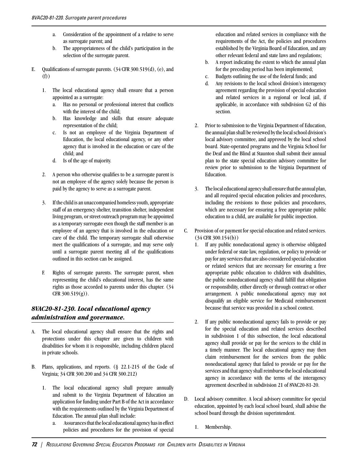- a. Consideration of the appointment of a relative to serve as surrogate parent; and
- b. The appropriateness of the child's participation in the selection of the surrogate parent.
- E. Oualifications of surrogate parents.  $(34 \text{ CFR } 300.519(d), (e),$  and (f))
	- 1. The local educational agency shall ensure that a person appointed as a surrogate:
		- a. Has no personal or professional interest that conflicts with the interest of the child;
		- b. Has knowledge and skills that ensure adequate representation of the child;
		- c. Is not an employee of the Virginia Department of Education, the local educational agency, or any other agency that is involved in the education or care of the child; and
		- d. Is of the age of majority.
	- 2. A person who otherwise qualifies to be a surrogate parent is not an employee of the agency solely because the person is paid by the agency to serve as a surrogate parent.
	- 3. If the child is an unaccompanied homeless youth, appropriate staff of an emergency shelter, transition shelter, independent living program, or street outreach program may be appointed as a temporary surrogate even though the staff member is an employee of an agency that is involved in the education or care of the child. The temporary surrogate shall otherwise meet the qualifications of a surrogate, and may serve only until a surrogate parent meeting all of the qualifications outlined in this section can be assigned.
	- F. Rights of surrogate parents. The surrogate parent, when representing the child's educational interest, has the same rights as those accorded to parents under this chapter. (34 CFR  $300.519(g)$ ).

#### *8VAC20-81-230. Local educational agency administration and governance.*

- A. The local educational agency shall ensure that the rights and protections under this chapter are given to children with disabilities for whom it is responsible, including children placed in private schools.
- B. Plans, applications, and reports. (§ 22.1-215 of the Code of Virginia; 34 CFR 300.200 and 34 CFR 300.212)
	- 1. The local educational agency shall prepare annually and submit to the Virginia Department of Education an application for funding under Part B of the Act in accordance with the requirements outlined by the Virginia Department of Education. The annual plan shall include:
		- a. Assurances that the local educational agency has in effect policies and procedures for the provision of special

education and related services in compliance with the requirements of the Act, the policies and procedures established by the Virginia Board of Education, and any other relevant federal and state laws and regulations;

- b. A report indicating the extent to which the annual plan for the preceding period has been implemented;
- c. Budgets outlining the use of the federal funds; and
- d. Any revisions to the local school division's interagency agreement regarding the provision of special education and related services in a regional or local jail, if applicable, in accordance with subdivision G2 of this section.
- 2. Prior to submission to the Virginia Department of Education, the annual plan shall be reviewed by the local school division's local advisory committee, and approved by the local school board. State-operated programs and the Virginia School for the Deaf and the Blind at Staunton shall submit their annual plan to the state special education advisory committee for review prior to submission to the Virginia Department of Education.
- 3. The local educational agency shall ensure that the annual plan, and all required special education policies and procedures, including the revisions to those policies and procedures, which are necessary for ensuring a free appropriate public education to a child, are available for public inspection.
- C. Provision of or payment for special education and related services. (34 CFR 300.154(b))
	- 1. If any public noneducational agency is otherwise obligated under federal or state law, regulation, or policy to provide or pay for any services that are also considered special education or related services that are necessary for ensuring a free appropriate public education to children with disabilities, the public noneducational agency shall fulfill that obligation or responsibility, either directly or through contract or other arrangement. A public noneducational agency may not disqualify an eligible service for Medicaid reimbursement because that service was provided in a school context.
	- 2. If any public noneducational agency fails to provide or pay for the special education and related services described in subdivision 1 of this subsection, the local educational agency shall provide or pay for the services to the child in a timely manner. The local educational agency may then claim reimbursement for the services from the public noneducational agency that failed to provide or pay for the services and that agency shall reimburse the local educational agency in accordance with the terms of the interagency agreement described in subdivision 21 of 8VAC20-81-20.
- D. Local advisory committee. A local advisory committee for special education, appointed by each local school board, shall advise the school board through the division superintendent.
	- 1. Membership.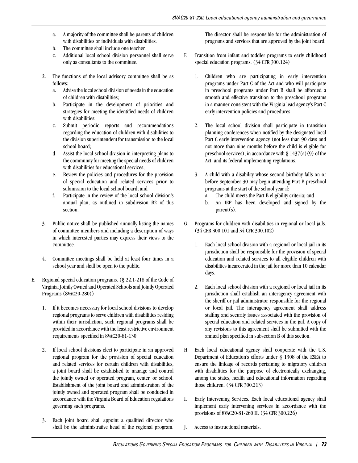- a. A majority of the committee shall be parents of children with disabilities or individuals with disabilities.
- b. The committee shall include one teacher.
- c. Additional local school division personnel shall serve only as consultants to the committee.
- 2. The functions of the local advisory committee shall be as follows:
	- a. Advise the local school division of needs in the education of children with disabilities;
	- b. Participate in the development of priorities and strategies for meeting the identified needs of children with disabilities;
	- c. Submit periodic reports and recommendations regarding the education of children with disabilities to the division superintendent for transmission to the local school board;
	- d. Assist the local school division in interpreting plans to the community for meeting the special needs of children with disabilities for educational services;
	- e. Review the policies and procedures for the provision of special education and related services prior to submission to the local school board; and
	- f. Participate in the review of the local school division's annual plan, as outlined in subdivision B2 of this section.
- 3. Public notice shall be published annually listing the names of committee members and including a description of ways in which interested parties may express their views to the committee.
- 4. Committee meetings shall be held at least four times in a school year and shall be open to the public.
- E. Regional special education programs. (§ 22.1-218 of the Code of Virginia; Jointly Owned and Operated Schools and Jointly Operated Programs (8VAC20-280))
	- 1. If it becomes necessary for local school divisions to develop regional programs to serve children with disabilities residing within their jurisdiction, such regional programs shall be provided in accordance with the least restrictive environment requirements specified in 8VAC20-81-130.
	- 2. If local school divisions elect to participate in an approved regional program for the provision of special education and related services for certain children with disabilities, a joint board shall be established to manage and control the jointly owned or operated program, center, or school. Establishment of the joint board and administration of the jointly owned and operated program shall be conducted in accordance with the Virginia Board of Education regulations governing such programs.
	- 3. Each joint board shall appoint a qualified director who shall be the administrative head of the regional program.

The director shall be responsible for the administration of programs and services that are approved by the joint board.

- F. Transition from infant and toddler programs to early childhood special education programs. (34 CFR 300.124)
	- 1. Children who are participating in early intervention programs under Part C of the Act and who will participate in preschool programs under Part B shall be afforded a smooth and effective transition to the preschool programs in a manner consistent with the Virginia lead agency's Part C early intervention policies and procedures.
	- 2. The local school division shall participate in transition planning conferences when notified by the designated local Part C early intervention agency (not less than 90 days and not more than nine months before the child is eligible for preschool services), in accordance with  $\S 1437(a)(9)$  of the Act, and its federal implementing regulations.
	- 3. A child with a disability whose second birthday falls on or before September 30 may begin attending Part B preschool programs at the start of the school year if:
		- a. The child meets the Part B eligibility criteria; and
		- b. An IEP has been developed and signed by the parent(s).
- G. Programs for children with disabilities in regional or local jails. (34 CFR 300.101 and 34 CFR 300.102)
	- 1. Each local school division with a regional or local jail in its jurisdiction shall be responsible for the provision of special education and related services to all eligible children with disabilities incarcerated in the jail for more than 10 calendar days.
	- 2. Each local school division with a regional or local jail in its jurisdiction shall establish an interagency agreement with the sheriff or jail administrator responsible for the regional or local jail. The interagency agreement shall address staffing and security issues associated with the provision of special education and related services in the jail. A copy of any revisions to this agreement shall be submitted with the annual plan specified in subsection B of this section.
- H. Each local educational agency shall cooperate with the U.S. Department of Education's efforts under § 1308 of the ESEA to ensure the linkage of records pertaining to migratory children with disabilities for the purpose of electronically exchanging, among the states, health and educational information regarding those children. (34 CFR 300.213)
- I. Early Intervening Services. Each local educational agency shall implement early intervening services in accordance with the provisions of 8VAC20-81-260 H. (34 CFR 300.226)
- J. Access to instructional materials.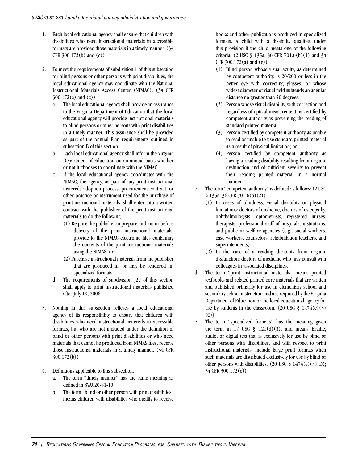- 1. Each local educational agency shall ensure that children with disabilities who need instructional materials in accessible formats are provided those materials in a timely manner. (34 CFR 300.172(b) and (c))
- 2. To meet the requirements of subdivision 1 of this subsection for blind persons or other persons with print disabilities, the local educational agency may coordinate with the National Instructional Materials Access Center (NIMAC). (34 CFR 300.172(a) and (c))
	- a. The local educational agency shall provide an assurance to the Virginia Department of Education that the local educational agency will provide instructional materials to blind persons or other persons with print disabilities in a timely manner. This assurance shall be provided as part of the Annual Plan requirements outlined in subsection B of this section.
	- b. Each local educational agency shall inform the Virginia Department of Education on an annual basis whether or not it chooses to coordinate with the NIMAC.
	- c. If the local educational agency coordinates with the NIMAC, the agency, as part of any print instructional materials adoption process, procurement contract, or other practice or instrument used for the purchase of print instructional materials, shall enter into a written contract with the publisher of the print instructional materials to do the following:
		- (1) Require the publisher to prepare and, on or before delivery of the print instructional materials, provide to the NIMAC electronic files containing the contents of the print instructional materials using the NIMAS; or
		- (2) Purchase instructional materials from the publisher that are produced in, or may be rendered in, specialized formats.
	- d. The requirements of subdivision J2c of this section shall apply to print instructional materials published after July 19, 2006.
- 3. Nothing in this subsection relieves a local educational agency of its responsibility to ensure that children with disabilities who need instructional materials in accessible formats, but who are not included under the definition of blind or other persons with print disabilities or who need materials that cannot be produced from NIMAS files, receive those instructional materials in a timely manner. (34 CFR 300.172(b))
- 4. Definitions applicable to this subsection.
	- a. The term "timely manner" has the same meaning as defined in 8VAC20-81-10.
	- b. The term "blind or other person with print disabilities" means children with disabilities who qualify to receive

books and other publications produced in specialized formats. A child with a disability qualifies under this provision if the child meets one of the following criteria: (2 USC § 135a; 36 CFR 701.6(b)(1) and 34 CFR 300.172(a) and (e))

- (1) Blind person whose visual acuity, as determined by competent authority, is 20/200 or less in the better eye with correcting glasses, or whose widest diameter of visual field subtends an angular distance no greater than 20 degrees;
- (2) Person whose visual disability, with correction and regardless of optical measurement, is certified by competent authority as preventing the reading of standard printed material;
- (3) Person certified by competent authority as unable to read or unable to use standard printed material as a result of physical limitation; or
- (4) Person certified by competent authority as having a reading disability resulting from organic dysfunction and of sufficient severity to prevent their reading printed material in a normal manner.
- c. The term "competent authority" is defined as follows: (2 USC § 135a; 36 CFR 701.6(b)(2))
	- (1) In cases of blindness, visual disability or physical limitations: doctors of medicine, doctors of osteopathy, ophthalmologists, optometrists, registered nurses, therapists, professional staff of hospitals, institutions, and public or welfare agencies (e.g., social workers, case workers, counselors, rehabilitation teachers, and superintendents).
	- (2) In the case of a reading disability from organic dysfunction: doctors of medicine who may consult with colleagues in associated disciplines.
- d. The term "print instructional materials" means printed textbooks and related printed core materials that are written and published primarily for use in elementary school and secondary school instruction and are required by the Virginia Department of Education or the local educational agency for use by students in the classroom. (20 USC  $\S$  1474(e)(3) (C))
- e. The term "specialized formats" has the meaning given the term in 17 USC  $\frac{1}{2}$  121(d)(3), and means Braille, audio, or digital text that is exclusively for use by blind or other persons with disabilities, and with respect to print instructional materials, include large print formats when such materials are distributed exclusively for use by blind or other persons with disabilities.  $(20 \text{ USC} \text{ } \text{\&} 1474 \text{(e)}(3) \text{(D)}$ ; 34 CFR 300.172(e))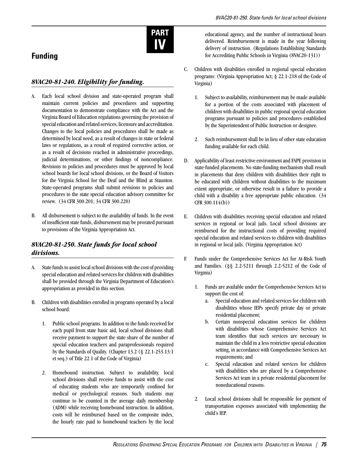

# **Funding**

### *8VAC20-81-240. Eligibility for funding.*

- A. Each local school division and state-operated program shall maintain current policies and procedures and supporting documentation to demonstrate compliance with the Act and the Virginia Board of Education regulations governing the provision of special education and related services, licensure and accreditation. Changes to the local policies and procedures shall be made as determined by local need, as a result of changes in state or federal laws or regulations, as a result of required corrective action, or as a result of decisions reached in administrative proceedings, judicial determinations, or other findings of noncompliance. Revisions to policies and procedures must be approved by local school boards for local school divisions, or the Board of Visitors for the Virginia School for the Deaf and the Blind at Staunton. State-operated programs shall submit revisions to policies and procedures to the state special education advisory committee for review. (34 CFR 300.201; 34 CFR 300.220)
- B. All disbursement is subject to the availability of funds. In the event of insufficient state funds, disbursement may be prorated pursuant to provisions of the Virginia Appropriation Act.

### *8VAC20-81-250. State funds for local school divisions.*

- A. State funds to assist local school divisions with the cost of providing special education and related services for children with disabilities shall be provided through the Virginia Department of Education's appropriation as provided in this section.
- B. Children with disabilities enrolled in programs operated by a local school board:
	- 1. Public school programs. In addition to the funds received for each pupil from state basic aid, local school divisions shall receive payment to support the state share of the number of special education teachers and paraprofessionals required by the Standards of Quality. (Chapter 13.2 (§ 22.1-253.13:1 et seq.) of Title 22.1 of the Code of Virginia)
	- 2. Homebound instruction. Subject to availability, local school divisions shall receive funds to assist with the cost of educating students who are temporarily confined for medical or psychological reasons. Such students may continue to be counted in the average daily membership (ADM) while receiving homebound instruction. In addition, costs will be reimbursed based on the composite index, the hourly rate paid to homebound teachers by the local

educational agency, and the number of instructional hours delivered. Reimbursement is made in the year following delivery of instruction. (Regulations Establishing Standards for Accrediting Public Schools in Virginia (8VAC20-131))

- C. Children with disabilities enrolled in regional special education programs: (Virginia Appropriation Act; § 22.1-218 of the Code of Virginia)
	- 1. Subject to availability, reimbursement may be made available for a portion of the costs associated with placement of children with disabilities in public regional special education programs pursuant to policies and procedures established by the Superintendent of Public Instruction or designee.
	- 2. Such reimbursement shall be in lieu of other state education funding available for each child.
- D. Applicability of least restrictive environment and FAPE provision in state-funded placements. No state-funding mechanism shall result in placements that deny children with disabilities their right to be educated with children without disabilities to the maximum extent appropriate, or otherwise result in a failure to provide a child with a disability a free appropriate public education. (34 CFR 300.114(b))
- E. Children with disabilities receiving special education and related services in regional or local jails. Local school divisions are reimbursed for the instructional costs of providing required special education and related services to children with disabilities in regional or local jails. (Virginia Appropriation Act)
- F. Funds under the Comprehensive Services Act for At-Risk Youth and Families. (§§ 2.2-5211 through 2.2-5212 of the Code of Virginia)
	- 1. Funds are available under the Comprehensive Services Act to support the cost of:
		- a. Special education and related services for children with disabilities whose IEPs specify private day or private residential placement;
		- b. Certain nonspecial education services for children with disabilities whose Comprehensive Services Act team identifies that such services are necessary to maintain the child in a less restrictive special education setting, in accordance with Comprehensive Services Act requirements; and
		- c. Special education and related services for children with disabilities who are placed by a Comprehensive Services Act team in a private residential placement for noneducational reasons.
	- 2. Local school divisions shall be responsible for payment of transportation expenses associated with implementing the child's IEP.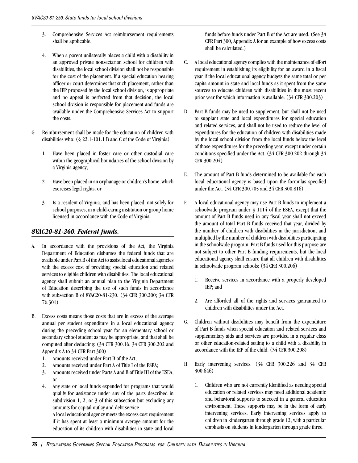- 3. Comprehensive Services Act reimbursement requirements shall be applicable.
- 4. When a parent unilaterally places a child with a disability in an approved private nonsectarian school for children with disabilities, the local school division shall not be responsible for the cost of the placement. If a special education hearing officer or court determines that such placement, rather than the IEP proposed by the local school division, is appropriate and no appeal is perfected from that decision, the local school division is responsible for placement and funds are available under the Comprehensive Services Act to support the costs.
- G. Reimbursement shall be made for the education of children with disabilities who: (§ 22.1-101.1 B and C of the Code of Virginia)
	- 1. Have been placed in foster care or other custodial care within the geographical boundaries of the school division by a Virginia agency;
	- 2. Have been placed in an orphanage or children's home, which exercises legal rights; or
	- 3. Is a resident of Virginia, and has been placed, not solely for school purposes, in a child-caring institution or group home licensed in accordance with the Code of Virginia.

#### *8VAC20-81-260. Federal funds.*

- A. In accordance with the provisions of the Act, the Virginia Department of Education disburses the federal funds that are available under Part B of the Act to assist local educational agencies with the excess cost of providing special education and related services to eligible children with disabilities. The local educational agency shall submit an annual plan to the Virginia Department of Education describing the use of such funds in accordance with subsection B of 8VAC20-81-230. (34 CFR 300.200; 34 CFR 76.301)
- B. Excess costs means those costs that are in excess of the average annual per student expenditure in a local educational agency during the preceding school year for an elementary school or secondary school student as may be appropriate, and that shall be computed after deducting: (34 CFR 300.16, 34 CFR 300.202 and Appendix A to 34 CFR Part 300)
	- 1. Amounts received under Part B of the Act;
	- 2. Amounts received under Part A of Title I of the ESEA;
	- 3. Amounts received under Parts A and B of Title III of the ESEA; or
	- 4. Any state or local funds expended for programs that would qualify for assistance under any of the parts described in subdivision 1, 2, or 3 of this subsection but excluding any amounts for capital outlay and debt service.

A local educational agency meets the excess cost requirement if it has spent at least a minimum average amount for the education of its children with disabilities in state and local funds before funds under Part B of the Act are used. (See 34 CFR Part 300, Appendix A for an example of how excess costs shall be calculated.)

- C. A local educational agency complies with the maintenance of effort requirement in establishing its eligibility for an award in a fiscal year if the local educational agency budgets the same total or per capita amount in state and local funds as it spent from the same sources to educate children with disabilities in the most recent prior year for which information is available. (34 CFR 300.203)
- D. Part B funds may be used to supplement, but shall not be used to supplant state and local expenditures for special education and related services, and shall not be used to reduce the level of expenditures for the education of children with disabilities made by the local school division from the local funds below the level of those expenditures for the preceding year, except under certain conditions specified under the Act. (34 CFR 300.202 through 34 CFR 300.204)
- E. The amount of Part B funds determined to be available for each local educational agency is based upon the formulas specified under the Act. (34 CFR 300.705 and 34 CFR 300.816)
- F. A local educational agency may use Part B funds to implement a schoolwide program under § 1114 of the ESEA, except that the amount of Part B funds used in any fiscal year shall not exceed the amount of total Part B funds received that year, divided by the number of children with disabilities in the jurisdiction, and multiplied by the number of children with disabilities participating in the schoolwide program. Part B funds used for this purpose are not subject to other Part B funding requirements, but the local educational agency shall ensure that all children with disabilities in schoolwide program schools: (34 CFR 300.206)
	- 1. Receive services in accordance with a properly developed IEP; and
	- 2. Are afforded all of the rights and services guaranteed to children with disabilities under the Act.
- G. Children without disabilities may benefit from the expenditure of Part B funds when special education and related services and supplementary aids and services are provided in a regular class or other education-related setting to a child with a disability in accordance with the IEP of the child. (34 CFR 300.208)
- H. Early intervening services. (34 CFR 300.226 and 34 CFR 300.646)
	- 1. Children who are not currently identified as needing special education or related services may need additional academic and behavioral supports to succeed in a general education environment. These supports may be in the form of early intervening services. Early intervening services apply to children in kindergarten through grade 12, with a particular emphasis on students in kindergarten through grade three.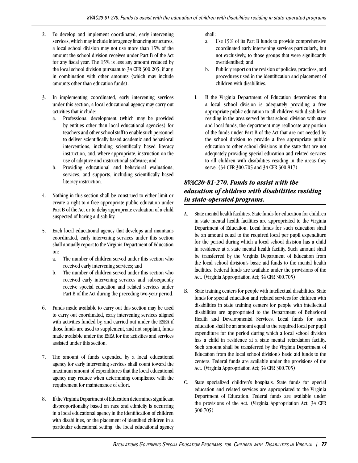- 2. To develop and implement coordinated, early intervening services, which may include interagency financing structures, a local school division may not use more than 15% of the amount the school division receives under Part B of the Act for any fiscal year. The 15% is less any amount reduced by the local school division pursuant to 34 CFR 300.205, if any, in combination with other amounts (which may include amounts other than education funds).
- 3. In implementing coordinated, early intervening services under this section, a local educational agency may carry out activities that include:
	- a. Professional development (which may be provided by entities other than local educational agencies) for teachers and other school staff to enable such personnel to deliver scientifically based academic and behavioral interventions, including scientifically based literacy instruction, and, where appropriate, instruction on the use of adaptive and instructional software; and
	- b. Providing educational and behavioral evaluations, services, and supports, including scientifically based literacy instruction.
- 4. Nothing in this section shall be construed to either limit or create a right to a free appropriate public education under Part B of the Act or to delay appropriate evaluation of a child suspected of having a disability.
- 5. Each local educational agency that develops and maintains coordinated, early intervening services under this section shall annually report to the Virginia Department of Education on:
	- a. The number of children served under this section who received early intervening services; and
	- b. The number of children served under this section who received early intervening services and subsequently receive special education and related services under Part B of the Act during the preceding two-year period.
- 6. Funds made available to carry out this section may be used to carry out coordinated, early intervening services aligned with activities funded by, and carried out under the ESEA if those funds are used to supplement, and not supplant, funds made available under the ESEA for the activities and services assisted under this section.
- 7. The amount of funds expended by a local educational agency for early intervening services shall count toward the maximum amount of expenditures that the local educational agency may reduce when determining compliance with the requirement for maintenance of effort.
- 8. If the Virginia Department of Education determines significant disproportionality based on race and ethnicity is occurring in a local educational agency in the identification of children with disabilities, or the placement of identified children in a particular educational setting, the local educational agency

shall:

- a. Use 15% of its Part B funds to provide comprehensive coordinated early intervening services particularly, but not exclusively, to those groups that were significantly overidentified; and
- b. Publicly report on the revision of policies, practices, and procedures used in the identification and placement of children with disabilities.
- I. If the Virginia Department of Education determines that a local school division is adequately providing a free appropriate public education to all children with disabilities residing in the area served by that school division with state and local funds, the department may reallocate any portion of the funds under Part B of the Act that are not needed by the school division to provide a free appropriate public education to other school divisions in the state that are not adequately providing special education and related services to all children with disabilities residing in the areas they serve. (34 CFR 300.705 and 34 CFR 300.817)

### *8VAC20-81-270. Funds to assist with the education of children with disabilities residing in state-operated programs.*

- A. State mental health facilities. State funds for education for children in state mental health facilities are appropriated to the Virginia Department of Education. Local funds for such education shall be an amount equal to the required local per pupil expenditure for the period during which a local school division has a child in residence at a state mental health facility. Such amount shall be transferred by the Virginia Department of Education from the local school division's basic aid funds to the mental health facilities. Federal funds are available under the provisions of the Act. (Virginia Appropriation Act; 34 CFR 300.705)
- B. State training centers for people with intellectual disabilities. State funds for special education and related services for children with disabilities in state training centers for people with intellectual disabilities are appropriated to the Department of Behavioral Health and Developmental Services. Local funds for such education shall be an amount equal to the required local per pupil expenditure for the period during which a local school division has a child in residence at a state mental retardation facility. Such amount shall be transferred by the Virginia Department of Education from the local school division's basic aid funds to the centers. Federal funds are available under the provisions of the Act. (Virginia Appropriation Act; 34 CFR 300.705)
- C. State specialized children's hospitals. State funds for special education and related services are appropriated to the Virginia Department of Education. Federal funds are available under the provisions of the Act. (Virginia Appropriation Act; 34 CFR 300.705)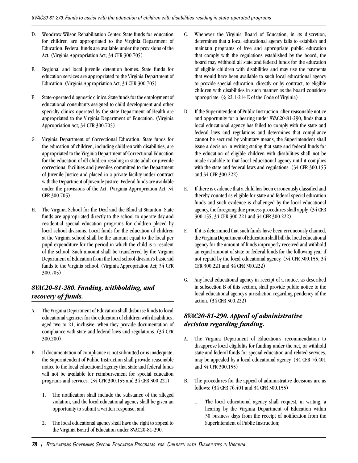- D. Woodrow Wilson Rehabilitation Center. State funds for education for children are appropriated to the Virginia Department of Education. Federal funds are available under the provisions of the Act. (Virginia Appropriation Act; 34 CFR 300.705)
- E. Regional and local juvenile detention homes. State funds for education services are appropriated to the Virginia Department of Education. (Virginia Appropriation Act; 34 CFR 300.705)
- F. State-operated diagnostic clinics. State funds for the employment of educational consultants assigned to child development and other specialty clinics operated by the state Department of Health are appropriated to the Virginia Department of Education. (Virginia Appropriation Act; 34 CFR 300.705)
- G. Virginia Department of Correctional Education. State funds for the education of children, including children with disabilities, are appropriated to the Virginia Department of Correctional Education for the education of all children residing in state adult or juvenile correctional facilities and juveniles committed to the Department of Juvenile Justice and placed in a private facility under contract with the Department of Juvenile Justice. Federal funds are available under the provisions of the Act. (Virginia Appropriation Act; 34 CFR 300.705)
- H. The Virginia School for the Deaf and the Blind at Staunton. State funds are appropriated directly to the school to operate day and residential special education programs for children placed by local school divisions. Local funds for the education of children at the Virginia school shall be the amount equal to the local per pupil expenditure for the period in which the child is a resident of the school. Such amount shall be transferred by the Virginia Department of Education from the local school division's basic aid funds to the Virginia school. (Virginia Appropriation Act; 34 CFR 300.705)

### *8VAC20-81-280. Funding, withholding, and recovery of funds.*

- A. The Virginia Department of Education shall disburse funds to local educational agencies for the education of children with disabilities, aged two to 21, inclusive, when they provide documentation of compliance with state and federal laws and regulations. (34 CFR 300.200)
- B. If documentation of compliance is not submitted or is inadequate, the Superintendent of Public Instruction shall provide reasonable notice to the local educational agency that state and federal funds will not be available for reimbursement for special education programs and services. (34 CFR 300.155 and 34 CFR 300.221)
	- 1. The notification shall include the substance of the alleged violation, and the local educational agency shall be given an opportunity to submit a written response; and
	- 2. The local educational agency shall have the right to appeal to the Virginia Board of Education under 8VAC20-81-290.
- C. Whenever the Virginia Board of Education, in its discretion, determines that a local educational agency fails to establish and maintain programs of free and appropriate public education that comply with the regulations established by the board, the board may withhold all state and federal funds for the education of eligible children with disabilities and may use the payments that would have been available to such local educational agency to provide special education, directly or by contract, to eligible children with disabilities in such manner as the board considers appropriate. (§ 22.1-214 E of the Code of Virginia)
- D. If the Superintendent of Public Instruction, after reasonable notice and opportunity for a hearing under 8VAC20-81-290, finds that a local educational agency has failed to comply with the state and federal laws and regulations and determines that compliance cannot be secured by voluntary means, the Superintendent shall issue a decision in writing stating that state and federal funds for the education of eligible children with disabilities shall not be made available to that local educational agency until it complies with the state and federal laws and regulations. (34 CFR 300.155 and 34 CFR 300.222)
- E. If there is evidence that a child has been erroneously classified and thereby counted as eligible for state and federal special education funds and such evidence is challenged by the local educational agency, the foregoing due process procedures shall apply. (34 CFR 300.155, 34 CFR 300.221 and 34 CFR 300.222)
- F. If it is determined that such funds have been erroneously claimed, the Virginia Department of Education shall bill the local educational agency for the amount of funds improperly received and withhold an equal amount of state or federal funds for the following year if not repaid by the local educational agency. (34 CFR 300.155, 34 CFR 300.221 and 34 CFR 300.222)
- G. Any local educational agency in receipt of a notice, as described in subsection B of this section, shall provide public notice to the local educational agency's jurisdiction regarding pendency of the action. (34 CFR 300.222)

#### *8VAC20-81-290. Appeal of administrative decision regarding funding.*

- A. The Virginia Department of Education's recommendation to disapprove local eligibility for funding under the Act, or withhold state and federal funds for special education and related services, may be appealed by a local educational agency. (34 CFR 76.401 and 34 CFR 300.155)
- B. The procedures for the appeal of administrative decisions are as follows: (34 CFR 76.401 and 34 CFR 300.155)
	- 1. The local educational agency shall request, in writing, a hearing by the Virginia Department of Education within 30 business days from the receipt of notification from the Superintendent of Public Instruction;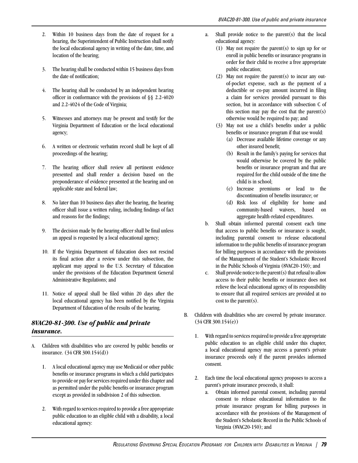- 2. Within 10 business days from the date of request for a hearing, the Superintendent of Public Instruction shall notify the local educational agency in writing of the date, time, and location of the hearing;
- 3. The hearing shall be conducted within 15 business days from the date of notification;
- 4. The hearing shall be conducted by an independent hearing officer in conformance with the provisions of §§ 2.2-4020 and 2.2-4024 of the Code of Virginia;
- 5. Witnesses and attorneys may be present and testify for the Virginia Department of Education or the local educational agency;
- 6. A written or electronic verbatim record shall be kept of all proceedings of the hearing;
- 7. The hearing officer shall review all pertinent evidence presented and shall render a decision based on the preponderance of evidence presented at the hearing and on applicable state and federal law;
- 8. No later than 10 business days after the hearing, the hearing officer shall issue a written ruling, including findings of fact and reasons for the findings;
- 9. The decision made by the hearing officer shall be final unless an appeal is requested by a local educational agency;
- 10. If the Virginia Department of Education does not rescind its final action after a review under this subsection, the applicant may appeal to the U.S. Secretary of Education under the provisions of the Education Department General Administrative Regulations; and
- 11. Notice of appeal shall be filed within 20 days after the local educational agency has been notified by the Virginia Department of Education of the results of the hearing.

### *8VAC20-81-300. Use of public and private insurance.*

- A. Children with disabilities who are covered by public benefits or insurance. (34 CFR 300.154(d))
	- 1. A local educational agency may use Medicaid or other public benefits or insurance programs in which a child participates to provide or pay for services required under this chapter and as permitted under the public benefits or insurance program except as provided in subdivision 2 of this subsection.
	- 2. With regard to services required to provide a free appropriate public education to an eligible child with a disability, a local educational agency:
- a. Shall provide notice to the parent(s) that the local educational agency:
	- (1) May not require the parent(s) to sign up for or enroll in public benefits or insurance programs in order for their child to receive a free appropriate public education;
	- (2) May not require the parent(s) to incur any outof-pocket expense, such as the payment of a deductible or co-pay amount incurred in filing a claim for services provided pursuant to this section, but in accordance with subsection C of this section may pay the cost that the parent(s) otherwise would be required to pay; and
	- (3) May not use a child's benefits under a public benefits or insurance program if that use would:
		- (a) Decrease available lifetime coverage or any other insured benefit;
		- (b) Result in the family's paying for services that would otherwise be covered by the public benefits or insurance program and that are required for the child outside of the time the child is in school;
		- (c) Increase premiums or lead to the discontinuation of benefits insurance; or
		- (d) Risk loss of eligibility for home and community-based waivers, based on aggregate health-related expenditures.
- b. Shall obtain informed parental consent each time that access to public benefits or insurance is sought, including parental consent to release educational information to the public benefits of insurance program for billing purposes in accordance with the provisions of the Management of the Student's Scholastic Record in the Public Schools of Virginia (8VAC20-150); and
- c. Shall provide notice to the parent(s) that refusal to allow access to their public benefits or insurance does not relieve the local educational agency of its responsibility to ensure that all required services are provided at no cost to the parent(s).
- B. Children with disabilities who are covered by private insurance. (34 CFR 300.154(e))
	- 1. With regard to services required to provide a free appropriate public education to an eligible child under this chapter, a local educational agency may access a parent's private insurance proceeds only if the parent provides informed consent.
	- 2. Each time the local educational agency proposes to access a parent's private insurance proceeds, it shall:
		- a. Obtain informed parental consent, including parental consent to release educational information to the private insurance program for billing purposes in accordance with the provisions of the Management of the Student's Scholastic Record in the Public Schools of Virginia (8VAC20-150); and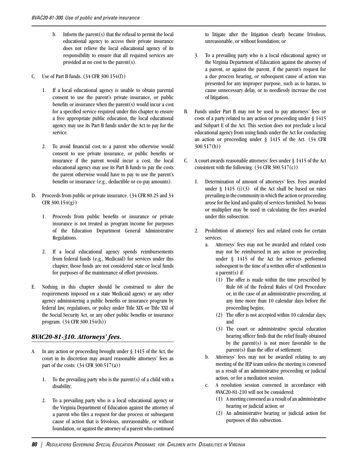- b. Inform the parent(s) that the refusal to permit the local educational agency to access their private insurance does not relieve the local educational agency of its responsibility to ensure that all required services are provided at no cost to the parent(s).
- C. Use of Part B funds. (34 CFR 300.154(f))
	- 1. If a local educational agency is unable to obtain parental consent to use the parent's private insurance, or public benefits or insurance when the parent(s) would incur a cost for a specified service required under this chapter to ensure a free appropriate public education, the local educational agency may use its Part B funds under the Act to pay for the service.
	- 2. To avoid financial cost to a parent who otherwise would consent to use private insurance, or public benefits or insurance if the parent would incur a cost, the local educational agency may use its Part B funds to pay the costs the parent otherwise would have to pay to use the parent's benefits or insurance (e.g., deductible or co-pay amounts).
- D. Proceeds from public or private insurance. (34 CFR 80.25 and 34  $CFR$  300.154(g))
	- 1. Proceeds from public benefits or insurance or private insurance is not treated as program income for purposes of the Education Department General Administrative Regulations.
	- 2. If a local educational agency spends reimbursements from federal funds (e.g., Medicaid) for services under this chapter, those funds are not considered state or local funds for purposes of the maintenance of effort provisions.
- E. Nothing in this chapter should be construed to alter the requirements imposed on a state Medicaid agency or any other agency administering a public benefits or insurance program by federal law, regulations, or policy under Title XIX or Title XXI of the Social Security Act, or any other public benefits or insurance program. (34 CFR 300.154(h))

#### *8VAC20-81-310. Attorneys' fees.*

- A. In any action or proceeding brought under § 1415 of the Act, the court in its discretion may award reasonable attorneys' fees as part of the costs:  $(34 \text{ CFR } 300.517(a))$ 
	- 1. To the prevailing party who is the parent(s) of a child with a disability;
	- 2. To a prevailing party who is a local educational agency or the Virginia Department of Education against the attorney of a parent who files a request for due process or subsequent cause of action that is frivolous, unreasonable, or without foundation, or against the attorney of a parent who continued

to litigate after the litigation clearly became frivolous, unreasonable, or without foundation; or

- 3. To a prevailing party who is a local educational agency or the Virginia Department of Education against the attorney of a parent, or against the parent, if the parent's request for a due process hearing, or subsequent cause of action was presented for any improper purpose, such as to harass, to cause unnecessary delay, or to needlessly increase the cost of litigation.
- B. Funds under Part B may not be used to pay attorneys' fees or costs of a party related to any action or proceeding under § 1415 and Subpart E of the Act. This section does not preclude a local educational agency from using funds under the Act for conducting an action or proceeding under § 1415 of the Act. (34 CFR 300.517(b))
- C. A court awards reasonable attorneys' fees under § 1415 of the Act consistent with the following:  $(34 \text{ CFR } 300.517(c))$ 
	- 1. Determination of amount of attorneys' fees. Fees awarded under  $\S$  1415 (i)(3) of the Act shall be based on rates prevailing in the community in which the action or proceeding arose for the kind and quality of services furnished. No bonus or multiplier may be used in calculating the fees awarded under this subsection.
	- 2. Prohibition of attorneys' fees and related costs for certain services.
		- a. Attorneys' fees may not be awarded and related costs may not be reimbursed in any action or proceeding under § 1415 of the Act for services performed subsequent to the time of a written offer of settlement to a parent(s) if:
			- (1) The offer is made within the time prescribed by Rule 68 of the Federal Rules of Civil Procedure or, in the case of an administrative proceeding, at any time more than 10 calendar days before the proceeding begins;
			- (2) The offer is not accepted within 10 calendar days; and
			- (3) The court or administrative special education hearing officer finds that the relief finally obtained by the parent(s) is not more favorable to the parent(s) than the offer of settlement.
		- b. Attorneys' fees may not be awarded relating to any meeting of the IEP team unless the meeting is convened as a result of an administrative proceeding or judicial action, or for a mediation session.
		- c. A resolution session convened in accordance with 8VAC20-81-210 will not be considered:
			- (1) A meeting convened as a result of an administrative hearing or judicial action; or
			- (2) An administrative hearing or judicial action for purposes of this subsection.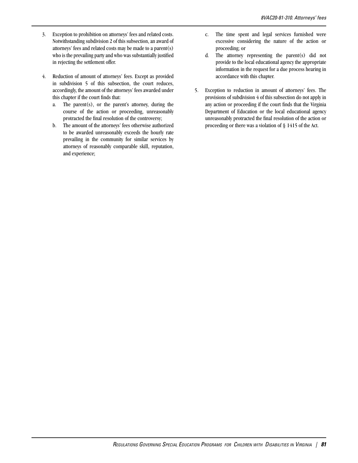- 3. Exception to prohibition on attorneys' fees and related costs. Notwithstanding subdivision 2 of this subsection, an award of attorneys' fees and related costs may be made to a parent(s) who is the prevailing party and who was substantially justified in rejecting the settlement offer.
- 4. Reduction of amount of attorneys' fees. Except as provided in subdivision 5 of this subsection, the court reduces, accordingly, the amount of the attorneys' fees awarded under this chapter if the court finds that:
	- a. The parent(s), or the parent's attorney, during the course of the action or proceeding, unreasonably protracted the final resolution of the controversy;
	- b. The amount of the attorneys' fees otherwise authorized to be awarded unreasonably exceeds the hourly rate prevailing in the community for similar services by attorneys of reasonably comparable skill, reputation, and experience;
- c. The time spent and legal services furnished were excessive considering the nature of the action or proceeding; or
- d. The attorney representing the parent(s) did not provide to the local educational agency the appropriate information in the request for a due process hearing in accordance with this chapter.
- 5. Exception to reduction in amount of attorneys' fees. The provisions of subdivision 4 of this subsection do not apply in any action or proceeding if the court finds that the Virginia Department of Education or the local educational agency unreasonably protracted the final resolution of the action or proceeding or there was a violation of § 1415 of the Act.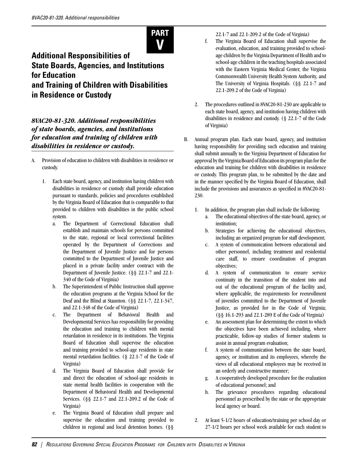

# **Additional Responsibilities of State Boards, Agencies, and Institutions for Education and Training of Children with Disabilities in Residence or Custody**

*8VAC20-81-320. Additional responsibilities of state boards, agencies, and institutions for education and training of children with disabilities in residence or custody.* 

- A. Provision of education to children with disabilities in residence or custody.
	- 1. Each state board, agency, and institution having children with disabilities in residence or custody shall provide education pursuant to standards, policies and procedures established by the Virginia Board of Education that is comparable to that provided to children with disabilities in the public school system.
		- a. The Department of Correctional Education shall establish and maintain schools for persons committed to the state, regional or local correctional facilities operated by the Department of Corrections and the Department of Juvenile Justice and for persons committed to the Department of Juvenile Justice and placed in a private facility under contract with the Department of Juvenile Justice. (§§ 22.1-7 and 22.1- 340 of the Code of Virginia)
		- b. The Superintendent of Public Instruction shall approve the education programs at the Virginia School for the Deaf and the Blind at Staunton. (§§ 22.1-7, 22.1-347, and 22.1-348 of the Code of Virginia)
		- c. The Department of Behavioral Health and Developmental Services has responsibility for providing the education and training to children with mental retardation in residence in its institutions. The Virginia Board of Education shall supervise the education and training provided to school-age residents in state mental retardation facilities. (§ 22.1-7 of the Code of Virginia)
		- d. The Virginia Board of Education shall provide for and direct the education of school-age residents in state mental health facilities in cooperation with the Department of Behavioral Health and Developmental Services. (§§ 22.1-7 and 22.1-209.2 of the Code of Virginia)
		- e. The Virginia Board of Education shall prepare and supervise the education and training provided to children in regional and local detention homes. (§§

22.1-7 and 22.1-209.2 of the Code of Virginia)

- f. The Virginia Board of Education shall supervise the evaluation, education, and training provided to schoolage children by the Virginia Department of Health and to school-age children in the teaching hospitals associated with the Eastern Virginia Medical Center, the Virginia Commonwealth University Health System Authority, and The University of Virginia Hospitals. (§§ 22.1-7 and 22.1-209.2 of the Code of Virginia)
- 2. The procedures outlined in 8VAC20-81-230 are applicable to each state board, agency, and institution having children with disabilities in residence and custody. (§ 22.1-7 of the Code of Virginia)
- B. Annual program plan. Each state board, agency, and institution having responsibility for providing such education and training shall submit annually to the Virginia Department of Education for approval by the Virginia Board of Education its program plan for the education and training for children with disabilities in residence or custody. This program plan, to be submitted by the date and in the manner specified by the Virginia Board of Education, shall include the provisions and assurances as specified in 8VAC20-81- 230.
	- 1. In addition, the program plan shall include the following:
		- a. The educational objectives of the state board, agency, or institution;
		- b. Strategies for achieving the educational objectives, including an organized program for staff development;
		- c. A system of communication between educational and other personnel, including treatment and residential care staff, to ensure coordination of program objectives;
		- d. A system of communication to ensure service continuity in the transition of the student into and out of the educational program of the facility and, where applicable, the requirements for reenrollment of juveniles committed to the Department of Juvenile Justice, as provided for in the Code of Virginia; (§§ 16.1-293 and 22.1-289 E of the Code of Virginia)
		- e. An assessment plan for determining the extent to which the objectives have been achieved including, where practicable, follow-up studies of former students to assist in annual program evaluation;
		- f. A system of communication between the state board, agency, or institution and its employees, whereby the views of all educational employees may be received in an orderly and constructive manner;
		- g. A cooperatively developed procedure for the evaluation of educational personnel; and
		- h. The grievance procedures regarding educational personnel as prescribed by the state or the appropriate local agency or board.
	- 2. At least 5-1/2 hours of education/training per school day or 27-1/2 hours per school week available for each student to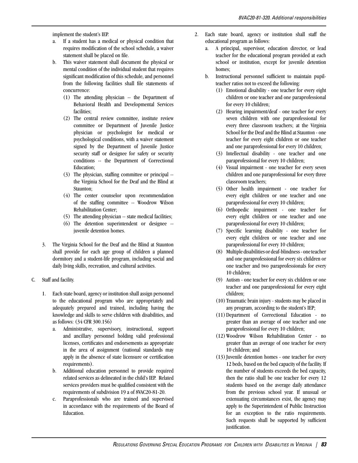implement the student's IEP.

- a. If a student has a medical or physical condition that requires modification of the school schedule, a waiver statement shall be placed on file.
- b. This waiver statement shall document the physical or mental condition of the individual student that requires significant modification of this schedule, and personnel from the following facilities shall file statements of concurrence:
	- (1) The attending physician -- the Department of Behavioral Health and Developmental Services facilities;
	- (2) The central review committee, institute review committee or Department of Juvenile Justice physician or psychologist for medical or psychological conditions, with a waiver statement signed by the Department of Juvenile Justice security staff or designee for safety or security conditions -- the Department of Correctional Education;
	- (3) The physician, staffing committee or principal the Virginia School for the Deaf and the Blind at Staunton;
	- (4) The center counselor upon recommendation of the staffing committee -- Woodrow Wilson Rehabilitation Center;
	- (5) The attending physician -- state medical facilities;
	- (6) The detention superintendent or designee juvenile detention homes.
- 3. The Virginia School for the Deaf and the Blind at Staunton shall provide for each age group of children a planned dormitory and a student-life program, including social and daily living skills, recreation, and cultural activities.
- C. Staff and facility.
	- 1. Each state board, agency or institution shall assign personnel to the educational program who are appropriately and adequately prepared and trained, including having the knowledge and skills to serve children with disabilities, and as follows: (34 CFR 300.156)
		- a. Administrative, supervisory, instructional, support and ancillary personnel holding valid professional licenses, certificates and endorsements as appropriate in the area of assignment (national standards may apply in the absence of state licensure or certification requirements).
		- b. Additional education personnel to provide required related services as delineated in the child's IEP. Related services providers must be qualified consistent with the requirements of subdivision 19 a of 8VAC20-81-20.
		- c. Paraprofessionals who are trained and supervised in accordance with the requirements of the Board of Education.
- 2. Each state board, agency or institution shall staff the educational program as follows:
	- a. A principal, supervisor, education director, or lead teacher for the educational program provided at each school or institution, except for juvenile detention homes;
	- b. Instructional personnel sufficient to maintain pupilteacher ratios not to exceed the following:
		- (1) Emotional disability one teacher for every eight children or one teacher and one paraprofessional for every 10 children;
		- (2) Hearing impairment/deaf one teacher for every seven children with one paraprofessional for every three classroom teachers; at the Virginia School for the Deaf and the Blind at Staunton - one teacher for every eight children or one teacher and one paraprofessional for every 10 children;
		- (3) Intellectual disability one teacher and one paraprofessional for every 10 children;
		- (4) Visual impairment one teacher for every seven children and one paraprofessional for every three classroom teachers;
		- (5) Other health impairment one teacher for every eight children or one teacher and one paraprofessional for every 10 children;
		- (6) Orthopedic impairment one teacher for every eight children or one teacher and one paraprofessional for every 10 children;
		- (7) Specific learning disability one teacher for every eight children or one teacher and one paraprofessional for every 10 children;
		- (8) Multiple disabilities or deaf-blindness one teacher and one paraprofessional for every six children or one teacher and two paraprofessionals for every 10 children;
		- (9) Autism one teacher for every six children or one teacher and one paraprofessional for every eight children;
		- (10) Traumatic brain injury students may be placed in any program, according to the student's IEP;
		- (11)Department of Correctional Education no greater than an average of one teacher and one paraprofessional for every 10 children;
		- (12)Woodrow Wilson Rehabilitation Center no greater than an average of one teacher for every 10 children; and
		- $(13)$  Juvenile detention homes one teacher for every 12 beds, based on the bed capacity of the facility. If the number of students exceeds the bed capacity, then the ratio shall be one teacher for every 12 students based on the average daily attendance from the previous school year. If unusual or extenuating circumstances exist, the agency may apply to the Superintendent of Public Instruction for an exception to the ratio requirements. Such requests shall be supported by sufficient justification.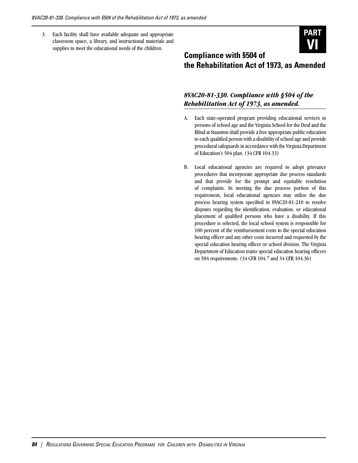3. Each facility shall have available adequate and appropriate classroom space, a library, and instructional materials and supplies to meet the educational needs of the children.



# **Compliance with §504 of the Rehabilitation Act of 1973, as Amended**

### *8VAC20-81-330. Compliance with §504 of the Rehabilitation Act of 1973, as amended.*

- A. Each state-operated program providing educational services to persons of school age and the Virginia School for the Deaf and the Blind at Staunton shall provide a free appropriate public education to each qualified person with a disability of school age and provide procedural safeguards in accordance with the Virginia Department of Education's 504 plan. (34 CFR 104.33)
- B. Local educational agencies are required to adopt grievance procedures that incorporate appropriate due process standards and that provide for the prompt and equitable resolution of complaints. In meeting the due process portion of this requirement, local educational agencies may utilize the due process hearing system specified in 8VAC20-81-210 to resolve disputes regarding the identification, evaluation, or educational placement of qualified persons who have a disability. If this procedure is selected, the local school system is responsible for 100 percent of the reimbursement costs to the special education hearing officer and any other costs incurred and requested by the special education hearing officer or school division. The Virginia Department of Education trains special education hearing officers on 504 requirements. (34 CFR 104.7 and 34 CFR 104.36)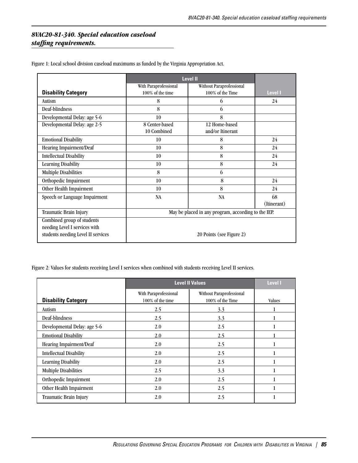### *8VAC20-81-340. Special education caseload staffing requirements.*

|                                    | <b>Level II</b>                                     |                          |             |
|------------------------------------|-----------------------------------------------------|--------------------------|-------------|
|                                    | With Paraprofessional                               | Without Paraprofessional |             |
| <b>Disability Category</b>         | 100% of the time                                    | 100% of the Time         | Level I     |
| Autism                             | 8                                                   | 6                        | 24          |
| Deaf-blindness                     | 8                                                   | 6                        |             |
| Developmental Delay: age 5-6       | 10                                                  | 8                        |             |
| Developmental Delay: age 2-5       | 8 Center-based                                      | 12 Home-based            |             |
|                                    | 10 Combined                                         | and/or Itinerant         |             |
| <b>Emotional Disability</b>        | 10                                                  | 8                        | 24          |
| Hearing Impairment/Deaf            | 10                                                  | 8                        | 24          |
| <b>Intellectual Disability</b>     | 10                                                  | 8                        | 24          |
| <b>Learning Disability</b>         | 10                                                  | 8                        | 24          |
| <b>Multiple Disabilities</b>       | 8                                                   | 6                        |             |
| Orthopedic Impairment              | 10                                                  | 8                        | 24          |
| Other Health Impairment            | 10                                                  | 8                        | 24          |
| Speech or Language Impairment      | <b>NA</b>                                           | <b>NA</b>                | 68          |
|                                    |                                                     |                          | (Itinerant) |
| Traumatic Brain Injury             | May be placed in any program, according to the IEP. |                          |             |
| Combined group of students         |                                                     |                          |             |
| needing Level I services with      |                                                     |                          |             |
| students needing Level II services | 20 Points (see Figure 2)                            |                          |             |

Figure 1: Local school division caseload maximums as funded by the Virginia Appropriation Act.

Figure 2: Values for students receiving Level I services when combined with students receiving Level II services.

|                                |                                           | <b>Level II Values</b>                       | <b>Level I</b> |
|--------------------------------|-------------------------------------------|----------------------------------------------|----------------|
| <b>Disability Category</b>     | With Paraprofessional<br>100% of the time | Without Paraprofessional<br>100% of the Time | Values         |
| Autism                         | 2.5                                       | 3.3                                          |                |
| Deaf-blindness                 | 2.5                                       | 3.3                                          |                |
| Developmental Delay: age 5-6   | 2.0                                       | 2.5                                          |                |
| <b>Emotional Disability</b>    | 2.0                                       | 2.5                                          |                |
| Hearing Impairment/Deaf        | 2.0                                       | 2.5                                          |                |
| <b>Intellectual Disability</b> | 2.0                                       | 2.5                                          |                |
| <b>Learning Disability</b>     | 2.0                                       | 2.5                                          |                |
| <b>Multiple Disabilities</b>   | 2.5                                       | 3.3                                          |                |
| Orthopedic Impairment          | 2.0                                       | 2.5                                          |                |
| Other Health Impairment        | 2.0                                       | 2.5                                          |                |
| Traumatic Brain Injury         | 2.0                                       | 2.5                                          |                |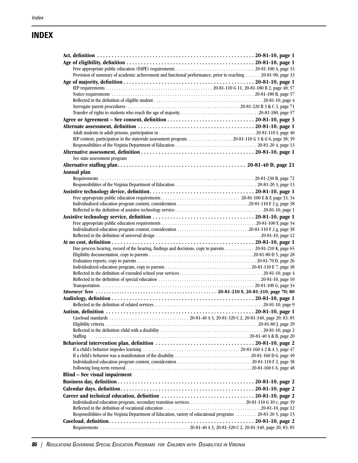### **INDEX**

| Provision of summary of academic achievement and functional performance, prior to reaching 20-81-90, page 33   |  |
|----------------------------------------------------------------------------------------------------------------|--|
|                                                                                                                |  |
|                                                                                                                |  |
|                                                                                                                |  |
|                                                                                                                |  |
|                                                                                                                |  |
|                                                                                                                |  |
|                                                                                                                |  |
|                                                                                                                |  |
|                                                                                                                |  |
| IEP content, participation in the statewide assessment program20-81-110 G 3 & G 6, page 38; 39                 |  |
|                                                                                                                |  |
|                                                                                                                |  |
| See state assessment program                                                                                   |  |
|                                                                                                                |  |
| Annual plan                                                                                                    |  |
|                                                                                                                |  |
|                                                                                                                |  |
|                                                                                                                |  |
|                                                                                                                |  |
|                                                                                                                |  |
|                                                                                                                |  |
|                                                                                                                |  |
|                                                                                                                |  |
|                                                                                                                |  |
|                                                                                                                |  |
| Due process hearing, record of the hearing, findings and decisions, copy to parents. 20-81-210 K, page 65      |  |
|                                                                                                                |  |
|                                                                                                                |  |
|                                                                                                                |  |
|                                                                                                                |  |
|                                                                                                                |  |
|                                                                                                                |  |
|                                                                                                                |  |
|                                                                                                                |  |
|                                                                                                                |  |
|                                                                                                                |  |
|                                                                                                                |  |
|                                                                                                                |  |
|                                                                                                                |  |
| <b>Staffing</b>                                                                                                |  |
|                                                                                                                |  |
|                                                                                                                |  |
| If a child's behavior was a manifestation of the disability 20-81-160 D 6, page 49                             |  |
|                                                                                                                |  |
|                                                                                                                |  |
| Blind – See visual impairment                                                                                  |  |
|                                                                                                                |  |
|                                                                                                                |  |
|                                                                                                                |  |
|                                                                                                                |  |
|                                                                                                                |  |
| Responsibilities of the Virginia Department of Education, variety of educational programs  20-81-20 5, page 13 |  |
|                                                                                                                |  |
|                                                                                                                |  |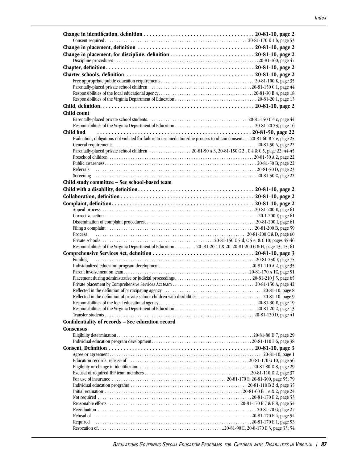| Child count                                                                                                              |  |
|--------------------------------------------------------------------------------------------------------------------------|--|
|                                                                                                                          |  |
|                                                                                                                          |  |
| Child find                                                                                                               |  |
| Evaluation, obligations not violated for failure to use mediation/due process to obtain consent. 20-81-60 B 2 e, page 25 |  |
|                                                                                                                          |  |
| Parentally-placed private school children  20-81-50 A 3, 20-81-150 C 2, C 4 & C 5, page 22; 44-45                        |  |
|                                                                                                                          |  |
|                                                                                                                          |  |
| Referrals                                                                                                                |  |
|                                                                                                                          |  |
| Child study committee - See school-based team                                                                            |  |
|                                                                                                                          |  |
|                                                                                                                          |  |
|                                                                                                                          |  |
|                                                                                                                          |  |
|                                                                                                                          |  |
|                                                                                                                          |  |
|                                                                                                                          |  |
| Process                                                                                                                  |  |
|                                                                                                                          |  |
|                                                                                                                          |  |
| Responsibilities of the Virginia Department of Education 20-81-20 11 & 20, 20-81-200 G & H, page 13; 15; 61              |  |
|                                                                                                                          |  |
| Funding                                                                                                                  |  |
|                                                                                                                          |  |
|                                                                                                                          |  |
|                                                                                                                          |  |
|                                                                                                                          |  |
|                                                                                                                          |  |
| Reflected in the definition of private school children with disabilities 20-81-10, page 9                                |  |
|                                                                                                                          |  |
|                                                                                                                          |  |
|                                                                                                                          |  |
| Confidentiality of records - See education record                                                                        |  |
| <b>Consensus</b>                                                                                                         |  |
|                                                                                                                          |  |
|                                                                                                                          |  |
|                                                                                                                          |  |
|                                                                                                                          |  |
|                                                                                                                          |  |
|                                                                                                                          |  |
|                                                                                                                          |  |
|                                                                                                                          |  |
|                                                                                                                          |  |
|                                                                                                                          |  |
|                                                                                                                          |  |
|                                                                                                                          |  |
| Refusal of                                                                                                               |  |
| Required                                                                                                                 |  |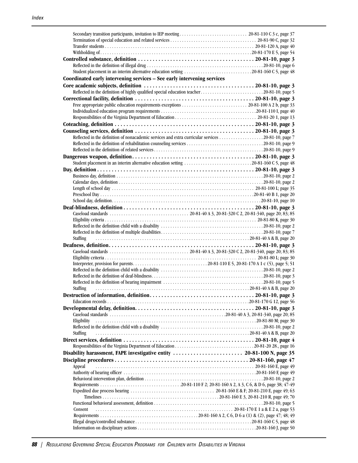| Student placement in an interim alternative education setting 20-81-160 C 5, page 48               |  |
|----------------------------------------------------------------------------------------------------|--|
| Coordinated early intervening services - See early intervening services                            |  |
|                                                                                                    |  |
| Reflected in the definition of highly qualified special education teacher20-81-10, page 5          |  |
|                                                                                                    |  |
|                                                                                                    |  |
|                                                                                                    |  |
|                                                                                                    |  |
|                                                                                                    |  |
|                                                                                                    |  |
| Reflected in the definition of nonacademic services and extra curricular services 20-81-10, page 7 |  |
|                                                                                                    |  |
|                                                                                                    |  |
|                                                                                                    |  |
| Student placement in an interim alternative education setting 20-81-160 C 5, page 48               |  |
|                                                                                                    |  |
|                                                                                                    |  |
|                                                                                                    |  |
|                                                                                                    |  |
|                                                                                                    |  |
|                                                                                                    |  |
|                                                                                                    |  |
|                                                                                                    |  |
|                                                                                                    |  |
|                                                                                                    |  |
|                                                                                                    |  |
| <b>Staffing</b>                                                                                    |  |
|                                                                                                    |  |
|                                                                                                    |  |
|                                                                                                    |  |
|                                                                                                    |  |
|                                                                                                    |  |
|                                                                                                    |  |
| Staffing                                                                                           |  |
|                                                                                                    |  |
|                                                                                                    |  |
|                                                                                                    |  |
|                                                                                                    |  |
| Eligibility                                                                                        |  |
|                                                                                                    |  |
| <b>Staffing</b>                                                                                    |  |
|                                                                                                    |  |
|                                                                                                    |  |
|                                                                                                    |  |
|                                                                                                    |  |
|                                                                                                    |  |
|                                                                                                    |  |
| Appeal                                                                                             |  |
|                                                                                                    |  |
|                                                                                                    |  |
|                                                                                                    |  |
|                                                                                                    |  |
|                                                                                                    |  |
|                                                                                                    |  |
| Consent                                                                                            |  |
|                                                                                                    |  |
|                                                                                                    |  |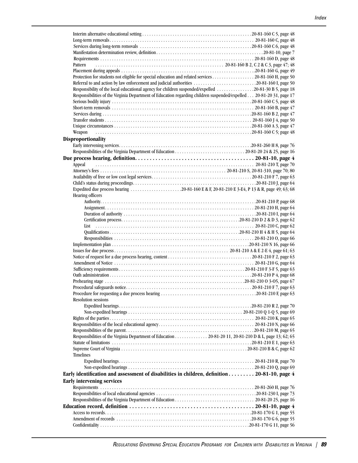| Pattern                                                                                                             |  |
|---------------------------------------------------------------------------------------------------------------------|--|
|                                                                                                                     |  |
| Protection for students not eligible for special education and related services 20-81-160 H, page 50                |  |
|                                                                                                                     |  |
| Responsibility of the local educational agency for children suspended/expelled 20-81-30 B 5, page 18                |  |
| Responsibilities of the Virginia Department of Education regarding children suspended/expelled 20-81-20 31, page 17 |  |
|                                                                                                                     |  |
|                                                                                                                     |  |
|                                                                                                                     |  |
|                                                                                                                     |  |
|                                                                                                                     |  |
| Weapon                                                                                                              |  |
| <b>Disproportionality</b>                                                                                           |  |
|                                                                                                                     |  |
|                                                                                                                     |  |
|                                                                                                                     |  |
|                                                                                                                     |  |
| Appeal                                                                                                              |  |
|                                                                                                                     |  |
|                                                                                                                     |  |
|                                                                                                                     |  |
| Expedited due process hearing 20-81-160 E & F, 20-81-210 E 3-E4, P 13 & R, page 49; 63; 68                          |  |
| Hearing officers                                                                                                    |  |
|                                                                                                                     |  |
|                                                                                                                     |  |
|                                                                                                                     |  |
|                                                                                                                     |  |
| List                                                                                                                |  |
|                                                                                                                     |  |
|                                                                                                                     |  |
|                                                                                                                     |  |
|                                                                                                                     |  |
|                                                                                                                     |  |
|                                                                                                                     |  |
|                                                                                                                     |  |
|                                                                                                                     |  |
|                                                                                                                     |  |
|                                                                                                                     |  |
|                                                                                                                     |  |
| <b>Resolution sessions</b>                                                                                          |  |
|                                                                                                                     |  |
|                                                                                                                     |  |
|                                                                                                                     |  |
|                                                                                                                     |  |
|                                                                                                                     |  |
|                                                                                                                     |  |
| Responsibilities of the Virginia Department of Education 20-81-20 11, 20-81-210 D & L, page 13; 62; 65              |  |
|                                                                                                                     |  |
|                                                                                                                     |  |
| <b>Timelines</b>                                                                                                    |  |
|                                                                                                                     |  |
|                                                                                                                     |  |
| Early identification and assessment of disabilities in children, definition 20-81-10, page 4                        |  |
| <b>Early intervening services</b>                                                                                   |  |
|                                                                                                                     |  |
|                                                                                                                     |  |
|                                                                                                                     |  |
|                                                                                                                     |  |
|                                                                                                                     |  |
|                                                                                                                     |  |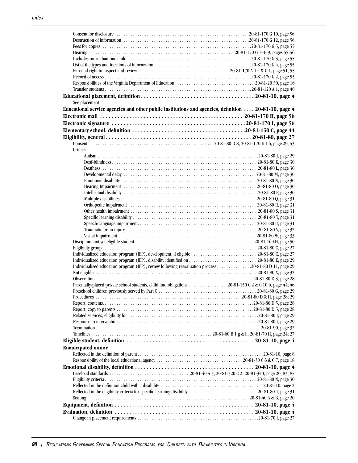| <b>Hearing</b>                                                                                               |  |
|--------------------------------------------------------------------------------------------------------------|--|
|                                                                                                              |  |
|                                                                                                              |  |
|                                                                                                              |  |
|                                                                                                              |  |
|                                                                                                              |  |
|                                                                                                              |  |
| See placement                                                                                                |  |
| Educational service agencies and other public institutions and agencies, definition $\dots$ 20-81-10, page 4 |  |
|                                                                                                              |  |
|                                                                                                              |  |
|                                                                                                              |  |
|                                                                                                              |  |
| Consent                                                                                                      |  |
| Criteria                                                                                                     |  |
|                                                                                                              |  |
|                                                                                                              |  |
|                                                                                                              |  |
|                                                                                                              |  |
|                                                                                                              |  |
|                                                                                                              |  |
|                                                                                                              |  |
|                                                                                                              |  |
|                                                                                                              |  |
|                                                                                                              |  |
|                                                                                                              |  |
|                                                                                                              |  |
|                                                                                                              |  |
|                                                                                                              |  |
|                                                                                                              |  |
|                                                                                                              |  |
| Individualized education program (IEP), review following reevaluation process 20-81-80 D 11, page 29         |  |
|                                                                                                              |  |
|                                                                                                              |  |
| Parentally-placed private school students, child find obligations 20-81-150 C 2 & C 10 b, page 44; 46        |  |
|                                                                                                              |  |
|                                                                                                              |  |
|                                                                                                              |  |
|                                                                                                              |  |
|                                                                                                              |  |
|                                                                                                              |  |
| Timelines                                                                                                    |  |
|                                                                                                              |  |
| <b>Emancipated minor</b>                                                                                     |  |
|                                                                                                              |  |
|                                                                                                              |  |
|                                                                                                              |  |
|                                                                                                              |  |
|                                                                                                              |  |
|                                                                                                              |  |
|                                                                                                              |  |
| <b>Staffing</b>                                                                                              |  |
|                                                                                                              |  |
|                                                                                                              |  |
|                                                                                                              |  |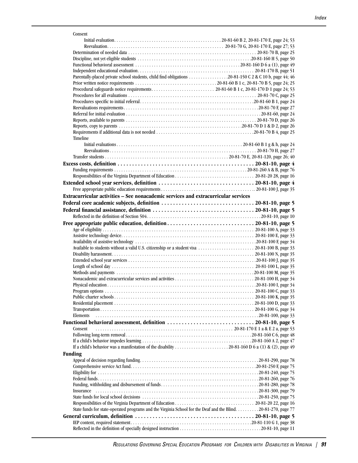| Consent                                                                                                      |  |
|--------------------------------------------------------------------------------------------------------------|--|
|                                                                                                              |  |
|                                                                                                              |  |
|                                                                                                              |  |
|                                                                                                              |  |
|                                                                                                              |  |
|                                                                                                              |  |
| Parentally-placed private school students, child find obligations 20-81-150 C 2 & C 10 b, page 44; 46        |  |
|                                                                                                              |  |
|                                                                                                              |  |
|                                                                                                              |  |
|                                                                                                              |  |
|                                                                                                              |  |
|                                                                                                              |  |
|                                                                                                              |  |
|                                                                                                              |  |
|                                                                                                              |  |
|                                                                                                              |  |
| Timeline                                                                                                     |  |
|                                                                                                              |  |
|                                                                                                              |  |
|                                                                                                              |  |
|                                                                                                              |  |
|                                                                                                              |  |
|                                                                                                              |  |
|                                                                                                              |  |
|                                                                                                              |  |
| Extracurricular activities - See nonacademic services and extracurricular services                           |  |
|                                                                                                              |  |
|                                                                                                              |  |
|                                                                                                              |  |
|                                                                                                              |  |
|                                                                                                              |  |
|                                                                                                              |  |
|                                                                                                              |  |
|                                                                                                              |  |
|                                                                                                              |  |
|                                                                                                              |  |
|                                                                                                              |  |
|                                                                                                              |  |
|                                                                                                              |  |
|                                                                                                              |  |
|                                                                                                              |  |
|                                                                                                              |  |
|                                                                                                              |  |
|                                                                                                              |  |
|                                                                                                              |  |
|                                                                                                              |  |
| Elements                                                                                                     |  |
|                                                                                                              |  |
| Consent                                                                                                      |  |
|                                                                                                              |  |
|                                                                                                              |  |
|                                                                                                              |  |
| <b>Funding</b>                                                                                               |  |
|                                                                                                              |  |
|                                                                                                              |  |
|                                                                                                              |  |
|                                                                                                              |  |
|                                                                                                              |  |
|                                                                                                              |  |
| Insurance                                                                                                    |  |
|                                                                                                              |  |
|                                                                                                              |  |
| State funds for state-operated programs and the Virginia School for the Deaf and the Blind20-81-270, page 77 |  |
|                                                                                                              |  |
|                                                                                                              |  |
|                                                                                                              |  |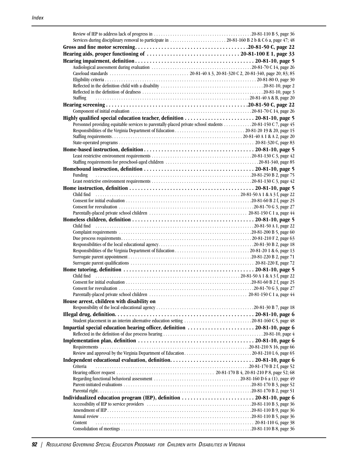| <b>Staffing</b>                                                                                                                                                                                                                                                                                                                       |  |
|---------------------------------------------------------------------------------------------------------------------------------------------------------------------------------------------------------------------------------------------------------------------------------------------------------------------------------------|--|
|                                                                                                                                                                                                                                                                                                                                       |  |
|                                                                                                                                                                                                                                                                                                                                       |  |
|                                                                                                                                                                                                                                                                                                                                       |  |
| Personnel providing equitable services to parentally-placed private school students 20-81-150 C 7, page 45                                                                                                                                                                                                                            |  |
|                                                                                                                                                                                                                                                                                                                                       |  |
|                                                                                                                                                                                                                                                                                                                                       |  |
|                                                                                                                                                                                                                                                                                                                                       |  |
|                                                                                                                                                                                                                                                                                                                                       |  |
|                                                                                                                                                                                                                                                                                                                                       |  |
|                                                                                                                                                                                                                                                                                                                                       |  |
|                                                                                                                                                                                                                                                                                                                                       |  |
| Funding                                                                                                                                                                                                                                                                                                                               |  |
|                                                                                                                                                                                                                                                                                                                                       |  |
|                                                                                                                                                                                                                                                                                                                                       |  |
|                                                                                                                                                                                                                                                                                                                                       |  |
|                                                                                                                                                                                                                                                                                                                                       |  |
|                                                                                                                                                                                                                                                                                                                                       |  |
|                                                                                                                                                                                                                                                                                                                                       |  |
|                                                                                                                                                                                                                                                                                                                                       |  |
|                                                                                                                                                                                                                                                                                                                                       |  |
|                                                                                                                                                                                                                                                                                                                                       |  |
|                                                                                                                                                                                                                                                                                                                                       |  |
|                                                                                                                                                                                                                                                                                                                                       |  |
|                                                                                                                                                                                                                                                                                                                                       |  |
|                                                                                                                                                                                                                                                                                                                                       |  |
|                                                                                                                                                                                                                                                                                                                                       |  |
| Child find $\ldots$ $\ldots$ $\ldots$ $\ldots$ $\ldots$ $\ldots$ $\ldots$ $\ldots$ $\ldots$ $\ldots$ $\ldots$ $\ldots$ $\ldots$ $\ldots$ $\ldots$ $\ldots$ $\ldots$ $\ldots$ $\ldots$ $\ldots$ $\ldots$ $\ldots$ $\ldots$ $\ldots$ $\ldots$ $\ldots$ $\ldots$ $\ldots$ $\ldots$ $\ldots$ $\ldots$ $\ldots$ $\ldots$ $\ldots$ $\ldots$ |  |
|                                                                                                                                                                                                                                                                                                                                       |  |
|                                                                                                                                                                                                                                                                                                                                       |  |
|                                                                                                                                                                                                                                                                                                                                       |  |
| House arrest, children with disability on                                                                                                                                                                                                                                                                                             |  |
|                                                                                                                                                                                                                                                                                                                                       |  |
|                                                                                                                                                                                                                                                                                                                                       |  |
|                                                                                                                                                                                                                                                                                                                                       |  |
|                                                                                                                                                                                                                                                                                                                                       |  |
|                                                                                                                                                                                                                                                                                                                                       |  |
|                                                                                                                                                                                                                                                                                                                                       |  |
|                                                                                                                                                                                                                                                                                                                                       |  |
|                                                                                                                                                                                                                                                                                                                                       |  |
|                                                                                                                                                                                                                                                                                                                                       |  |
|                                                                                                                                                                                                                                                                                                                                       |  |
|                                                                                                                                                                                                                                                                                                                                       |  |
| Criteria                                                                                                                                                                                                                                                                                                                              |  |
|                                                                                                                                                                                                                                                                                                                                       |  |
|                                                                                                                                                                                                                                                                                                                                       |  |
|                                                                                                                                                                                                                                                                                                                                       |  |
|                                                                                                                                                                                                                                                                                                                                       |  |
|                                                                                                                                                                                                                                                                                                                                       |  |
|                                                                                                                                                                                                                                                                                                                                       |  |
|                                                                                                                                                                                                                                                                                                                                       |  |
| Content                                                                                                                                                                                                                                                                                                                               |  |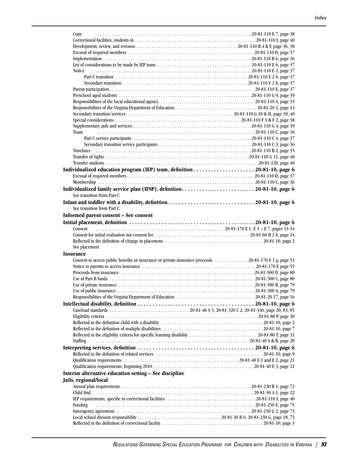| Copy                                                                                                  |  |
|-------------------------------------------------------------------------------------------------------|--|
|                                                                                                       |  |
|                                                                                                       |  |
|                                                                                                       |  |
|                                                                                                       |  |
|                                                                                                       |  |
| Notice                                                                                                |  |
|                                                                                                       |  |
|                                                                                                       |  |
|                                                                                                       |  |
|                                                                                                       |  |
|                                                                                                       |  |
|                                                                                                       |  |
|                                                                                                       |  |
|                                                                                                       |  |
|                                                                                                       |  |
|                                                                                                       |  |
|                                                                                                       |  |
|                                                                                                       |  |
|                                                                                                       |  |
|                                                                                                       |  |
|                                                                                                       |  |
|                                                                                                       |  |
|                                                                                                       |  |
|                                                                                                       |  |
|                                                                                                       |  |
| See transition from Part C                                                                            |  |
|                                                                                                       |  |
| See transition from Part C                                                                            |  |
| Informed parent consent - See consent                                                                 |  |
|                                                                                                       |  |
|                                                                                                       |  |
|                                                                                                       |  |
|                                                                                                       |  |
|                                                                                                       |  |
|                                                                                                       |  |
| See placement                                                                                         |  |
| <b>Insurance</b>                                                                                      |  |
| Consent to access public benefits or insurance or private insurance proceeds 20-81-170 E 1 g, page 53 |  |
|                                                                                                       |  |
|                                                                                                       |  |
|                                                                                                       |  |
|                                                                                                       |  |
|                                                                                                       |  |
|                                                                                                       |  |
|                                                                                                       |  |
|                                                                                                       |  |
|                                                                                                       |  |
|                                                                                                       |  |
|                                                                                                       |  |
|                                                                                                       |  |
| Staffing                                                                                              |  |
|                                                                                                       |  |
|                                                                                                       |  |
|                                                                                                       |  |
|                                                                                                       |  |
| Interim alternative education setting - See discipline                                                |  |
| Jails, regional/local                                                                                 |  |
|                                                                                                       |  |
| Child find                                                                                            |  |
|                                                                                                       |  |
| Funding                                                                                               |  |
|                                                                                                       |  |
|                                                                                                       |  |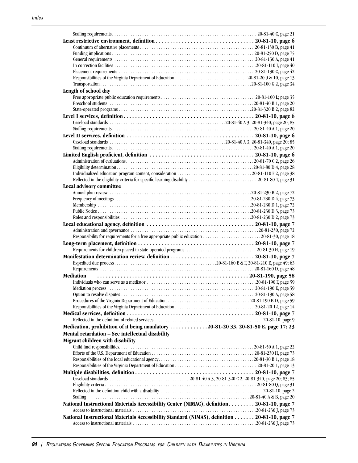| Length of school day                                                                                                |  |
|---------------------------------------------------------------------------------------------------------------------|--|
|                                                                                                                     |  |
|                                                                                                                     |  |
|                                                                                                                     |  |
|                                                                                                                     |  |
|                                                                                                                     |  |
|                                                                                                                     |  |
|                                                                                                                     |  |
|                                                                                                                     |  |
|                                                                                                                     |  |
|                                                                                                                     |  |
|                                                                                                                     |  |
|                                                                                                                     |  |
|                                                                                                                     |  |
|                                                                                                                     |  |
| Local advisory committee                                                                                            |  |
|                                                                                                                     |  |
|                                                                                                                     |  |
|                                                                                                                     |  |
|                                                                                                                     |  |
|                                                                                                                     |  |
|                                                                                                                     |  |
|                                                                                                                     |  |
|                                                                                                                     |  |
|                                                                                                                     |  |
|                                                                                                                     |  |
| Manifestation determination review, definition  20-81-10, page 7                                                    |  |
|                                                                                                                     |  |
|                                                                                                                     |  |
| <b>Mediation</b>                                                                                                    |  |
|                                                                                                                     |  |
|                                                                                                                     |  |
|                                                                                                                     |  |
|                                                                                                                     |  |
|                                                                                                                     |  |
|                                                                                                                     |  |
|                                                                                                                     |  |
| Medication, prohibition of it being mandatory $\dots \dots \dots \dots \dots 20-81-20-33$ , 20-81-50 E, page 17; 23 |  |
| Mental retardation - See intellectual disability                                                                    |  |
| Migrant children with disability                                                                                    |  |
|                                                                                                                     |  |
|                                                                                                                     |  |
|                                                                                                                     |  |
|                                                                                                                     |  |
|                                                                                                                     |  |
|                                                                                                                     |  |
|                                                                                                                     |  |
|                                                                                                                     |  |
| Staffing                                                                                                            |  |
| National Instructional Materials Accessibility Center (NIMAC), definition 20-81-10, page 7                          |  |
|                                                                                                                     |  |
| National Instructional Materials Accessibility Standard (NIMAS), definition 20-81-10, page 7                        |  |
|                                                                                                                     |  |
|                                                                                                                     |  |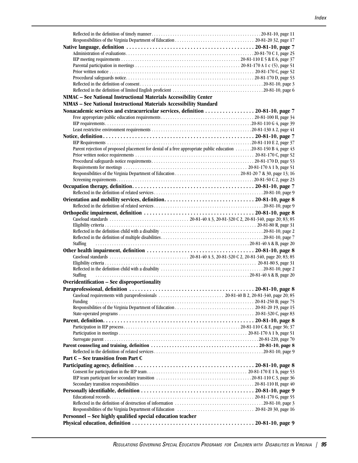| NIMAC - See National Instructional Materials Accessibility Center                                               |  |
|-----------------------------------------------------------------------------------------------------------------|--|
| NIMAS - See National Instructional Materials Accessibility Standard                                             |  |
| Nonacademic services and extracurricular services, definition 20-81-10, page 7                                  |  |
|                                                                                                                 |  |
|                                                                                                                 |  |
|                                                                                                                 |  |
|                                                                                                                 |  |
|                                                                                                                 |  |
|                                                                                                                 |  |
| Parent rejection of proposed placement for denial of a free appropriate public education 20-81-150 B 4, page 43 |  |
|                                                                                                                 |  |
|                                                                                                                 |  |
|                                                                                                                 |  |
|                                                                                                                 |  |
|                                                                                                                 |  |
|                                                                                                                 |  |
|                                                                                                                 |  |
|                                                                                                                 |  |
|                                                                                                                 |  |
|                                                                                                                 |  |
|                                                                                                                 |  |
|                                                                                                                 |  |
|                                                                                                                 |  |
|                                                                                                                 |  |
| Staffing                                                                                                        |  |
|                                                                                                                 |  |
|                                                                                                                 |  |
|                                                                                                                 |  |
|                                                                                                                 |  |
| <b>Staffing</b>                                                                                                 |  |
| Overidentification - See disproportionality                                                                     |  |
|                                                                                                                 |  |
|                                                                                                                 |  |
| Funding                                                                                                         |  |
|                                                                                                                 |  |
|                                                                                                                 |  |
|                                                                                                                 |  |
|                                                                                                                 |  |
|                                                                                                                 |  |
|                                                                                                                 |  |
|                                                                                                                 |  |
|                                                                                                                 |  |
|                                                                                                                 |  |
| Part C – See transition from Part C                                                                             |  |
|                                                                                                                 |  |
|                                                                                                                 |  |
|                                                                                                                 |  |
|                                                                                                                 |  |
|                                                                                                                 |  |
|                                                                                                                 |  |
|                                                                                                                 |  |
|                                                                                                                 |  |
| Personnel - See highly qualified special education teacher                                                      |  |
|                                                                                                                 |  |
|                                                                                                                 |  |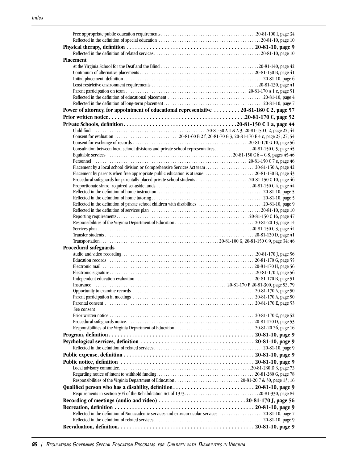| <b>Placement</b>                                                                                      |  |
|-------------------------------------------------------------------------------------------------------|--|
|                                                                                                       |  |
|                                                                                                       |  |
|                                                                                                       |  |
|                                                                                                       |  |
|                                                                                                       |  |
|                                                                                                       |  |
|                                                                                                       |  |
| Power of attorney, for appointment of educational representative  20-81-180 C 2, page 57              |  |
|                                                                                                       |  |
|                                                                                                       |  |
|                                                                                                       |  |
|                                                                                                       |  |
|                                                                                                       |  |
| Consultation between local school divisions and private school representatives 20-81-150 C 5, page 45 |  |
|                                                                                                       |  |
|                                                                                                       |  |
|                                                                                                       |  |
| Placement by parents when free appropriate public education is at issue  20-81-150 B, page 43         |  |
|                                                                                                       |  |
|                                                                                                       |  |
|                                                                                                       |  |
|                                                                                                       |  |
| Reflected in the definition of private school children with disabilities 20-81-10, page 9             |  |
|                                                                                                       |  |
|                                                                                                       |  |
|                                                                                                       |  |
|                                                                                                       |  |
|                                                                                                       |  |
|                                                                                                       |  |
| <b>Procedural safeguards</b>                                                                          |  |
|                                                                                                       |  |
|                                                                                                       |  |
|                                                                                                       |  |
|                                                                                                       |  |
|                                                                                                       |  |
|                                                                                                       |  |
|                                                                                                       |  |
|                                                                                                       |  |
| See consent                                                                                           |  |
|                                                                                                       |  |
|                                                                                                       |  |
|                                                                                                       |  |
|                                                                                                       |  |
|                                                                                                       |  |
|                                                                                                       |  |
|                                                                                                       |  |
|                                                                                                       |  |
|                                                                                                       |  |
|                                                                                                       |  |
|                                                                                                       |  |
|                                                                                                       |  |
|                                                                                                       |  |
|                                                                                                       |  |
|                                                                                                       |  |
|                                                                                                       |  |
| Reflected in the definition of Nonacademic services and extracurricular services 20-81-10, page 7     |  |
|                                                                                                       |  |
|                                                                                                       |  |
|                                                                                                       |  |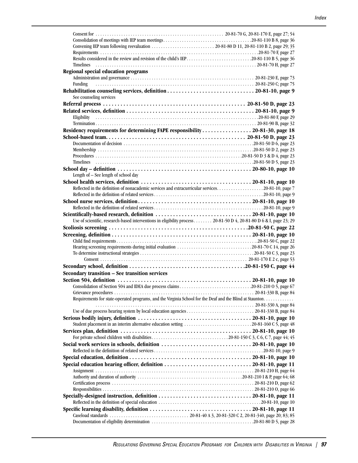| Results considered in the review and revision of the child's IEP20-81-110 B 5, page 36                              |                                                                                      |
|---------------------------------------------------------------------------------------------------------------------|--------------------------------------------------------------------------------------|
|                                                                                                                     |                                                                                      |
| Regional special education programs                                                                                 |                                                                                      |
|                                                                                                                     |                                                                                      |
| Funding                                                                                                             |                                                                                      |
|                                                                                                                     |                                                                                      |
|                                                                                                                     |                                                                                      |
| See counseling services                                                                                             |                                                                                      |
|                                                                                                                     |                                                                                      |
|                                                                                                                     |                                                                                      |
| Eligibility                                                                                                         |                                                                                      |
|                                                                                                                     |                                                                                      |
| Residency requirements for determining FAPE responsibility 20-81-30, page 18                                        |                                                                                      |
|                                                                                                                     |                                                                                      |
|                                                                                                                     |                                                                                      |
|                                                                                                                     |                                                                                      |
|                                                                                                                     |                                                                                      |
|                                                                                                                     |                                                                                      |
|                                                                                                                     |                                                                                      |
|                                                                                                                     |                                                                                      |
| Length of - See length of school day                                                                                |                                                                                      |
|                                                                                                                     |                                                                                      |
| Reflected in the definition of nonacademic services and extracurricular services20-81-10, page 7                    |                                                                                      |
|                                                                                                                     |                                                                                      |
|                                                                                                                     |                                                                                      |
|                                                                                                                     |                                                                                      |
|                                                                                                                     |                                                                                      |
|                                                                                                                     |                                                                                      |
| Use of scientific, research-based interventions in eligibility process. 20-81-50 D 4, 20-81-80 D 6 & I, page 23; 29 |                                                                                      |
|                                                                                                                     |                                                                                      |
|                                                                                                                     |                                                                                      |
|                                                                                                                     |                                                                                      |
| Hearing screening requirements during initial evaluation 20-81-70 C 14, page 26                                     |                                                                                      |
|                                                                                                                     |                                                                                      |
|                                                                                                                     |                                                                                      |
|                                                                                                                     |                                                                                      |
| Secondary transition - See transition services                                                                      |                                                                                      |
|                                                                                                                     |                                                                                      |
|                                                                                                                     |                                                                                      |
|                                                                                                                     |                                                                                      |
|                                                                                                                     |                                                                                      |
| Requirements for state-operated programs, and the Virginia School for the Deaf and the Blind at Staunton            |                                                                                      |
|                                                                                                                     |                                                                                      |
|                                                                                                                     |                                                                                      |
|                                                                                                                     |                                                                                      |
|                                                                                                                     |                                                                                      |
|                                                                                                                     |                                                                                      |
|                                                                                                                     | Student placement in an interim alternative education setting 20-81-160 C 5, page 48 |
|                                                                                                                     |                                                                                      |
|                                                                                                                     |                                                                                      |
|                                                                                                                     |                                                                                      |
|                                                                                                                     |                                                                                      |
|                                                                                                                     |                                                                                      |
|                                                                                                                     |                                                                                      |
|                                                                                                                     |                                                                                      |
|                                                                                                                     |                                                                                      |
|                                                                                                                     |                                                                                      |
|                                                                                                                     |                                                                                      |
|                                                                                                                     |                                                                                      |
|                                                                                                                     |                                                                                      |
|                                                                                                                     |                                                                                      |
|                                                                                                                     |                                                                                      |
|                                                                                                                     |                                                                                      |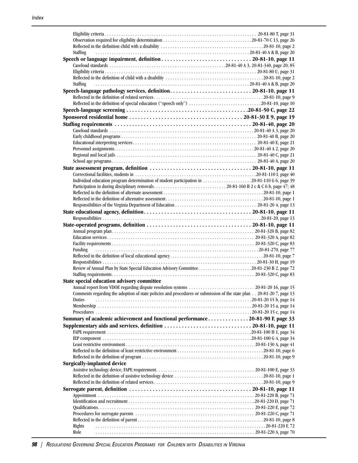| <b>Staffing</b>                                                                                                      |  |
|----------------------------------------------------------------------------------------------------------------------|--|
|                                                                                                                      |  |
|                                                                                                                      |  |
|                                                                                                                      |  |
|                                                                                                                      |  |
| Staffing                                                                                                             |  |
|                                                                                                                      |  |
|                                                                                                                      |  |
| Reflected in the definition of special education ("speech only") 20-81-10, page 10                                   |  |
|                                                                                                                      |  |
|                                                                                                                      |  |
|                                                                                                                      |  |
|                                                                                                                      |  |
|                                                                                                                      |  |
|                                                                                                                      |  |
|                                                                                                                      |  |
|                                                                                                                      |  |
|                                                                                                                      |  |
|                                                                                                                      |  |
|                                                                                                                      |  |
| Individual education program determination of student participation in 20-81-110 G 6, page 39                        |  |
|                                                                                                                      |  |
|                                                                                                                      |  |
|                                                                                                                      |  |
|                                                                                                                      |  |
|                                                                                                                      |  |
|                                                                                                                      |  |
|                                                                                                                      |  |
|                                                                                                                      |  |
|                                                                                                                      |  |
|                                                                                                                      |  |
| <b>Funding</b>                                                                                                       |  |
|                                                                                                                      |  |
|                                                                                                                      |  |
| Review of Annual Plan by State Special Education Advisory Committee20-81-230 B 2, page 72                            |  |
|                                                                                                                      |  |
| State special education advisory committee                                                                           |  |
| Comments regarding the adoption of state policies and procedures or submission of the state plan 20-81-20 7, page 13 |  |
| <b>Duties</b>                                                                                                        |  |
|                                                                                                                      |  |
|                                                                                                                      |  |
| Summary of academic achievement and functional performance 20-81-90 F, page 33                                       |  |
|                                                                                                                      |  |
|                                                                                                                      |  |
|                                                                                                                      |  |
|                                                                                                                      |  |
|                                                                                                                      |  |
|                                                                                                                      |  |
| <b>Surgically-implanted device</b>                                                                                   |  |
|                                                                                                                      |  |
|                                                                                                                      |  |
|                                                                                                                      |  |
|                                                                                                                      |  |
|                                                                                                                      |  |
|                                                                                                                      |  |
|                                                                                                                      |  |
|                                                                                                                      |  |
|                                                                                                                      |  |
| Rights                                                                                                               |  |
| Role                                                                                                                 |  |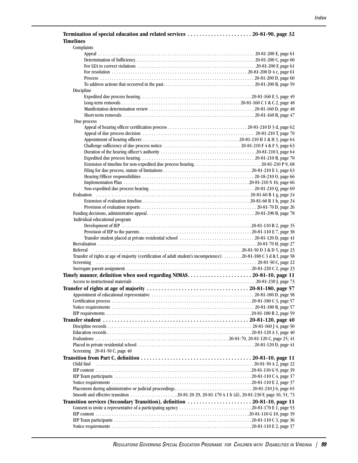#### **Termination of special education and related services . . . . . . . . . . . . . . . . . . . . . . 20-81-90, page 32 Timelines**

| Complaints                                                                                                                                                    |  |
|---------------------------------------------------------------------------------------------------------------------------------------------------------------|--|
|                                                                                                                                                               |  |
|                                                                                                                                                               |  |
|                                                                                                                                                               |  |
|                                                                                                                                                               |  |
|                                                                                                                                                               |  |
|                                                                                                                                                               |  |
| Discipline                                                                                                                                                    |  |
|                                                                                                                                                               |  |
|                                                                                                                                                               |  |
|                                                                                                                                                               |  |
|                                                                                                                                                               |  |
| Due process                                                                                                                                                   |  |
|                                                                                                                                                               |  |
|                                                                                                                                                               |  |
|                                                                                                                                                               |  |
|                                                                                                                                                               |  |
|                                                                                                                                                               |  |
|                                                                                                                                                               |  |
|                                                                                                                                                               |  |
|                                                                                                                                                               |  |
|                                                                                                                                                               |  |
|                                                                                                                                                               |  |
|                                                                                                                                                               |  |
|                                                                                                                                                               |  |
|                                                                                                                                                               |  |
|                                                                                                                                                               |  |
|                                                                                                                                                               |  |
|                                                                                                                                                               |  |
| Individual educational program                                                                                                                                |  |
|                                                                                                                                                               |  |
|                                                                                                                                                               |  |
|                                                                                                                                                               |  |
|                                                                                                                                                               |  |
| Referral                                                                                                                                                      |  |
| Transfer of rights at age of majority (certification of adult student's incompetence)20-81-180 C 3 d & f, page 58                                             |  |
|                                                                                                                                                               |  |
|                                                                                                                                                               |  |
|                                                                                                                                                               |  |
|                                                                                                                                                               |  |
| Transfer of rights at age of majority $\ldots \ldots \ldots \ldots \ldots \ldots \ldots \ldots \ldots \ldots \ldots \ldots 20\text{-}81\text{-}180$ , page 57 |  |
|                                                                                                                                                               |  |
|                                                                                                                                                               |  |
|                                                                                                                                                               |  |
|                                                                                                                                                               |  |
|                                                                                                                                                               |  |
|                                                                                                                                                               |  |
|                                                                                                                                                               |  |
|                                                                                                                                                               |  |
|                                                                                                                                                               |  |
|                                                                                                                                                               |  |
| Screening 20-81-50 C, page 40                                                                                                                                 |  |
| Transition from Part C, definition $\ldots \ldots \ldots \ldots \ldots \ldots \ldots \ldots \ldots \ldots \ldots \ldots \ldots$ 20-81-10, page 11             |  |
| Child find                                                                                                                                                    |  |
|                                                                                                                                                               |  |
|                                                                                                                                                               |  |
|                                                                                                                                                               |  |
|                                                                                                                                                               |  |
|                                                                                                                                                               |  |
| Transition services (Secondary Transition), definition 20-81-10, page 11                                                                                      |  |
| Consent to invite a representative of a participating agency 20-81-170 E 1, page 53                                                                           |  |
|                                                                                                                                                               |  |
|                                                                                                                                                               |  |
|                                                                                                                                                               |  |
|                                                                                                                                                               |  |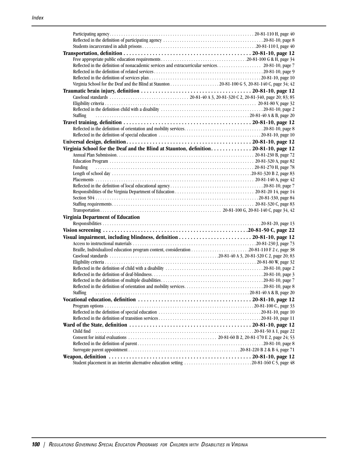| <b>Staffing</b>                                                                      |  |
|--------------------------------------------------------------------------------------|--|
|                                                                                      |  |
|                                                                                      |  |
|                                                                                      |  |
|                                                                                      |  |
| Virginia School for the Deaf and the Blind at Staunton, definition 20-81-10, page 12 |  |
|                                                                                      |  |
|                                                                                      |  |
|                                                                                      |  |
| Funding                                                                              |  |
|                                                                                      |  |
|                                                                                      |  |
|                                                                                      |  |
|                                                                                      |  |
|                                                                                      |  |
|                                                                                      |  |
|                                                                                      |  |
| <b>Virginia Department of Education</b>                                              |  |
|                                                                                      |  |
|                                                                                      |  |
|                                                                                      |  |
|                                                                                      |  |
|                                                                                      |  |
|                                                                                      |  |
|                                                                                      |  |
|                                                                                      |  |
|                                                                                      |  |
|                                                                                      |  |
|                                                                                      |  |
|                                                                                      |  |
| Staffing                                                                             |  |
|                                                                                      |  |
|                                                                                      |  |
|                                                                                      |  |
|                                                                                      |  |
|                                                                                      |  |
|                                                                                      |  |
| Child find                                                                           |  |
|                                                                                      |  |
|                                                                                      |  |
|                                                                                      |  |
|                                                                                      |  |
| Student placement in an interim alternative education setting 20-81-160 C 5, page 48 |  |